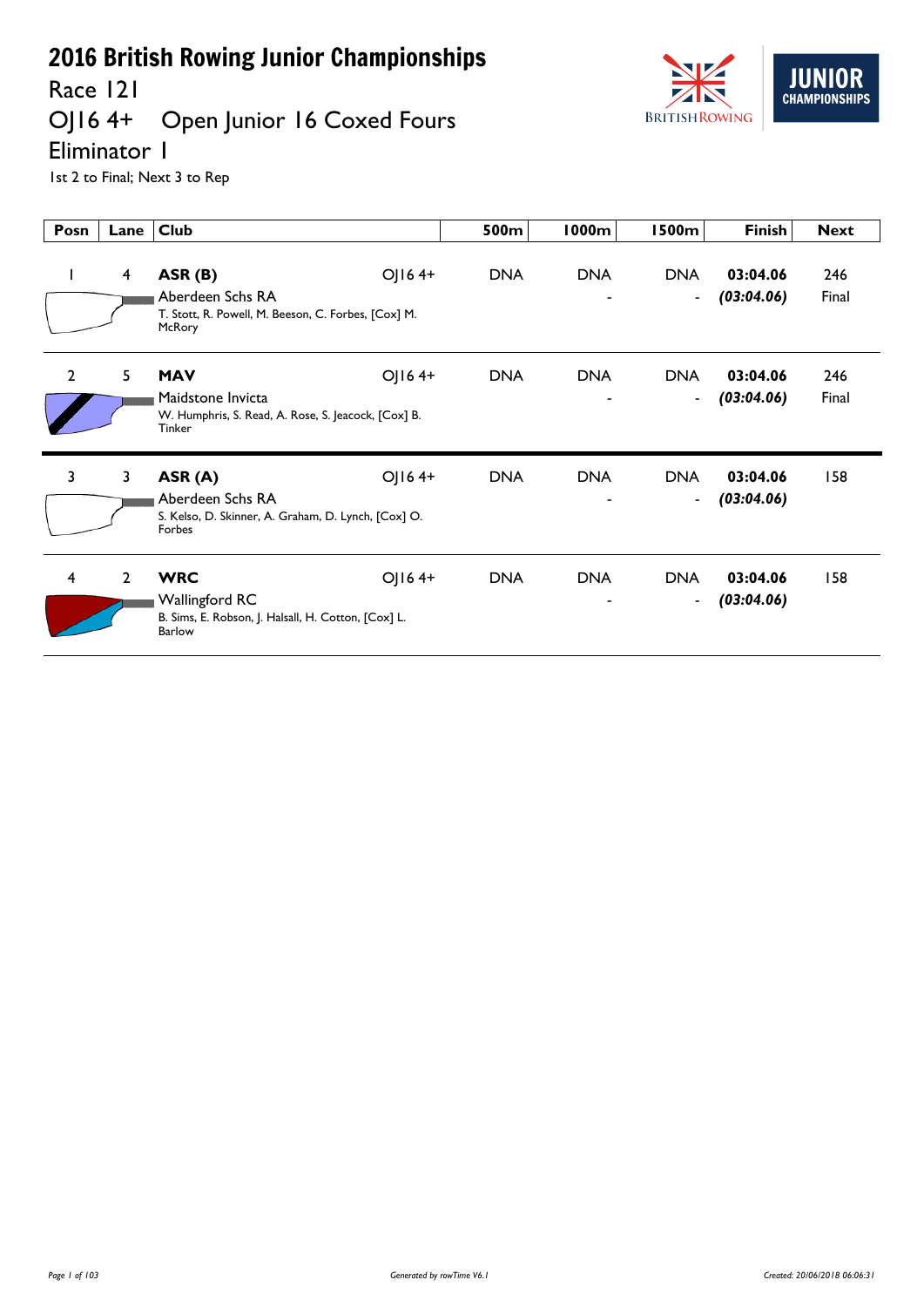Race 121<br>OJ16 4+

## Open Junior 16 Coxed Fours



Eliminator 1

| Posn           | Lane           | <b>Club</b>                                                                                                    | 500m       | 1000m      | 1500m                                  | <b>Finish</b>          | <b>Next</b>  |
|----------------|----------------|----------------------------------------------------------------------------------------------------------------|------------|------------|----------------------------------------|------------------------|--------------|
| $\mathbf{I}$   | $\overline{4}$ | OJ164+<br>ASR(B)<br>Aberdeen Schs RA<br>T. Stott, R. Powell, M. Beeson, C. Forbes, [Cox] M.<br>McRory          | <b>DNA</b> | <b>DNA</b> | <b>DNA</b><br>$\blacksquare$           | 03:04.06<br>(03:04.06) | 246<br>Final |
| $\overline{2}$ | 5              | OJ164+<br><b>MAV</b><br>Maidstone Invicta<br>W. Humphris, S. Read, A. Rose, S. Jeacock, [Cox] B.<br>Tinker     | <b>DNA</b> | <b>DNA</b> | <b>DNA</b><br>$\blacksquare$           | 03:04.06<br>(03:04.06) | 246<br>Final |
| $\overline{3}$ | 3              | OJ164+<br>ASR (A)<br>Aberdeen Schs RA<br>S. Kelso, D. Skinner, A. Graham, D. Lynch, [Cox] O.<br>Forbes         | <b>DNA</b> | <b>DNA</b> | <b>DNA</b><br>$\blacksquare$           | 03:04.06<br>(03:04.06) | 158          |
| 4              | $\overline{2}$ | <b>WRC</b><br>OJ164+<br><b>Wallingford RC</b><br>B. Sims, E. Robson, J. Halsall, H. Cotton, [Cox] L.<br>Barlow | <b>DNA</b> | <b>DNA</b> | <b>DNA</b><br>$\overline{\phantom{a}}$ | 03:04.06<br>(03:04.06) | 158          |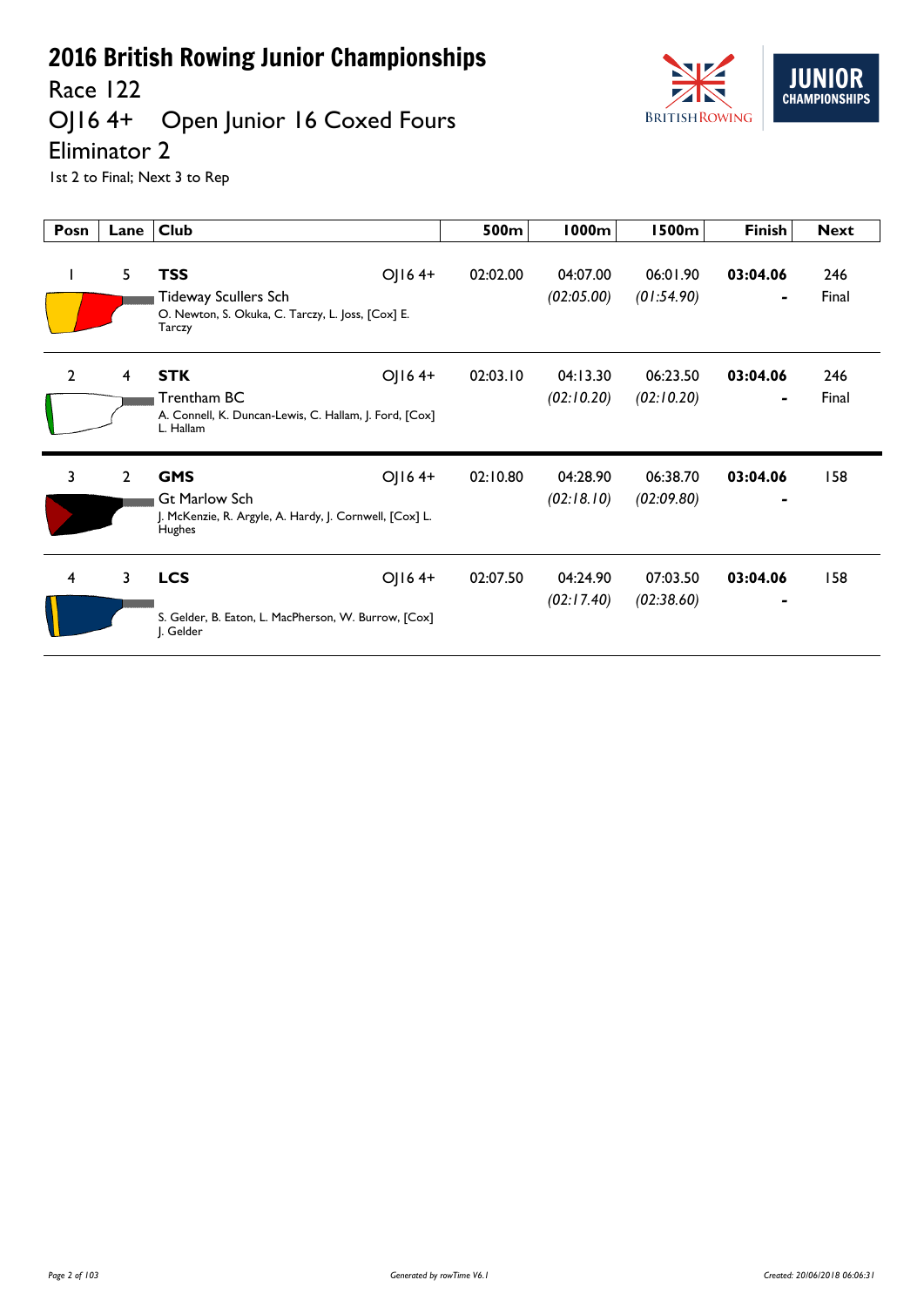Race 122

## OJ16 4+ Open Junior 16 Coxed Fours



Eliminator 2

| Posn           | Lane           | Club                                                                                                              | 500m     | <b>1000m</b>           | <b>1500m</b>           | <b>Finish</b> | <b>Next</b>  |
|----------------|----------------|-------------------------------------------------------------------------------------------------------------------|----------|------------------------|------------------------|---------------|--------------|
| L              | 5              | <b>TSS</b><br>OJ164+<br>Tideway Scullers Sch<br>O. Newton, S. Okuka, C. Tarczy, L. Joss, [Cox] E.<br>Tarczy       | 02:02.00 | 04:07.00<br>(02:05.00) | 06:01.90<br>(01:54.90) | 03:04.06<br>۰ | 246<br>Final |
| $\overline{2}$ | 4              | <b>STK</b><br>OJ164+<br>Trentham BC<br>A. Connell, K. Duncan-Lewis, C. Hallam, J. Ford, [Cox]<br>L. Hallam        | 02:03.10 | 04:13.30<br>(02:10.20) | 06:23.50<br>(02:10.20) | 03:04.06<br>۰ | 246<br>Final |
| 3              | $\overline{2}$ | OJ164+<br><b>GMS</b><br><b>Gt Marlow Sch</b><br>J. McKenzie, R. Argyle, A. Hardy, J. Cornwell, [Cox] L.<br>Hughes | 02:10.80 | 04:28.90<br>(02:18.10) | 06:38.70<br>(02:09.80) | 03:04.06<br>٠ | 158          |
| 4              | 3              | <b>LCS</b><br>OJ164+<br>S. Gelder, B. Eaton, L. MacPherson, W. Burrow, [Cox]<br>J. Gelder                         | 02:07.50 | 04:24.90<br>(02:17.40) | 07:03.50<br>(02:38.60) | 03:04.06      | 158          |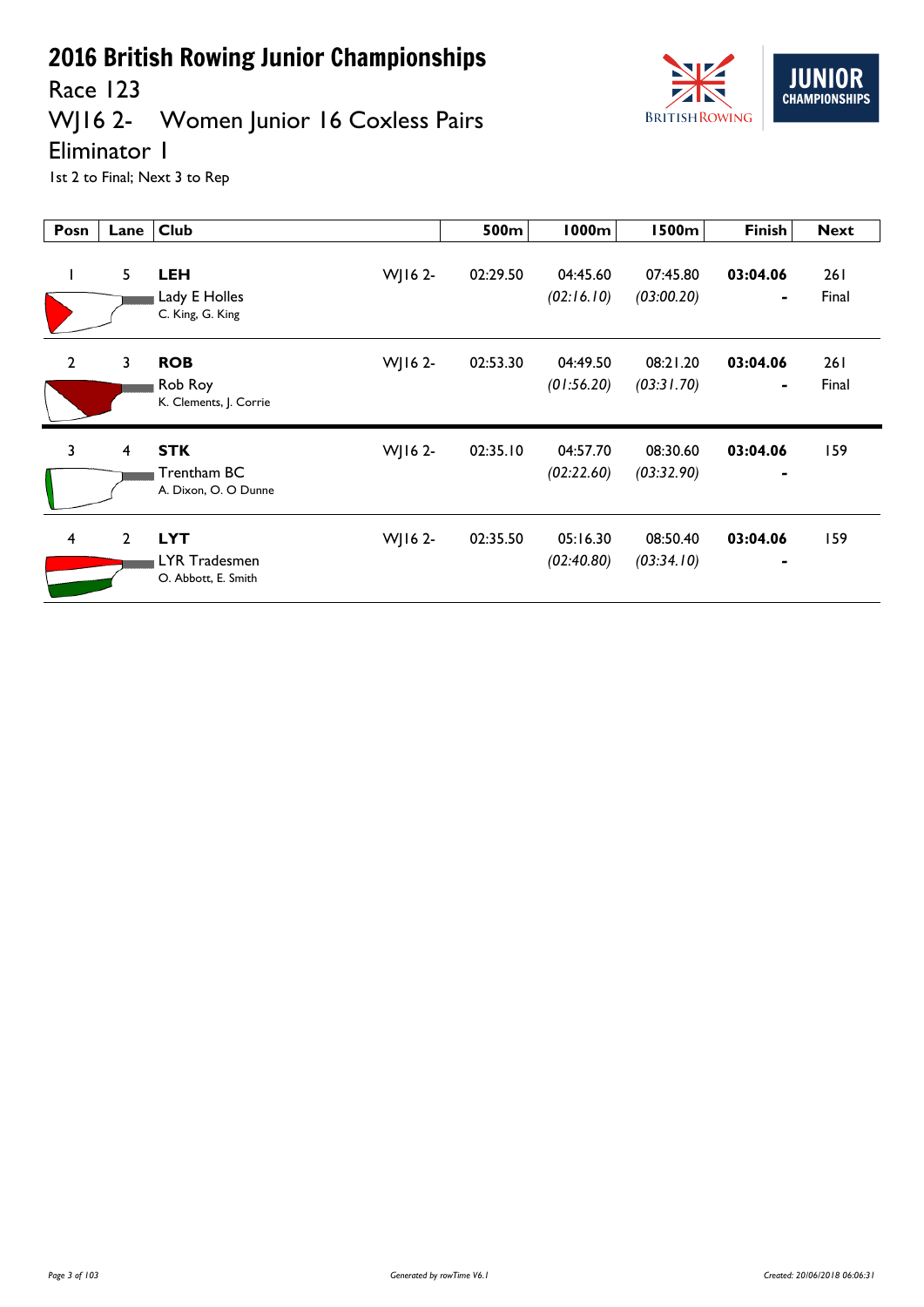

Race 123

## WJ16 2- Women Junior 16 Coxless Pairs

Eliminator 1

| Posn           | Lane           | <b>Club</b>                                                   | 500m     | 1000m                  | <b>1500m</b>           | <b>Finish</b>              | <b>Next</b>         |
|----------------|----------------|---------------------------------------------------------------|----------|------------------------|------------------------|----------------------------|---------------------|
| L              | 5              | <b>LEH</b><br>WJ16 2-<br>Lady E Holles<br>C. King, G. King    | 02:29.50 | 04:45.60<br>(02:16.10) | 07:45.80<br>(03:00.20) | 03:04.06                   | 261<br>Final        |
| $\overline{2}$ | 3              | <b>ROB</b><br>WJ16 2-<br>Rob Roy<br>K. Clements, J. Corrie    | 02:53.30 | 04:49.50<br>(01:56.20) | 08:21.20<br>(03:31.70) | 03:04.06<br>۰              | <b>261</b><br>Final |
| $\overline{3}$ | $\overline{4}$ | <b>STK</b><br>WJ16 2-<br>Trentham BC<br>A. Dixon, O. O Dunne  | 02:35.10 | 04:57.70<br>(02:22.60) | 08:30.60<br>(03:32.90) | 03:04.06                   | 159                 |
| $\overline{4}$ | $\overline{2}$ | <b>LYT</b><br>WJ16 2-<br>LYR Tradesmen<br>O. Abbott, E. Smith | 02:35.50 | 05:16.30<br>(02:40.80) | 08:50.40<br>(03:34.10) | 03:04.06<br>$\blacksquare$ | 159                 |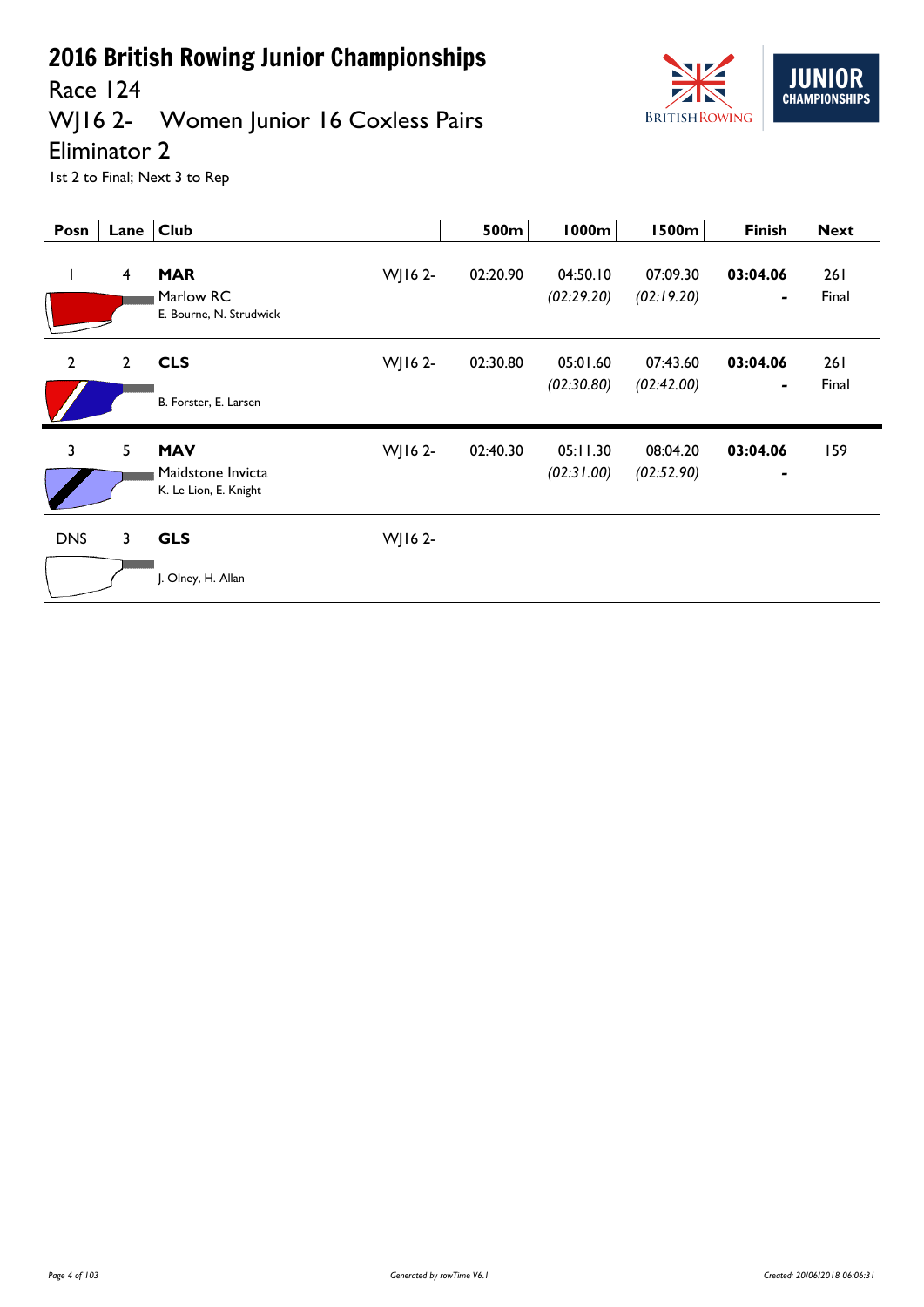

WJ16 2- Women Junior 16 Coxless Pairs



#### Eliminator 2

| Posn           | Lane           | <b>Club</b>                                              |         | 500m     | 1000m                  | <b>1500m</b>           | <b>Finish</b>              | <b>Next</b>   |
|----------------|----------------|----------------------------------------------------------|---------|----------|------------------------|------------------------|----------------------------|---------------|
| T              | $\overline{4}$ | <b>MAR</b><br>Marlow RC<br>E. Bourne, N. Strudwick       | WJ16 2- | 02:20.90 | 04:50.10<br>(02:29.20) | 07:09.30<br>(02:19.20) | 03:04.06                   | 261<br>Final  |
| $\overline{2}$ | $2^{\circ}$    | <b>CLS</b><br>B. Forster, E. Larsen                      | WJ16 2- | 02:30.80 | 05:01.60<br>(02:30.80) | 07:43.60<br>(02:42.00) | 03:04.06                   | 26 I<br>Final |
| $\overline{3}$ | 5              | <b>MAV</b><br>Maidstone Invicta<br>K. Le Lion, E. Knight | WJ16 2- | 02:40.30 | 05:11.30<br>(02:31.00) | 08:04.20<br>(02:52.90) | 03:04.06<br>$\blacksquare$ | 159           |
| <b>DNS</b>     | 3              | <b>GLS</b><br>J. Olney, H. Allan                         | WJ16 2- |          |                        |                        |                            |               |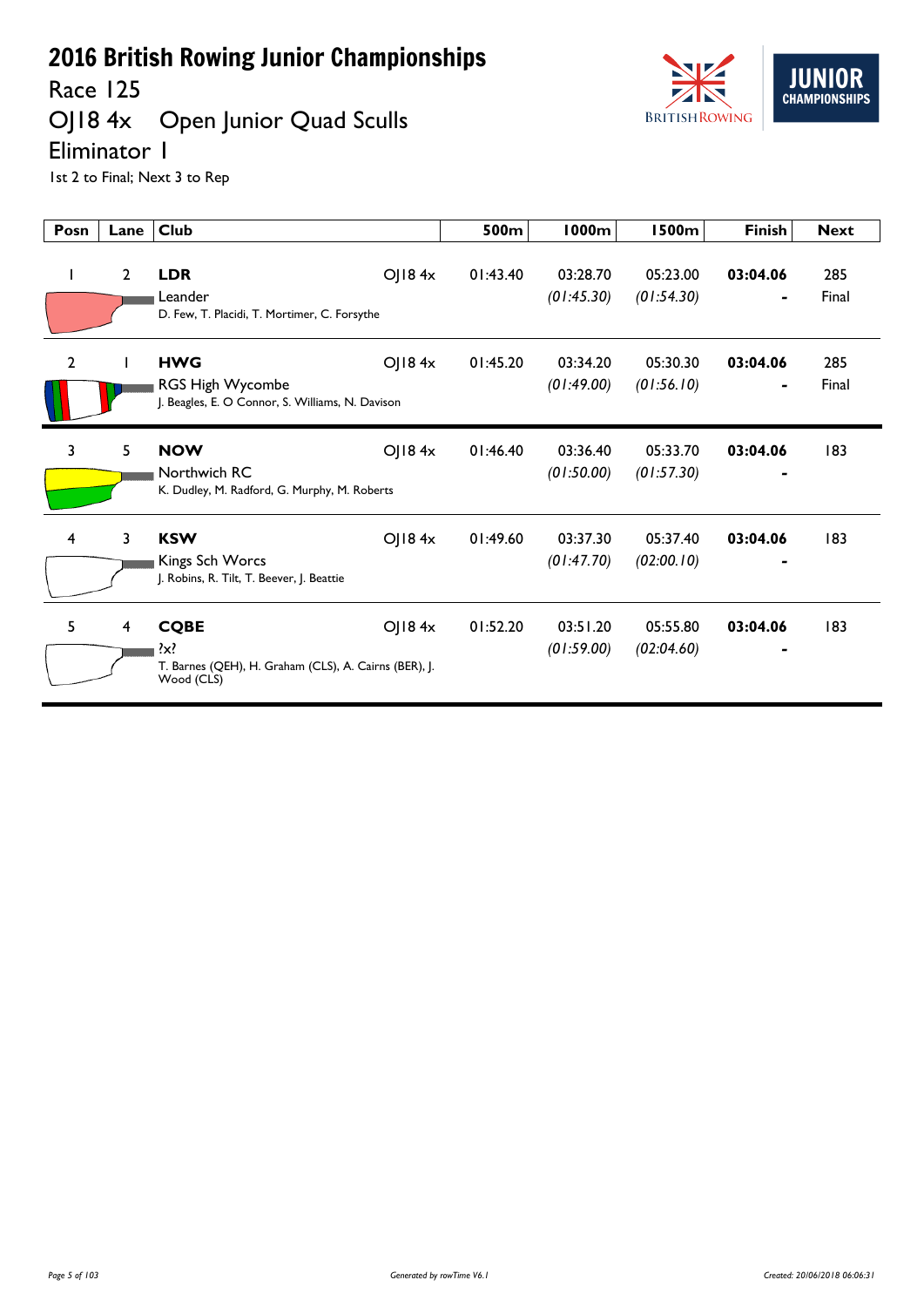Race 125

## OJ18 4x Open Junior Quad Sculls



Eliminator 1

| Posn           | Lane           | <b>Club</b>                                                                                             | 500m     | <b>1000m</b>           | 1500m                  | <b>Finish</b>              | <b>Next</b>  |
|----------------|----------------|---------------------------------------------------------------------------------------------------------|----------|------------------------|------------------------|----------------------------|--------------|
|                | $\overline{2}$ | <b>LDR</b><br>OJ184x<br>Leander<br>D. Few, T. Placidi, T. Mortimer, C. Forsythe                         | 01:43.40 | 03:28.70<br>(01:45.30) | 05:23.00<br>(01:54.30) | 03:04.06<br>$\blacksquare$ | 285<br>Final |
| $\overline{2}$ |                | OJ184x<br><b>HWG</b><br>RGS High Wycombe<br>J. Beagles, E. O Connor, S. Williams, N. Davison            | 01:45.20 | 03:34.20<br>(01:49.00) | 05:30.30<br>(01:56.10) | 03:04.06<br>-              | 285<br>Final |
| 3              | 5              | <b>NOW</b><br>OJ184x<br>Northwich RC<br>K. Dudley, M. Radford, G. Murphy, M. Roberts                    | 01:46.40 | 03:36.40<br>(01:50.00) | 05:33.70<br>(01:57.30) | 03:04.06                   | 183          |
| 4              | 3              | O  84x<br><b>KSW</b><br>Kings Sch Worcs<br>J. Robins, R. Tilt, T. Beever, J. Beattie                    | 01:49.60 | 03:37.30<br>(01:47.70) | 05:37.40<br>(02:00.10) | 03:04.06                   | 183          |
| 5              | 4              | <b>CQBE</b><br>O  84x<br>$\{x\}$<br>T. Barnes (QEH), H. Graham (CLS), A. Cairns (BER), J.<br>Wood (CLS) | 01:52.20 | 03:51.20<br>(01:59.00) | 05:55.80<br>(02:04.60) | 03:04.06                   | 183          |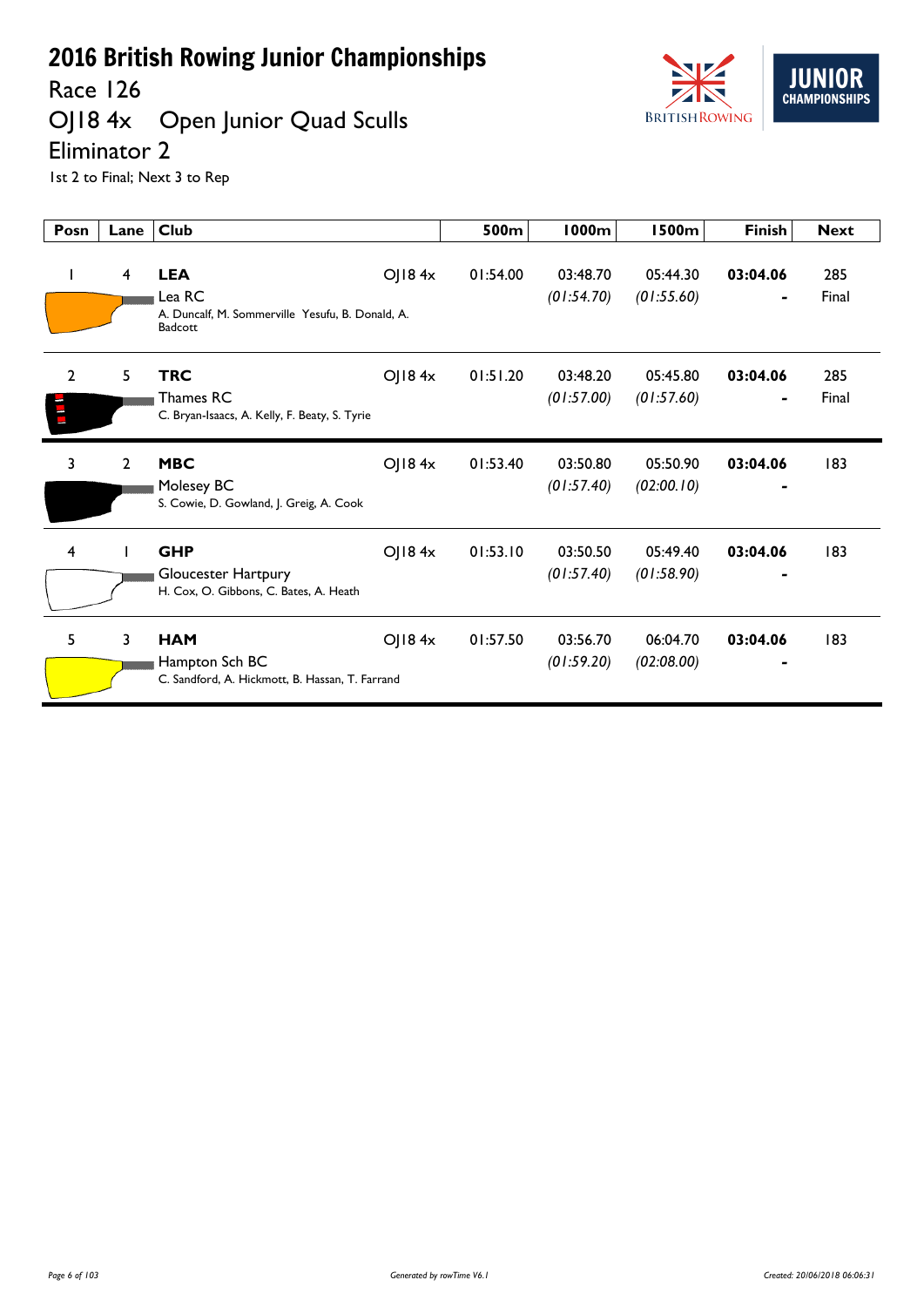Race 126

# OJ18 4x Open Junior Quad Sculls



Eliminator 2

| Posn                             | Lane           | <b>Club</b>                                                                         |        | 500m     | <b>1000m</b>           | <b>1500m</b>           | <b>Finish</b>              | <b>Next</b>  |
|----------------------------------|----------------|-------------------------------------------------------------------------------------|--------|----------|------------------------|------------------------|----------------------------|--------------|
|                                  | 4              | <b>LEA</b><br>Lea RC<br>A. Duncalf, M. Sommerville Yesufu, B. Donald, A.<br>Badcott | OJ184x | 01:54.00 | 03:48.70<br>(01:54.70) | 05:44.30<br>(01:55.60) | 03:04.06<br>$\blacksquare$ | 285<br>Final |
| $\overline{2}$<br>$\blacksquare$ | 5              | <b>TRC</b><br>Thames RC<br>C. Bryan-Isaacs, A. Kelly, F. Beaty, S. Tyrie            | OJ184x | 01:51.20 | 03:48.20<br>(01:57.00) | 05:45.80<br>(01:57.60) | 03:04.06                   | 285<br>Final |
| 3                                | $\overline{2}$ | <b>MBC</b><br>Molesey BC<br>S. Cowie, D. Gowland, J. Greig, A. Cook                 | OJ184x | 01:53.40 | 03:50.80<br>(01:57.40) | 05:50.90<br>(02:00.10) | 03:04.06                   | 183          |
| 4                                |                | <b>GHP</b><br>Gloucester Hartpury<br>H. Cox, O. Gibbons, C. Bates, A. Heath         | OJ184x | 01:53.10 | 03:50.50<br>(01:57.40) | 05:49.40<br>(01:58.90) | 03:04.06                   | 183          |
| 5.                               | 3              | <b>HAM</b><br>Hampton Sch BC<br>C. Sandford, A. Hickmott, B. Hassan, T. Farrand     | OJ184x | 01:57.50 | 03:56.70<br>(01:59.20) | 06:04.70<br>(02:08.00) | 03:04.06                   | 183          |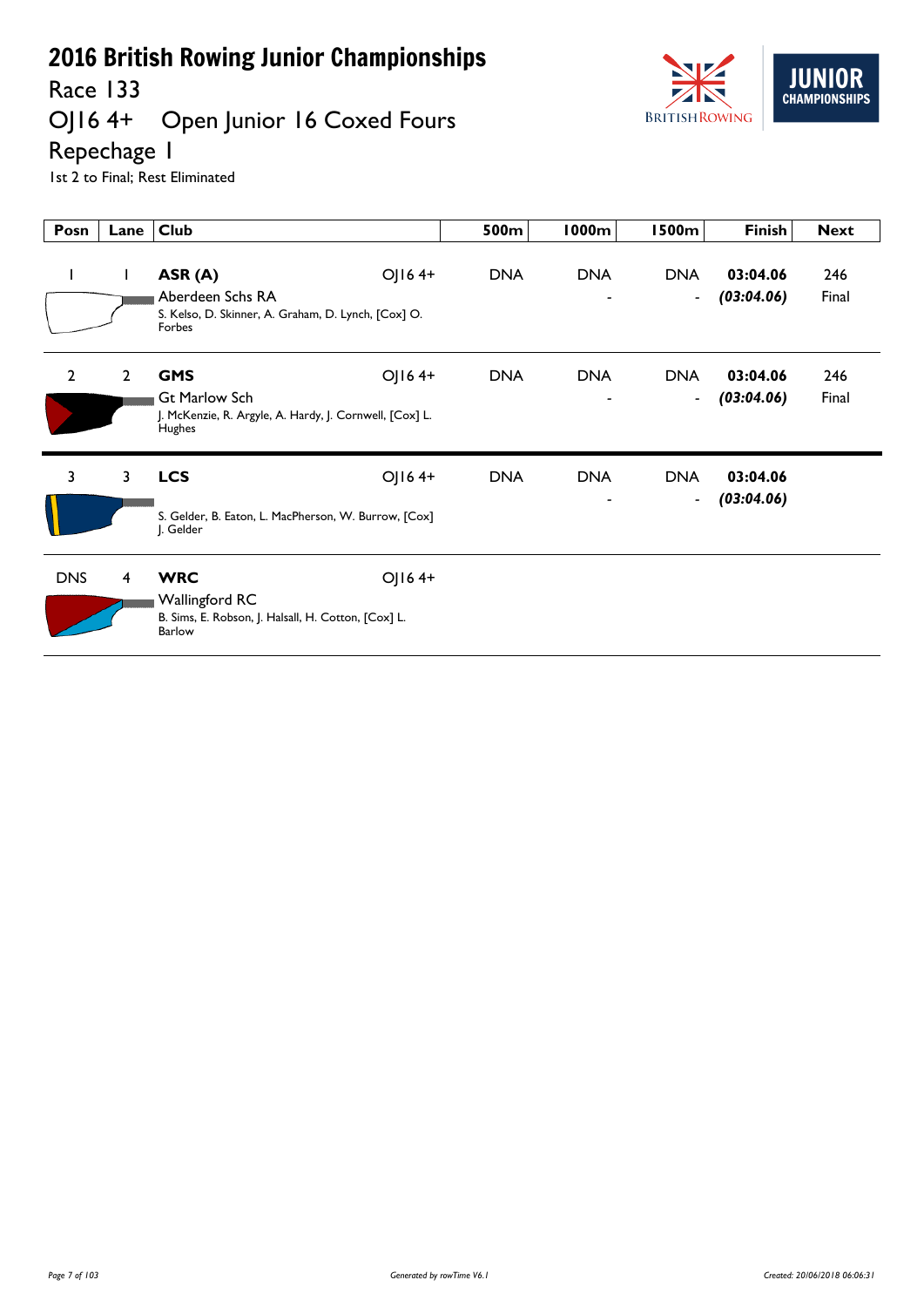Race 133<br>OJ16 4+

# Open Junior 16 Coxed Fours



Repechage 1

1st 2 to Final; Rest Eliminated

| Posn           | Lane           | <b>Club</b>                                                                                                       | 500m       | 1000m           | 1500m                                  | <b>Finish</b>          | <b>Next</b>  |
|----------------|----------------|-------------------------------------------------------------------------------------------------------------------|------------|-----------------|----------------------------------------|------------------------|--------------|
| $\mathbf{I}$   | $\mathbf{I}$   | OJ164+<br>ASR (A)<br>Aberdeen Schs RA<br>S. Kelso, D. Skinner, A. Graham, D. Lynch, [Cox] O.<br>Forbes            | <b>DNA</b> | <b>DNA</b>      | <b>DNA</b><br>$\overline{\phantom{a}}$ | 03:04.06<br>(03:04.06) | 246<br>Final |
| $\overline{2}$ | $\overline{2}$ | OJ164+<br><b>GMS</b><br><b>Gt Marlow Sch</b><br>J. McKenzie, R. Argyle, A. Hardy, J. Cornwell, [Cox] L.<br>Hughes | <b>DNA</b> | <b>DNA</b><br>۰ | <b>DNA</b><br>$\blacksquare$           | 03:04.06<br>(03:04.06) | 246<br>Final |
| 3              | $\mathbf{3}$   | <b>LCS</b><br>OJ164+<br>S. Gelder, B. Eaton, L. MacPherson, W. Burrow, [Cox]<br>J. Gelder                         | <b>DNA</b> | <b>DNA</b>      | <b>DNA</b><br>$\blacksquare$           | 03:04.06<br>(03:04.06) |              |
| <b>DNS</b>     | 4              | <b>WRC</b><br>OJ164+<br><b>Wallingford RC</b><br>B. Sims, E. Robson, J. Halsall, H. Cotton, [Cox] L.<br>Barlow    |            |                 |                                        |                        |              |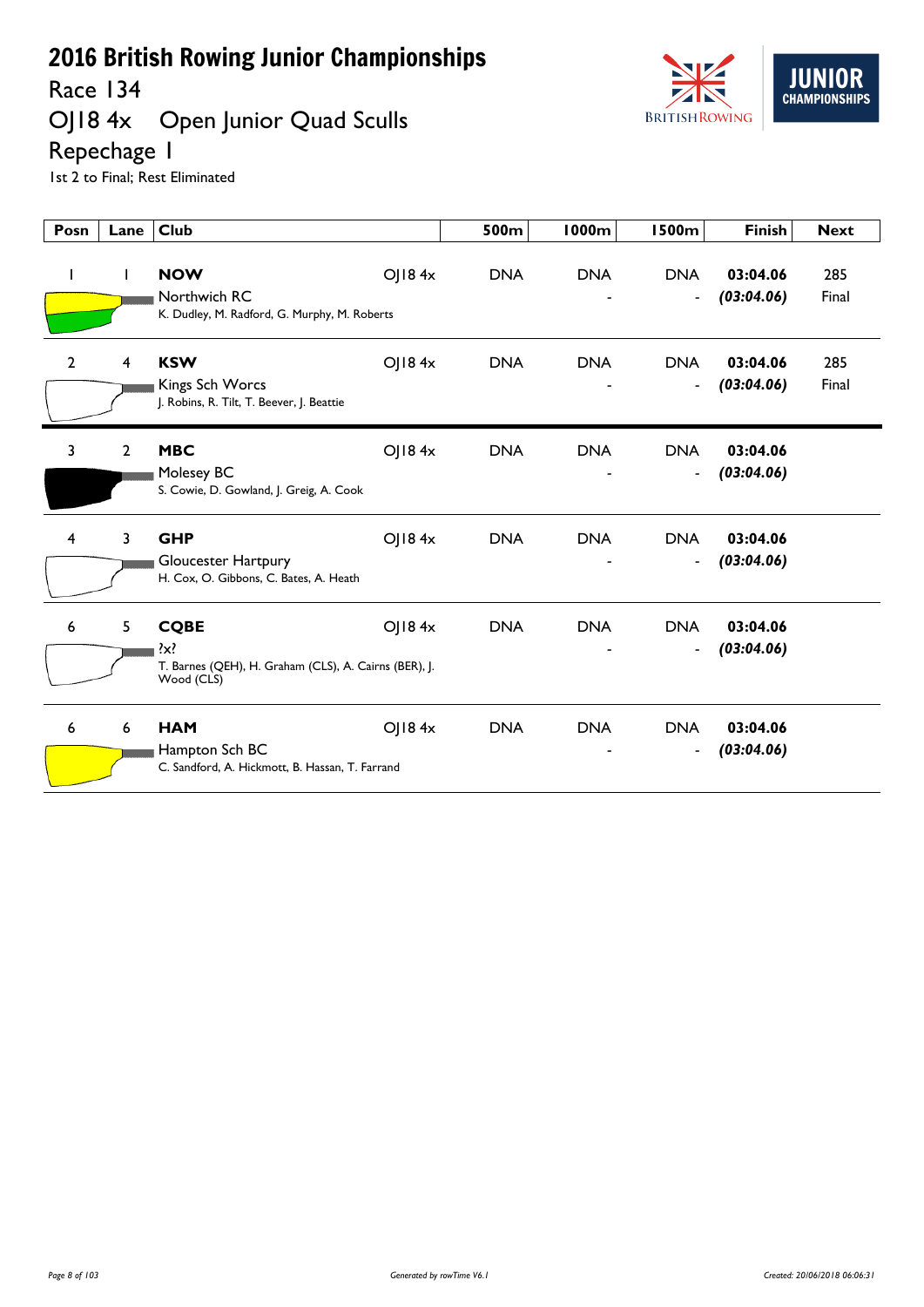Race 134

# OJ18 4x Open Junior Quad Sculls



Repechage 1

1st 2 to Final; Rest Eliminated

| Posn           | Lane | <b>Club</b>                                                                                   |        | 500m       | <b>1000m</b> | <b>1500m</b>                           | <b>Finish</b>          | <b>Next</b>  |
|----------------|------|-----------------------------------------------------------------------------------------------|--------|------------|--------------|----------------------------------------|------------------------|--------------|
| $\mathbf{I}$   | L    | <b>NOW</b><br>Northwich RC<br>K. Dudley, M. Radford, G. Murphy, M. Roberts                    | OJ184x | <b>DNA</b> | <b>DNA</b>   | <b>DNA</b><br>$\overline{\phantom{a}}$ | 03:04.06<br>(03:04.06) | 285<br>Final |
| $\overline{2}$ | 4    | <b>KSW</b><br>Kings Sch Worcs<br>J. Robins, R. Tilt, T. Beever, J. Beattie                    | O 184x | <b>DNA</b> | <b>DNA</b>   | <b>DNA</b><br>$\overline{\phantom{a}}$ | 03:04.06<br>(03:04.06) | 285<br>Final |
| 3              | 2    | <b>MBC</b><br>Molesey BC<br>S. Cowie, D. Gowland, J. Greig, A. Cook                           | OJ184x | <b>DNA</b> | <b>DNA</b>   | <b>DNA</b><br>$\blacksquare$           | 03:04.06<br>(03:04.06) |              |
| $\overline{4}$ | 3    | <b>GHP</b><br>Gloucester Hartpury<br>H. Cox, O. Gibbons, C. Bates, A. Heath                   | OJ184x | <b>DNA</b> | <b>DNA</b>   | <b>DNA</b><br>$\overline{\phantom{a}}$ | 03:04.06<br>(03:04.06) |              |
| 6              | 5    | <b>CQBE</b><br>$\{x\}$<br>T. Barnes (QEH), H. Graham (CLS), A. Cairns (BER), J.<br>Wood (CLS) | OJ184x | <b>DNA</b> | <b>DNA</b>   | <b>DNA</b><br>$\blacksquare$           | 03:04.06<br>(03:04.06) |              |
| 6              | 6    | <b>HAM</b><br>Hampton Sch BC<br>C. Sandford, A. Hickmott, B. Hassan, T. Farrand               | OJ184x | <b>DNA</b> | <b>DNA</b>   | <b>DNA</b><br>$\blacksquare$           | 03:04.06<br>(03:04.06) |              |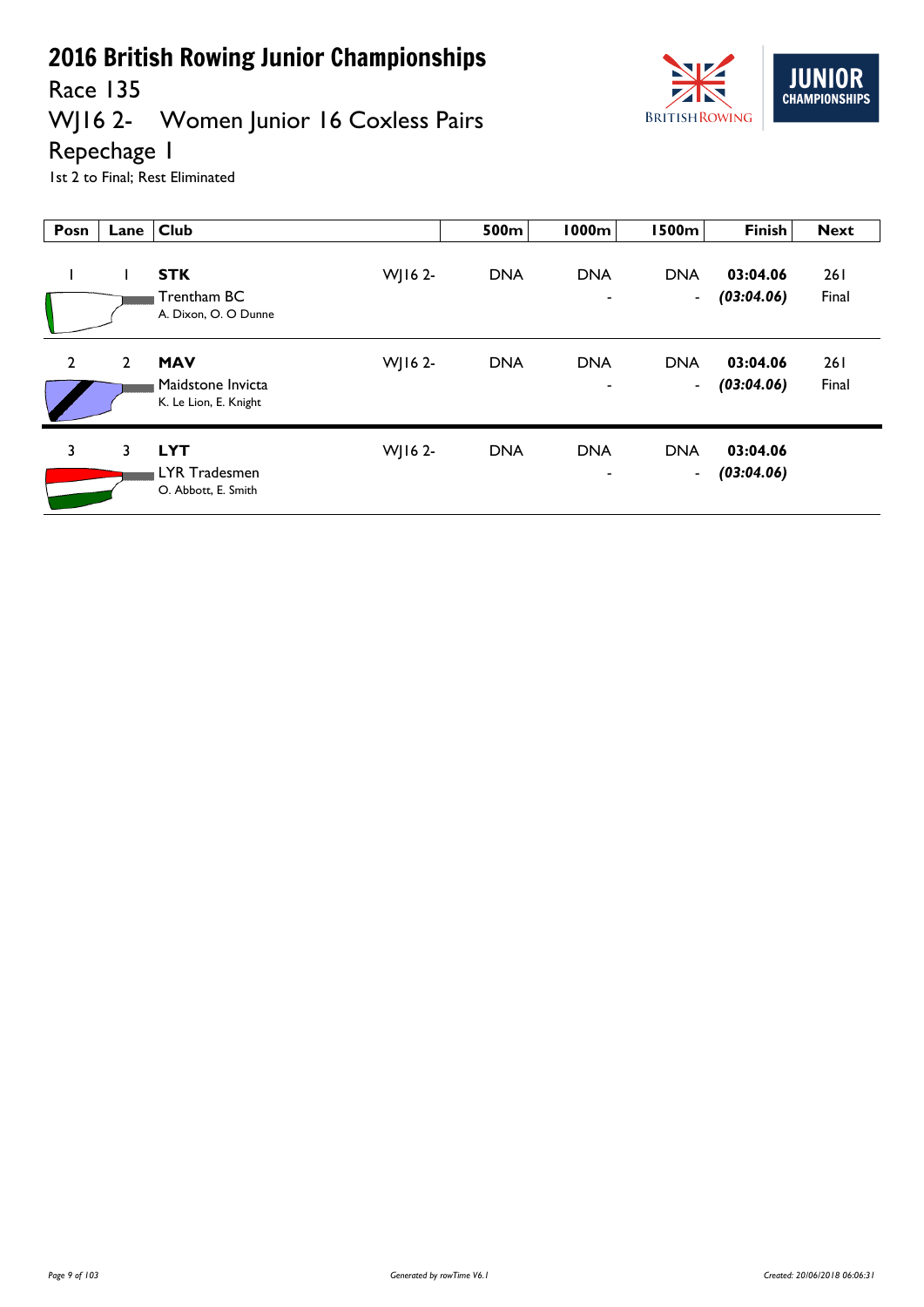

#### Race 135<br>WJ16 2-Women Junior 16 Coxless Pairs

Repechage 1

1st 2 to Final; Rest Eliminated

| Posn           | Lane           | <b>Club</b>                                              |         | 500m       | 1000m                                  | <b>1500m</b>                 | <b>Finish</b>          | <b>Next</b>         |
|----------------|----------------|----------------------------------------------------------|---------|------------|----------------------------------------|------------------------------|------------------------|---------------------|
|                |                | <b>STK</b><br>Trentham BC<br>A. Dixon, O. O Dunne        | WJ16 2- | <b>DNA</b> | <b>DNA</b><br>$\overline{\phantom{a}}$ | <b>DNA</b><br>$\blacksquare$ | 03:04.06<br>(03:04.06) | <b>261</b><br>Final |
| $\overline{2}$ | $\overline{2}$ | <b>MAV</b><br>Maidstone Invicta<br>K. Le Lion, E. Knight | WJ16 2- | <b>DNA</b> | <b>DNA</b><br>$\qquad \qquad$          | <b>DNA</b><br>$\blacksquare$ | 03:04.06<br>(03:04.06) | <b>261</b><br>Final |
| 3              | 3              | <b>LYT</b><br>LYR Tradesmen<br>O. Abbott, E. Smith       | WJ16 2- | <b>DNA</b> | <b>DNA</b>                             | <b>DNA</b><br>$\blacksquare$ | 03:04.06<br>(03:04.06) |                     |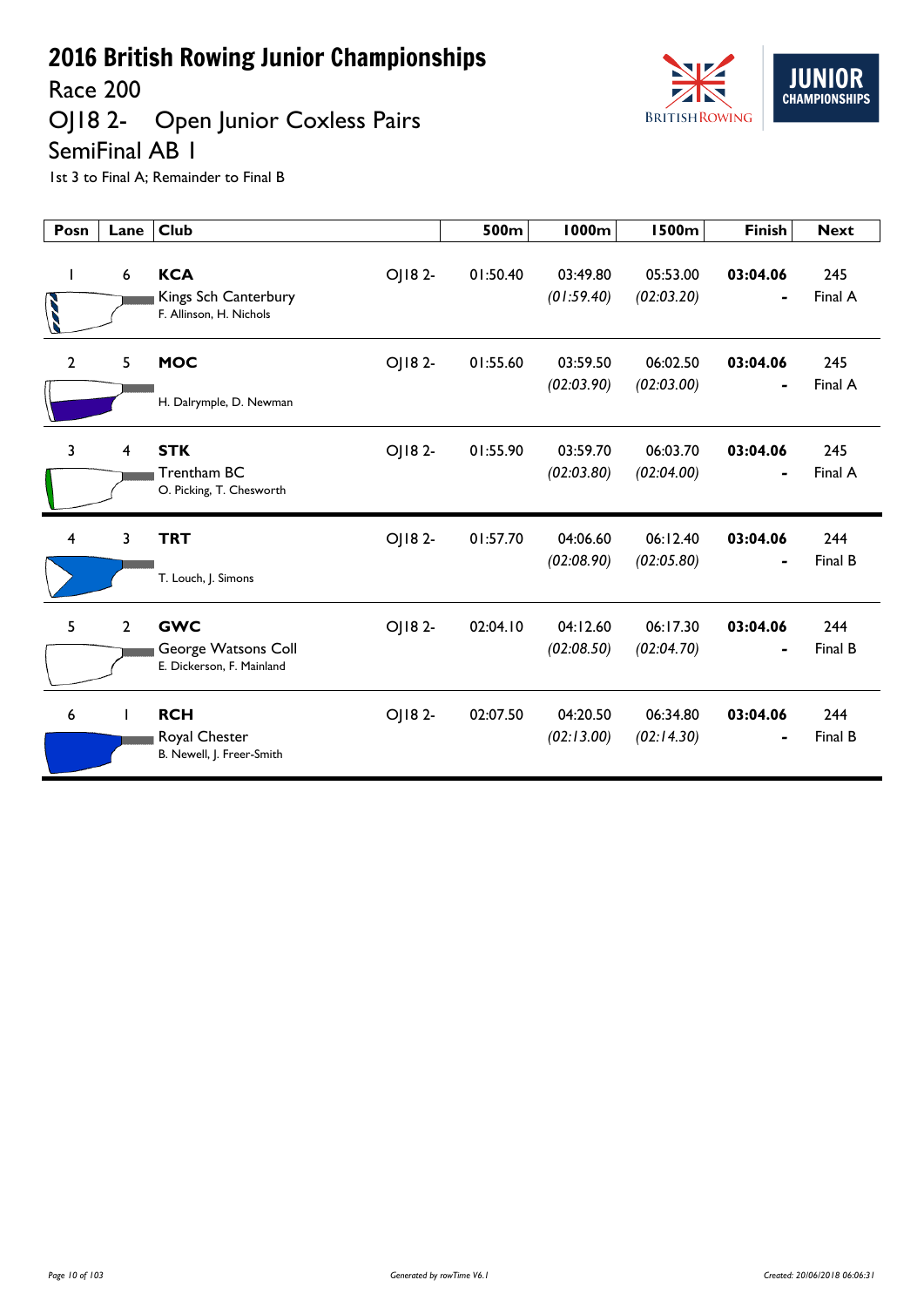Race 200

## OJ18 2- Open Junior Coxless Pairs SemiFinal AB 1



| Posn           | Lane           | <b>Club</b>                                                               | 500m     | <b>1000m</b>           | <b>1500m</b>           | <b>Finish</b>              | <b>Next</b>    |
|----------------|----------------|---------------------------------------------------------------------------|----------|------------------------|------------------------|----------------------------|----------------|
| ı              | 6              | <b>KCA</b><br>OJ18 2-<br>Kings Sch Canterbury<br>F. Allinson, H. Nichols  | 01:50.40 | 03:49.80<br>(01:59.40) | 05:53.00<br>(02:03.20) | 03:04.06                   | 245<br>Final A |
| $\overline{2}$ | 5              | <b>MOC</b><br>OJ18 2-<br>H. Dalrymple, D. Newman                          | 01:55.60 | 03:59.50<br>(02:03.90) | 06:02.50<br>(02:03.00) | 03:04.06<br>$\blacksquare$ | 245<br>Final A |
| $\overline{3}$ | $\overline{4}$ | <b>STK</b><br>OJ182-<br>Trentham BC<br>O. Picking, T. Chesworth           | 01:55.90 | 03:59.70<br>(02:03.80) | 06:03.70<br>(02:04.00) | 03:04.06<br>$\blacksquare$ | 245<br>Final A |
| 4              | 3              | OJ182-<br><b>TRT</b><br>T. Louch, J. Simons                               | 01:57.70 | 04:06.60<br>(02:08.90) | 06:12.40<br>(02:05.80) | 03:04.06                   | 244<br>Final B |
| 5              | $\overline{2}$ | <b>GWC</b><br>OJ18 2-<br>George Watsons Coll<br>E. Dickerson, F. Mainland | 02:04.10 | 04:12.60<br>(02:08.50) | 06:17.30<br>(02:04.70) | 03:04.06                   | 244<br>Final B |
| 6              |                | <b>RCH</b><br>OJ182-<br>Royal Chester<br>B. Newell, J. Freer-Smith        | 02:07.50 | 04:20.50<br>(02:13.00) | 06:34.80<br>(02:14.30) | 03:04.06                   | 244<br>Final B |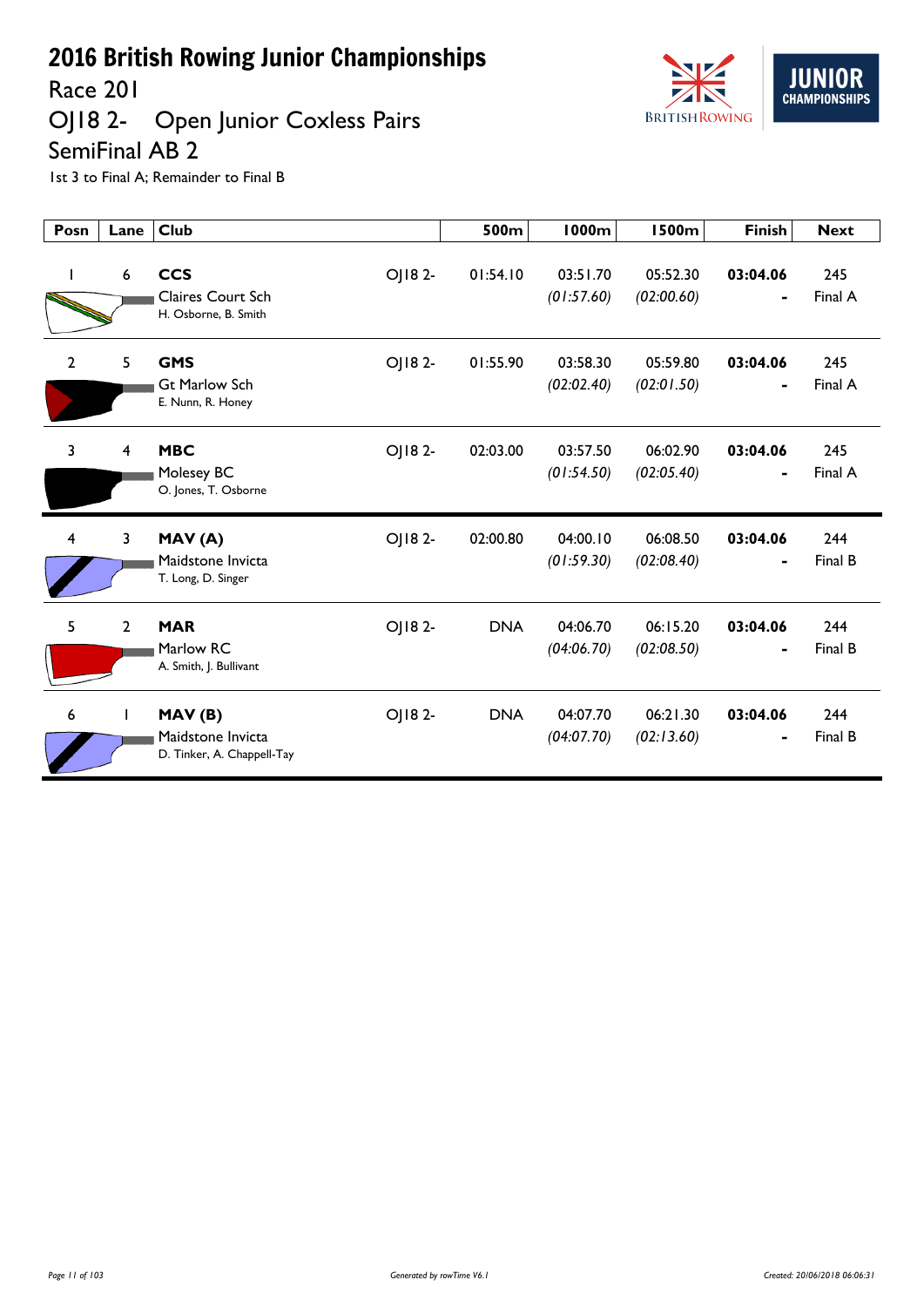Race 201

#### OJ18 2- Open Junior Coxless Pairs SemiFinal AB 2



| Posn           | Lane           | <b>Club</b>                                                              | 500m       | <b>1000m</b>           | <b>1500m</b>           | <b>Finish</b>              | <b>Next</b>    |
|----------------|----------------|--------------------------------------------------------------------------|------------|------------------------|------------------------|----------------------------|----------------|
| I.             | 6              | <b>CCS</b><br>OJ182-<br><b>Claires Court Sch</b><br>H. Osborne, B. Smith | 01:54.10   | 03:51.70<br>(01:57.60) | 05:52.30<br>(02:00.60) | 03:04.06                   | 245<br>Final A |
| $\overline{2}$ | 5              | OJ182-<br><b>GMS</b><br><b>Gt Marlow Sch</b><br>E. Nunn, R. Honey        | 01:55.90   | 03:58.30<br>(02:02.40) | 05:59.80<br>(02:01.50) | 03:04.06<br>$\blacksquare$ | 245<br>Final A |
| $\overline{3}$ | 4              | <b>MBC</b><br>OJ182-<br>Molesey BC<br>O. Jones, T. Osborne               | 02:03.00   | 03:57.50<br>(01:54.50) | 06:02.90<br>(02:05.40) | 03:04.06                   | 245<br>Final A |
| 4              | 3              | OJ182-<br>MAV(A)<br>Maidstone Invicta<br>T. Long, D. Singer              | 02:00.80   | 04:00.10<br>(01:59.30) | 06:08.50<br>(02:08.40) | 03:04.06<br>$\blacksquare$ | 244<br>Final B |
| 5              | $\overline{2}$ | <b>MAR</b><br>OJ182-<br>Marlow RC<br>A. Smith, J. Bullivant              | <b>DNA</b> | 04:06.70<br>(04:06.70) | 06:15.20<br>(02:08.50) | 03:04.06                   | 244<br>Final B |
| 6              | $\mathbf{L}$   | OJ182-<br>MAV(B)<br>Maidstone Invicta<br>D. Tinker, A. Chappell-Tay      | <b>DNA</b> | 04:07.70<br>(04:07.70) | 06:21.30<br>(02:13.60) | 03:04.06                   | 244<br>Final B |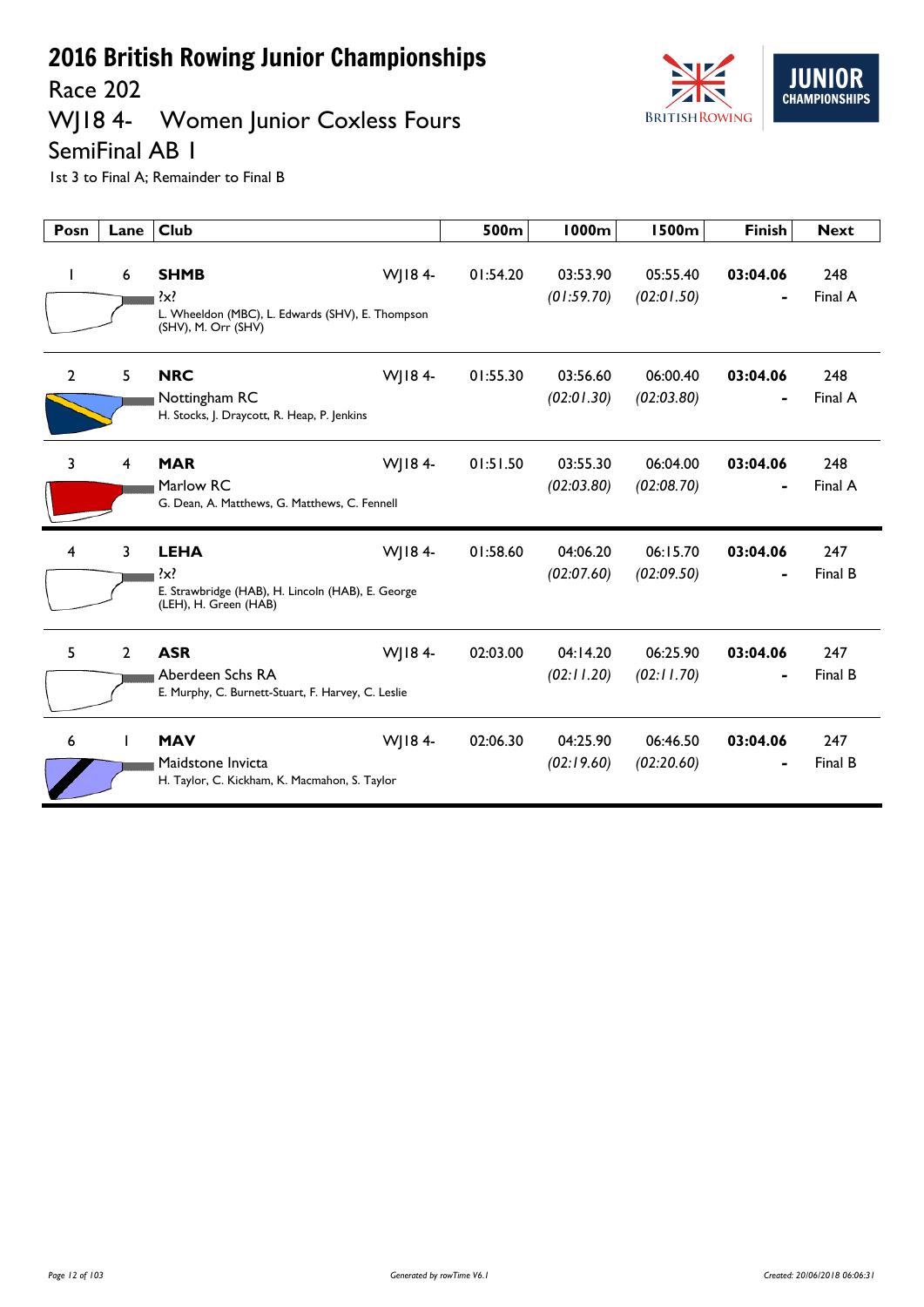Race 202

## WJ18 4- Women Junior Coxless Fours



SemiFinal AB 1

| Posn           | Lane           | <b>Club</b>                                                                                                    | 500m     | 1000m                  | <b>1500m</b>           | <b>Finish</b> | <b>Next</b>    |
|----------------|----------------|----------------------------------------------------------------------------------------------------------------|----------|------------------------|------------------------|---------------|----------------|
| $\mathbf{I}$   | 6              | <b>SHMB</b><br>WJ184-<br>$\{x\}$<br>L. Wheeldon (MBC), L. Edwards (SHV), E. Thompson<br>(SHV), M. Orr (SHV)    | 01:54.20 | 03:53.90<br>(01:59.70) | 05:55.40<br>(02:01.50) | 03:04.06      | 248<br>Final A |
| $\overline{2}$ | 5              | <b>NRC</b><br>WJ184-<br>Nottingham RC<br>H. Stocks, J. Draycott, R. Heap, P. Jenkins                           | 01:55.30 | 03:56.60<br>(02:01.30) | 06:00.40<br>(02:03.80) | 03:04.06      | 248<br>Final A |
| 3              | 4              | WJ184-<br><b>MAR</b><br>Marlow RC<br>G. Dean, A. Matthews, G. Matthews, C. Fennell                             | 01:51.50 | 03:55.30<br>(02:03.80) | 06:04.00<br>(02:08.70) | 03:04.06      | 248<br>Final A |
| $\overline{4}$ | 3              | WJ184-<br><b>LEHA</b><br>$\{x\}$<br>E. Strawbridge (HAB), H. Lincoln (HAB), E. George<br>(LEH), H. Green (HAB) | 01:58.60 | 04:06.20<br>(02:07.60) | 06:15.70<br>(02:09.50) | 03:04.06      | 247<br>Final B |
| 5              | $\overline{2}$ | <b>ASR</b><br>WJ184-<br>Aberdeen Schs RA<br>E. Murphy, C. Burnett-Stuart, F. Harvey, C. Leslie                 | 02:03.00 | 04:14.20<br>(02:11.20) | 06:25.90<br>(02:11.70) | 03:04.06      | 247<br>Final B |
| 6              |                | <b>MAV</b><br>WJ184-<br>Maidstone Invicta<br>H. Taylor, C. Kickham, K. Macmahon, S. Taylor                     | 02:06.30 | 04:25.90<br>(02:19.60) | 06:46.50<br>(02:20.60) | 03:04.06      | 247<br>Final B |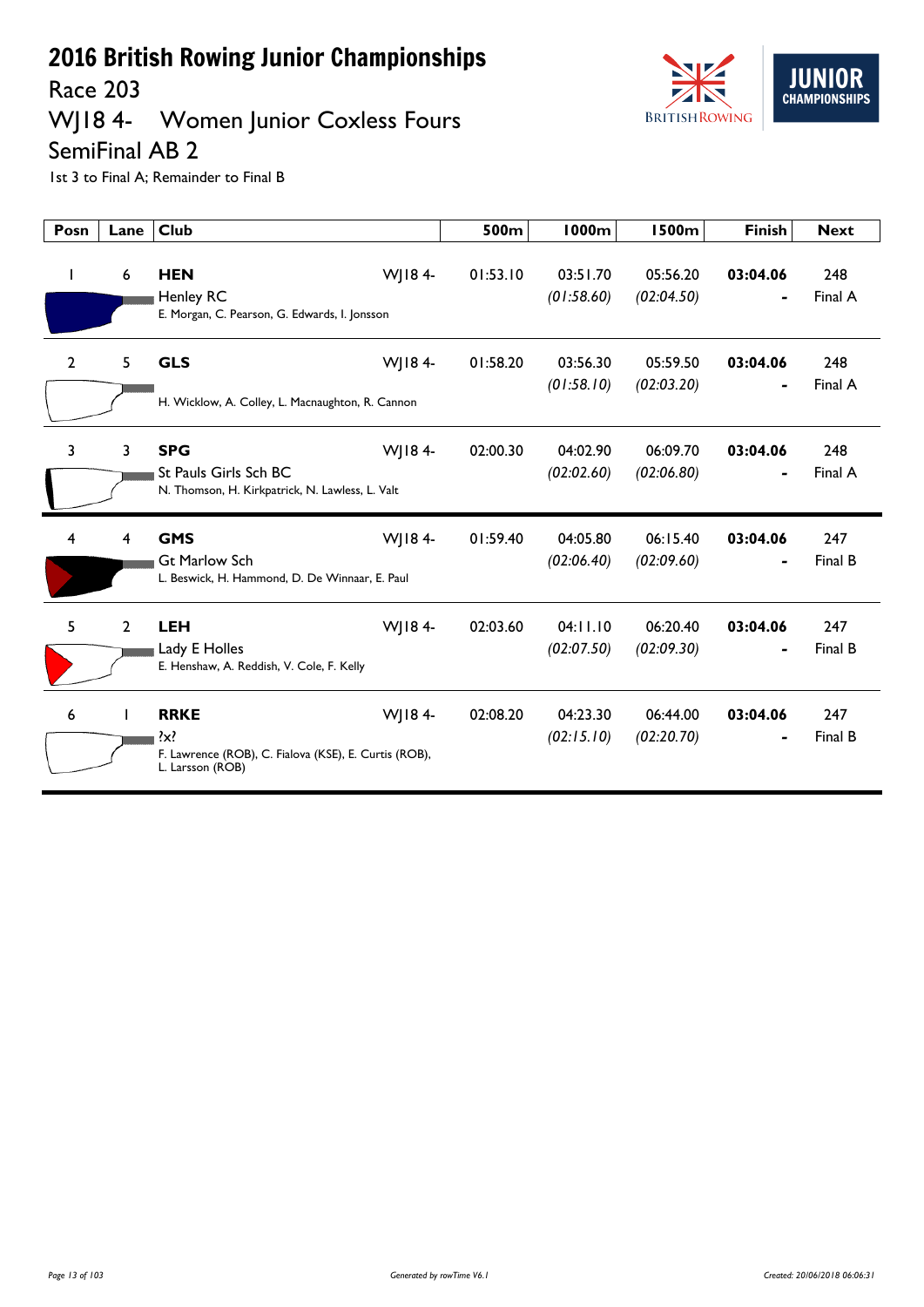Race 203

## WJ18 4- Women Junior Coxless Fours



SemiFinal AB 2

| Posn           | Lane         | <b>Club</b>                                                                                         |        | 500m     | <b>1000m</b>           | <b>1500m</b>           | <b>Finish</b>              | <b>Next</b>    |
|----------------|--------------|-----------------------------------------------------------------------------------------------------|--------|----------|------------------------|------------------------|----------------------------|----------------|
| $\mathbf{I}$   | 6            | <b>HEN</b><br><b>Henley RC</b><br>E. Morgan, C. Pearson, G. Edwards, I. Jonsson                     | WJ184- | 01:53.10 | 03:51.70<br>(01:58.60) | 05:56.20<br>(02:04.50) | 03:04.06                   | 248<br>Final A |
| $\overline{2}$ | 5            | <b>GLS</b><br>H. Wicklow, A. Colley, L. Macnaughton, R. Cannon                                      | WJ184- | 01:58.20 | 03:56.30<br>(01:58.10) | 05:59.50<br>(02:03.20) | 03:04.06                   | 248<br>Final A |
| 3              | 3            | <b>SPG</b><br>St Pauls Girls Sch BC<br>N. Thomson, H. Kirkpatrick, N. Lawless, L. Valt              | WJ184- | 02:00.30 | 04:02.90<br>(02:02.60) | 06:09.70<br>(02:06.80) | 03:04.06                   | 248<br>Final A |
| 4              | 4            | <b>GMS</b><br><b>Gt Marlow Sch</b><br>L. Beswick, H. Hammond, D. De Winnaar, E. Paul                | WJ184- | 01:59.40 | 04:05.80<br>(02:06.40) | 06:15.40<br>(02:09.60) | 03:04.06                   | 247<br>Final B |
| 5              | $\mathbf{2}$ | <b>LEH</b><br>Lady E Holles<br>E. Henshaw, A. Reddish, V. Cole, F. Kelly                            | WJ184- | 02:03.60 | 04:11.10<br>(02:07.50) | 06:20.40<br>(02:09.30) | 03:04.06<br>$\blacksquare$ | 247<br>Final B |
| 6              |              | <b>RRKE</b><br>$\{x\}$<br>F. Lawrence (ROB), C. Fialova (KSE), E. Curtis (ROB),<br>L. Larsson (ROB) | WJ184- | 02:08.20 | 04:23.30<br>(02:15.10) | 06:44.00<br>(02:20.70) | 03:04.06                   | 247<br>Final B |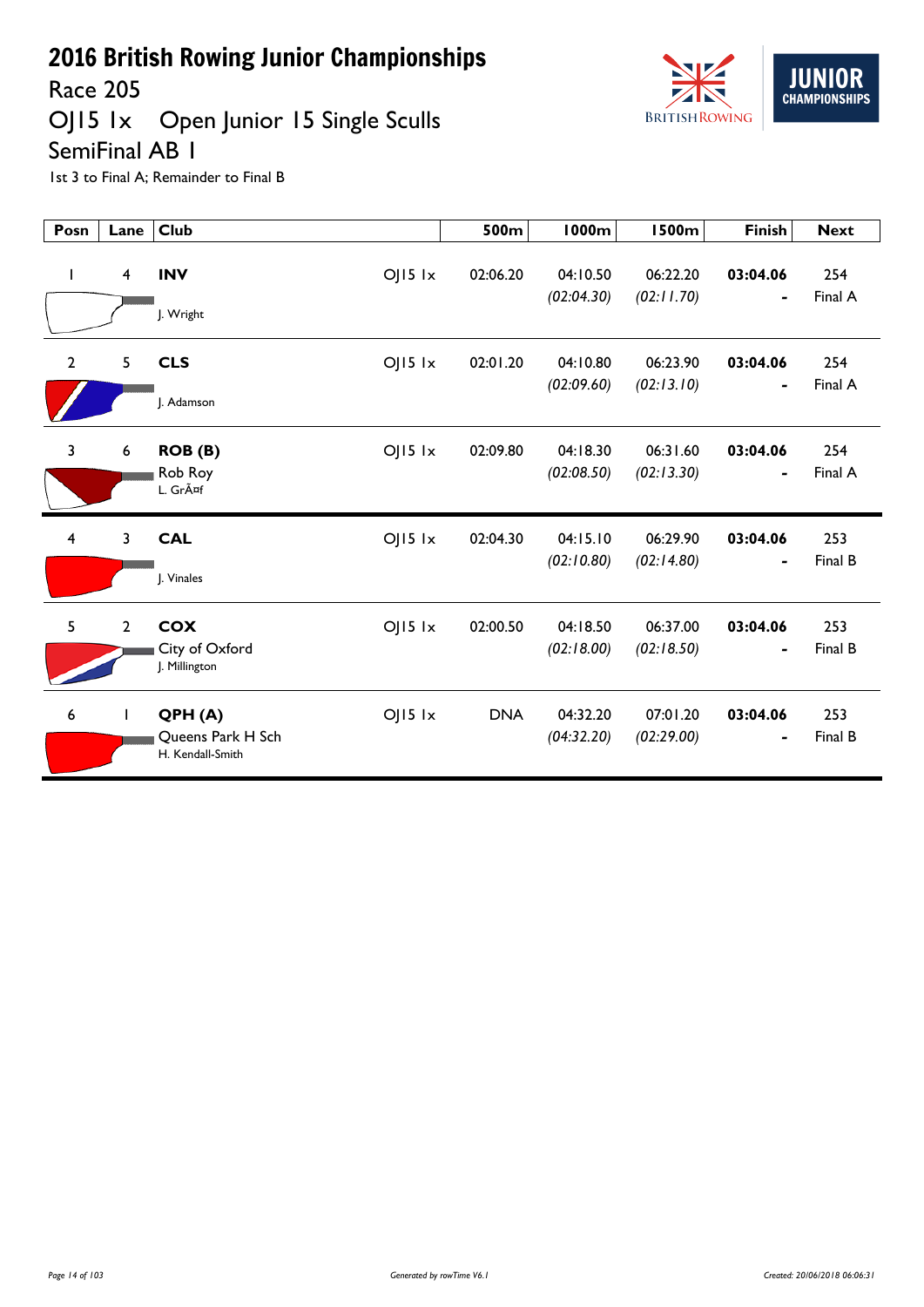

Race 205

OJ15 1x Open Junior 15 Single Sculls

SemiFinal AB 1

| Posn                    | Lane           | <b>Club</b>                                                    | 500m       | <b>1000m</b>           | <b>1500m</b>           | <b>Finish</b>              | <b>Next</b>    |
|-------------------------|----------------|----------------------------------------------------------------|------------|------------------------|------------------------|----------------------------|----------------|
| $\mathbf{I}$            | 4              | <b>INV</b><br>$OJI5$ $1x$<br>J. Wright                         | 02:06.20   | 04:10.50<br>(02:04.30) | 06:22.20<br>(02:11.70) | 03:04.06<br>$\blacksquare$ | 254<br>Final A |
| $\overline{2}$          | 5              | <b>CLS</b><br>$OJI5$ $1x$<br>I. Adamson                        | 02:01.20   | 04:10.80<br>(02:09.60) | 06:23.90<br>(02:13.10) | 03:04.06<br>$\blacksquare$ | 254<br>Final A |
| $\overline{3}$          | 6              | $OJ15$ $1x$<br>ROB (B)<br>Rob Roy<br>L. Gräf                   | 02:09.80   | 04:18.30<br>(02:08.50) | 06:31.60<br>(02:13.30) | 03:04.06<br>$\blacksquare$ | 254<br>Final A |
| $\overline{\mathbf{4}}$ | 3              | <b>CAL</b><br>$OJI5$ $1x$<br>J. Vinales                        | 02:04.30   | 04:15.10<br>(02:10.80) | 06:29.90<br>(02:14.80) | 03:04.06                   | 253<br>Final B |
| 5                       | $\overline{2}$ | <b>COX</b><br>$OJ15$ $1x$<br>City of Oxford<br>J. Millington   | 02:00.50   | 04:18.50<br>(02:18.00) | 06:37.00<br>(02:18.50) | 03:04.06                   | 253<br>Final B |
| 6                       | $\mathbf{I}$   | $OJI5$ $1x$<br>QPH(A)<br>Queens Park H Sch<br>H. Kendall-Smith | <b>DNA</b> | 04:32.20<br>(04:32.20) | 07:01.20<br>(02:29.00) | 03:04.06<br>$\blacksquare$ | 253<br>Final B |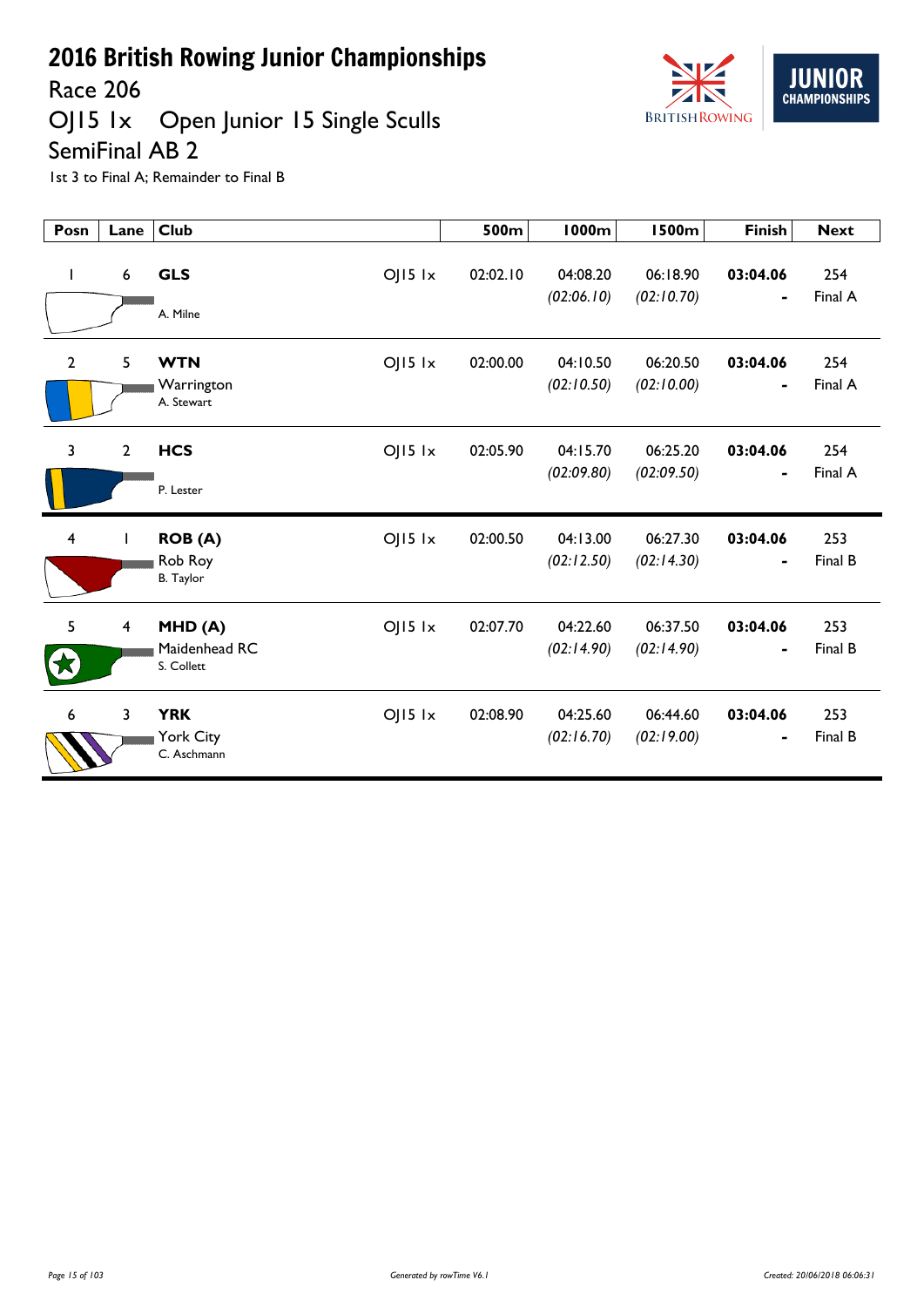

Race 206

#### OJ15 1x Open Junior 15 Single Sculls SemiFinal AB 2

| Posn                    | Lane           | <b>Club</b>                                                  | 500m     | <b>1000m</b>           | <b>1500m</b>           | <b>Finish</b>              | <b>Next</b>    |
|-------------------------|----------------|--------------------------------------------------------------|----------|------------------------|------------------------|----------------------------|----------------|
| T                       | 6              | <b>GLS</b><br>$OJ15$ $1x$<br>A. Milne                        | 02:02.10 | 04:08.20<br>(02:06.10) | 06:18.90<br>(02:10.70) | 03:04.06                   | 254<br>Final A |
| $\overline{2}$          | 5              | <b>WTN</b><br>$OJI5$ $1x$<br>Warrington<br>A. Stewart        | 02:00.00 | 04:10.50<br>(02:10.50) | 06:20.50<br>(02:10.00) | 03:04.06<br>$\blacksquare$ | 254<br>Final A |
| 3                       | $\mathbf{2}$   | <b>HCS</b><br>$OJI5$ $1x$<br>P. Lester                       | 02:05.90 | 04:15.70<br>(02:09.80) | 06:25.20<br>(02:09.50) | 03:04.06<br>٠              | 254<br>Final A |
| $\overline{\mathbf{4}}$ |                | $OJ15$ $1x$<br><b>ROB (A)</b><br>Rob Roy<br><b>B.</b> Taylor | 02:00.50 | 04:13.00<br>(02:12.50) | 06:27.30<br>(02:14.30) | 03:04.06                   | 253<br>Final B |
| 5                       | 4              | $OJ15$ $1x$<br>MHD(A)<br>Maidenhead RC<br>S. Collett         | 02:07.70 | 04:22.60<br>(02:14.90) | 06:37.50<br>(02:14.90) | 03:04.06<br>$\blacksquare$ | 253<br>Final B |
| 6                       | $\overline{3}$ | <b>YRK</b><br>$OJI5$ $1x$<br>York City<br>C. Aschmann        | 02:08.90 | 04:25.60<br>(02:16.70) | 06:44.60<br>(02:19.00) | 03:04.06                   | 253<br>Final B |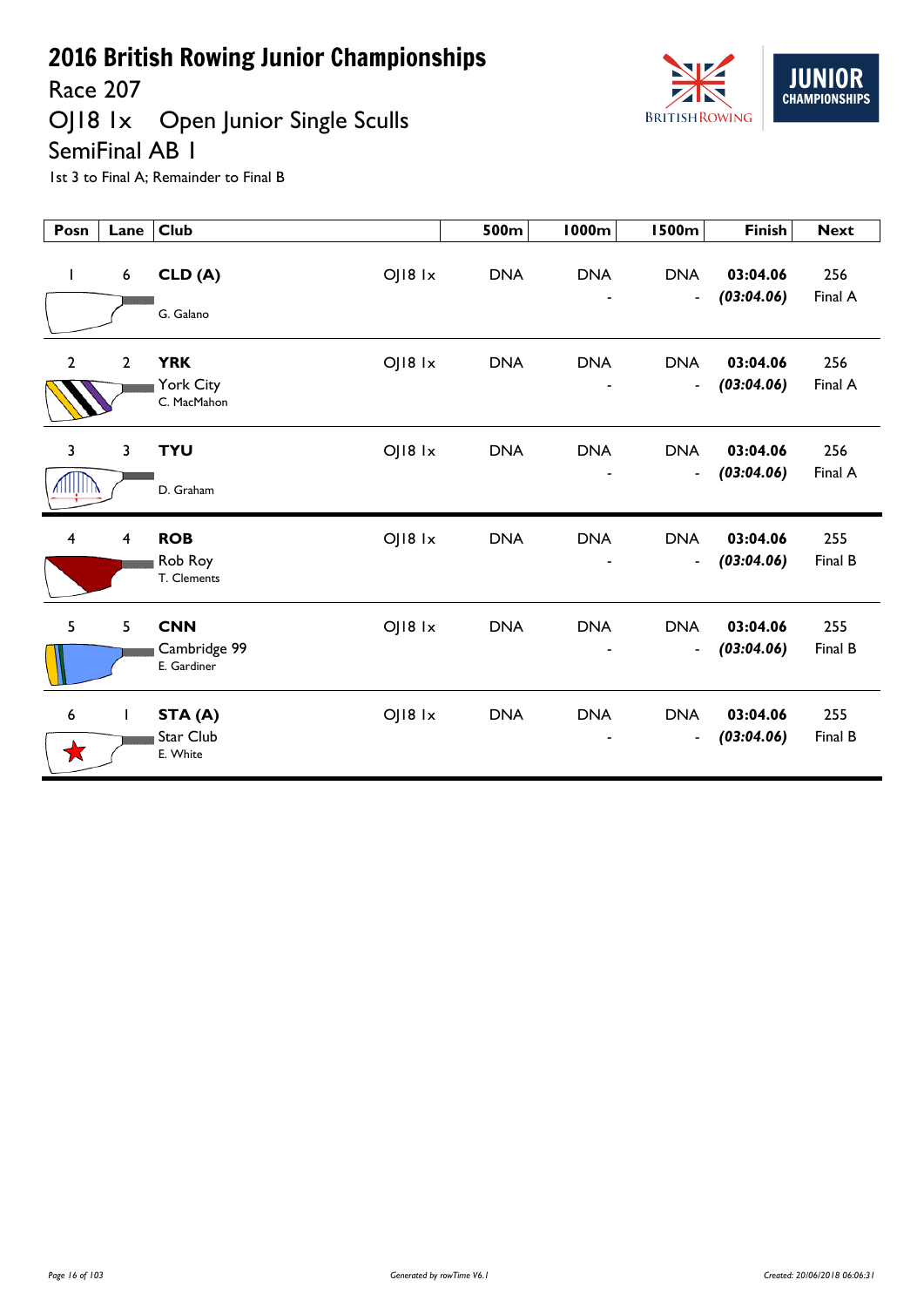

Race 207<br>OJ18 1x Open Junior Single Sculls SemiFinal AB 1



| Posn                     | Lane                    | <b>Club</b>                                          | 500m       | <b>1000m</b>                  | <b>1500m</b>                           | <b>Finish</b>          | <b>Next</b>    |
|--------------------------|-------------------------|------------------------------------------------------|------------|-------------------------------|----------------------------------------|------------------------|----------------|
| $\mathbf{I}$             | $\boldsymbol{6}$        | OJ18 1x<br>CLD (A)<br>G. Galano                      | <b>DNA</b> | <b>DNA</b>                    | <b>DNA</b><br>$\blacksquare$           | 03:04.06<br>(03:04.06) | 256<br>Final A |
| $\overline{2}$           | $\overline{2}$          | <b>YRK</b><br>OJ18 1x<br>York City<br>C. MacMahon    | <b>DNA</b> | <b>DNA</b>                    | <b>DNA</b><br>$\overline{\phantom{a}}$ | 03:04.06<br>(03:04.06) | 256<br>Final A |
| $\mathbf{3}$<br>VIIIÎIII | 3                       | <b>TYU</b><br>OJ18 1x<br>D. Graham                   | <b>DNA</b> | <b>DNA</b><br>$\qquad \qquad$ | <b>DNA</b><br>$\blacksquare$           | 03:04.06<br>(03:04.06) | 256<br>Final A |
| $\overline{4}$           | $\overline{\mathbf{4}}$ | OJ18 1x<br><b>ROB</b><br>Rob Roy<br>T. Clements      | <b>DNA</b> | <b>DNA</b><br>-               | <b>DNA</b><br>$\overline{\phantom{a}}$ | 03:04.06<br>(03:04.06) | 255<br>Final B |
| 5                        | 5                       | <b>CNN</b><br>OJ18 1x<br>Cambridge 99<br>E. Gardiner | <b>DNA</b> | <b>DNA</b>                    | <b>DNA</b><br>$\overline{\phantom{m}}$ | 03:04.06<br>(03:04.06) | 255<br>Final B |
| 6<br>★                   | T                       | OJ18 1x<br>STA (A)<br>Star Club<br>E. White          | <b>DNA</b> | <b>DNA</b>                    | <b>DNA</b><br>$\overline{\phantom{a}}$ | 03:04.06<br>(03:04.06) | 255<br>Final B |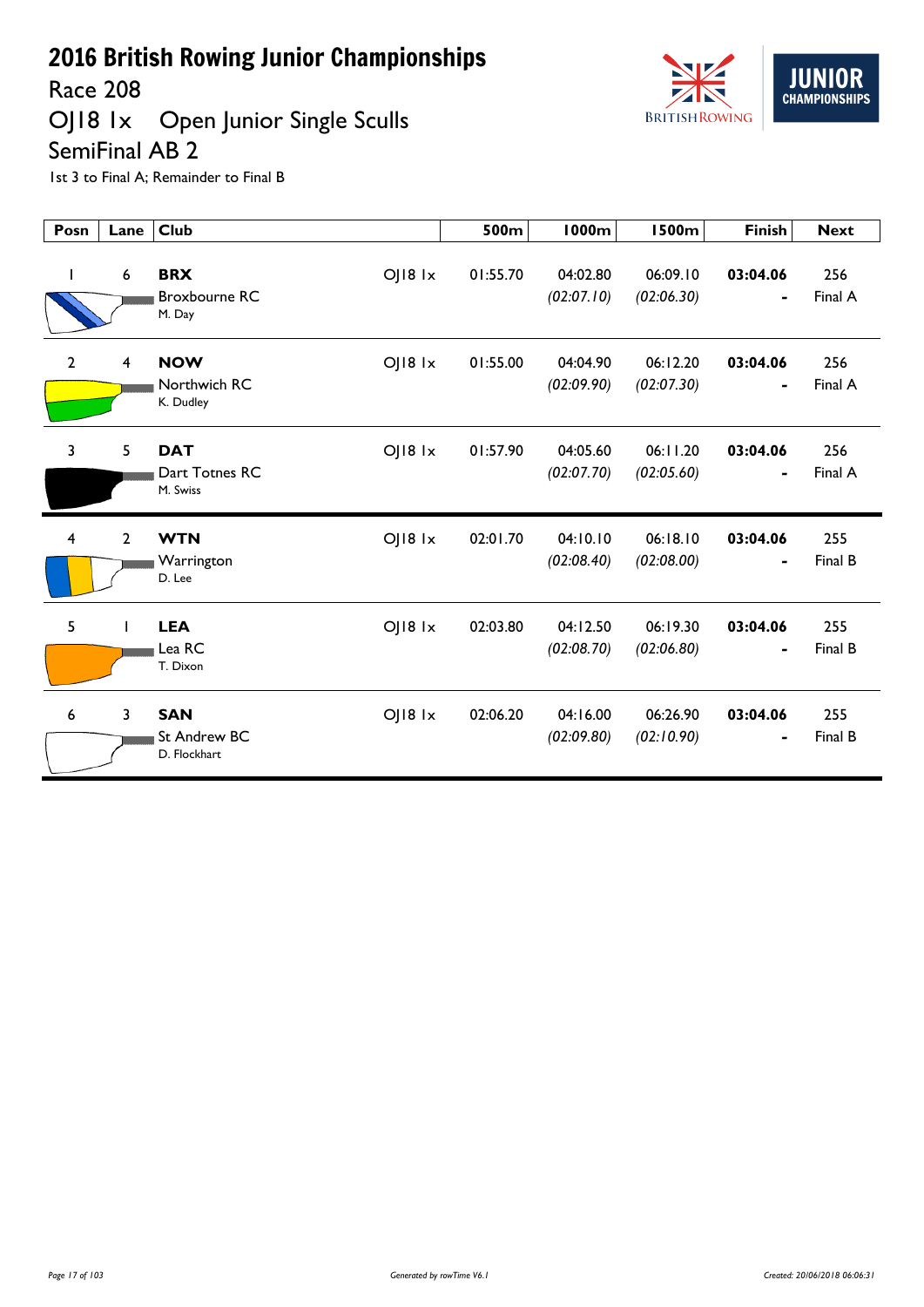

# OJ18 1x Open Junior Single Sculls



SemiFinal AB 2

| Posn           | Lane             | <b>Club</b>                                                 | 500m     | 1000m                  | <b>1500m</b>           | <b>Finish</b> | <b>Next</b>    |
|----------------|------------------|-------------------------------------------------------------|----------|------------------------|------------------------|---------------|----------------|
| $\mathbf{I}$   | $\boldsymbol{6}$ | <b>BRX</b><br>OJ18 1x<br><b>Broxbourne RC</b><br>M. Day     | 01:55.70 | 04:02.80<br>(02:07.10) | 06:09.10<br>(02:06.30) | 03:04.06<br>- | 256<br>Final A |
| $\overline{2}$ | $\overline{4}$   | $O$   $18$ $1x$<br><b>NOW</b><br>Northwich RC<br>K. Dudley  | 01:55.00 | 04:04.90<br>(02:09.90) | 06:12.20<br>(02:07.30) | 03:04.06      | 256<br>Final A |
| 3              | 5                | $O$   $18$ $1x$<br><b>DAT</b><br>Dart Totnes RC<br>M. Swiss | 01:57.90 | 04:05.60<br>(02:07.70) | 06:11.20<br>(02:05.60) | 03:04.06<br>- | 256<br>Final A |
| $\overline{4}$ | $\overline{2}$   | $O$   $18$ $1x$<br><b>WTN</b><br>Warrington<br>D. Lee       | 02:01.70 | 04:10.10<br>(02:08.40) | 06:18.10<br>(02:08.00) | 03:04.06      | 255<br>Final B |
| 5              | L                | $OJ18$ $1x$<br><b>LEA</b><br>Lea RC<br>T. Dixon             | 02:03.80 | 04:12.50<br>(02:08.70) | 06:19.30<br>(02:06.80) | 03:04.06<br>- | 255<br>Final B |
| 6              | $\overline{3}$   | <b>SAN</b><br>$OJI8$ $1x$<br>St Andrew BC<br>D. Flockhart   | 02:06.20 | 04:16.00<br>(02:09.80) | 06:26.90<br>(02:10.90) | 03:04.06<br>- | 255<br>Final B |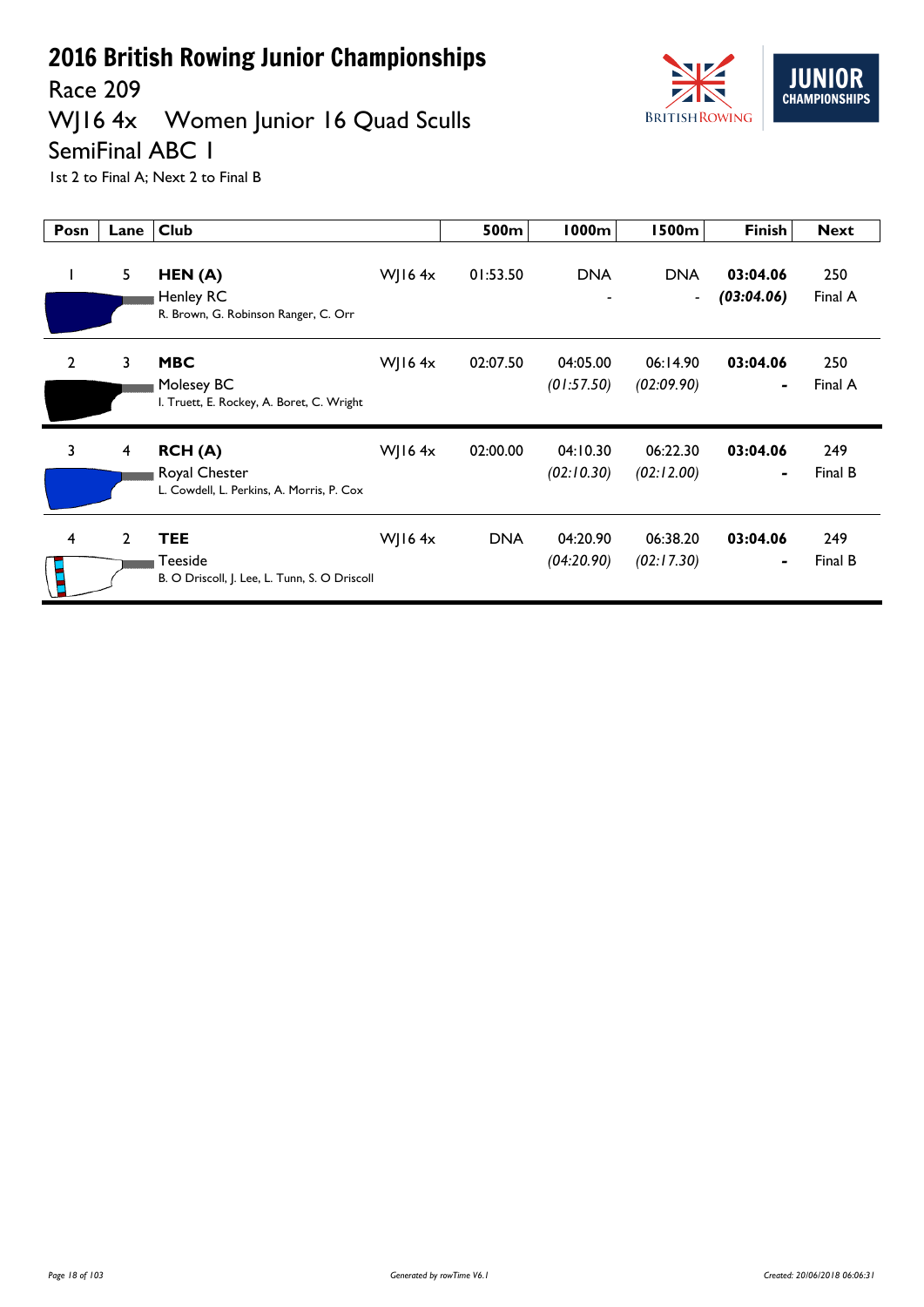

# WJ16 4x Women Junior 16 Quad Sculls



SemiFinal ABC 1 1st 2 to Final A; Next 2 to Final B

| Posn           | Lane           | <b>Club</b>                                                            |               | 500m       | 1000m                         | <b>1500m</b>                           | <b>Finish</b>              | <b>Next</b>    |
|----------------|----------------|------------------------------------------------------------------------|---------------|------------|-------------------------------|----------------------------------------|----------------------------|----------------|
|                | 5              | HEN(A)<br>Henley RC<br>R. Brown, G. Robinson Ranger, C. Orr            | WJ16 $4x$     | 01:53.50   | <b>DNA</b><br>$\qquad \qquad$ | <b>DNA</b><br>$\overline{\phantom{a}}$ | 03:04.06<br>(03:04.06)     | 250<br>Final A |
| $\overline{2}$ | 3              | <b>MBC</b><br>Molesey BC<br>I. Truett, E. Rockey, A. Boret, C. Wright  | <b>WJ164x</b> | 02:07.50   | 04:05.00<br>(01:57.50)        | 06:14.90<br>(02:09.90)                 | 03:04.06<br>٠              | 250<br>Final A |
| 3              | 4              | RCH(A)<br>Royal Chester<br>L. Cowdell, L. Perkins, A. Morris, P. Cox   | WJ16 $4x$     | 02:00.00   | 04:10.30<br>(02:10.30)        | 06:22.30<br>(02:12.00)                 | 03:04.06<br>$\blacksquare$ | 249<br>Final B |
| 4              | $\overline{2}$ | <b>TEE</b><br>Teeside<br>B. O Driscoll, J. Lee, L. Tunn, S. O Driscoll | WJ16 $4x$     | <b>DNA</b> | 04:20.90<br>(04:20.90)        | 06:38.20<br>(02:17.30)                 | 03:04.06<br>٠              | 249<br>Final B |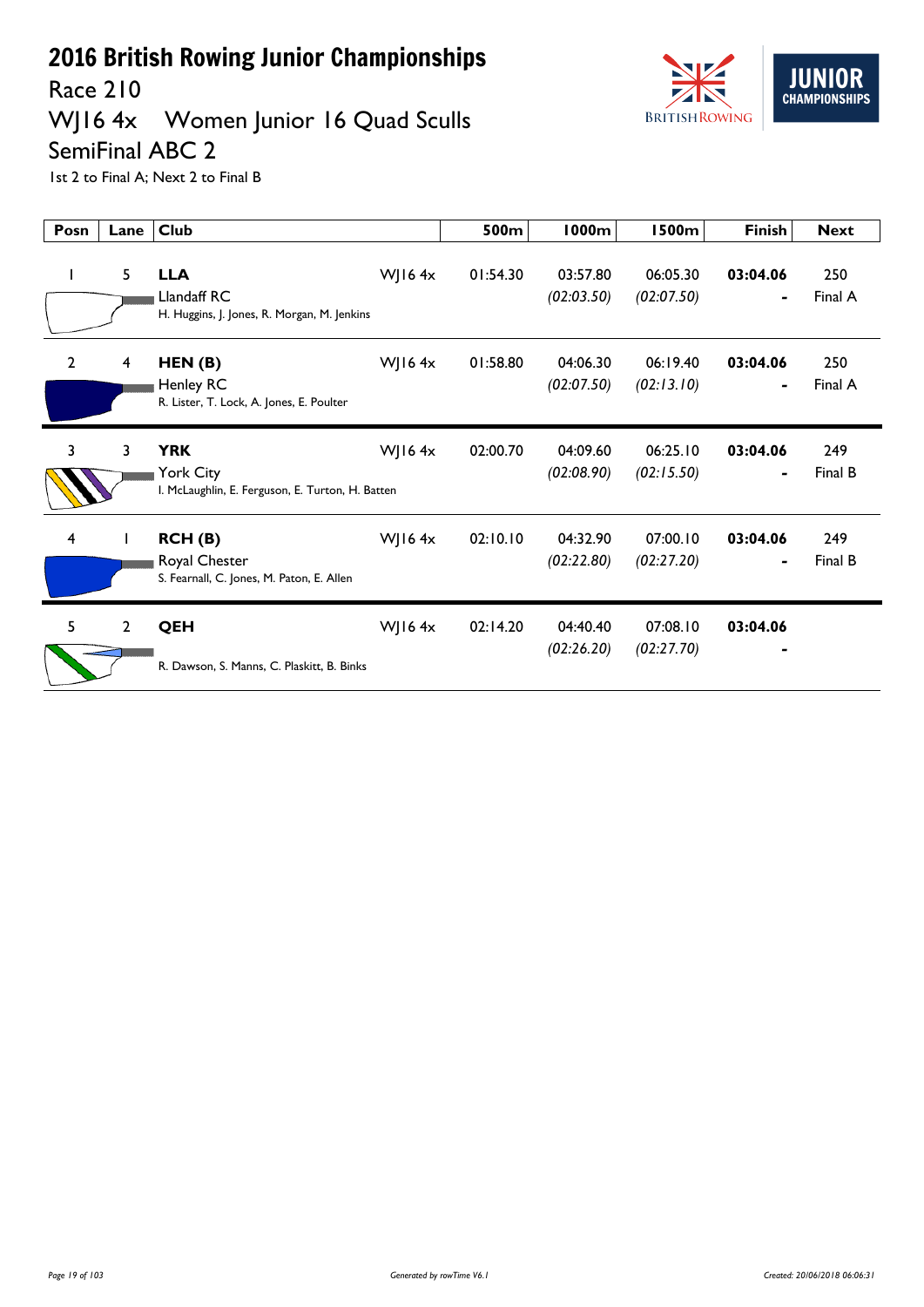

Race 210

## WJ16 4x Women Junior 16 Quad Sculls

#### SemiFinal ABC 2

1st 2 to Final A; Next 2 to Final B

| Posn           | Lane           | <b>Club</b>                                                                 |           | 500m     | <b>1000m</b>           | <b>1500m</b>           | <b>Finish</b> | <b>Next</b>    |
|----------------|----------------|-----------------------------------------------------------------------------|-----------|----------|------------------------|------------------------|---------------|----------------|
|                | 5              | <b>LLA</b><br>Llandaff RC<br>H. Huggins, J. Jones, R. Morgan, M. Jenkins    | WJ16 $4x$ | 01:54.30 | 03:57.80<br>(02:03.50) | 06:05.30<br>(02:07.50) | 03:04.06      | 250<br>Final A |
| $\overline{2}$ | 4              | HEN(B)<br>Henley RC<br>R. Lister, T. Lock, A. Jones, E. Poulter             | WJ16 $4x$ | 01:58.80 | 04:06.30<br>(02:07.50) | 06:19.40<br>(02:13.10) | 03:04.06      | 250<br>Final A |
| 3              | 3              | <b>YRK</b><br>York City<br>I. McLaughlin, E. Ferguson, E. Turton, H. Batten | WJ16 $4x$ | 02:00.70 | 04:09.60<br>(02:08.90) | 06:25.10<br>(02:15.50) | 03:04.06<br>- | 249<br>Final B |
| 4              |                | RCH(B)<br>Royal Chester<br>S. Fearnall, C. Jones, M. Paton, E. Allen        | WJ16 $4x$ | 02:10.10 | 04:32.90<br>(02:22.80) | 07:00.10<br>(02:27.20) | 03:04.06<br>۰ | 249<br>Final B |
| 5              | $\overline{2}$ | <b>QEH</b><br>R. Dawson, S. Manns, C. Plaskitt, B. Binks                    | WJ16 $4x$ | 02:14.20 | 04:40.40<br>(02:26.20) | 07:08.10<br>(02:27.70) | 03:04.06      |                |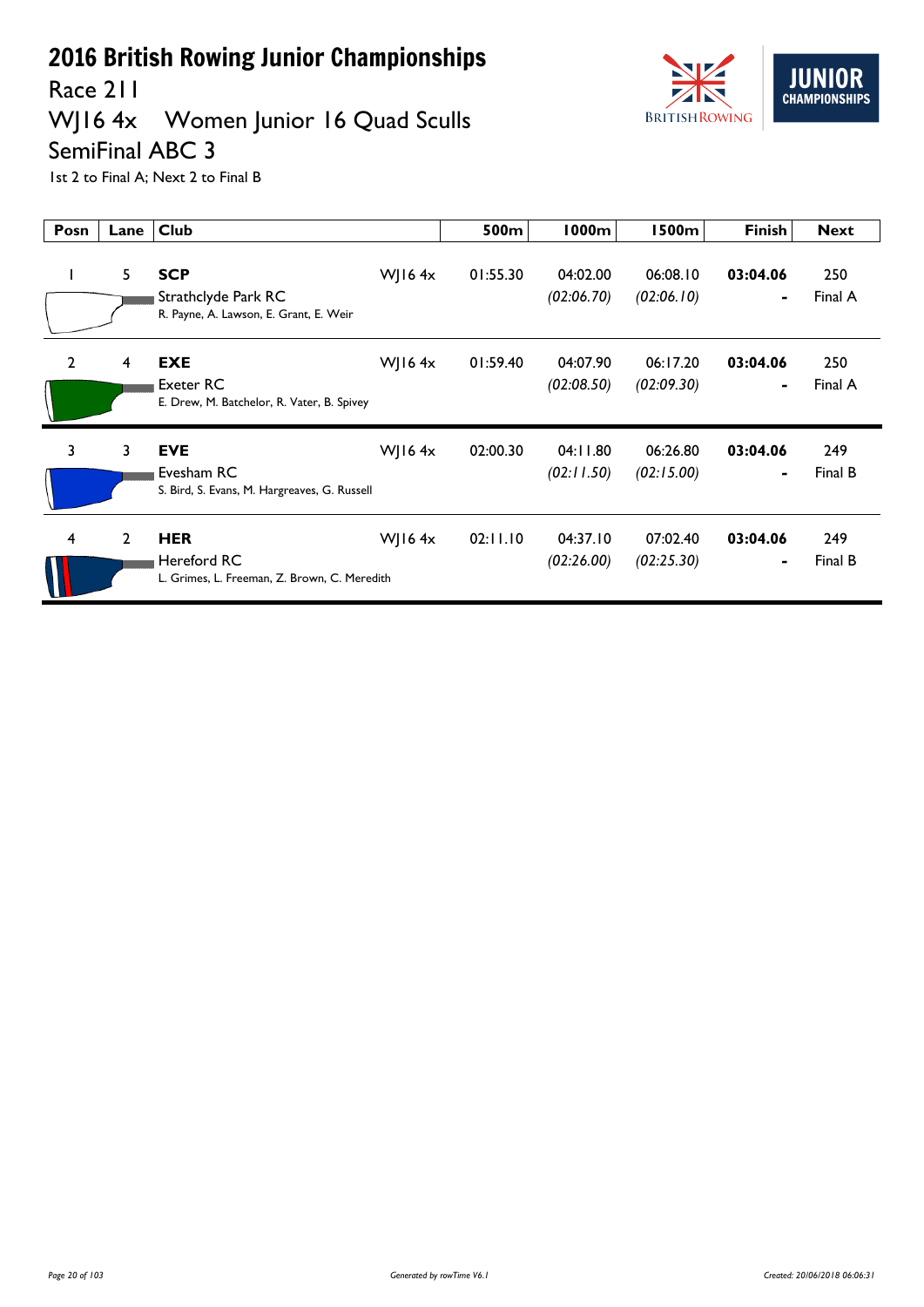

Race 211

## WJ16 4x Women Junior 16 Quad Sculls

#### SemiFinal ABC 3

1st 2 to Final A; Next 2 to Final B

| Posn           | Lane           | <b>Club</b>                                                                 |           | 500m     | 1000m                  | <b>1500m</b>           | <b>Finish</b>              | <b>Next</b>    |
|----------------|----------------|-----------------------------------------------------------------------------|-----------|----------|------------------------|------------------------|----------------------------|----------------|
|                | 5              | <b>SCP</b><br>Strathclyde Park RC<br>R. Payne, A. Lawson, E. Grant, E. Weir | WJ16 $4x$ | 01:55.30 | 04:02.00<br>(02:06.70) | 06:08.10<br>(02:06.10) | 03:04.06<br>$\blacksquare$ | 250<br>Final A |
| $\overline{2}$ | 4              | <b>EXE</b><br>Exeter RC<br>E. Drew, M. Batchelor, R. Vater, B. Spivey       | WJ16 $4x$ | 01:59.40 | 04:07.90<br>(02:08.50) | 06:17.20<br>(02:09.30) | 03:04.06                   | 250<br>Final A |
| $\overline{3}$ | 3              | <b>EVE</b><br>Evesham RC<br>S. Bird, S. Evans, M. Hargreaves, G. Russell    | WJ16 $4x$ | 02:00.30 | 04:11.80<br>(02:11.50) | 06:26.80<br>(02:15.00) | 03:04.06                   | 249<br>Final B |
| 4              | $\overline{2}$ | <b>HER</b><br>Hereford RC<br>L. Grimes, L. Freeman, Z. Brown, C. Meredith   | WJ16 $4x$ | 02:11.10 | 04:37.10<br>(02:26.00) | 07:02.40<br>(02:25.30) | 03:04.06<br>۰              | 249<br>Final B |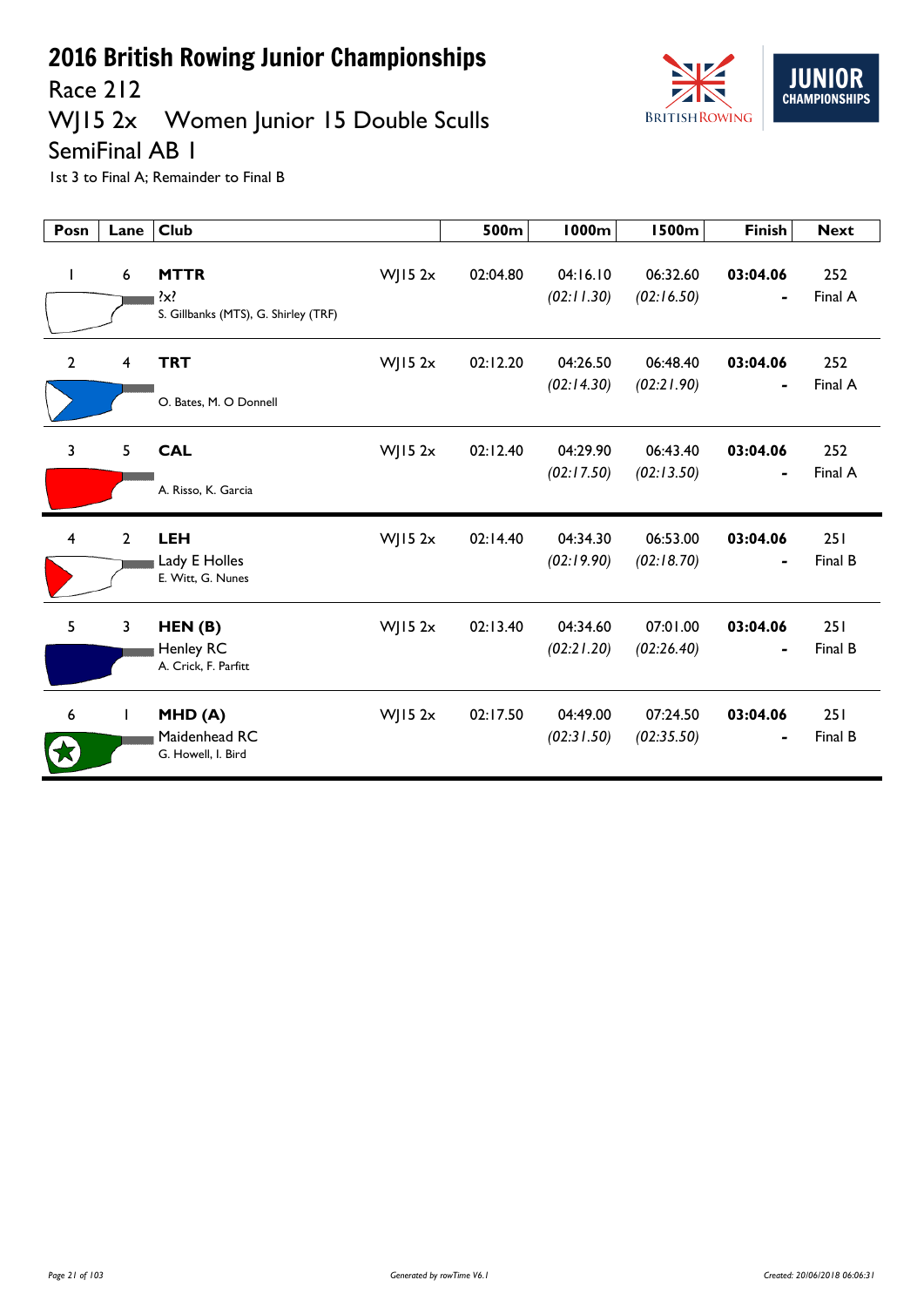

Race 212

## WJ15 2x Women Junior 15 Double Sculls

SemiFinal AB 1

| Posn                    | Lane             | <b>Club</b>                                                    |            | 500m     | <b>1000m</b>           | <b>1500m</b>           | <b>Finish</b>              | <b>Next</b>    |
|-------------------------|------------------|----------------------------------------------------------------|------------|----------|------------------------|------------------------|----------------------------|----------------|
| J.                      | $\boldsymbol{6}$ | <b>MTTR</b><br>$\{x\}$<br>S. Gillbanks (MTS), G. Shirley (TRF) | $W$ JI5 2x | 02:04.80 | 04:16.10<br>(02:11.30) | 06:32.60<br>(02:16.50) | 03:04.06                   | 252<br>Final A |
| $\overline{2}$          | 4                | <b>TRT</b><br>O. Bates, M. O Donnell                           | $W$ JI5 2x | 02:12.20 | 04:26.50<br>(02:14.30) | 06:48.40<br>(02:21.90) | 03:04.06<br>$\blacksquare$ | 252<br>Final A |
| $\overline{3}$          | 5                | <b>CAL</b><br>A. Risso, K. Garcia                              | $W$ JI5 2x | 02:12.40 | 04:29.90<br>(02:17.50) | 06:43.40<br>(02:13.50) | 03:04.06<br>-              | 252<br>Final A |
| $\overline{\mathbf{4}}$ | $\overline{2}$   | <b>LEH</b><br>Lady E Holles<br>E. Witt, G. Nunes               | $W$ JI5 2x | 02:14.40 | 04:34.30<br>(02:19.90) | 06:53.00<br>(02:18.70) | 03:04.06<br>-              | 251<br>Final B |
| 5                       | 3                | HEN(B)<br>Henley RC<br>A. Crick, F. Parfitt                    | $W$ JI5 2x | 02:13.40 | 04:34.60<br>(02:21.20) | 07:01.00<br>(02:26.40) | 03:04.06                   | 251<br>Final B |
| 6                       | $\mathbf{I}$     | MHD(A)<br>Maidenhead RC<br>G. Howell, I. Bird                  | $W$ JI5 2x | 02:17.50 | 04:49.00<br>(02:31.50) | 07:24.50<br>(02:35.50) | 03:04.06                   | 251<br>Final B |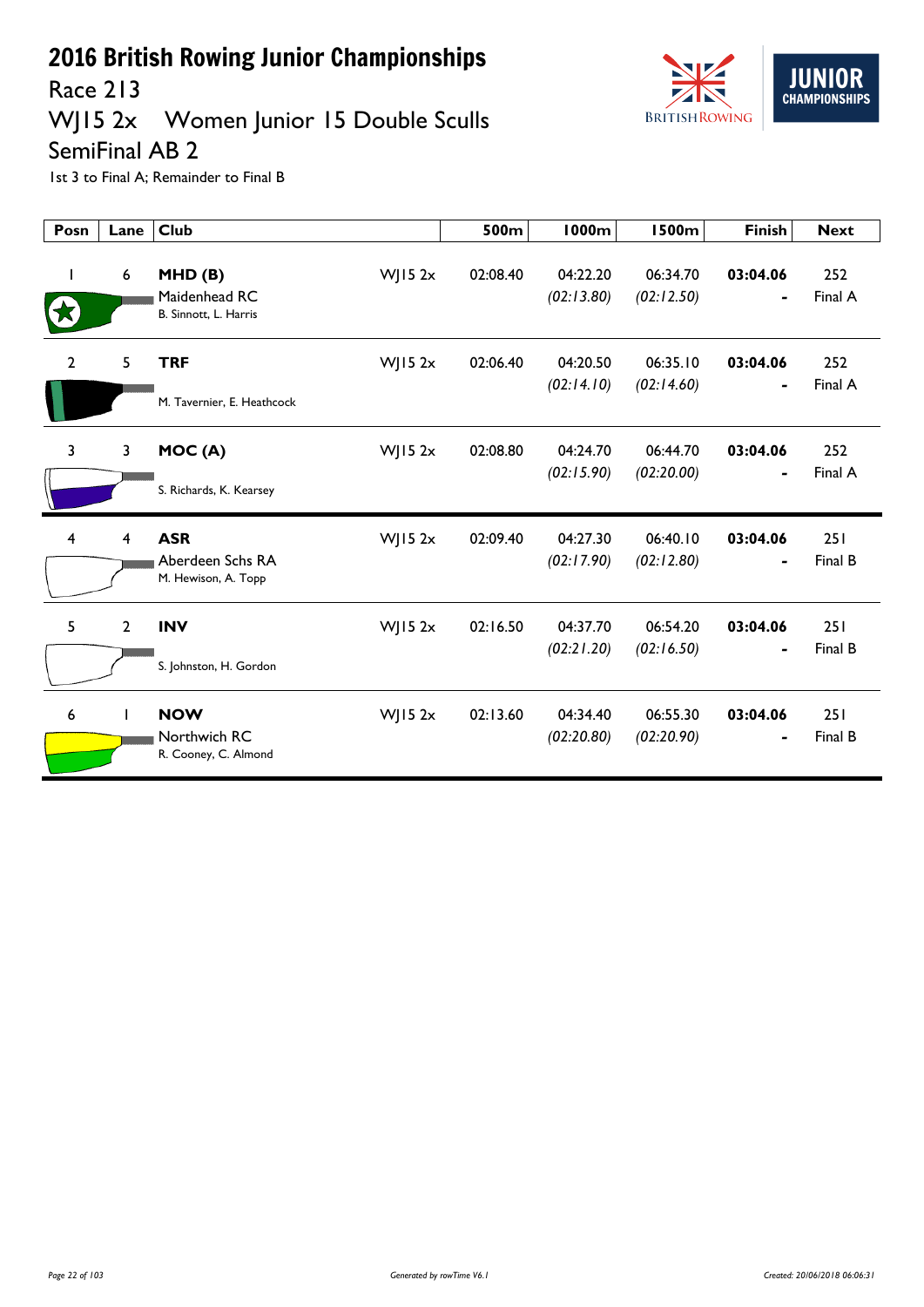

Race 213

## WJ15 2x Women Junior 15 Double Sculls

SemiFinal AB 2

| Posn           | Lane           | <b>Club</b>                                           |             | 500m     | <b>1000m</b>           | <b>1500m</b>           | <b>Finish</b>              | <b>Next</b>    |
|----------------|----------------|-------------------------------------------------------|-------------|----------|------------------------|------------------------|----------------------------|----------------|
|                | 6              | MHD(B)<br>Maidenhead RC<br>B. Sinnott, L. Harris      | $W$ JI5 2x  | 02:08.40 | 04:22.20<br>(02:13.80) | 06:34.70<br>(02:12.50) | 03:04.06                   | 252<br>Final A |
| $\overline{2}$ | 5              | <b>TRF</b><br>M. Tavernier, E. Heathcock              | $W$ ] 15 2x | 02:06.40 | 04:20.50<br>(02:14.10) | 06:35.10<br>(02:14.60) | 03:04.06                   | 252<br>Final A |
| 3              | 3              | MOC(A)<br>S. Richards, K. Kearsey                     | $W$ JI5 2x  | 02:08.80 | 04:24.70<br>(02:15.90) | 06:44.70<br>(02:20.00) | 03:04.06<br>$\blacksquare$ | 252<br>Final A |
| 4              | $\overline{4}$ | <b>ASR</b><br>Aberdeen Schs RA<br>M. Hewison, A. Topp | $W$ ] 15 2x | 02:09.40 | 04:27.30<br>(02:17.90) | 06:40.10<br>(02:12.80) | 03:04.06                   | 251<br>Final B |
| 5              | $\overline{2}$ | <b>INV</b><br>S. Johnston, H. Gordon                  | $W$ JI5 2x  | 02:16.50 | 04:37.70<br>(02:21.20) | 06:54.20<br>(02:16.50) | 03:04.06                   | 251<br>Final B |
| 6              | T              | <b>NOW</b><br>Northwich RC<br>R. Cooney, C. Almond    | $W$ JI5 2x  | 02:13.60 | 04:34.40<br>(02:20.80) | 06:55.30<br>(02:20.90) | 03:04.06                   | 251<br>Final B |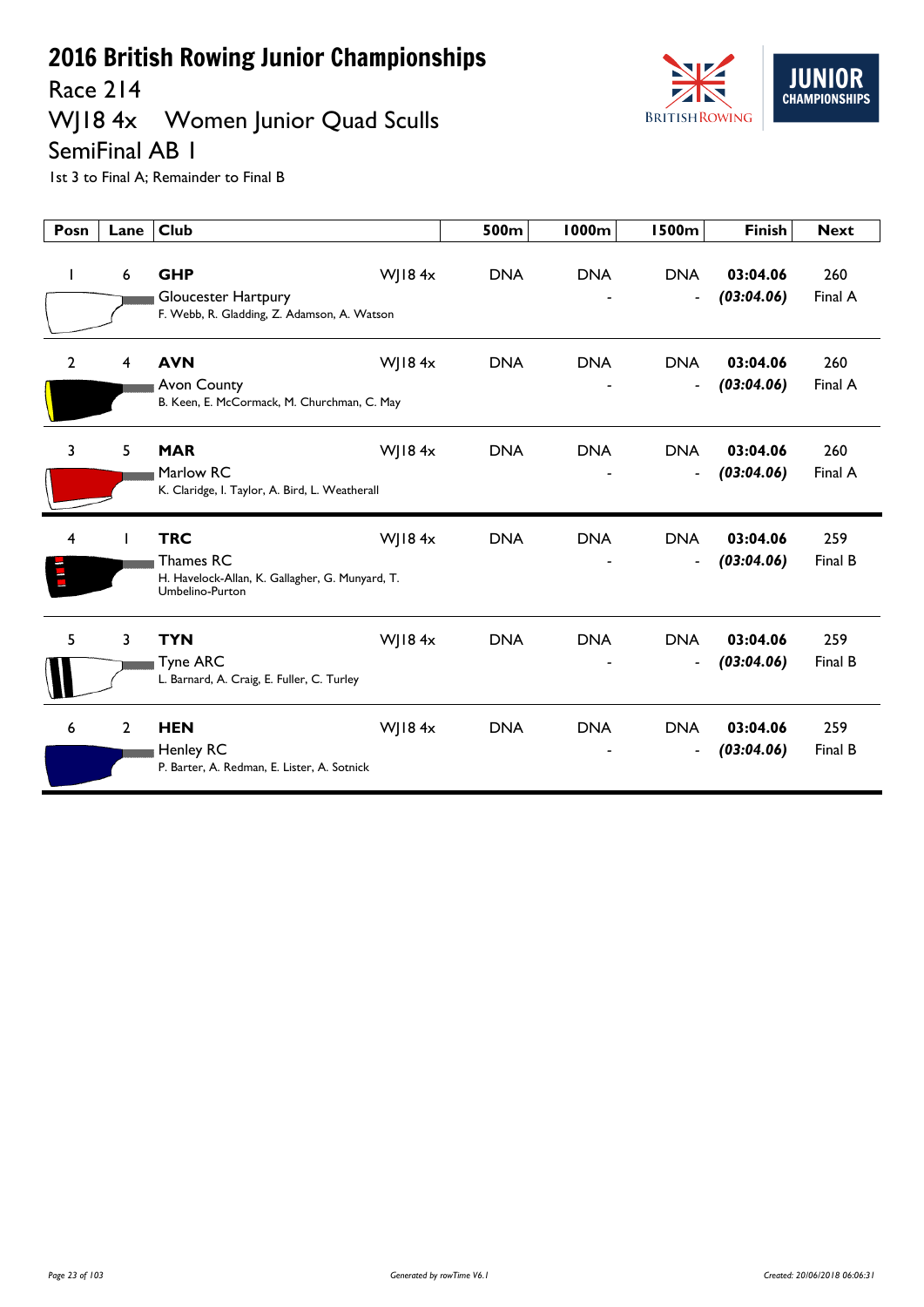Race 214

## WJ18 4x Women Junior Quad Sculls



SemiFinal AB 1

| Posn           | Lane         | <b>Club</b>                                                                                   |               | 500m       | <b>1000m</b> | <b>1500m</b>                               | <b>Finish</b>          | <b>Next</b>    |
|----------------|--------------|-----------------------------------------------------------------------------------------------|---------------|------------|--------------|--------------------------------------------|------------------------|----------------|
| $\mathbf{I}$   | 6            | <b>GHP</b><br>Gloucester Hartpury<br>F. Webb, R. Gladding, Z. Adamson, A. Watson              | WJ184x        | <b>DNA</b> | <b>DNA</b>   | <b>DNA</b><br>$\overline{\phantom{a}}$     | 03:04.06<br>(03:04.06) | 260<br>Final A |
| $\overline{2}$ | 4            | <b>AVN</b><br><b>Avon County</b><br>B. Keen, E. McCormack, M. Churchman, C. May               | WJ184x        | <b>DNA</b> | <b>DNA</b>   | <b>DNA</b><br>$\qquad \qquad \blacksquare$ | 03:04.06<br>(03:04.06) | 260<br>Final A |
| 3              | 5            | <b>MAR</b><br>Marlow RC<br>K. Claridge, I. Taylor, A. Bird, L. Weatherall                     | WJ18 $4x$     | <b>DNA</b> | <b>DNA</b>   | <b>DNA</b><br>$\overline{\phantom{a}}$     | 03:04.06<br>(03:04.06) | 260<br>Final A |
| 4              |              | <b>TRC</b><br>Thames RC<br>H. Havelock-Allan, K. Gallagher, G. Munyard, T.<br>Umbelino-Purton | WJ184x        | <b>DNA</b> | <b>DNA</b>   | <b>DNA</b><br>$\qquad \qquad \blacksquare$ | 03:04.06<br>(03:04.06) | 259<br>Final B |
| 5              | 3            | <b>TYN</b><br><b>Tyne ARC</b><br>L. Barnard, A. Craig, E. Fuller, C. Turley                   | WJ18 $4x$     | <b>DNA</b> | <b>DNA</b>   | <b>DNA</b><br>$\overline{\phantom{a}}$     | 03:04.06<br>(03:04.06) | 259<br>Final B |
| 6              | $\mathbf{2}$ | <b>HEN</b><br><b>Henley RC</b><br>P. Barter, A. Redman, E. Lister, A. Sotnick                 | $W$   184 $x$ | <b>DNA</b> | <b>DNA</b>   | <b>DNA</b><br>$\overline{\phantom{a}}$     | 03:04.06<br>(03:04.06) | 259<br>Final B |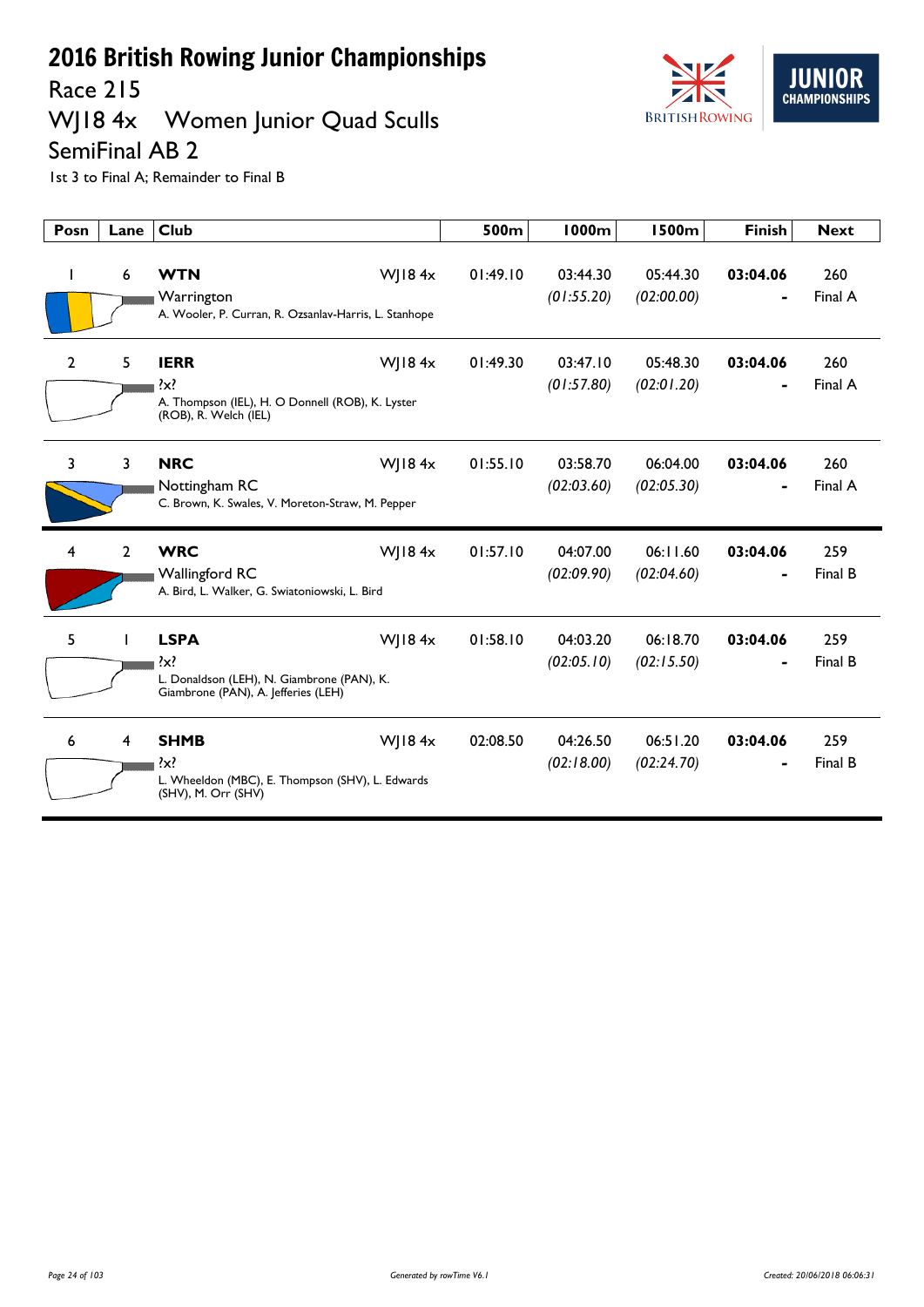Race 215

## WJ18 4x Women Junior Quad Sculls



SemiFinal AB 2

| Posn | Lane           | <b>Club</b>                                                                                                          | 500m     | <b>1000m</b>           | <b>1500m</b>           | <b>Finish</b> | <b>Next</b>    |
|------|----------------|----------------------------------------------------------------------------------------------------------------------|----------|------------------------|------------------------|---------------|----------------|
|      | 6              | <b>WTN</b><br>WJ18 $4x$<br>Warrington<br>A. Wooler, P. Curran, R. Ozsanlav-Harris, L. Stanhope                       | 01:49.10 | 03:44.30<br>(01:55.20) | 05:44.30<br>(02:00.00) | 03:04.06      | 260<br>Final A |
| 2    | 5              | <b>IERR</b><br>WJ18 $4x$<br>$\{x\}$<br>A. Thompson (IEL), H. O Donnell (ROB), K. Lyster<br>(ROB), R. Welch (IEL)     | 01:49.30 | 03:47.10<br>(01:57.80) | 05:48.30<br>(02:01.20) | 03:04.06      | 260<br>Final A |
| 3    | 3              | <b>NRC</b><br>WJ18 $4x$<br>Nottingham RC<br>C. Brown, K. Swales, V. Moreton-Straw, M. Pepper                         | 01:55.10 | 03:58.70<br>(02:03.60) | 06:04.00<br>(02:05.30) | 03:04.06      | 260<br>Final A |
| 4    | $\overline{2}$ | <b>WRC</b><br>WJ18 $4x$<br>Wallingford RC<br>A. Bird, L. Walker, G. Swiatoniowski, L. Bird                           | 01:57.10 | 04:07.00<br>(02:09.90) | 06:11.60<br>(02:04.60) | 03:04.06      | 259<br>Final B |
| 5    |                | <b>LSPA</b><br>WJ18 $4x$<br>?x?<br>L. Donaldson (LEH), N. Giambrone (PAN), K.<br>Giambrone (PAN), A. Jefferies (LEH) | 01:58.10 | 04:03.20<br>(02:05.10) | 06:18.70<br>(02:15.50) | 03:04.06      | 259<br>Final B |
| 6    | 4              | <b>SHMB</b><br>WJ18 $4x$<br>$\{x\}$<br>L. Wheeldon (MBC), E. Thompson (SHV), L. Edwards<br>(SHV), M. Orr (SHV)       | 02:08.50 | 04:26.50<br>(02:18.00) | 06:51.20<br>(02:24.70) | 03:04.06      | 259<br>Final B |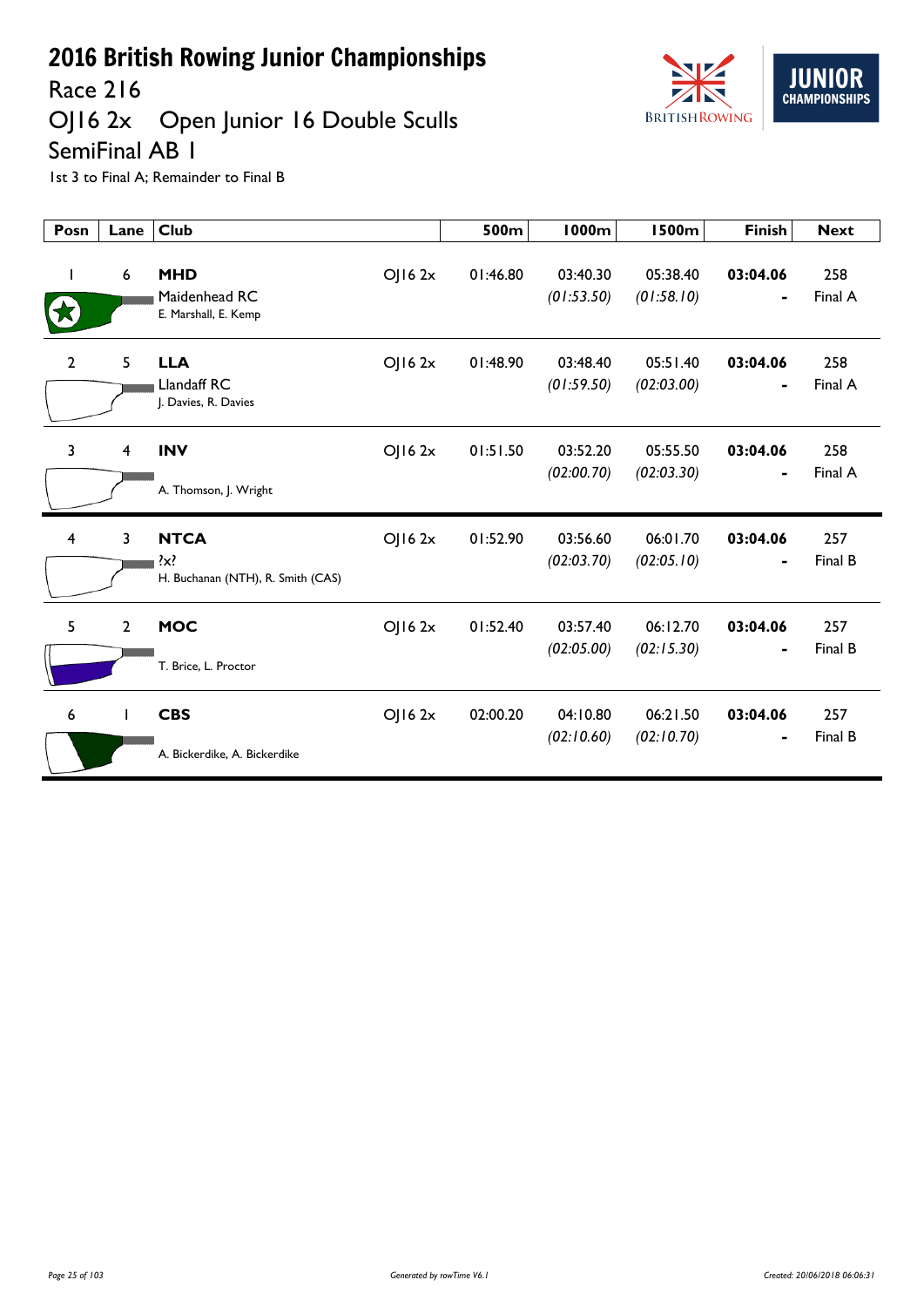

Race 216

## OJ16 2x Open Junior 16 Double Sculls

SemiFinal AB 1

| Posn           | Lane                    | <b>Club</b>                                             |             | 500m     | 1000m                  | <b>1500m</b>           | <b>Finish</b>              | <b>Next</b>    |
|----------------|-------------------------|---------------------------------------------------------|-------------|----------|------------------------|------------------------|----------------------------|----------------|
|                | $\boldsymbol{6}$        | <b>MHD</b><br>Maidenhead RC<br>E. Marshall, E. Kemp     | OJ162x      | 01:46.80 | 03:40.30<br>(01:53.50) | 05:38.40<br>(01:58.10) | 03:04.06                   | 258<br>Final A |
| $\overline{2}$ | 5                       | <b>LLA</b><br>Llandaff RC<br>J. Davies, R. Davies       | $O$   16 2x | 01:48.90 | 03:48.40<br>(01:59.50) | 05:51.40<br>(02:03.00) | 03:04.06<br>$\blacksquare$ | 258<br>Final A |
| 3              | $\overline{\mathbf{4}}$ | <b>INV</b><br>A. Thomson, J. Wright                     | OJ162x      | 01:51.50 | 03:52.20<br>(02:00.70) | 05:55.50<br>(02:03.30) | 03:04.06<br>٠              | 258<br>Final A |
| 4              | 3                       | <b>NTCA</b><br>?x?<br>H. Buchanan (NTH), R. Smith (CAS) | OJ162x      | 01:52.90 | 03:56.60<br>(02:03.70) | 06:01.70<br>(02:05.10) | 03:04.06                   | 257<br>Final B |
| 5              | $\overline{2}$          | <b>MOC</b><br>T. Brice, L. Proctor                      | OJ162x      | 01:52.40 | 03:57.40<br>(02:05.00) | 06:12.70<br>(02:15.30) | 03:04.06                   | 257<br>Final B |
| 6              | $\mathbf{I}$            | <b>CBS</b><br>A. Bickerdike, A. Bickerdike              | OJ162x      | 02:00.20 | 04:10.80<br>(02:10.60) | 06:21.50<br>(02:10.70) | 03:04.06                   | 257<br>Final B |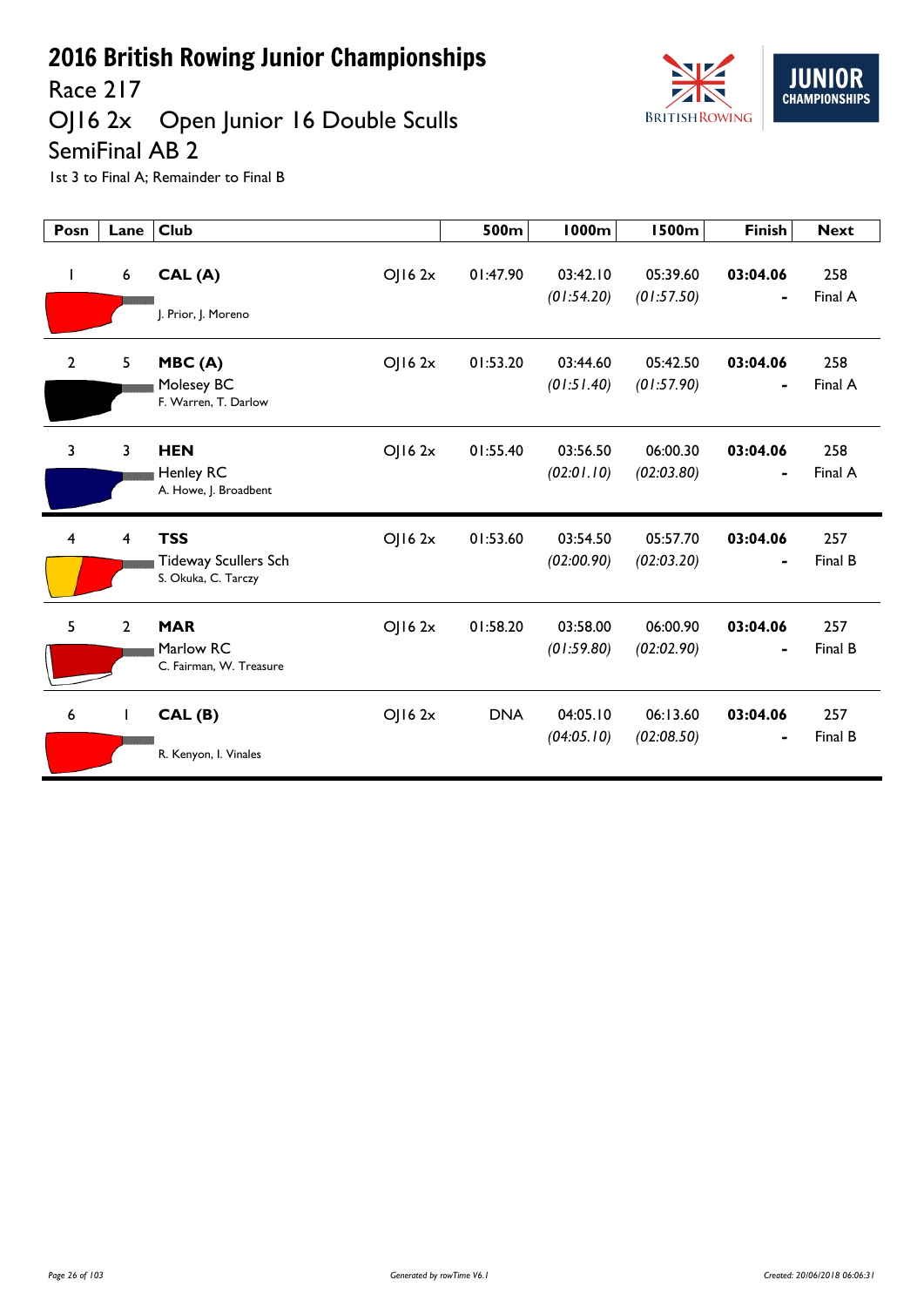

# Race 217<br>OJ16 2x Open Junior 16 Double Sculls

SemiFinal AB 2

| Posn           | Lane           | <b>Club</b>                                        | 500m       | <b>1000m</b>           | <b>1500m</b>           | <b>Finish</b>  | <b>Next</b>    |
|----------------|----------------|----------------------------------------------------|------------|------------------------|------------------------|----------------|----------------|
| $\mathbf{I}$   | 6              | CAL(A)<br>OJ162x                                   | 01:47.90   | 03:42.10<br>(01:54.20) | 05:39.60<br>(01:57.50) | 03:04.06       | 258<br>Final A |
|                |                | J. Prior, J. Moreno                                |            |                        |                        |                |                |
| $\mathbf{2}$   | 5              | OJ162x<br>MBC(A)                                   | 01:53.20   | 03:44.60               | 05:42.50               | 03:04.06       | 258            |
|                |                | Molesey BC<br>F. Warren, T. Darlow                 |            | (01:51.40)             | (01:57.90)             | $\blacksquare$ | Final A        |
| $\overline{3}$ | 3              | <b>HEN</b><br>OJ162x                               | 01:55.40   | 03:56.50               | 06:00.30               | 03:04.06       | 258            |
|                |                | Henley RC<br>A. Howe, J. Broadbent                 |            | (02:01.10)             | (02:03.80)             |                | Final A        |
| $\overline{4}$ | 4              | <b>TSS</b><br>OJ162x                               | 01:53.60   | 03:54.50               | 05:57.70               | 03:04.06       | 257            |
|                |                | <b>Tideway Scullers Sch</b><br>S. Okuka, C. Tarczy |            | (02:00.90)             | (02:03.20)             |                | Final B        |
| 5              | $\overline{2}$ | <b>MAR</b><br>OJ162x                               | 01:58.20   | 03:58.00               | 06:00.90               | 03:04.06       | 257            |
|                |                | Marlow RC<br>C. Fairman, W. Treasure               |            | (01:59.80)             | (02:02.90)             |                | Final B        |
| 6              | L              | OJ162x<br>CAL(B)                                   | <b>DNA</b> | 04:05.10               | 06:13.60               | 03:04.06       | 257            |
|                |                | R. Kenyon, I. Vinales                              |            | (04:05.10)             | (02:08.50)             | $\blacksquare$ | Final B        |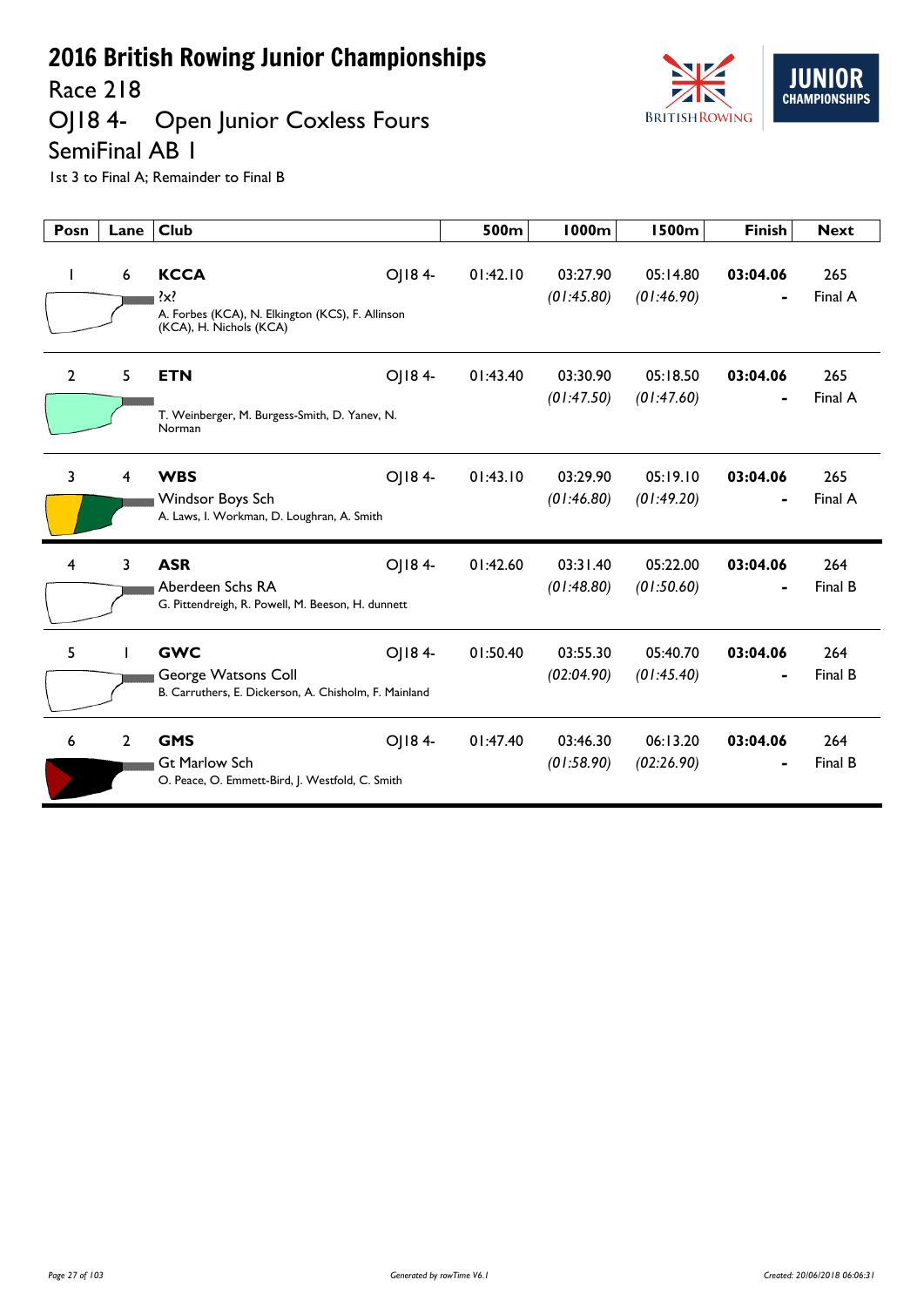Race 218

## OJ18 4- Open Junior Coxless Fours SemiFinal AB 1



| Posn           | Lane           | <b>Club</b>                                                                                                 | 500m     | <b>1000m</b>           | 1500m                  | <b>Finish</b>              | <b>Next</b>    |
|----------------|----------------|-------------------------------------------------------------------------------------------------------------|----------|------------------------|------------------------|----------------------------|----------------|
| ı              | 6              | <b>KCCA</b><br>OJ184-<br>?x?<br>A. Forbes (KCA), N. Elkington (KCS), F. Allinson<br>(KCA), H. Nichols (KCA) | 01:42.10 | 03:27.90<br>(01:45.80) | 05:14.80<br>(01:46.90) | 03:04.06                   | 265<br>Final A |
| $\overline{2}$ | 5              | <b>ETN</b><br>OJ184-<br>T. Weinberger, M. Burgess-Smith, D. Yanev, N.<br>Norman                             | 01:43.40 | 03:30.90<br>(01:47.50) | 05:18.50<br>(01:47.60) | 03:04.06                   | 265<br>Final A |
| 3              | 4              | OJ184-<br><b>WBS</b><br>Windsor Boys Sch<br>A. Laws, I. Workman, D. Loughran, A. Smith                      | 01:43.10 | 03:29.90<br>(01:46.80) | 05:19.10<br>(01:49.20) | 03:04.06<br>$\blacksquare$ | 265<br>Final A |
| $\overline{4}$ | 3              | <b>ASR</b><br>OJ184-<br>Aberdeen Schs RA<br>G. Pittendreigh, R. Powell, M. Beeson, H. dunnett               | 01:42.60 | 03:31.40<br>(01:48.80) | 05:22.00<br>(01:50.60) | 03:04.06                   | 264<br>Final B |
| 5              |                | <b>GWC</b><br>OJ184-<br>George Watsons Coll<br>B. Carruthers, E. Dickerson, A. Chisholm, F. Mainland        | 01:50.40 | 03:55.30<br>(02:04.90) | 05:40.70<br>(01:45.40) | 03:04.06                   | 264<br>Final B |
| 6              | $\overline{2}$ | OJ184-<br><b>GMS</b><br><b>Gt Marlow Sch</b><br>O. Peace, O. Emmett-Bird, J. Westfold, C. Smith             | 01:47.40 | 03:46.30<br>(01:58.90) | 06:13.20<br>(02:26.90) | 03:04.06                   | 264<br>Final B |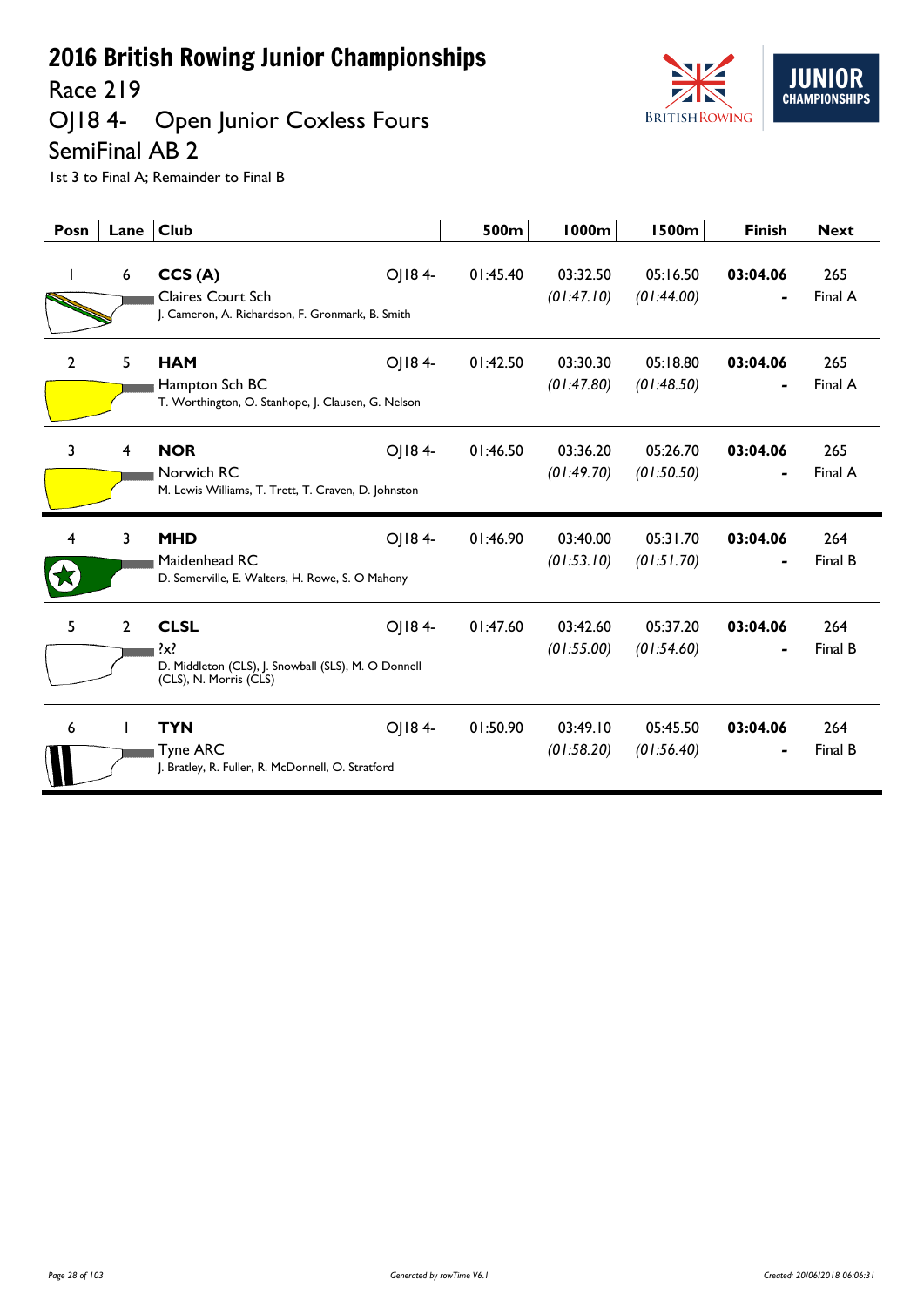Race 219

#### OJ18 4- Open Junior Coxless Fours SemiFinal AB 2



| Posn           | Lane           | <b>Club</b>                                                                                                       | 500m     | 1000m                  | <b>1500m</b>           | <b>Finish</b> | <b>Next</b>    |
|----------------|----------------|-------------------------------------------------------------------------------------------------------------------|----------|------------------------|------------------------|---------------|----------------|
|                | 6              | OJ184-<br>CCS(A)<br><b>Claires Court Sch</b><br>J. Cameron, A. Richardson, F. Gronmark, B. Smith                  | 01:45.40 | 03:32.50<br>(01:47.10) | 05:16.50<br>(01:44.00) | 03:04.06      | 265<br>Final A |
| $\overline{2}$ | 5              | OJ184-<br><b>HAM</b><br>Hampton Sch BC<br>T. Worthington, O. Stanhope, J. Clausen, G. Nelson                      | 01:42.50 | 03:30.30<br>(01:47.80) | 05:18.80<br>(01:48.50) | 03:04.06      | 265<br>Final A |
| 3              | 4              | <b>NOR</b><br>OJ184-<br>Norwich RC<br>M. Lewis Williams, T. Trett, T. Craven, D. Johnston                         | 01:46.50 | 03:36.20<br>(01:49.70) | 05:26.70<br>(01:50.50) | 03:04.06      | 265<br>Final A |
| 4              | 3              | <b>MHD</b><br>OJ184-<br>Maidenhead RC<br>D. Somerville, E. Walters, H. Rowe, S. O Mahony                          | 01:46.90 | 03:40.00<br>(01:53.10) | 05:31.70<br>(01:51.70) | 03:04.06      | 264<br>Final B |
| 5              | $\overline{2}$ | <b>CLSL</b><br>OJ184-<br>$\{x\}$<br>D. Middleton (CLS), J. Snowball (SLS), M. O Donnell<br>(CLS), N. Morris (CLS) | 01:47.60 | 03:42.60<br>(01:55.00) | 05:37.20<br>(01:54.60) | 03:04.06      | 264<br>Final B |
| 6              |                | <b>TYN</b><br>OJ184-<br><b>Tyne ARC</b><br>J. Bratley, R. Fuller, R. McDonnell, O. Stratford                      | 01:50.90 | 03:49.10<br>(01:58.20) | 05:45.50<br>(01:56.40) | 03:04.06      | 264<br>Final B |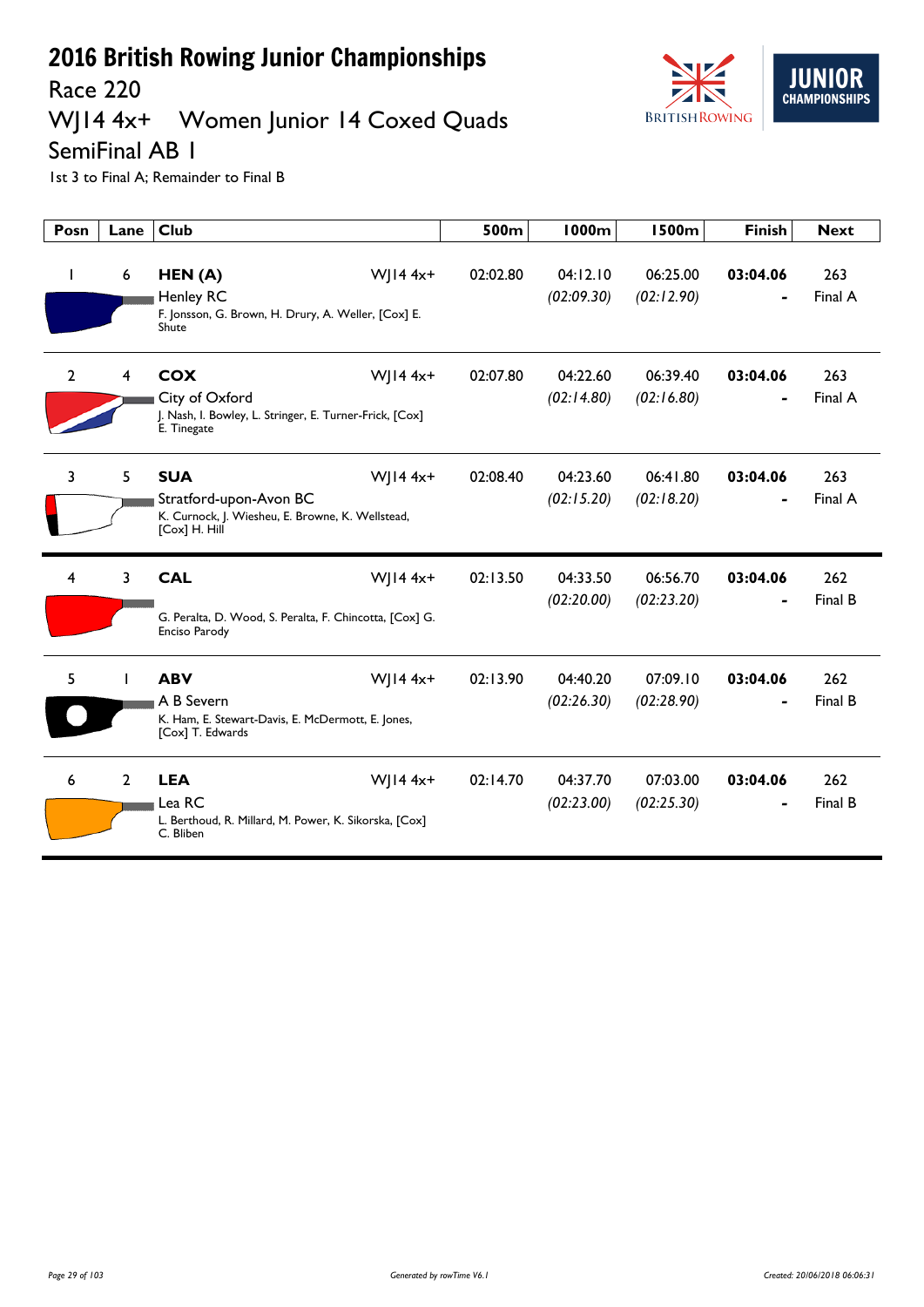

## WJ14 4x+ Women Junior 14 Coxed Quads



SemiFinal AB 1

| Posn         | Lane           | <b>Club</b>                                                                                                               | 500m     | <b>1000m</b>           | <b>1500m</b>           | <b>Finish</b> | <b>Next</b>    |
|--------------|----------------|---------------------------------------------------------------------------------------------------------------------------|----------|------------------------|------------------------|---------------|----------------|
| J.           | 6              | HEN(A)<br>$W$ ] $14 4x+$<br><b>Henley RC</b><br>F. Jonsson, G. Brown, H. Drury, A. Weller, [Cox] E.<br>Shute              | 02:02.80 | 04:12.10<br>(02:09.30) | 06:25.00<br>(02:12.90) | 03:04.06      | 263<br>Final A |
| $\mathbf{2}$ | 4              | WJ14 $4x+$<br><b>COX</b><br>City of Oxford<br>J. Nash, I. Bowley, L. Stringer, E. Turner-Frick, [Cox]<br>E. Tinegate      | 02:07.80 | 04:22.60<br>(02:14.80) | 06:39.40<br>(02:16.80) | 03:04.06      | 263<br>Final A |
| 3            | 5              | <b>SUA</b><br>$W$   14 4x+<br>Stratford-upon-Avon BC<br>K. Curnock, J. Wiesheu, E. Browne, K. Wellstead,<br>[Cox] H. Hill | 02:08.40 | 04:23.60<br>(02:15.20) | 06:41.80<br>(02:18.20) | 03:04.06      | 263<br>Final A |
| 4            | 3              | <b>CAL</b><br>$W$   14 4x+<br>G. Peralta, D. Wood, S. Peralta, F. Chincotta, [Cox] G.<br>Enciso Parody                    | 02:13.50 | 04:33.50<br>(02:20.00) | 06:56.70<br>(02:23.20) | 03:04.06      | 262<br>Final B |
| 5            |                | <b>ABV</b><br>$W$   14 4x+<br>A B Severn<br>K. Ham, E. Stewart-Davis, E. McDermott, E. Jones,<br>[Cox] T. Edwards         | 02:13.90 | 04:40.20<br>(02:26.30) | 07:09.10<br>(02:28.90) | 03:04.06      | 262<br>Final B |
| 6            | $\overline{2}$ | <b>LEA</b><br>$W$   14 4x+<br>Lea RC<br>L. Berthoud, R. Millard, M. Power, K. Sikorska, [Cox]<br>C. Bliben                | 02:14.70 | 04:37.70<br>(02:23.00) | 07:03.00<br>(02:25.30) | 03:04.06      | 262<br>Final B |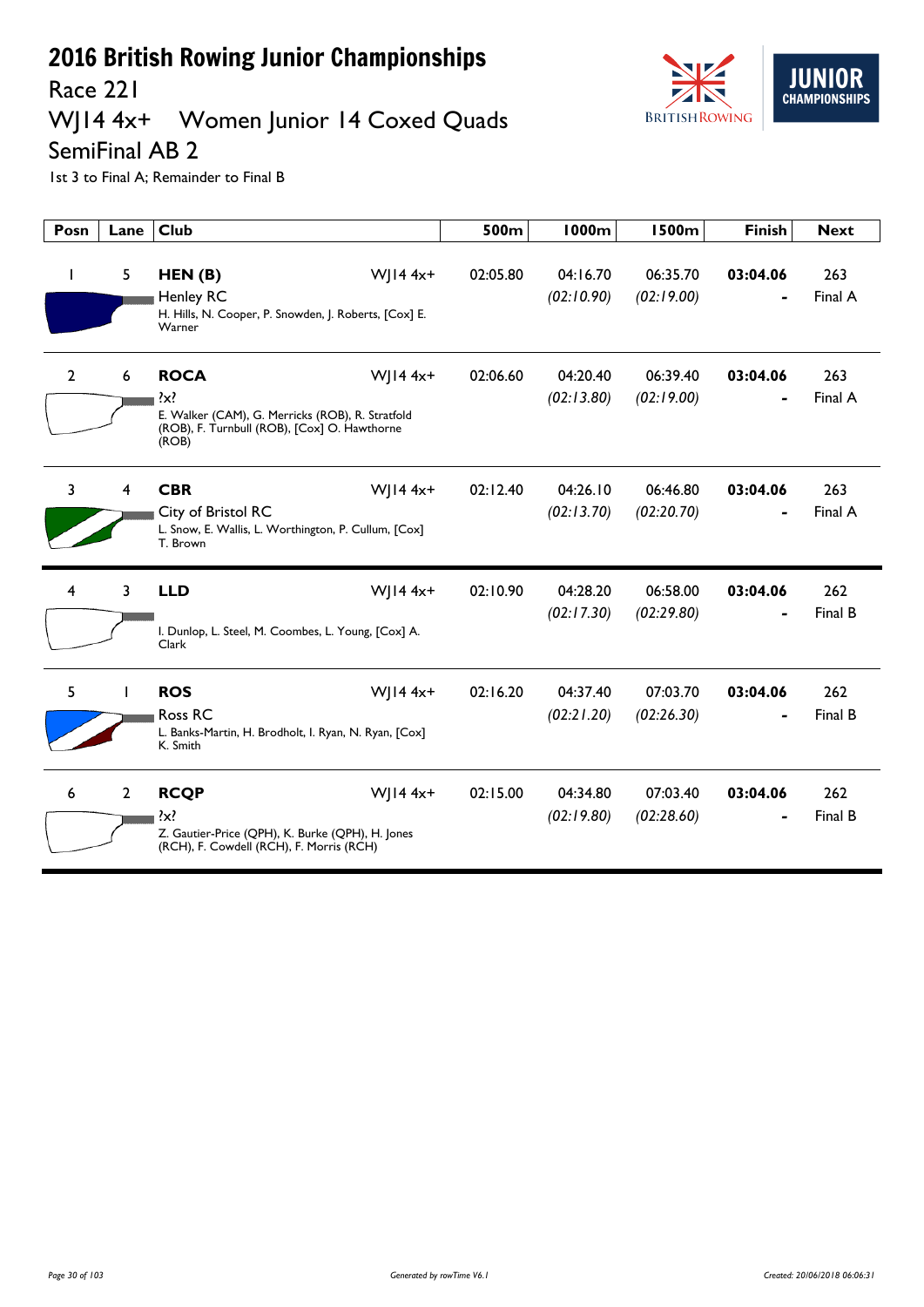

Race 221

## WJ14 4x+ Women Junior 14 Coxed Quads

SemiFinal AB 2

| Posn           | Lane           | <b>Club</b>                                                                                                                               |              | 500m     | <b>1000m</b>           | <b>1500m</b>           | <b>Finish</b> | <b>Next</b>    |
|----------------|----------------|-------------------------------------------------------------------------------------------------------------------------------------------|--------------|----------|------------------------|------------------------|---------------|----------------|
| -1             | 5              | HEN(B)<br><b>Henley RC</b><br>H. Hills, N. Cooper, P. Snowden, J. Roberts, [Cox] E.<br>Warner                                             | W  $14 4x+$  | 02:05.80 | 04:16.70<br>(02:10.90) | 06:35.70<br>(02:19.00) | 03:04.06      | 263<br>Final A |
| $\overline{2}$ | 6              | <b>ROCA</b><br>$\mathcal{X}$<br>E. Walker (CAM), G. Merricks (ROB), R. Stratfold<br>(ROB), F. Turnbull (ROB), [Cox] O. Hawthorne<br>(ROB) | $W$   14 4x+ | 02:06.60 | 04:20.40<br>(02:13.80) | 06:39.40<br>(02:19.00) | 03:04.06      | 263<br>Final A |
| 3              | 4              | <b>CBR</b><br>City of Bristol RC<br>L. Snow, E. Wallis, L. Worthington, P. Cullum, [Cox]<br>T. Brown                                      | $W  4 4x+$   | 02:12.40 | 04:26.10<br>(02:13.70) | 06:46.80<br>(02:20.70) | 03:04.06      | 263<br>Final A |
| $\overline{4}$ | 3              | <b>LLD</b><br>I. Dunlop, L. Steel, M. Coombes, L. Young, [Cox] A.<br>Clark                                                                | $W$   14 4x+ | 02:10.90 | 04:28.20<br>(02:17.30) | 06:58.00<br>(02:29.80) | 03:04.06      | 262<br>Final B |
| 5              | T              | <b>ROS</b><br>Ross RC<br>L. Banks-Martin, H. Brodholt, I. Ryan, N. Ryan, [Cox]<br>K. Smith                                                | W  $14 4x+$  | 02:16.20 | 04:37.40<br>(02:21.20) | 07:03.70<br>(02:26.30) | 03:04.06      | 262<br>Final B |
| 6              | $\overline{2}$ | <b>RCQP</b><br>$\{x\}$<br>Z. Gautier-Price (QPH), K. Burke (QPH), H. Jones<br>(RCH), F. Cowdell (RCH), F. Morris (RCH)                    | W  $144x+$   | 02:15.00 | 04:34.80<br>(02:19.80) | 07:03.40<br>(02:28.60) | 03:04.06      | 262<br>Final B |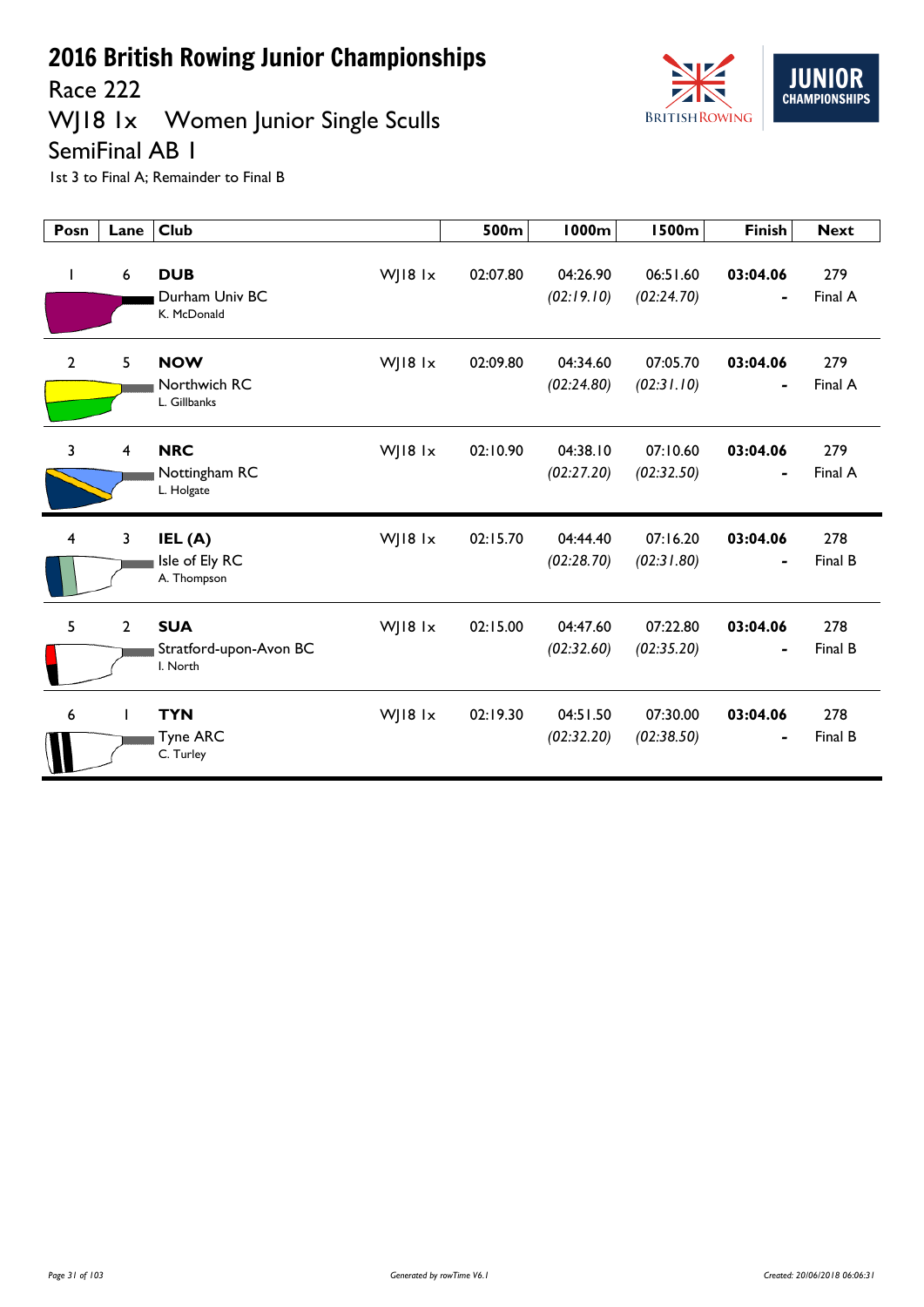

WJ18 1x Women Junior Single Sculls



SemiFinal AB 1

| Posn           | Lane                    | <b>Club</b>                                                 | 500m     | <b>1000m</b>           | <b>1500m</b>           | <b>Finish</b>              | <b>Next</b>    |
|----------------|-------------------------|-------------------------------------------------------------|----------|------------------------|------------------------|----------------------------|----------------|
| $\mathbf{I}$   | 6                       | <b>DUB</b><br>WJ18 1x<br>Durham Univ BC<br>K. McDonald      | 02:07.80 | 04:26.90<br>(02:19.10) | 06:51.60<br>(02:24.70) | 03:04.06<br>$\blacksquare$ | 279<br>Final A |
| $\overline{2}$ | 5                       | <b>NOW</b><br>WJ18 1x<br>Northwich RC<br>L. Gillbanks       | 02:09.80 | 04:34.60<br>(02:24.80) | 07:05.70<br>(02:31.10) | 03:04.06<br>$\blacksquare$ | 279<br>Final A |
| $\overline{3}$ | $\overline{\mathbf{4}}$ | <b>NRC</b><br>WJ18 1x<br>Nottingham RC<br>L. Holgate        | 02:10.90 | 04:38.10<br>(02:27.20) | 07:10.60<br>(02:32.50) | 03:04.06<br>-              | 279<br>Final A |
| 4              | 3                       | WJ18 1x<br>IEL (A)<br>Isle of Ely RC<br>A. Thompson         | 02:15.70 | 04:44.40<br>(02:28.70) | 07:16.20<br>(02:31.80) | 03:04.06                   | 278<br>Final B |
| 5              | $\overline{2}$          | <b>SUA</b><br>WJ18 1x<br>Stratford-upon-Avon BC<br>I. North | 02:15.00 | 04:47.60<br>(02:32.60) | 07:22.80<br>(02:35.20) | 03:04.06                   | 278<br>Final B |
| 6              |                         | <b>TYN</b><br>WJ18 1x<br>Tyne ARC<br>C. Turley              | 02:19.30 | 04:51.50<br>(02:32.20) | 07:30.00<br>(02:38.50) | 03:04.06                   | 278<br>Final B |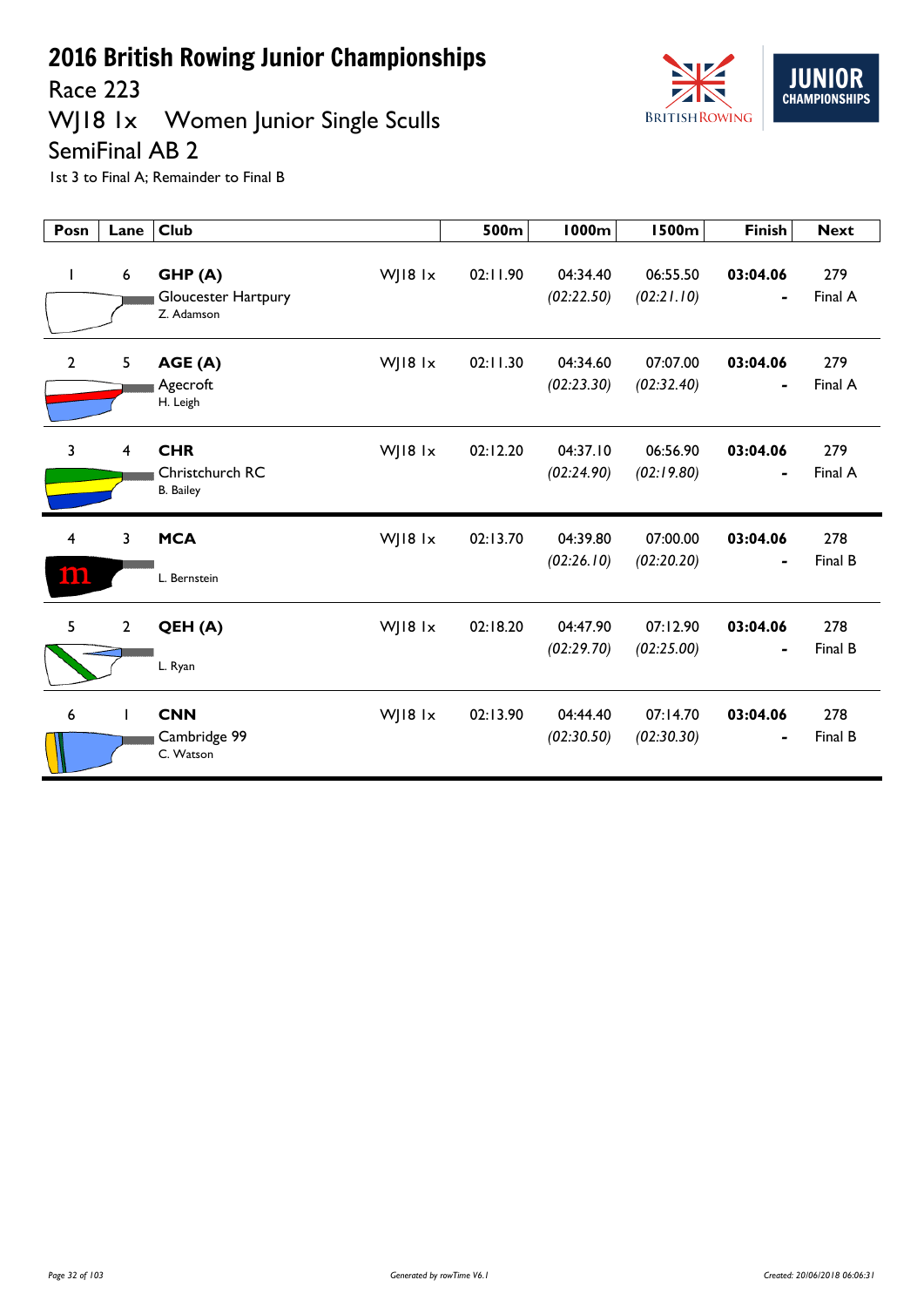

#### WJ18 1x Women Junior Single Sculls SemiFinal AB 2



| Posn           | Lane             | <b>Club</b>                                       |         | 500m     | 1000m                  | <b>1500m</b>           | <b>Finish</b> | <b>Next</b>    |
|----------------|------------------|---------------------------------------------------|---------|----------|------------------------|------------------------|---------------|----------------|
| $\mathbf{I}$   | $\boldsymbol{6}$ | GHP(A)<br>Gloucester Hartpury<br>Z. Adamson       | WJ18 1x | 02:11.90 | 04:34.40<br>(02:22.50) | 06:55.50<br>(02:21.10) | 03:04.06<br>- | 279<br>Final A |
| $\mathbf{2}$   | 5                | AGE (A)<br>Agecroft<br>H. Leigh                   | WJ18 1x | 02:11.30 | 04:34.60<br>(02:23.30) | 07:07.00<br>(02:32.40) | 03:04.06<br>- | 279<br>Final A |
| $\overline{3}$ | 4                | <b>CHR</b><br>Christchurch RC<br><b>B.</b> Bailey | WJ18 1x | 02:12.20 | 04:37.10<br>(02:24.90) | 06:56.90<br>(02:19.80) | 03:04.06<br>- | 279<br>Final A |
| 4<br>m         | 3                | <b>MCA</b><br>L. Bernstein                        | WJ18 1x | 02:13.70 | 04:39.80<br>(02:26.10) | 07:00.00<br>(02:20.20) | 03:04.06      | 278<br>Final B |
| 5              | $\mathbf{2}$     | QEH (A)<br>L. Ryan                                | WJ18 1x | 02:18.20 | 04:47.90<br>(02:29.70) | 07:12.90<br>(02:25.00) | 03:04.06      | 278<br>Final B |
| 6              | T                | <b>CNN</b><br>Cambridge 99<br>C. Watson           | WJ18 1x | 02:13.90 | 04:44.40<br>(02:30.50) | 07:14.70<br>(02:30.30) | 03:04.06<br>- | 278<br>Final B |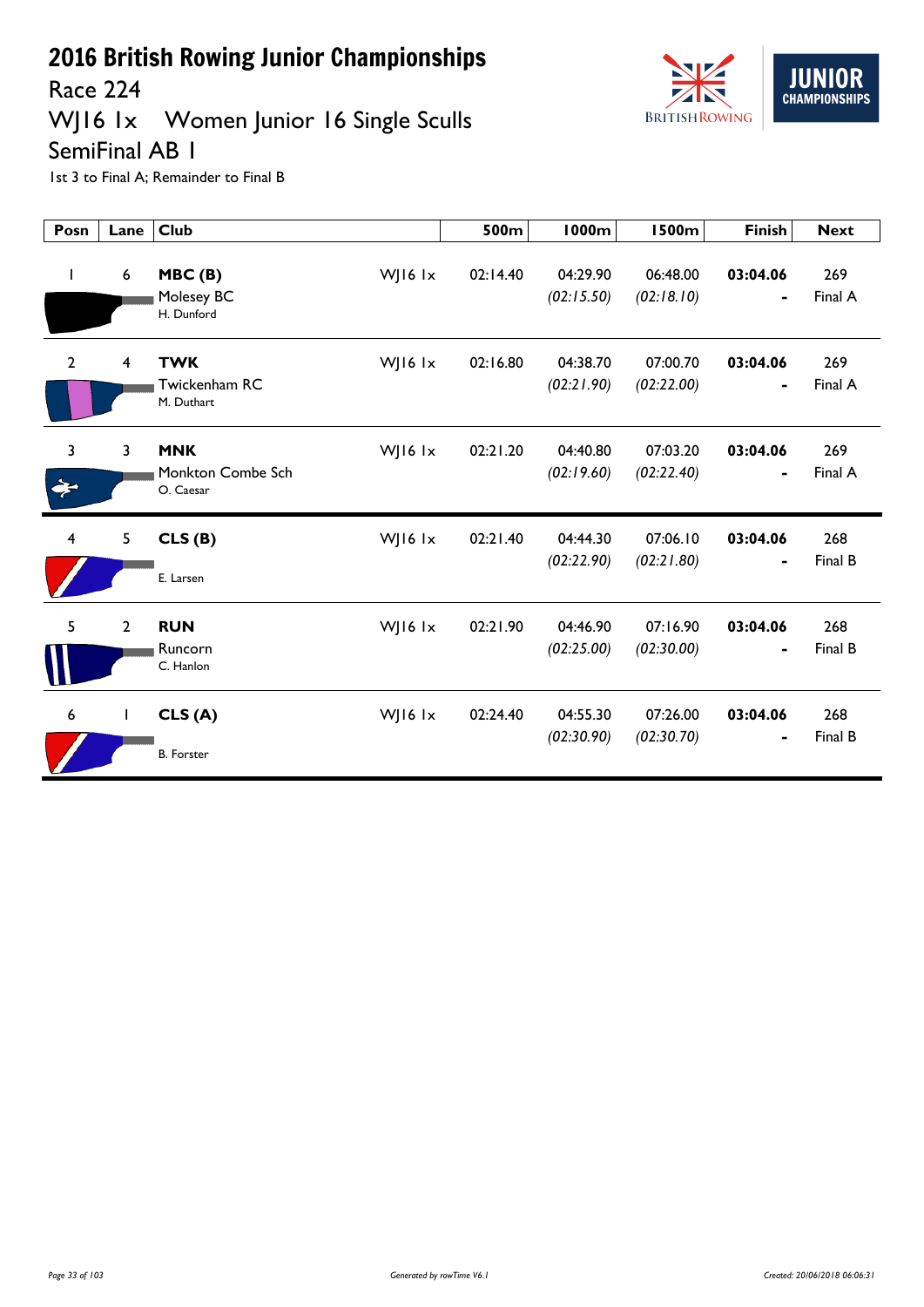



Race 224

# WJ16 1x Women Junior 16 Single Sculls

SemiFinal AB 1

| Posn           | Lane             | <b>Club</b>                                             | 500m     | <b>1000m</b>           | <b>1500m</b>           | <b>Finish</b> | <b>Next</b>    |
|----------------|------------------|---------------------------------------------------------|----------|------------------------|------------------------|---------------|----------------|
| T              | $\boldsymbol{6}$ | WJ16 lx<br>MBC(B)<br>Molesey BC<br>H. Dunford           | 02:14.40 | 04:29.90<br>(02:15.50) | 06:48.00<br>(02:18.10) | 03:04.06<br>- | 269<br>Final A |
| $\overline{2}$ | 4                | <b>TWK</b><br>WJ16 1x<br>Twickenham RC<br>M. Duthart    | 02:16.80 | 04:38.70<br>(02:21.90) | 07:00.70<br>(02:22.00) | 03:04.06      | 269<br>Final A |
| 3              | 3                | <b>MNK</b><br>WJ16 lx<br>Monkton Combe Sch<br>O. Caesar | 02:21.20 | 04:40.80<br>(02:19.60) | 07:03.20<br>(02:22.40) | 03:04.06<br>- | 269<br>Final A |
| 4              | 5                | CLS(B)<br>WJ16 Ix<br>E. Larsen                          | 02:21.40 | 04:44.30<br>(02:22.90) | 07:06.10<br>(02:21.80) | 03:04.06<br>- | 268<br>Final B |
| 5              | $\overline{2}$   | <b>RUN</b><br>WJ16 1x<br>Runcorn<br>C. Hanlon           | 02:21.90 | 04:46.90<br>(02:25.00) | 07:16.90<br>(02:30.00) | 03:04.06      | 268<br>Final B |
| 6              | $\mathbf{I}$     | CLS(A)<br>WJ16 lx<br><b>B.</b> Forster                  | 02:24.40 | 04:55.30<br>(02:30.90) | 07:26.00<br>(02:30.70) | 03:04.06<br>- | 268<br>Final B |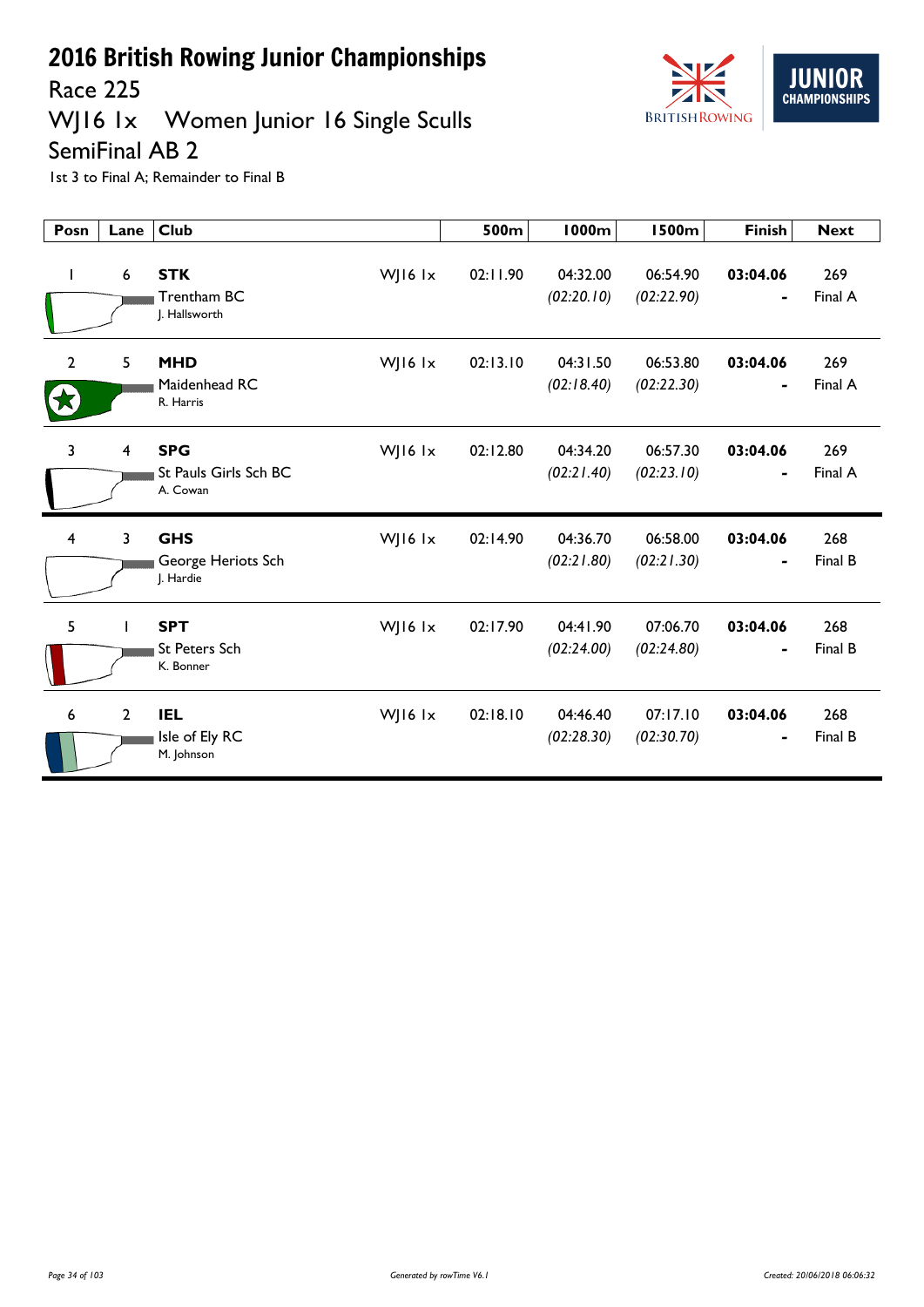



Race 225

## WJ16 1x Women Junior 16 Single Sculls

SemiFinal AB 2

| Posn           | Lane                    | <b>Club</b>                                                  | 500m     | <b>1000m</b>           | <b>1500m</b>           | <b>Finish</b>              | <b>Next</b>    |
|----------------|-------------------------|--------------------------------------------------------------|----------|------------------------|------------------------|----------------------------|----------------|
| $\mathbf{I}$   | 6                       | <b>STK</b><br>WJ16 lx<br>Trentham BC<br>J. Hallsworth        | 02:11.90 | 04:32.00<br>(02:20.10) | 06:54.90<br>(02:22.90) | 03:04.06<br>-              | 269<br>Final A |
| $\overline{2}$ | 5                       | <b>MHD</b><br>WJ16 $1x$<br>Maidenhead RC<br>R. Harris        | 02:13.10 | 04:31.50<br>(02:18.40) | 06:53.80<br>(02:22.30) | 03:04.06<br>$\blacksquare$ | 269<br>Final A |
| 3              | $\overline{\mathbf{4}}$ | <b>SPG</b><br>WJ16 $1x$<br>St Pauls Girls Sch BC<br>A. Cowan | 02:12.80 | 04:34.20<br>(02:21.40) | 06:57.30<br>(02:23.10) | 03:04.06<br>-              | 269<br>Final A |
| 4              | 3                       | <b>GHS</b><br>WJ16 lx<br>George Heriots Sch<br>J. Hardie     | 02:14.90 | 04:36.70<br>(02:21.80) | 06:58.00<br>(02:21.30) | 03:04.06<br>-              | 268<br>Final B |
| 5              | Т                       | <b>SPT</b><br>WJ16 $1x$<br><b>St Peters Sch</b><br>K. Bonner | 02:17.90 | 04:41.90<br>(02:24.00) | 07:06.70<br>(02:24.80) | 03:04.06                   | 268<br>Final B |
| 6              | $\overline{2}$          | <b>IEL</b><br>WJ16 lx<br>Isle of Ely RC<br>M. Johnson        | 02:18.10 | 04:46.40<br>(02:28.30) | 07:17.10<br>(02:30.70) | 03:04.06<br>-              | 268<br>Final B |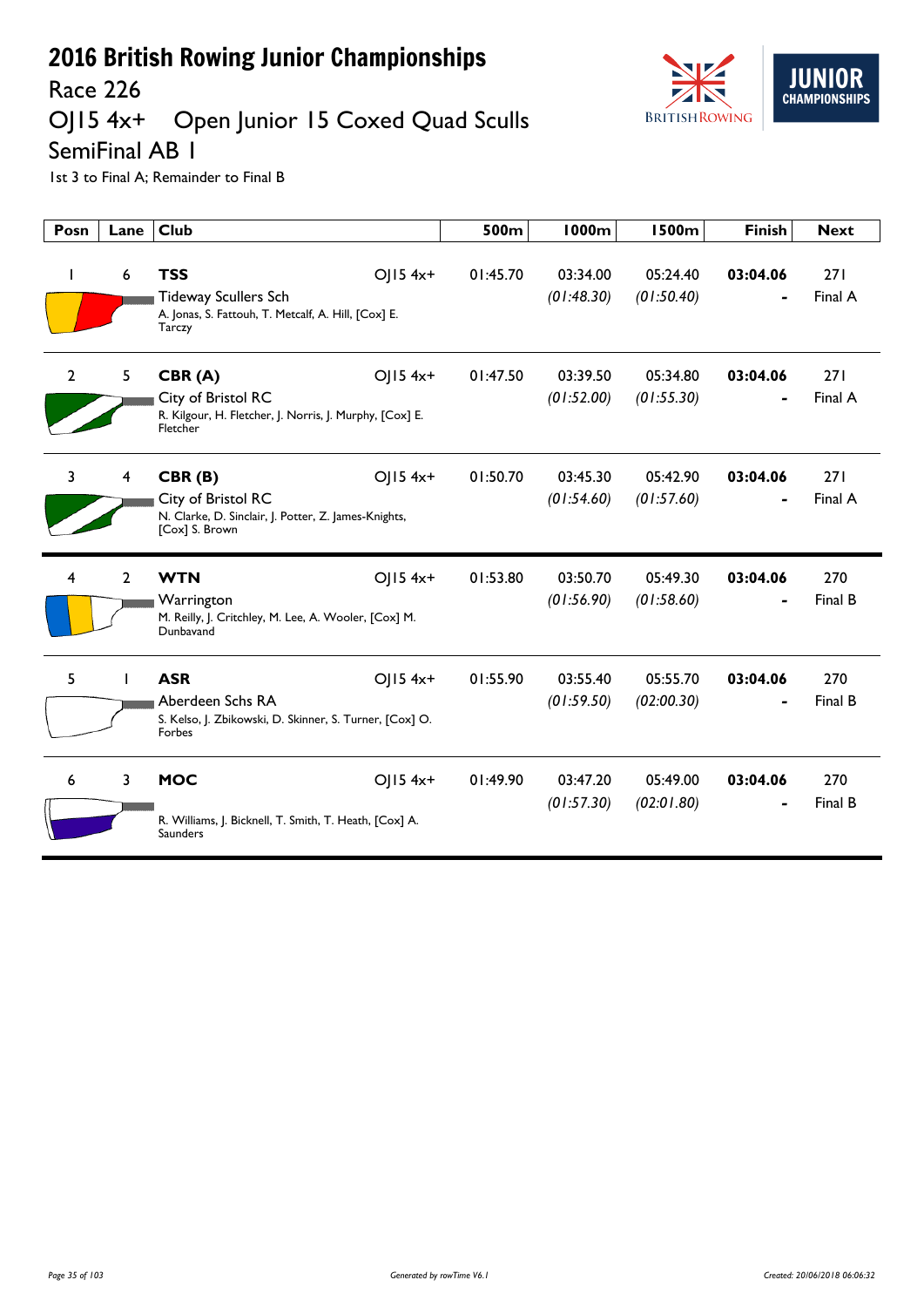

#### Race 226<br>OJ15 4x+ Open Junior 15 Coxed Quad Sculls

SemiFinal AB 1

| Posn           | Lane           | <b>Club</b>                                                                                                            | 500m     | 1000m                  | <b>1500m</b>           | <b>Finish</b> | <b>Next</b>    |
|----------------|----------------|------------------------------------------------------------------------------------------------------------------------|----------|------------------------|------------------------|---------------|----------------|
| <sup>1</sup>   | 6              | <b>TSS</b><br>OJ15 4x+<br><b>Tideway Scullers Sch</b><br>A. Jonas, S. Fattouh, T. Metcalf, A. Hill, [Cox] E.<br>Tarczy | 01:45.70 | 03:34.00<br>(01:48.30) | 05:24.40<br>(01:50.40) | 03:04.06      | 271<br>Final A |
| $\overline{2}$ | 5              | CBR(A)<br>$O$   15 4x+<br>City of Bristol RC<br>R. Kilgour, H. Fletcher, J. Norris, J. Murphy, [Cox] E.<br>Fletcher    | 01:47.50 | 03:39.50<br>(01:52.00) | 05:34.80<br>(01:55.30) | 03:04.06      | 271<br>Final A |
| 3              | $\overline{4}$ | $O$   15 4x+<br>CBR(B)<br>City of Bristol RC<br>N. Clarke, D. Sinclair, J. Potter, Z. James-Knights,<br>[Cox] S. Brown | 01:50.70 | 03:45.30<br>(01:54.60) | 05:42.90<br>(01:57.60) | 03:04.06      | 271<br>Final A |
| 4              | $\overline{2}$ | <b>WTN</b><br>$O$   15 4x+<br>Warrington<br>M. Reilly, J. Critchley, M. Lee, A. Wooler, [Cox] M.<br>Dunbavand          | 01:53.80 | 03:50.70<br>(01:56.90) | 05:49.30<br>(01:58.60) | 03:04.06      | 270<br>Final B |
| 5              |                | <b>ASR</b><br>$O$   15 4x+<br>Aberdeen Schs RA<br>S. Kelso, J. Zbikowski, D. Skinner, S. Turner, [Cox] O.<br>Forbes    | 01:55.90 | 03:55.40<br>(01:59.50) | 05:55.70<br>(02:00.30) | 03:04.06      | 270<br>Final B |
| 6              | 3              | <b>MOC</b><br>$OJ15$ 4x+<br>R. Williams, J. Bicknell, T. Smith, T. Heath, [Cox] A.<br><b>Saunders</b>                  | 01:49.90 | 03:47.20<br>(01:57.30) | 05:49.00<br>(02:01.80) | 03:04.06      | 270<br>Final B |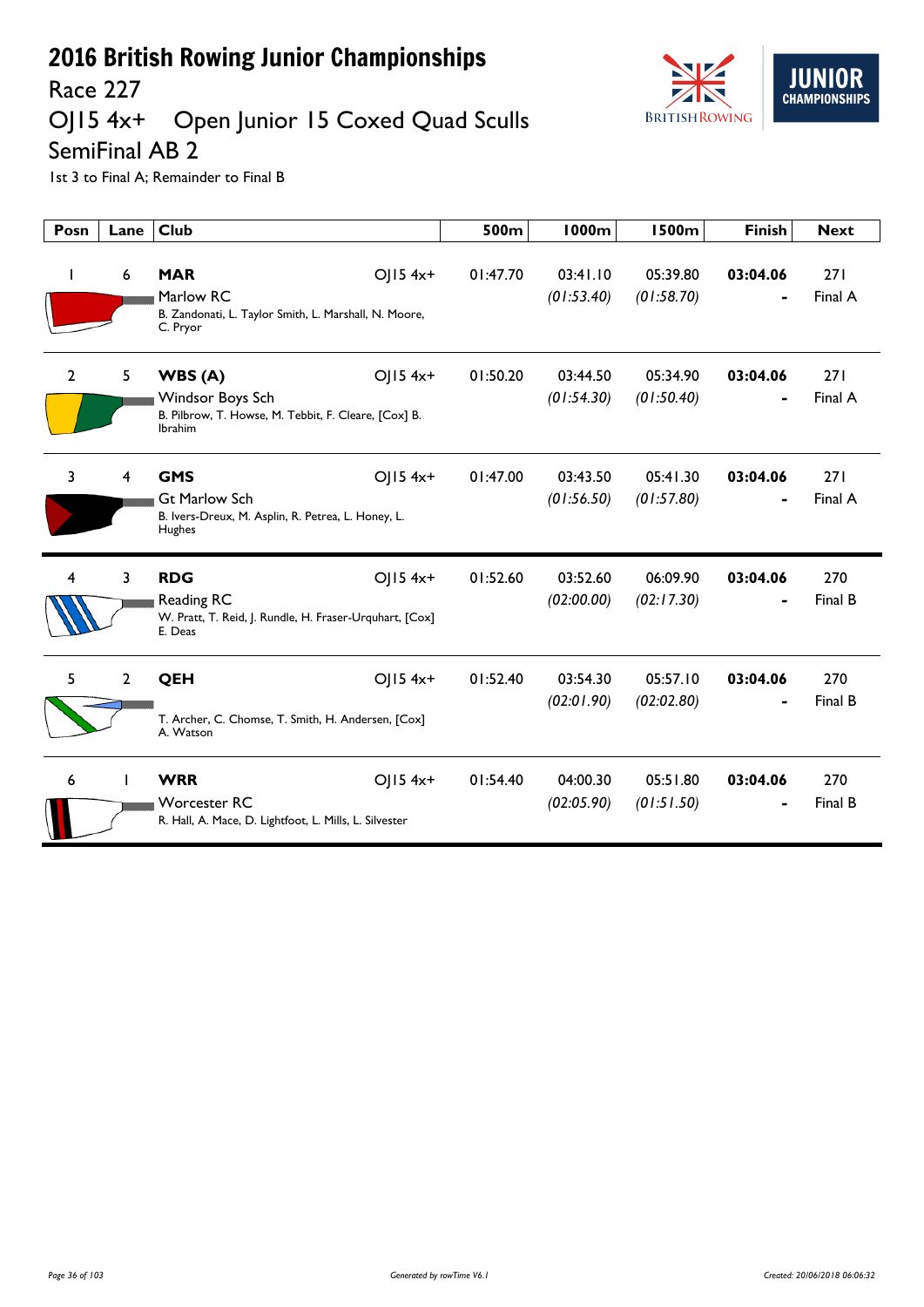

## Race 227<br>OJ15 4x+ Open Junior 15 Coxed Quad Sculls

SemiFinal AB 2

| Posn           | Lane           | <b>Club</b>                                                                                                      | 500m     | 1000m                  | <b>1500m</b>           | <b>Finish</b> | <b>Next</b>    |
|----------------|----------------|------------------------------------------------------------------------------------------------------------------|----------|------------------------|------------------------|---------------|----------------|
| J.             | 6              | <b>MAR</b><br>OJ15 4x+<br>Marlow RC<br>B. Zandonati, L. Taylor Smith, L. Marshall, N. Moore,<br>C. Pryor         | 01:47.70 | 03:41.10<br>(01:53.40) | 05:39.80<br>(01:58.70) | 03:04.06      | 271<br>Final A |
| $\overline{2}$ | 5              | WBS(A)<br>OJ15 4x+<br>Windsor Boys Sch<br>B. Pilbrow, T. Howse, M. Tebbit, F. Cleare, [Cox] B.<br><b>Ibrahim</b> | 01:50.20 | 03:44.50<br>(01:54.30) | 05:34.90<br>(01:50.40) | 03:04.06      | 271<br>Final A |
| 3              | 4              | <b>GMS</b><br>OJ15 4x+<br><b>Gt Marlow Sch</b><br>B. Ivers-Dreux, M. Asplin, R. Petrea, L. Honey, L.<br>Hughes   | 01:47.00 | 03:43.50<br>(01:56.50) | 05:41.30<br>(01:57.80) | 03:04.06      | 271<br>Final A |
| 4              | 3              | <b>RDG</b><br>OJ15 4x+<br>Reading RC<br>W. Pratt, T. Reid, J. Rundle, H. Fraser-Urquhart, [Cox]<br>E. Deas       | 01:52.60 | 03:52.60<br>(02:00.00) | 06:09.90<br>(02:17.30) | 03:04.06      | 270<br>Final B |
| 5              | $\overline{2}$ | QEH<br>OJ15 4x+<br>T. Archer, C. Chomse, T. Smith, H. Andersen, [Cox]<br>A. Watson                               | 01:52.40 | 03:54.30<br>(02:01.90) | 05:57.10<br>(02:02.80) | 03:04.06      | 270<br>Final B |
| 6              |                | <b>WRR</b><br>OJ15 4x+<br><b>Worcester RC</b><br>R. Hall, A. Mace, D. Lightfoot, L. Mills, L. Silvester          | 01:54.40 | 04:00.30<br>(02:05.90) | 05:51.80<br>(01:51.50) | 03:04.06      | 270<br>Final B |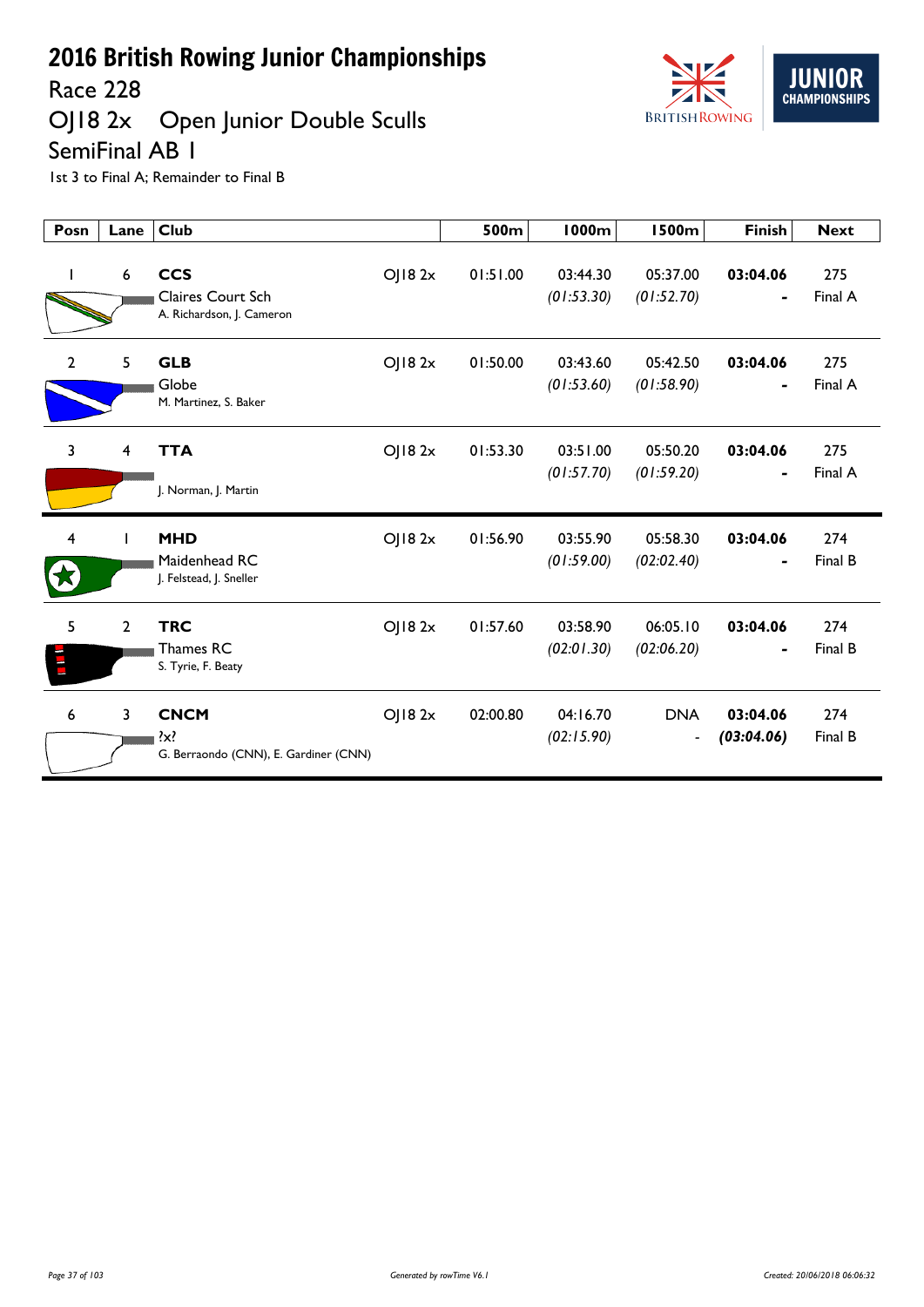

OJ18 2x Open Junior Double Sculls



SemiFinal AB 1

| Posn           | Lane           | <b>Club</b>                                                     |        | 500m     | <b>1000m</b>           | <b>1500m</b>                               | <b>Finish</b>                            | <b>Next</b>    |
|----------------|----------------|-----------------------------------------------------------------|--------|----------|------------------------|--------------------------------------------|------------------------------------------|----------------|
| $\mathbf{I}$   | 6              | <b>CCS</b><br>Claires Court Sch<br>A. Richardson, J. Cameron    | OJ182x | 01:51.00 | 03:44.30<br>(01:53.30) | 05:37.00<br>(01:52.70)                     | 03:04.06<br>$\blacksquare$               | 275<br>Final A |
| $\overline{2}$ | 5              | <b>GLB</b><br>Globe<br>M. Martinez, S. Baker                    | OJ182x | 01:50.00 | 03:43.60<br>(01:53.60) | 05:42.50<br>(01:58.90)                     | 03:04.06<br>$\qquad \qquad \blacksquare$ | 275<br>Final A |
| $\mathbf{3}$   | 4              | <b>TTA</b><br>J. Norman, J. Martin                              | OJ182x | 01:53.30 | 03:51.00<br>(01:57.70) | 05:50.20<br>(01:59.20)                     | 03:04.06                                 | 275<br>Final A |
| 4              |                | <b>MHD</b><br>Maidenhead RC<br>J. Felstead, J. Sneller          | OJ182x | 01:56.90 | 03:55.90<br>(01:59.00) | 05:58.30<br>(02:02.40)                     | 03:04.06                                 | 274<br>Final B |
| 5              | $\overline{2}$ | <b>TRC</b><br>Thames RC<br>S. Tyrie, F. Beaty                   | OJ182x | 01:57.60 | 03:58.90<br>(02:01.30) | 06:05.10<br>(02:06.20)                     | 03:04.06                                 | 274<br>Final B |
| 6              | $\overline{3}$ | <b>CNCM</b><br>$\{x\}$<br>G. Berraondo (CNN), E. Gardiner (CNN) | OJ182x | 02:00.80 | 04:16.70<br>(02:15.90) | <b>DNA</b><br>$\qquad \qquad \blacksquare$ | 03:04.06<br>(03:04.06)                   | 274<br>Final B |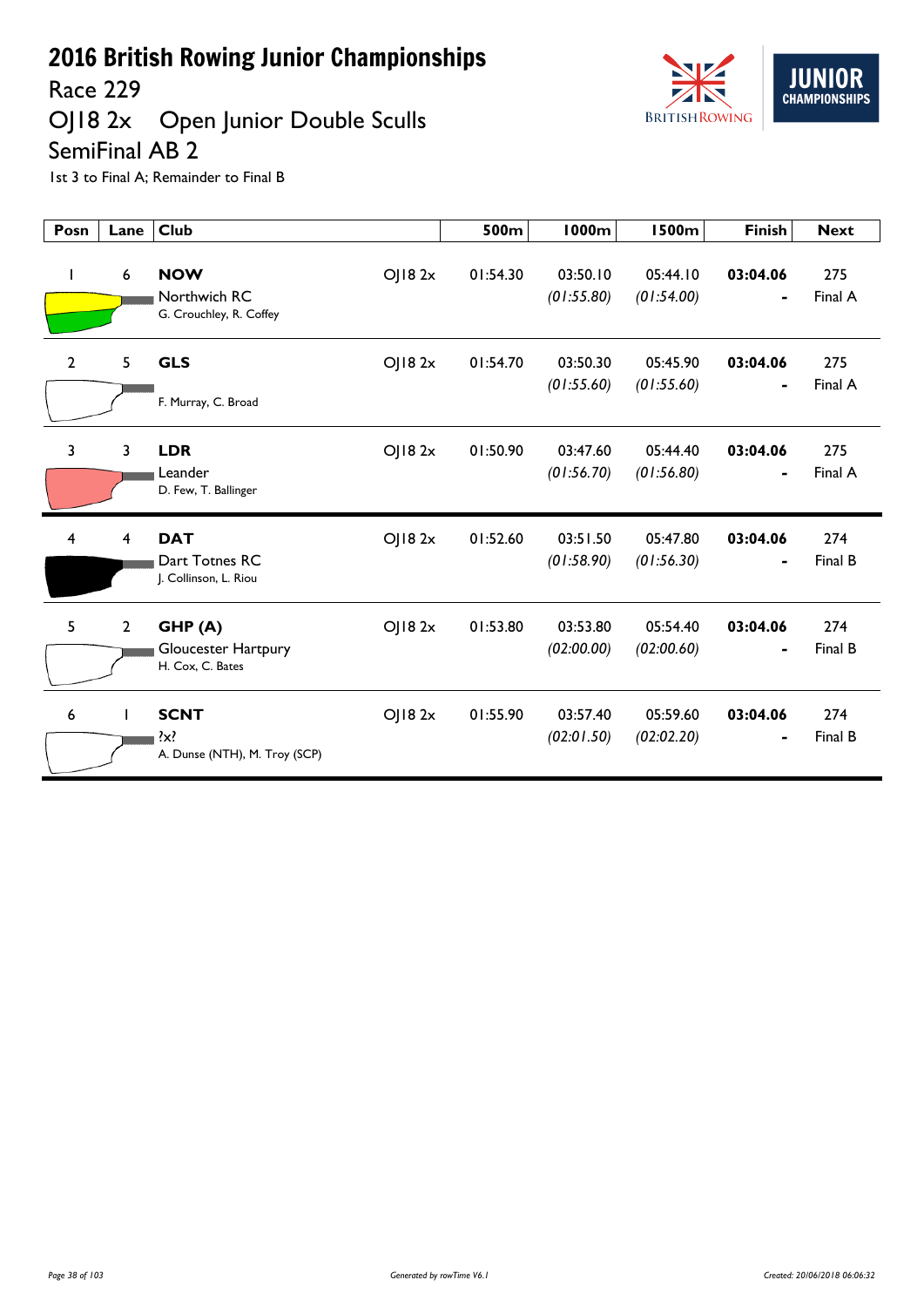Race 229

## OJ18 2x Open Junior Double Sculls SemiFinal AB 2



| Posn         | Lane           | <b>Club</b>                                                        | 500m     | 1000m                  | <b>1500m</b>           | <b>Finish</b>              | <b>Next</b>    |
|--------------|----------------|--------------------------------------------------------------------|----------|------------------------|------------------------|----------------------------|----------------|
|              | 6              | <b>NOW</b><br>OJ182x<br>Northwich RC<br>G. Crouchley, R. Coffey    | 01:54.30 | 03:50.10<br>(01:55.80) | 05:44.10<br>(01:54.00) | 03:04.06                   | 275<br>Final A |
| $\mathbf{2}$ | 5              | OJ182x<br><b>GLS</b><br>F. Murray, C. Broad                        | 01:54.70 | 03:50.30<br>(01:55.60) | 05:45.90<br>(01:55.60) | 03:04.06<br>$\blacksquare$ | 275<br>Final A |
| 3            | 3              | <b>LDR</b><br>OJ182x<br>Leander<br>D. Few, T. Ballinger            | 01:50.90 | 03:47.60<br>(01:56.70) | 05:44.40<br>(01:56.80) | 03:04.06                   | 275<br>Final A |
| 4            | 4              | <b>DAT</b><br>OJ182x<br>Dart Totnes RC<br>J. Collinson, L. Riou    | 01:52.60 | 03:51.50<br>(01:58.90) | 05:47.80<br>(01:56.30) | 03:04.06                   | 274<br>Final B |
| 5            | $\overline{2}$ | GHP(A)<br>OJ182x<br><b>Gloucester Hartpury</b><br>H. Cox, C. Bates | 01:53.80 | 03:53.80<br>(02:00.00) | 05:54.40<br>(02:00.60) | 03:04.06                   | 274<br>Final B |
| 6            |                | <b>SCNT</b><br>OJ182x<br>?x?<br>A. Dunse (NTH), M. Troy (SCP)      | 01:55.90 | 03:57.40<br>(02:01.50) | 05:59.60<br>(02:02.20) | 03:04.06<br>$\blacksquare$ | 274<br>Final B |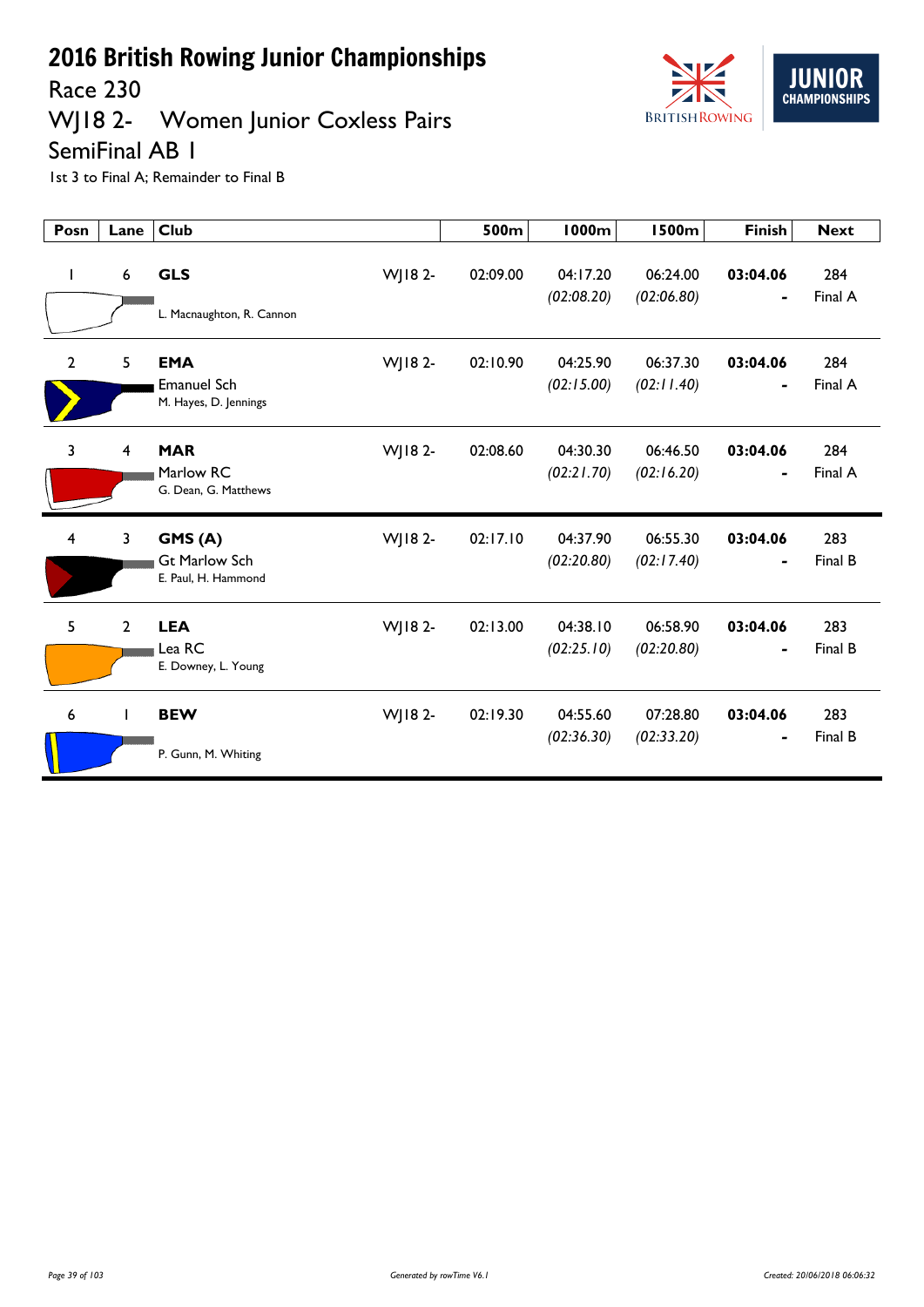Race 230

# WJ18 2- Women Junior Coxless Pairs



SemiFinal AB 1

| Posn         | Lane           | <b>Club</b>                                               |         | 500m     | <b>1000m</b>           | <b>1500m</b>           | <b>Finish</b>              | <b>Next</b>    |
|--------------|----------------|-----------------------------------------------------------|---------|----------|------------------------|------------------------|----------------------------|----------------|
| I.           | 6              | <b>GLS</b><br>L. Macnaughton, R. Cannon                   | WJ18 2- | 02:09.00 | 04:17.20<br>(02:08.20) | 06:24.00<br>(02:06.80) | 03:04.06<br>$\blacksquare$ | 284<br>Final A |
| $\mathbf{2}$ | 5              | <b>EMA</b><br><b>Emanuel Sch</b><br>M. Hayes, D. Jennings | WJ18 2- | 02:10.90 | 04:25.90<br>(02:15.00) | 06:37.30<br>(02:11.40) | 03:04.06<br>$\blacksquare$ | 284<br>Final A |
| 3            | $\overline{4}$ | <b>MAR</b><br>Marlow RC<br>G. Dean, G. Matthews           | WJ18 2- | 02:08.60 | 04:30.30<br>(02:21.70) | 06:46.50<br>(02:16.20) | 03:04.06                   | 284<br>Final A |
| 4            | 3              | GMS(A)<br><b>Gt Marlow Sch</b><br>E. Paul, H. Hammond     | WJ18 2- | 02:17.10 | 04:37.90<br>(02:20.80) | 06:55.30<br>(02:17.40) | 03:04.06                   | 283<br>Final B |
| 5            | $\overline{2}$ | <b>LEA</b><br>Lea RC<br>E. Downey, L. Young               | WJ18 2- | 02:13.00 | 04:38.10<br>(02:25.10) | 06:58.90<br>(02:20.80) | 03:04.06                   | 283<br>Final B |
| 6            | T              | <b>BEW</b><br>P. Gunn, M. Whiting                         | WJ18 2- | 02:19.30 | 04:55.60<br>(02:36.30) | 07:28.80<br>(02:33.20) | 03:04.06<br>٠              | 283<br>Final B |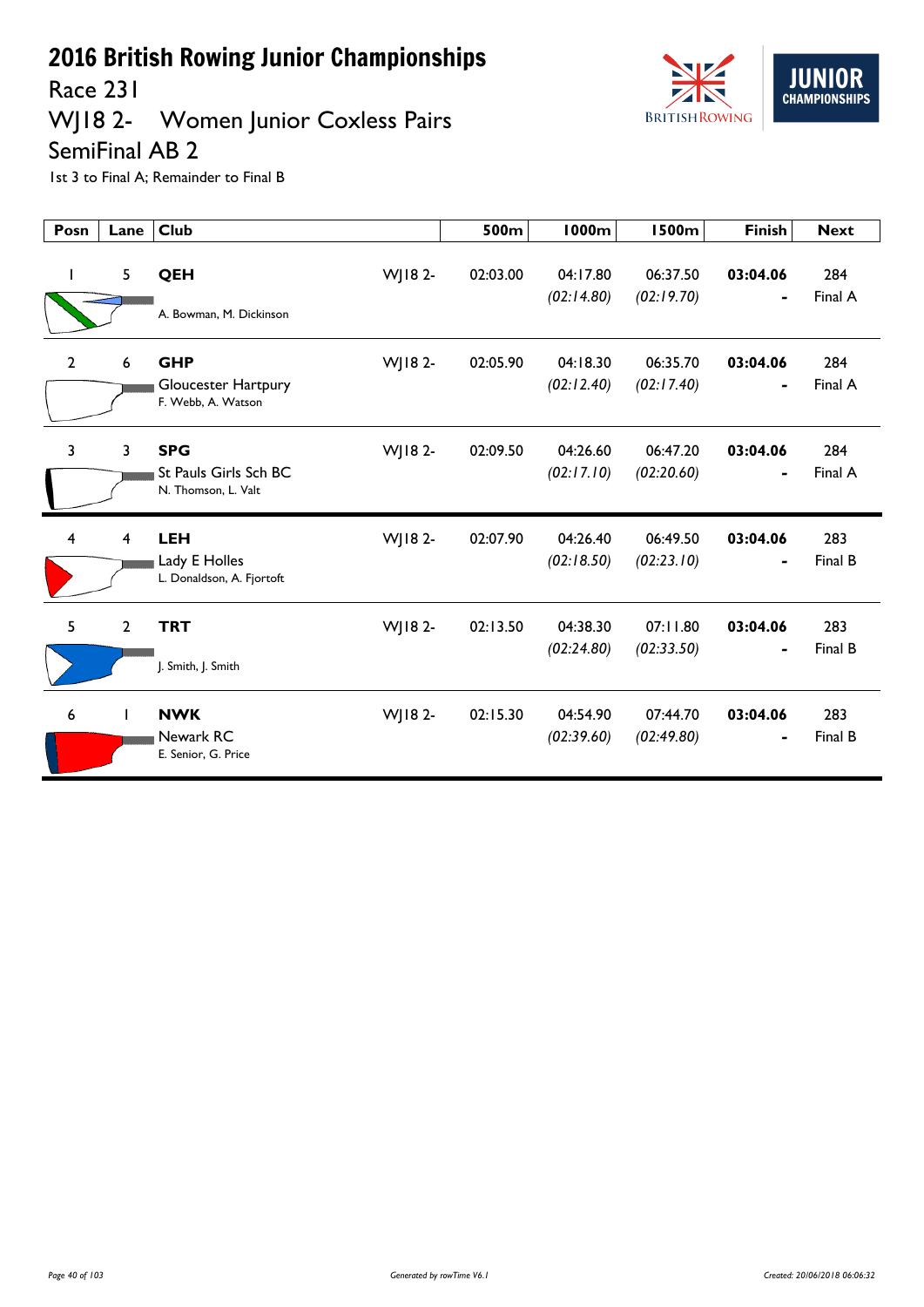Race 231

# WJ18 2- Women Junior Coxless Pairs



SemiFinal AB 2

| Posn           | Lane         | <b>Club</b>                                                               | 500m     | <b>1000m</b>           | <b>1500m</b>           | <b>Finish</b>              | <b>Next</b>    |
|----------------|--------------|---------------------------------------------------------------------------|----------|------------------------|------------------------|----------------------------|----------------|
| $\mathbf{I}$   | 5            | QEH<br>WJ18 2-<br>A. Bowman, M. Dickinson                                 | 02:03.00 | 04:17.80<br>(02:14.80) | 06:37.50<br>(02:19.70) | 03:04.06                   | 284<br>Final A |
| $\overline{2}$ | 6            | <b>GHP</b><br>WJ18 2-<br><b>Gloucester Hartpury</b><br>F. Webb, A. Watson | 02:05.90 | 04:18.30<br>(02:12.40) | 06:35.70<br>(02:17.40) | 03:04.06<br>$\blacksquare$ | 284<br>Final A |
| 3              | 3            | <b>SPG</b><br>WJ18 2-<br>St Pauls Girls Sch BC<br>N. Thomson, L. Valt     | 02:09.50 | 04:26.60<br>(02:17.10) | 06:47.20<br>(02:20.60) | 03:04.06<br>٠              | 284<br>Final A |
| 4              | 4            | <b>LEH</b><br>WJ18 2-<br>Lady E Holles<br>L. Donaldson, A. Fjortoft       | 02:07.90 | 04:26.40<br>(02:18.50) | 06:49.50<br>(02:23.10) | 03:04.06                   | 283<br>Final B |
| 5              | $\mathbf{2}$ | <b>TRT</b><br>WJ18 2-<br>J. Smith, J. Smith                               | 02:13.50 | 04:38.30<br>(02:24.80) | 07:11.80<br>(02:33.50) | 03:04.06                   | 283<br>Final B |
| 6              | $\mathbf{I}$ | <b>NWK</b><br>WJ18 2-<br>Newark RC<br>E. Senior, G. Price                 | 02:15.30 | 04:54.90<br>(02:39.60) | 07:44.70<br>(02:49.80) | 03:04.06                   | 283<br>Final B |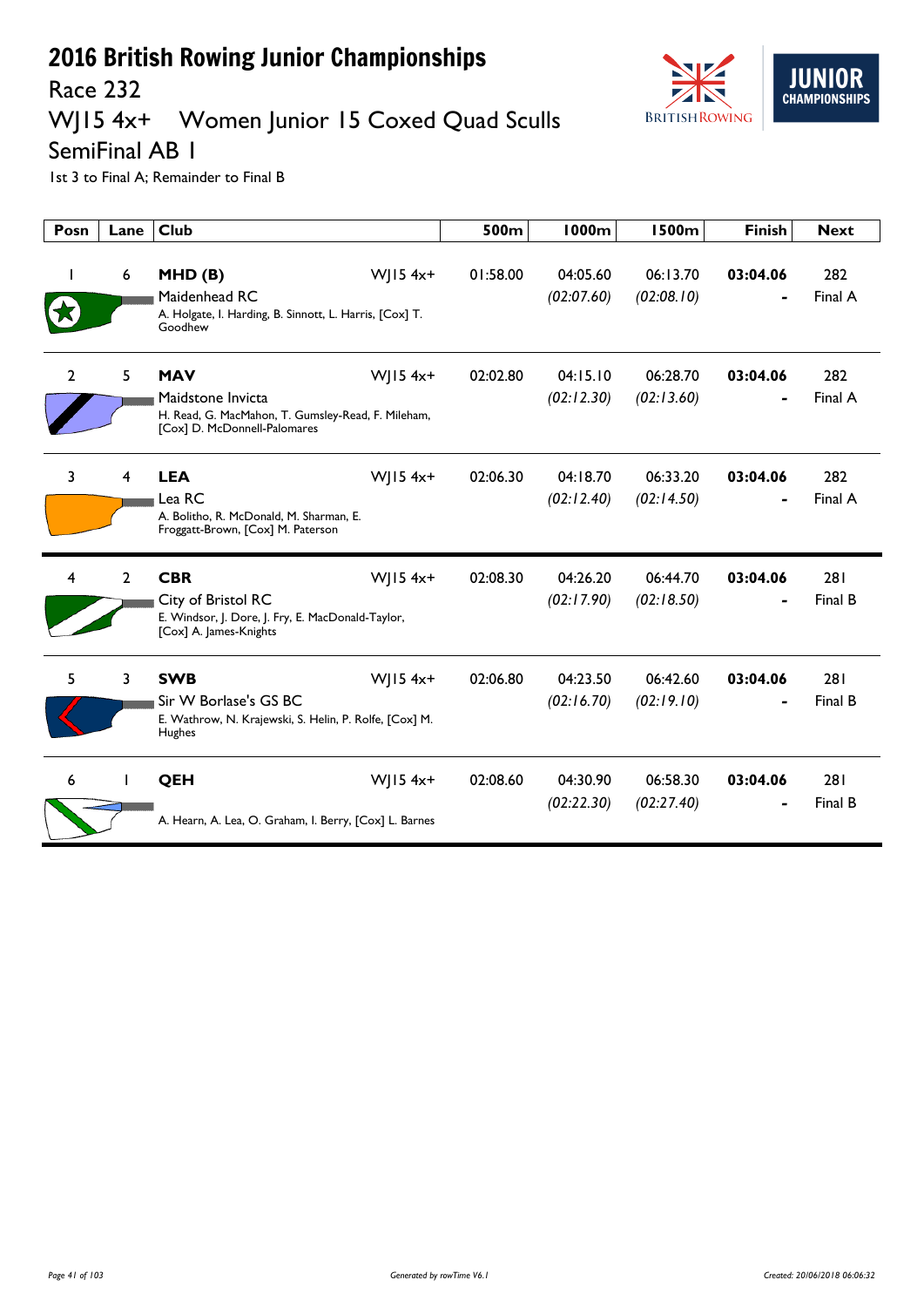

### Race 232<br>WJ15 4x+ Women Junior 15 Coxed Quad Sculls

SemiFinal AB 1

| Posn           | Lane           | Club                                                                                                                  |                        | 500m     | <b>1000m</b>           | <b>1500m</b>           | <b>Finish</b> | <b>Next</b>    |
|----------------|----------------|-----------------------------------------------------------------------------------------------------------------------|------------------------|----------|------------------------|------------------------|---------------|----------------|
|                | 6              | MHD(B)<br>Maidenhead RC<br>A. Holgate, I. Harding, B. Sinnott, L. Harris, [Cox] T.<br>Goodhew                         | WJ15 $4x+$             | 01:58.00 | 04:05.60<br>(02:07.60) | 06:13.70<br>(02:08.10) | 03:04.06      | 282<br>Final A |
| $\overline{2}$ | 5              | <b>MAV</b><br>Maidstone Invicta<br>H. Read, G. MacMahon, T. Gumsley-Read, F. Mileham,<br>[Cox] D. McDonnell-Palomares | $W$ JI54x+             | 02:02.80 | 04:15.10<br>(02:12.30) | 06:28.70<br>(02:13.60) | 03:04.06      | 282<br>Final A |
| 3              | 4              | <b>LEA</b><br>Lea RC<br>A. Bolitho, R. McDonald, M. Sharman, E.<br>Froggatt-Brown, [Cox] M. Paterson                  | WJ15 4x+               | 02:06.30 | 04:18.70<br>(02:12.40) | 06:33.20<br>(02:14.50) | 03:04.06      | 282<br>Final A |
| 4              | $\overline{2}$ | <b>CBR</b><br>City of Bristol RC<br>E. Windsor, J. Dore, J. Fry, E. MacDonald-Taylor,<br>[Cox] A. James-Knights       | WJ15 4x+               | 02:08.30 | 04:26.20<br>(02:17.90) | 06:44.70<br>(02:18.50) | 03:04.06      | 281<br>Final B |
| 5              | 3              | <b>SWB</b><br>Sir W Borlase's GS BC<br>E. Wathrow, N. Krajewski, S. Helin, P. Rolfe, [Cox] M.<br>Hughes               | $W$   15 4x+           | 02:06.80 | 04:23.50<br>(02:16.70) | 06:42.60<br>(02:19.10) | 03:04.06      | 281<br>Final B |
| 6              |                | <b>QEH</b><br>A. Hearn, A. Lea, O. Graham, I. Berry, [Cox] L. Barnes                                                  | $W$ JI54x <sup>+</sup> | 02:08.60 | 04:30.90<br>(02:22.30) | 06:58.30<br>(02:27.40) | 03:04.06      | 281<br>Final B |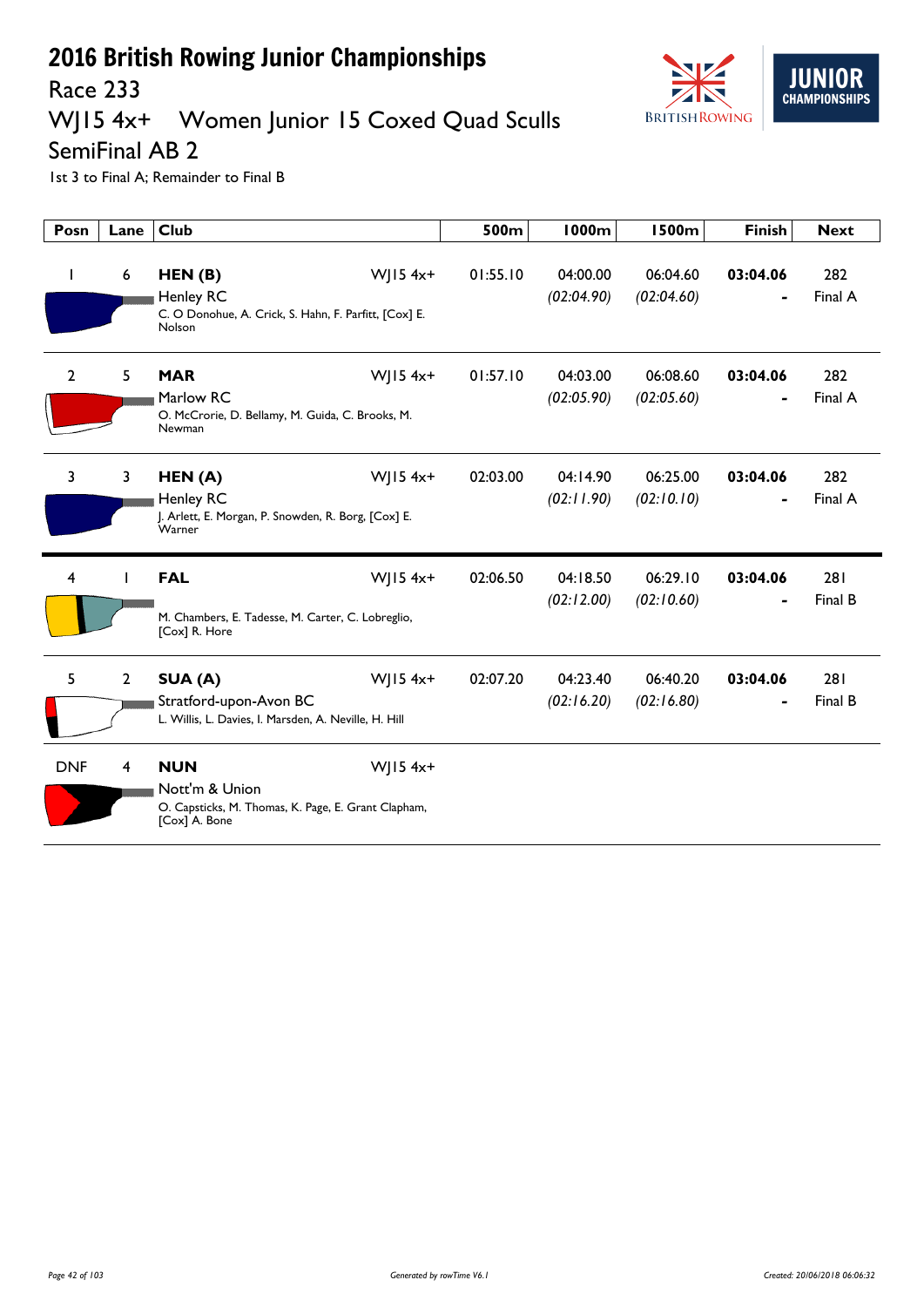

### Race 233<br>WJ15 4x+ Women Junior 15 Coxed Quad Sculls

SemiFinal AB 2

| Posn         | Lane           | <b>Club</b>                                                                                                        | 500m     | 1000m                  | <b>1500m</b>           | <b>Finish</b> | <b>Next</b>    |
|--------------|----------------|--------------------------------------------------------------------------------------------------------------------|----------|------------------------|------------------------|---------------|----------------|
|              | 6              | $W$   15 4x+<br>HEN(B)<br>Henley RC<br>C. O Donohue, A. Crick, S. Hahn, F. Parfitt, [Cox] E.<br>Nolson             | 01:55.10 | 04:00.00<br>(02:04.90) | 06:04.60<br>(02:04.60) | 03:04.06      | 282<br>Final A |
| $\mathbf{2}$ | 5.             | $W$ JI54x+<br><b>MAR</b><br>Marlow RC<br>O. McCrorie, D. Bellamy, M. Guida, C. Brooks, M.<br>Newman                | 01:57.10 | 04:03.00<br>(02:05.90) | 06:08.60<br>(02:05.60) | 03:04.06      | 282<br>Final A |
| 3            | 3              | $W$   15 4x+<br>HEN(A)<br>Henley RC<br>J. Arlett, E. Morgan, P. Snowden, R. Borg, [Cox] E.<br>Warner               | 02:03.00 | 04:14.90<br>(02:11.90) | 06:25.00<br>(02:10.10) | 03:04.06      | 282<br>Final A |
| 4            |                | $W$   15 4x+<br><b>FAL</b><br>M. Chambers, E. Tadesse, M. Carter, C. Lobreglio,<br>[Cox] R. Hore                   | 02:06.50 | 04:18.50<br>(02:12.00) | 06:29.10<br>(02:10.60) | 03:04.06      | 281<br>Final B |
| 5            | $\overline{2}$ | $W$   15 4x+<br>SUA (A)<br>Stratford-upon-Avon BC<br>L. Willis, L. Davies, I. Marsden, A. Neville, H. Hill         | 02:07.20 | 04:23.40<br>(02:16.20) | 06:40.20<br>(02:16.80) | 03:04.06      | 281<br>Final B |
| <b>DNF</b>   | 4              | <b>NUN</b><br>WJ15 $4x+$<br>Nott'm & Union<br>O. Capsticks, M. Thomas, K. Page, E. Grant Clapham,<br>[Cox] A. Bone |          |                        |                        |               |                |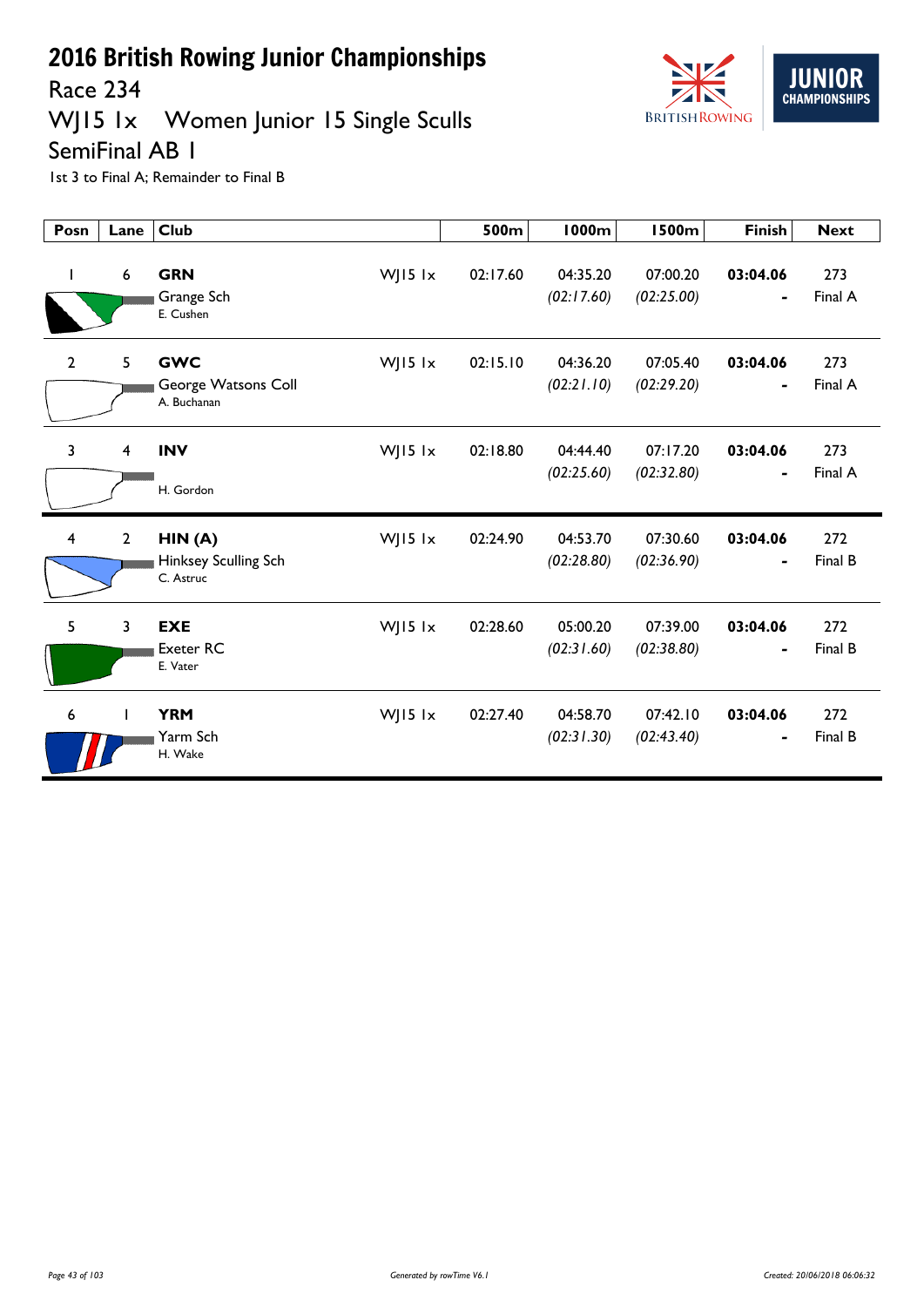

## WJ15 1x Women Junior 15 Single Sculls



SemiFinal AB 1

| Posn           | Lane             | <b>Club</b>                                      |           | 500m     | <b>1000m</b>           | <b>1500m</b>           | <b>Finish</b> | <b>Next</b>    |
|----------------|------------------|--------------------------------------------------|-----------|----------|------------------------|------------------------|---------------|----------------|
| I.             | $\boldsymbol{6}$ | <b>GRN</b><br>Grange Sch<br>E. Cushen            | WJ15 lx   | 02:17.60 | 04:35.20<br>(02:17.60) | 07:00.20<br>(02:25.00) | 03:04.06<br>- | 273<br>Final A |
| $\mathbf{2}$   | 5                | <b>GWC</b><br>George Watsons Coll<br>A. Buchanan | WJ15 lx   | 02:15.10 | 04:36.20<br>(02:21.10) | 07:05.40<br>(02:29.20) | 03:04.06<br>- | 273<br>Final A |
| $\overline{3}$ | 4                | <b>INV</b><br>H. Gordon                          | WJ15 $1x$ | 02:18.80 | 04:44.40<br>(02:25.60) | 07:17.20<br>(02:32.80) | 03:04.06<br>- | 273<br>Final A |
| $\overline{4}$ | $\overline{2}$   | HIN(A)<br>Hinksey Sculling Sch<br>C. Astruc      | WJ15 lx   | 02:24.90 | 04:53.70<br>(02:28.80) | 07:30.60<br>(02:36.90) | 03:04.06      | 272<br>Final B |
| 5              | 3                | <b>EXE</b><br><b>Exeter RC</b><br>E. Vater       | WJ15 lx   | 02:28.60 | 05:00.20<br>(02:31.60) | 07:39.00<br>(02:38.80) | 03:04.06<br>- | 272<br>Final B |
| 6              | T                | <b>YRM</b><br>Yarm Sch<br>H. Wake                | WJ15 lx   | 02:27.40 | 04:58.70<br>(02:31.30) | 07:42.10<br>(02:43.40) | 03:04.06<br>- | 272<br>Final B |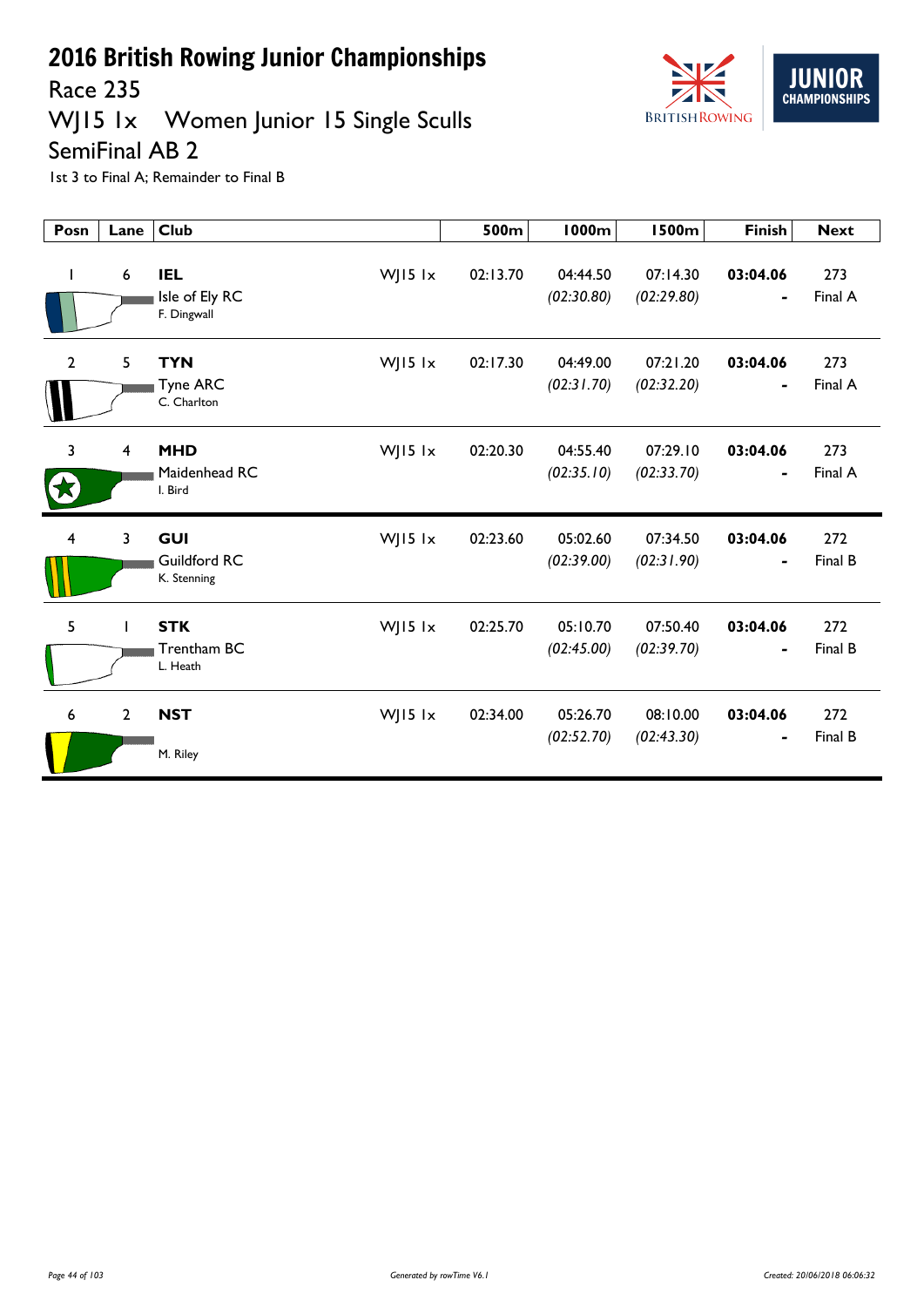

## WJ15 1x Women Junior 15 Single Sculls



SemiFinal AB 2

| Posn           | Lane           | <b>Club</b>                                            | 500m     | <b>1000m</b>           | <b>1500m</b>           | <b>Finish</b>              | <b>Next</b>    |
|----------------|----------------|--------------------------------------------------------|----------|------------------------|------------------------|----------------------------|----------------|
| $\mathbf{I}$   | 6              | <b>IEL</b><br>WJ15 lx<br>Isle of Ely RC<br>F. Dingwall | 02:13.70 | 04:44.50<br>(02:30.80) | 07:14.30<br>(02:29.80) | 03:04.06                   | 273<br>Final A |
| $\overline{2}$ | 5              | WJ15 lx<br><b>TYN</b><br>Tyne ARC<br>C. Charlton       | 02:17.30 | 04:49.00<br>(02:31.70) | 07:21.20<br>(02:32.20) | 03:04.06<br>۰              | 273<br>Final A |
| 3              | $\overline{4}$ | <b>MHD</b><br>WJ15 lx<br>Maidenhead RC<br>I. Bird      | 02:20.30 | 04:55.40<br>(02:35.10) | 07:29.10<br>(02:33.70) | 03:04.06<br>$\blacksquare$ | 273<br>Final A |
| 4              | 3              | <b>GUI</b><br>WJ15 lx<br>Guildford RC<br>K. Stenning   | 02:23.60 | 05:02.60<br>(02:39.00) | 07:34.50<br>(02:31.90) | 03:04.06                   | 272<br>Final B |
| 5              | ı              | <b>STK</b><br>WJ15 lx<br>Trentham BC<br>L. Heath       | 02:25.70 | 05:10.70<br>(02:45.00) | 07:50.40<br>(02:39.70) | 03:04.06                   | 272<br>Final B |
| 6              | $\overline{2}$ | WJ15 lx<br><b>NST</b><br>M. Riley                      | 02:34.00 | 05:26.70<br>(02:52.70) | 08:10.00<br>(02:43.30) | 03:04.06                   | 272<br>Final B |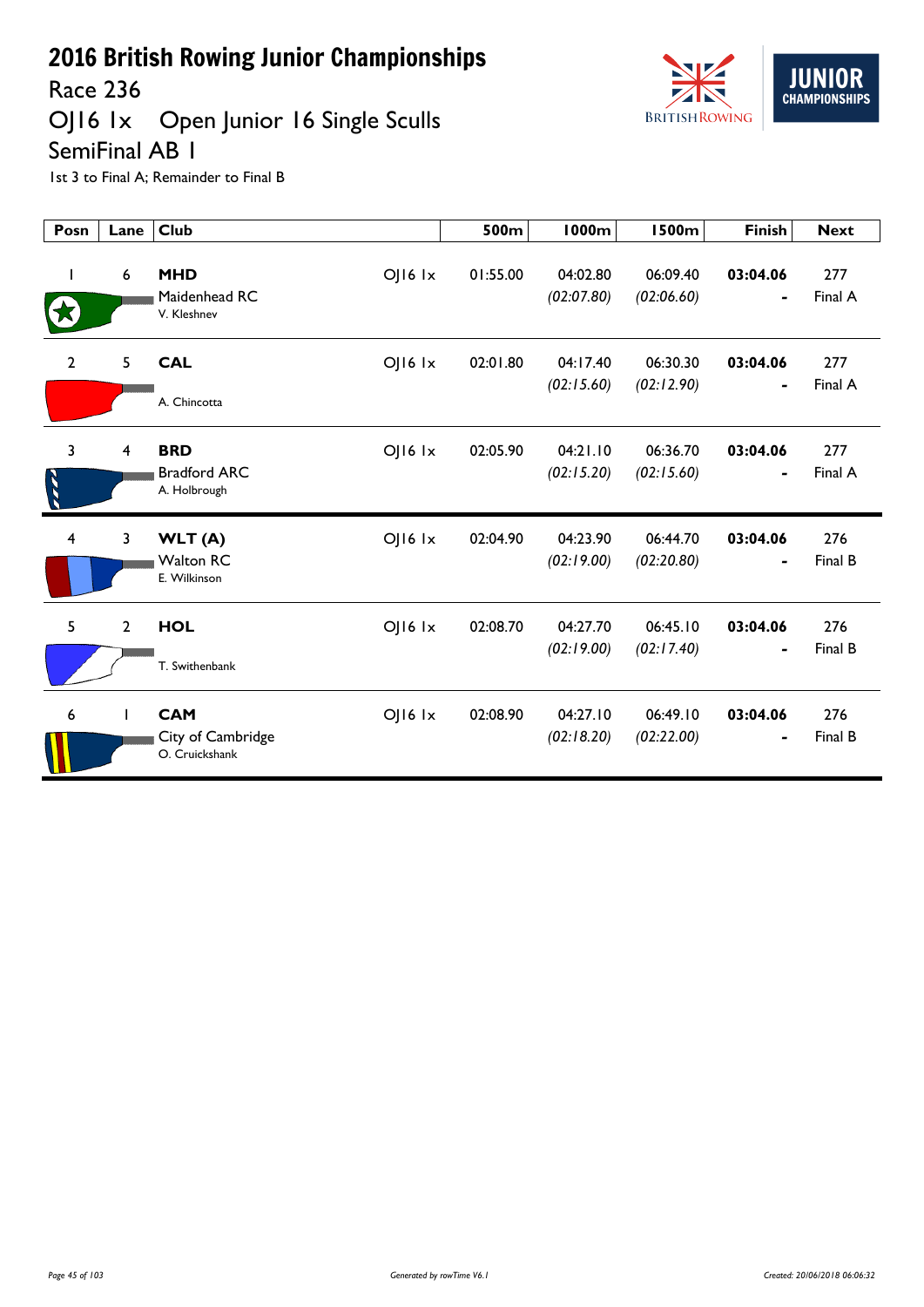

Race 236

## OJ16 1x Open Junior 16 Single Sculls

SemiFinal AB 1

| Posn           | Lane           | <b>Club</b>                                                          | 500m     | <b>1000m</b>           | <b>1500m</b>           | <b>Finish</b>              | <b>Next</b>    |
|----------------|----------------|----------------------------------------------------------------------|----------|------------------------|------------------------|----------------------------|----------------|
| I              | 6              | <b>MHD</b><br>$OJI6$ $1x$<br>Maidenhead RC<br>V. Kleshnev            | 01:55.00 | 04:02.80<br>(02:07.80) | 06:09.40<br>(02:06.60) | 03:04.06                   | 277<br>Final A |
| $\overline{2}$ | 5              | <b>CAL</b><br>$O$   $16$ $1x$<br>A. Chincotta                        | 02:01.80 | 04:17.40<br>(02:15.60) | 06:30.30<br>(02:12.90) | 03:04.06<br>$\blacksquare$ | 277<br>Final A |
| $\overline{3}$ | $\overline{4}$ | <b>BRD</b><br>$O$   $16$ $1x$<br><b>Bradford ARC</b><br>A. Holbrough | 02:05.90 | 04:21.10<br>(02:15.20) | 06:36.70<br>(02:15.60) | 03:04.06                   | 277<br>Final A |
| 4              | 3              | $OJI6$ $1x$<br>WLT(A)<br><b>Walton RC</b><br>E. Wilkinson            | 02:04.90 | 04:23.90<br>(02:19.00) | 06:44.70<br>(02:20.80) | 03:04.06                   | 276<br>Final B |
| 5              | $\overline{2}$ | <b>HOL</b><br>$OJI6$ $1x$<br>T. Swithenbank                          | 02:08.70 | 04:27.70<br>(02:19.00) | 06:45.10<br>(02:17.40) | 03:04.06                   | 276<br>Final B |
| 6              | ı              | <b>CAM</b><br>$OJI6$ $1x$<br>City of Cambridge<br>O. Cruickshank     | 02:08.90 | 04:27.10<br>(02:18.20) | 06:49.10<br>(02:22.00) | 03:04.06<br>$\blacksquare$ | 276<br>Final B |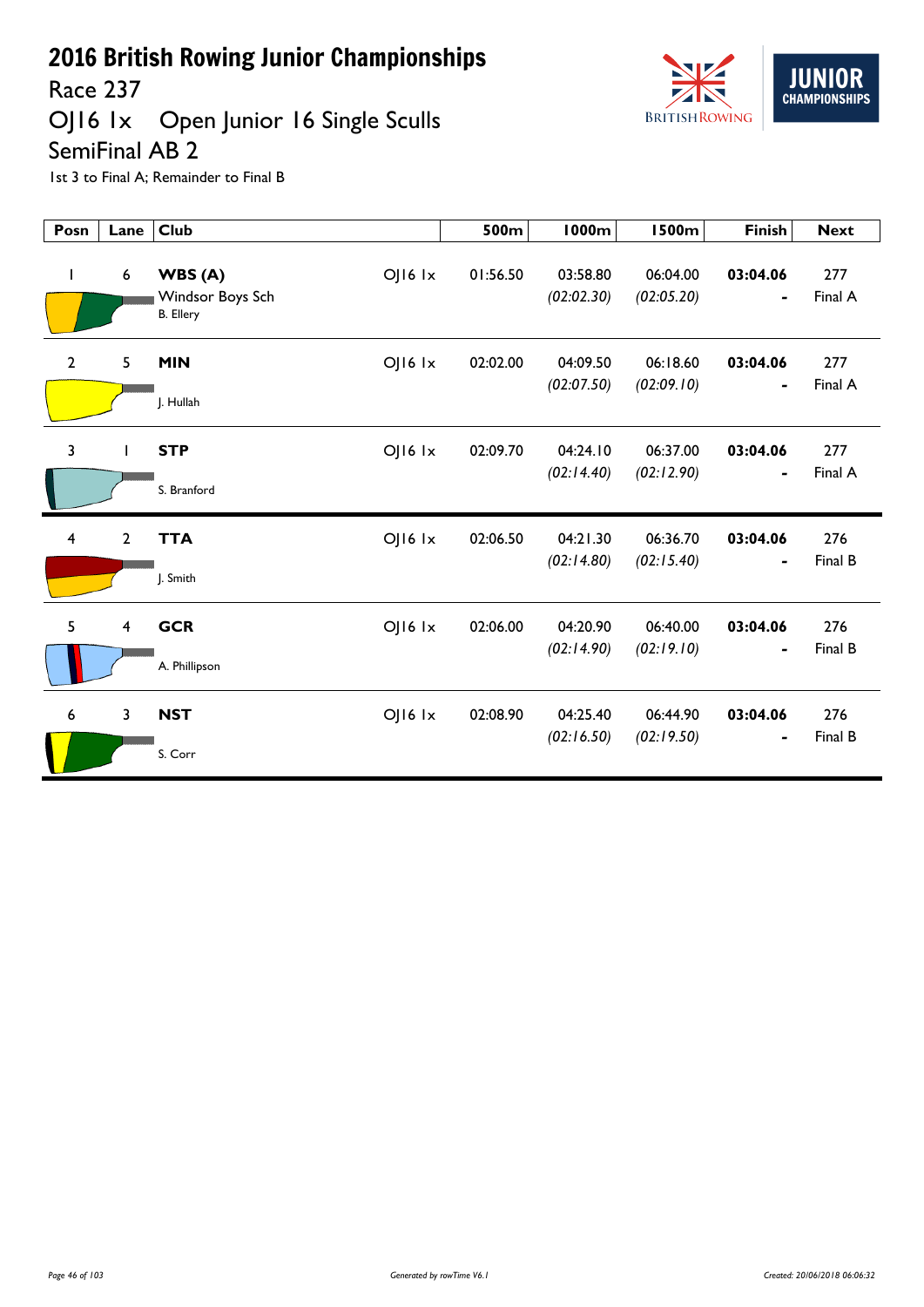

### Race 237

## OJ16 1x Open Junior 16 Single Sculls SemiFinal AB 2

| Posn                    | Lane                    | <b>Club</b>                                    |                 | 500m     | <b>1000m</b>           | <b>1500m</b>           | <b>Finish</b>              | <b>Next</b>    |
|-------------------------|-------------------------|------------------------------------------------|-----------------|----------|------------------------|------------------------|----------------------------|----------------|
| L                       | 6                       | WBS(A)<br>Windsor Boys Sch<br><b>B.</b> Ellery | OJ16 1x         | 01:56.50 | 03:58.80<br>(02:02.30) | 06:04.00<br>(02:05.20) | 03:04.06<br>-              | 277<br>Final A |
| $\mathbf{2}$            | 5                       | <b>MIN</b><br>J. Hullah                        | OJ16 1x         | 02:02.00 | 04:09.50<br>(02:07.50) | 06:18.60<br>(02:09.10) | 03:04.06<br>-              | 277<br>Final A |
| 3                       |                         | <b>STP</b><br>S. Branford                      | OJ16 1x         | 02:09.70 | 04:24.10<br>(02:14.40) | 06:37.00<br>(02:12.90) | 03:04.06<br>$\blacksquare$ | 277<br>Final A |
| $\overline{\mathbf{4}}$ | $\overline{2}$          | <b>TTA</b><br>J. Smith                         | $O$   $16$ $1x$ | 02:06.50 | 04:21.30<br>(02:14.80) | 06:36.70<br>(02:15.40) | 03:04.06                   | 276<br>Final B |
| 5                       | $\overline{\mathbf{4}}$ | <b>GCR</b><br>A. Phillipson                    | $O$   $16$ $1x$ | 02:06.00 | 04:20.90<br>(02:14.90) | 06:40.00<br>(02:19.10) | 03:04.06                   | 276<br>Final B |
| 6                       | $\overline{\mathbf{3}}$ | <b>NST</b><br>S. Corr                          | OJ16 1x         | 02:08.90 | 04:25.40<br>(02:16.50) | 06:44.90<br>(02:19.50) | 03:04.06                   | 276<br>Final B |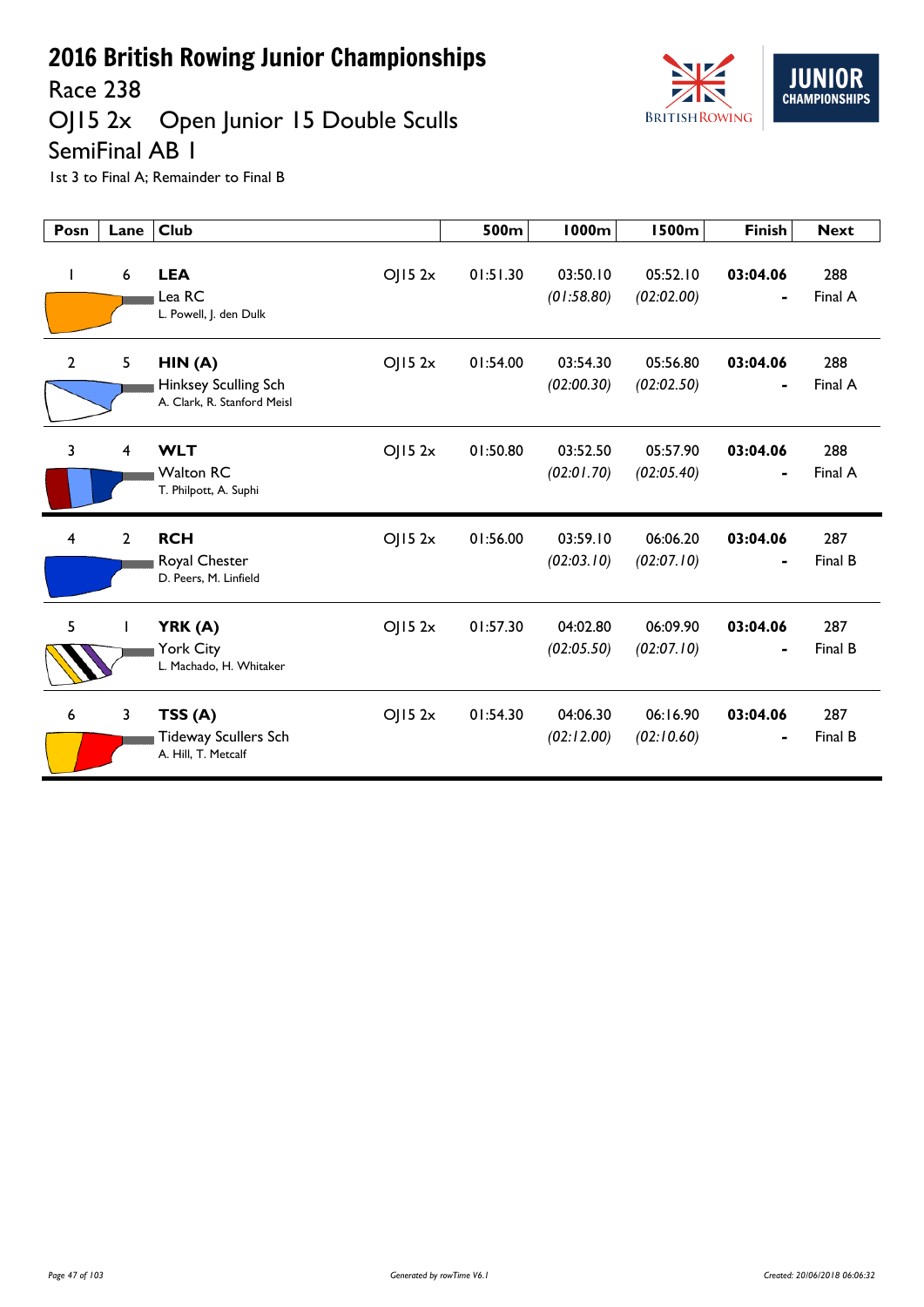

# OJ15 2x Open Junior 15 Double Sculls



SemiFinal AB 1

| Posn           | Lane                    | <b>Club</b>                                                             | 500m     | <b>1000m</b>           | <b>1500m</b>           | <b>Finish</b>              | <b>Next</b>    |
|----------------|-------------------------|-------------------------------------------------------------------------|----------|------------------------|------------------------|----------------------------|----------------|
| L              | 6                       | <b>LEA</b><br>OJ152x<br>Lea RC<br>L. Powell, J. den Dulk                | 01:51.30 | 03:50.10<br>(01:58.80) | 05:52.10<br>(02:02.00) | 03:04.06                   | 288<br>Final A |
| $\overline{2}$ | 5                       | HIN(A)<br>OJ152x<br>Hinksey Sculling Sch<br>A. Clark, R. Stanford Meisl | 01:54.00 | 03:54.30<br>(02:00.30) | 05:56.80<br>(02:02.50) | 03:04.06<br>$\blacksquare$ | 288<br>Final A |
| 3              | $\overline{\mathbf{4}}$ | <b>WLT</b><br>OJ152x<br><b>Walton RC</b><br>T. Philpott, A. Suphi       | 01:50.80 | 03:52.50<br>(02:01.70) | 05:57.90<br>(02:05.40) | 03:04.06                   | 288<br>Final A |
| 4              | $\overline{2}$          | <b>RCH</b><br>OJ152x<br>Royal Chester<br>D. Peers, M. Linfield          | 01:56.00 | 03:59.10<br>(02:03.10) | 06:06.20<br>(02:07.10) | 03:04.06                   | 287<br>Final B |
| 5              | $\mathbf{I}$            | OJ152x<br>YRK (A)<br>York City<br>L. Machado, H. Whitaker               | 01:57.30 | 04:02.80<br>(02:05.50) | 06:09.90<br>(02:07.10) | 03:04.06                   | 287<br>Final B |
| 6              | $\mathbf{3}$            | TSS(A)<br>OJ152x<br><b>Tideway Scullers Sch</b><br>A. Hill. T. Metcalf  | 01:54.30 | 04:06.30<br>(02:12.00) | 06:16.90<br>(02:10.60) | 03:04.06                   | 287<br>Final B |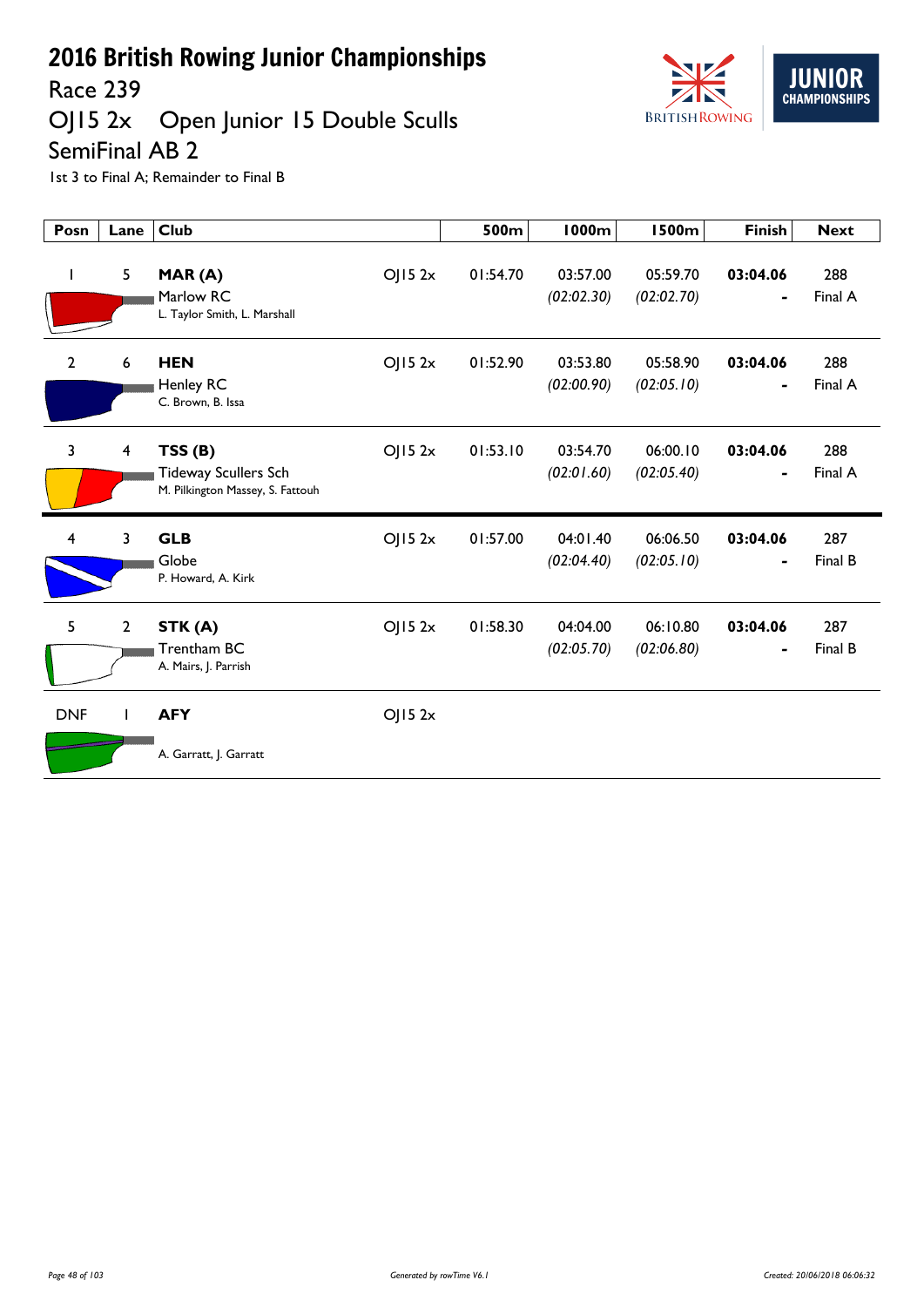Race 239

# OJ15 2x Open Junior 15 Double Sculls



SemiFinal AB 2

| Posn         | Lane                    | <b>Club</b>                                                                         | 500m     | <b>1000m</b>           | <b>1500m</b>           | <b>Finish</b> | <b>Next</b>    |
|--------------|-------------------------|-------------------------------------------------------------------------------------|----------|------------------------|------------------------|---------------|----------------|
| J.           | 5                       | MAR(A)<br>OJ152x<br>Marlow RC<br>L. Taylor Smith, L. Marshall                       | 01:54.70 | 03:57.00<br>(02:02.30) | 05:59.70<br>(02:02.70) | 03:04.06<br>- | 288<br>Final A |
| $\mathbf{2}$ | 6                       | <b>HEN</b><br>OJ152x<br>Henley RC<br>C. Brown, B. Issa                              | 01:52.90 | 03:53.80<br>(02:00.90) | 05:58.90<br>(02:05.10) | 03:04.06<br>۰ | 288<br>Final A |
| 3            | $\overline{\mathbf{4}}$ | TSS(B)<br>OJ152x<br><b>Tideway Scullers Sch</b><br>M. Pilkington Massey, S. Fattouh | 01:53.10 | 03:54.70<br>(02:01.60) | 06:00.10<br>(02:05.40) | 03:04.06      | 288<br>Final A |
| 4            | 3                       | <b>GLB</b><br>OJ152x<br>Globe<br>P. Howard, A. Kirk                                 | 01:57.00 | 04:01.40<br>(02:04.40) | 06:06.50<br>(02:05.10) | 03:04.06      | 287<br>Final B |
| 5            | $\overline{2}$          | OJ152x<br>STK (A)<br>Trentham BC<br>A. Mairs, J. Parrish                            | 01:58.30 | 04:04.00<br>(02:05.70) | 06:10.80<br>(02:06.80) | 03:04.06      | 287<br>Final B |
| <b>DNF</b>   |                         | <b>AFY</b><br>OJ152x<br>A. Garratt, J. Garratt                                      |          |                        |                        |               |                |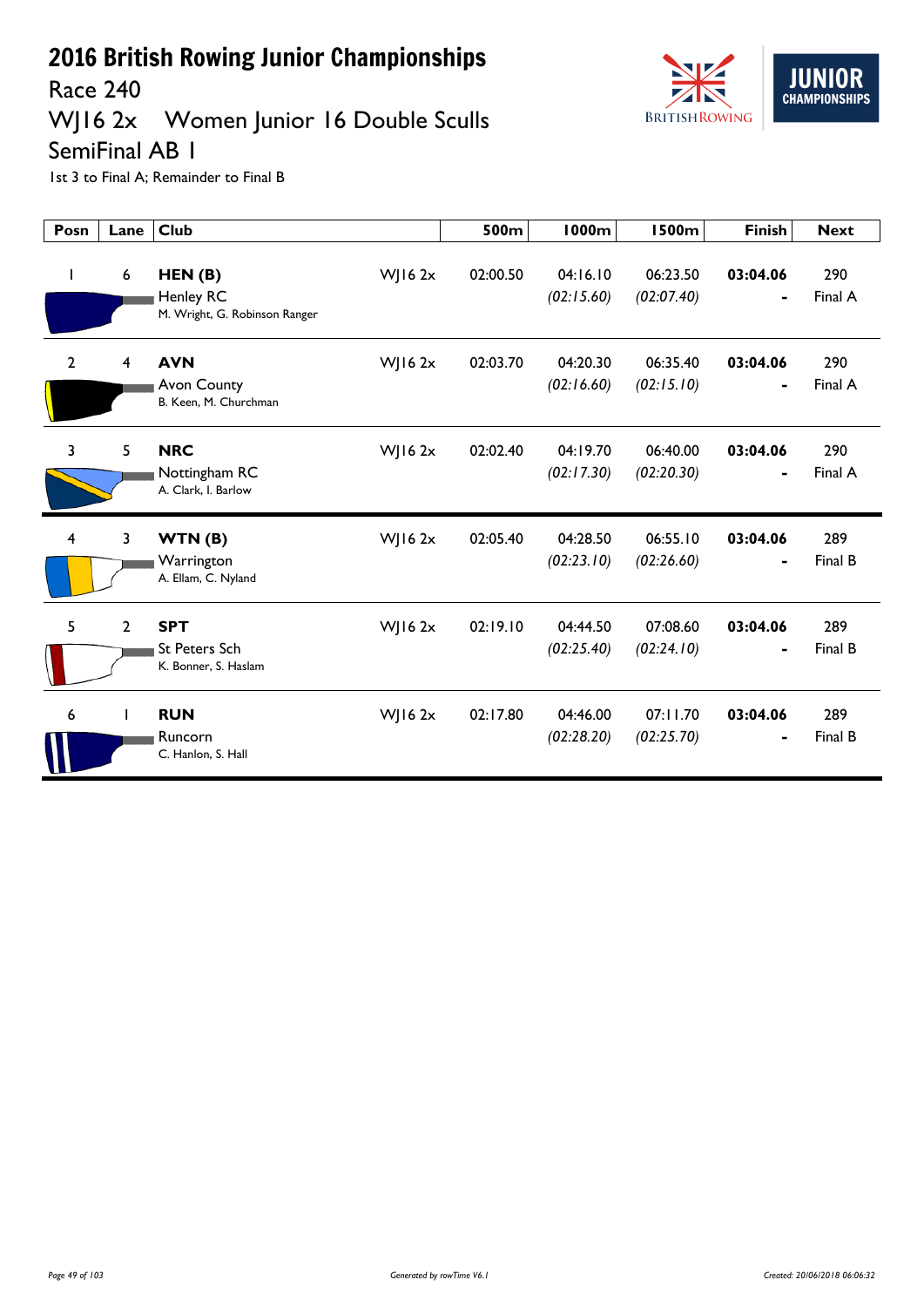

Race 240

## WJ16 2x Women Junior 16 Double Sculls

SemiFinal AB 1

| Posn           | Lane           | <b>Club</b>                                                 |                | 500m     | 1000m                  | <b>1500m</b>           | <b>Finish</b>              | <b>Next</b>    |
|----------------|----------------|-------------------------------------------------------------|----------------|----------|------------------------|------------------------|----------------------------|----------------|
| $\mathbf{I}$   | 6              | HEN(B)<br><b>Henley RC</b><br>M. Wright, G. Robinson Ranger | WJ16 $2x$      | 02:00.50 | 04:16.10<br>(02:15.60) | 06:23.50<br>(02:07.40) | 03:04.06                   | 290<br>Final A |
| $\overline{2}$ | 4              | <b>AVN</b><br>Avon County<br>B. Keen, M. Churchman          | $W$ ] 16 2x    | 02:03.70 | 04:20.30<br>(02:16.60) | 06:35.40<br>(02:15.10) | 03:04.06                   | 290<br>Final A |
| $\overline{3}$ | 5              | <b>NRC</b><br>Nottingham RC<br>A. Clark, I. Barlow          | $W$   16 2x    | 02:02.40 | 04:19.70<br>(02:17.30) | 06:40.00<br>(02:20.30) | 03:04.06<br>$\blacksquare$ | 290<br>Final A |
| $\overline{4}$ | 3              | WTN(B)<br>Warrington<br>A. Ellam, C. Nyland                 | $W$ ] 16 2 $x$ | 02:05.40 | 04:28.50<br>(02:23.10) | 06:55.10<br>(02:26.60) | 03:04.06                   | 289<br>Final B |
| 5              | $\overline{2}$ | <b>SPT</b><br><b>St Peters Sch</b><br>K. Bonner, S. Haslam  | WJ16 $2x$      | 02:19.10 | 04:44.50<br>(02:25.40) | 07:08.60<br>(02:24.10) | 03:04.06                   | 289<br>Final B |
| 6              | $\mathbf{I}$   | <b>RUN</b><br>Runcorn<br>C. Hanlon, S. Hall                 | WJ16 $2x$      | 02:17.80 | 04:46.00<br>(02:28.20) | 07:11.70<br>(02:25.70) | 03:04.06                   | 289<br>Final B |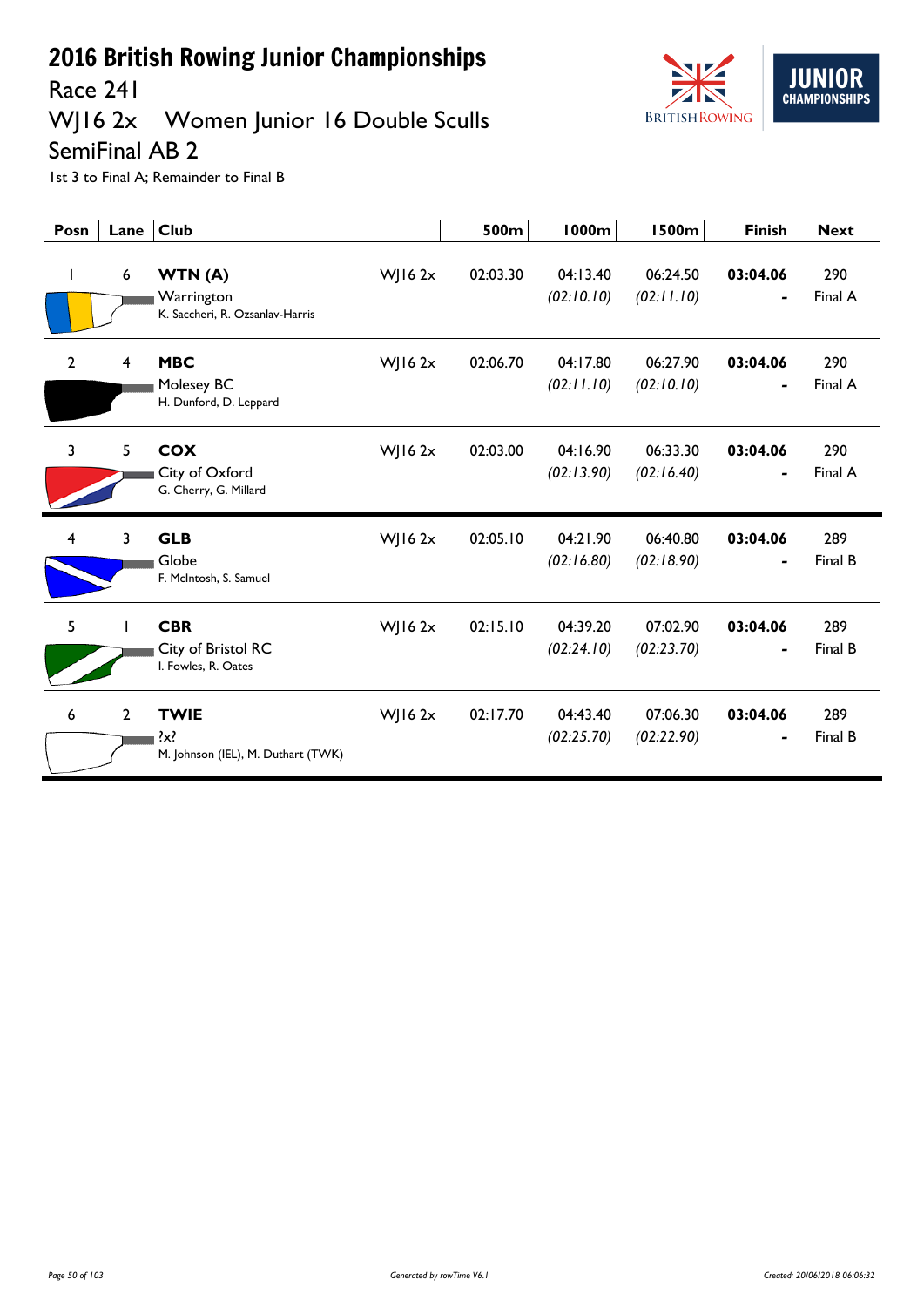

### Race 241<br>WJ16 2x Women Junior 16 Double Sculls

SemiFinal AB 2

| Posn           | Lane           | <b>Club</b>                                              |             | 500m     | <b>1000m</b>           | <b>1500m</b>           | <b>Finish</b> | <b>Next</b>    |
|----------------|----------------|----------------------------------------------------------|-------------|----------|------------------------|------------------------|---------------|----------------|
|                | 6              | WTN(A)<br>Warrington<br>K. Saccheri, R. Ozsanlav-Harris  | $W$ JI6 2x  | 02:03.30 | 04:13.40<br>(02:10.10) | 06:24.50<br>(02:11.10) | 03:04.06      | 290<br>Final A |
| $\mathbf{2}$   | 4              | <b>MBC</b><br>Molesey BC<br>H. Dunford, D. Leppard       | $W$ JI6 2x  | 02:06.70 | 04:17.80<br>(02:11.10) | 06:27.90<br>(02:10.10) | 03:04.06      | 290<br>Final A |
| $\overline{3}$ | 5              | <b>COX</b><br>City of Oxford<br>G. Cherry, G. Millard    | WJ16 2x     | 02:03.00 | 04:16.90<br>(02:13.90) | 06:33.30<br>(02:16.40) | 03:04.06<br>- | 290<br>Final A |
| 4              | 3              | <b>GLB</b><br>Globe<br>F. McIntosh, S. Samuel            | $W$ ] 16 2x | 02:05.10 | 04:21.90<br>(02:16.80) | 06:40.80<br>(02:18.90) | 03:04.06      | 289<br>Final B |
| 5              | H              | <b>CBR</b><br>City of Bristol RC<br>I. Fowles, R. Oates  | $W$ ] 16 2x | 02:15.10 | 04:39.20<br>(02:24.10) | 07:02.90<br>(02:23.70) | 03:04.06      | 289<br>Final B |
| 6              | $\overline{2}$ | <b>TWIE</b><br>?x?<br>M. Johnson (IEL), M. Duthart (TWK) | WJ16 2x     | 02:17.70 | 04:43.40<br>(02:25.70) | 07:06.30<br>(02:22.90) | 03:04.06      | 289<br>Final B |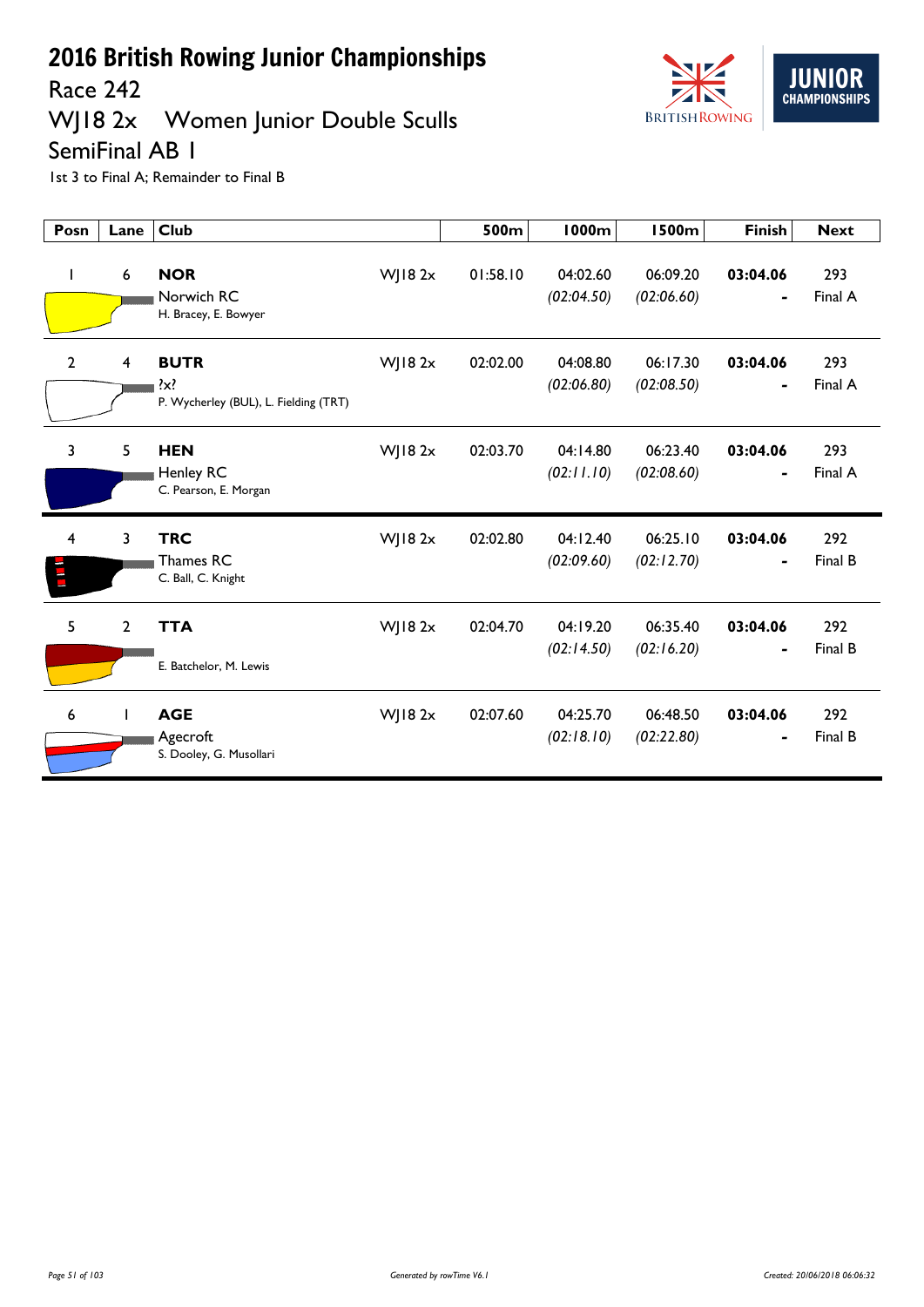Race 242

## WJ18 2x Women Junior Double Sculls



SemiFinal AB 1

| Posn           | Lane           | <b>Club</b>                                                     |                | 500m     | <b>1000m</b>           | <b>1500m</b>           | <b>Finish</b> | <b>Next</b>    |
|----------------|----------------|-----------------------------------------------------------------|----------------|----------|------------------------|------------------------|---------------|----------------|
| I              | 6              | <b>NOR</b><br>Norwich RC<br>H. Bracey, E. Bowyer                | WJ18 2x        | 01:58.10 | 04:02.60<br>(02:04.50) | 06:09.20<br>(02:06.60) | 03:04.06<br>- | 293<br>Final A |
| $\overline{2}$ | 4              | <b>BUTR</b><br>$\{x\}$<br>P. Wycherley (BUL), L. Fielding (TRT) | $W$ ] 18 2 $x$ | 02:02.00 | 04:08.80<br>(02:06.80) | 06:17.30<br>(02:08.50) | 03:04.06<br>- | 293<br>Final A |
| $\overline{3}$ | 5              | <b>HEN</b><br>Henley RC<br>C. Pearson, E. Morgan                | $W$   18 2 $x$ | 02:03.70 | 04:14.80<br>(02:11.10) | 06:23.40<br>(02:08.60) | 03:04.06<br>- | 293<br>Final A |
| 4<br>E         | 3              | <b>TRC</b><br>Thames RC<br>C. Ball, C. Knight                   | $W$ ] 18 2 $x$ | 02:02.80 | 04:12.40<br>(02:09.60) | 06:25.10<br>(02:12.70) | 03:04.06<br>- | 292<br>Final B |
| 5              | $\overline{2}$ | <b>TTA</b><br>E. Batchelor, M. Lewis                            | $W$ ] 18 2 $x$ | 02:04.70 | 04:19.20<br>(02:14.50) | 06:35.40<br>(02:16.20) | 03:04.06      | 292<br>Final B |
| 6              |                | <b>AGE</b><br>Agecroft<br>S. Dooley, G. Musollari               | $W$ ] 18 2 $x$ | 02:07.60 | 04:25.70<br>(02:18.10) | 06:48.50<br>(02:22.80) | 03:04.06<br>- | 292<br>Final B |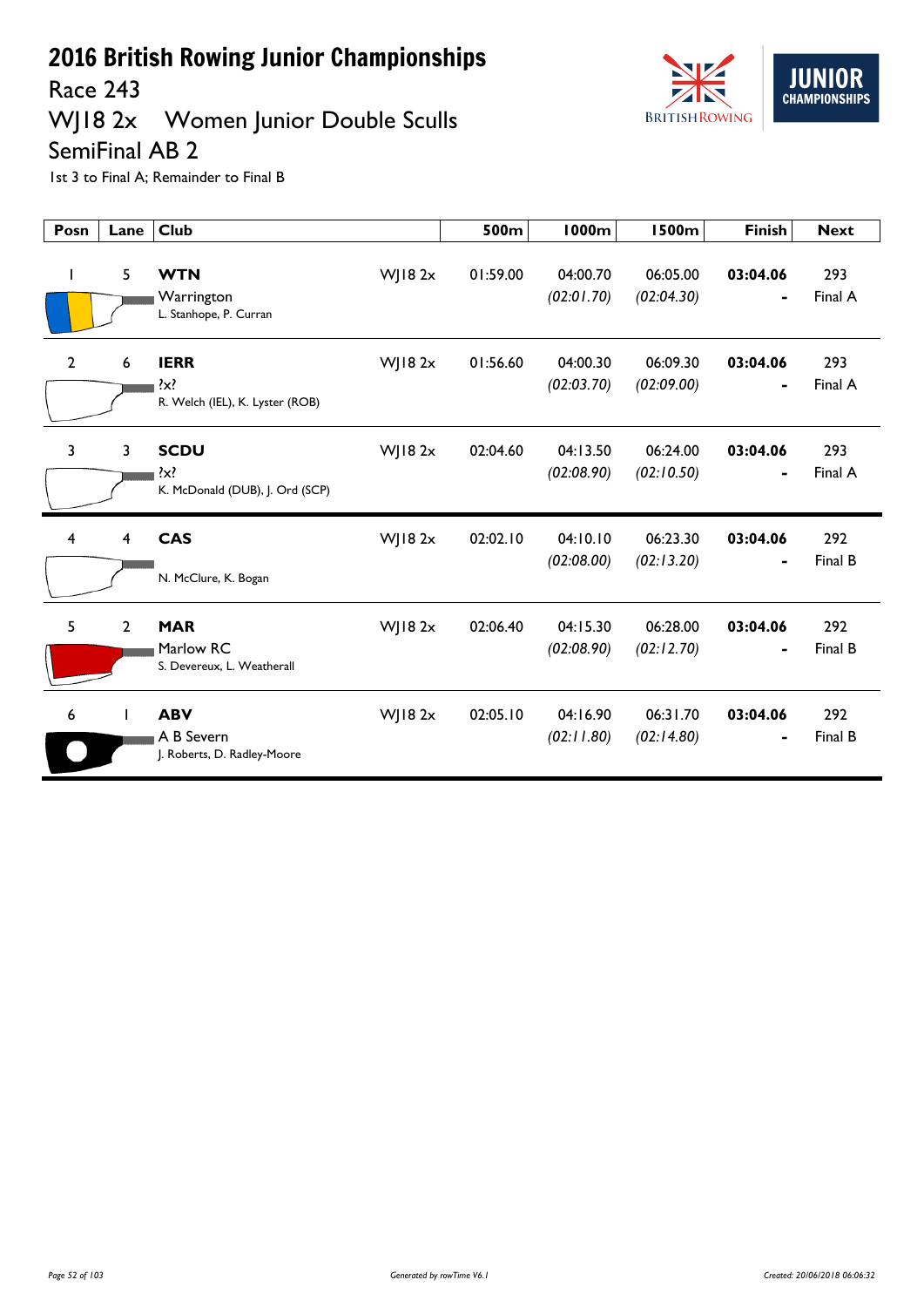Race 243

## WJ18 2x Women Junior Double Sculls



SemiFinal AB 2

| Posn           | Lane           | <b>Club</b>                                               |                | 500m     | <b>1000m</b>           | <b>1500m</b>           | <b>Finish</b>              | <b>Next</b>    |
|----------------|----------------|-----------------------------------------------------------|----------------|----------|------------------------|------------------------|----------------------------|----------------|
|                | 5              | <b>WTN</b><br>Warrington<br>L. Stanhope, P. Curran        | $W$ ] 18 2 $x$ | 01:59.00 | 04:00.70<br>(02:01.70) | 06:05.00<br>(02:04.30) | 03:04.06                   | 293<br>Final A |
| $\overline{2}$ | 6              | <b>IERR</b><br>$\{x\}$<br>R. Welch (IEL), K. Lyster (ROB) | $W$ ] 18 2 $x$ | 01:56.60 | 04:00.30<br>(02:03.70) | 06:09.30<br>(02:09.00) | 03:04.06<br>$\blacksquare$ | 293<br>Final A |
| 3              | 3              | <b>SCDU</b><br>$\{x\}$<br>K. McDonald (DUB), J. Ord (SCP) | $W$ ] 18 2 $x$ | 02:04.60 | 04:13.50<br>(02:08.90) | 06:24.00<br>(02:10.50) | 03:04.06                   | 293<br>Final A |
| 4              | 4              | <b>CAS</b><br>N. McClure, K. Bogan                        | $W$ ] 18 2 $x$ | 02:02.10 | 04:10.10<br>(02:08.00) | 06:23.30<br>(02:13.20) | 03:04.06<br>$\blacksquare$ | 292<br>Final B |
| 5              | $\overline{2}$ | <b>MAR</b><br>Marlow RC<br>S. Devereux, L. Weatherall     | WJ18 2x        | 02:06.40 | 04:15.30<br>(02:08.90) | 06:28.00<br>(02:12.70) | 03:04.06                   | 292<br>Final B |
| 6              | T              | <b>ABV</b><br>A B Severn<br>J. Roberts, D. Radley-Moore   | WJ18 2x        | 02:05.10 | 04:16.90<br>(02:11.80) | 06:31.70<br>(02:14.80) | 03:04.06<br>$\blacksquare$ | 292<br>Final B |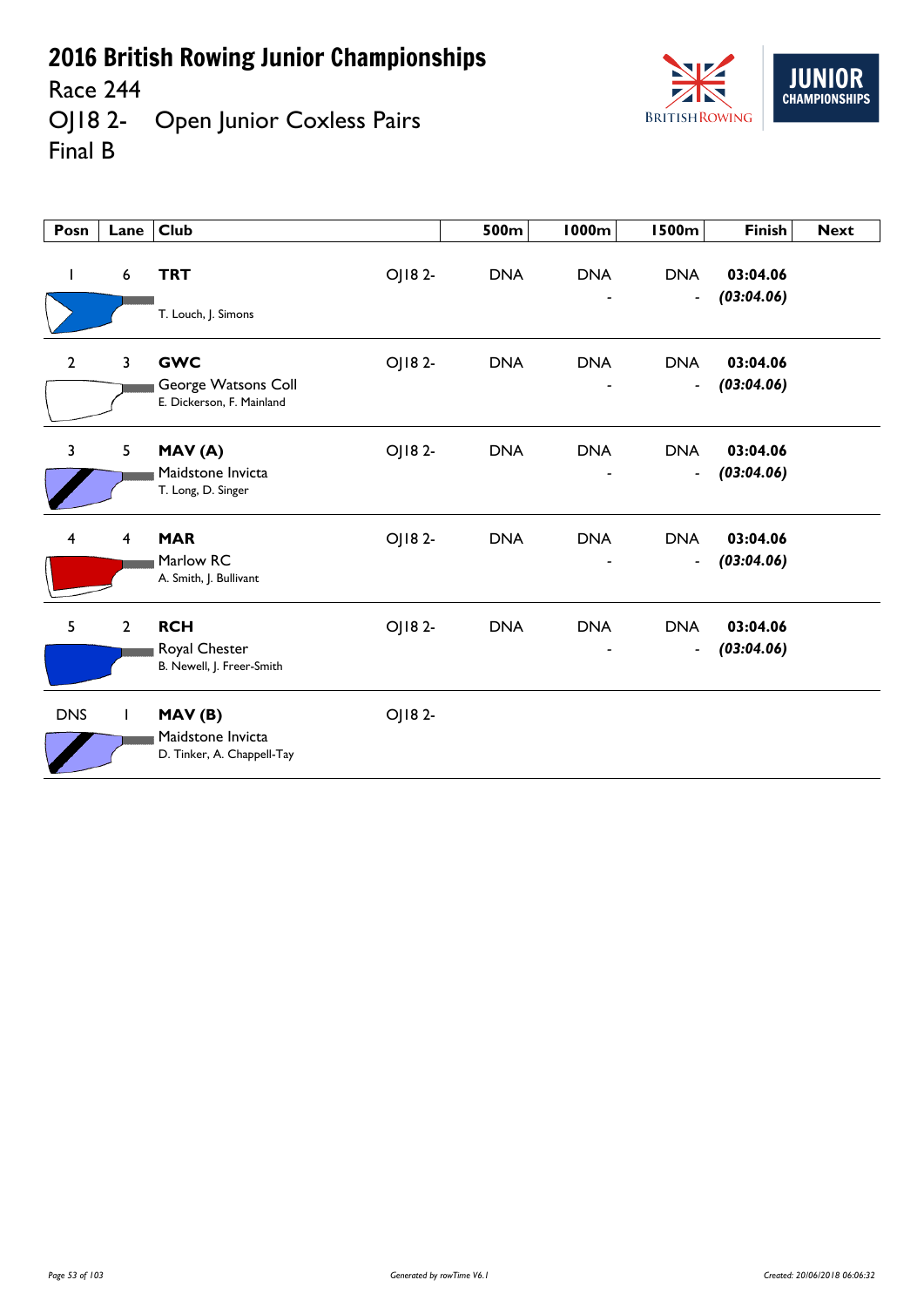Race 244

OJ18 2- Open Junior Coxless Pairs Final B



| Posn           | Lane           | <b>Club</b>                                                    |        | 500m       | <b>1000m</b> | <b>1500m</b>                           | <b>Finish</b>          | <b>Next</b> |
|----------------|----------------|----------------------------------------------------------------|--------|------------|--------------|----------------------------------------|------------------------|-------------|
| $\mathbf{I}$   | 6              | <b>TRT</b><br>T. Louch, J. Simons                              | OJ182- | <b>DNA</b> | <b>DNA</b>   | <b>DNA</b><br>$\blacksquare$           | 03:04.06<br>(03:04.06) |             |
| $\overline{2}$ | 3              | <b>GWC</b><br>George Watsons Coll<br>E. Dickerson, F. Mainland | OJ182- | <b>DNA</b> | <b>DNA</b>   | <b>DNA</b><br>$\blacksquare$           | 03:04.06<br>(03:04.06) |             |
| 3              | 5              | MAV(A)<br>Maidstone Invicta<br>T. Long, D. Singer              | OJ182- | <b>DNA</b> | <b>DNA</b>   | <b>DNA</b><br>$\overline{\phantom{a}}$ | 03:04.06<br>(03:04.06) |             |
| 4              | 4              | <b>MAR</b><br>Marlow RC<br>A. Smith, J. Bullivant              | OJ182- | <b>DNA</b> | <b>DNA</b>   | <b>DNA</b><br>$\blacksquare$           | 03:04.06<br>(03:04.06) |             |
| 5 <sup>5</sup> | $\overline{2}$ | <b>RCH</b><br>Royal Chester<br>B. Newell, J. Freer-Smith       | OJ182- | <b>DNA</b> | <b>DNA</b>   | <b>DNA</b><br>$\overline{\phantom{a}}$ | 03:04.06<br>(03:04.06) |             |
| <b>DNS</b>     |                | MAV(B)<br>Maidstone Invicta<br>D. Tinker, A. Chappell-Tay      | OJ182- |            |              |                                        |                        |             |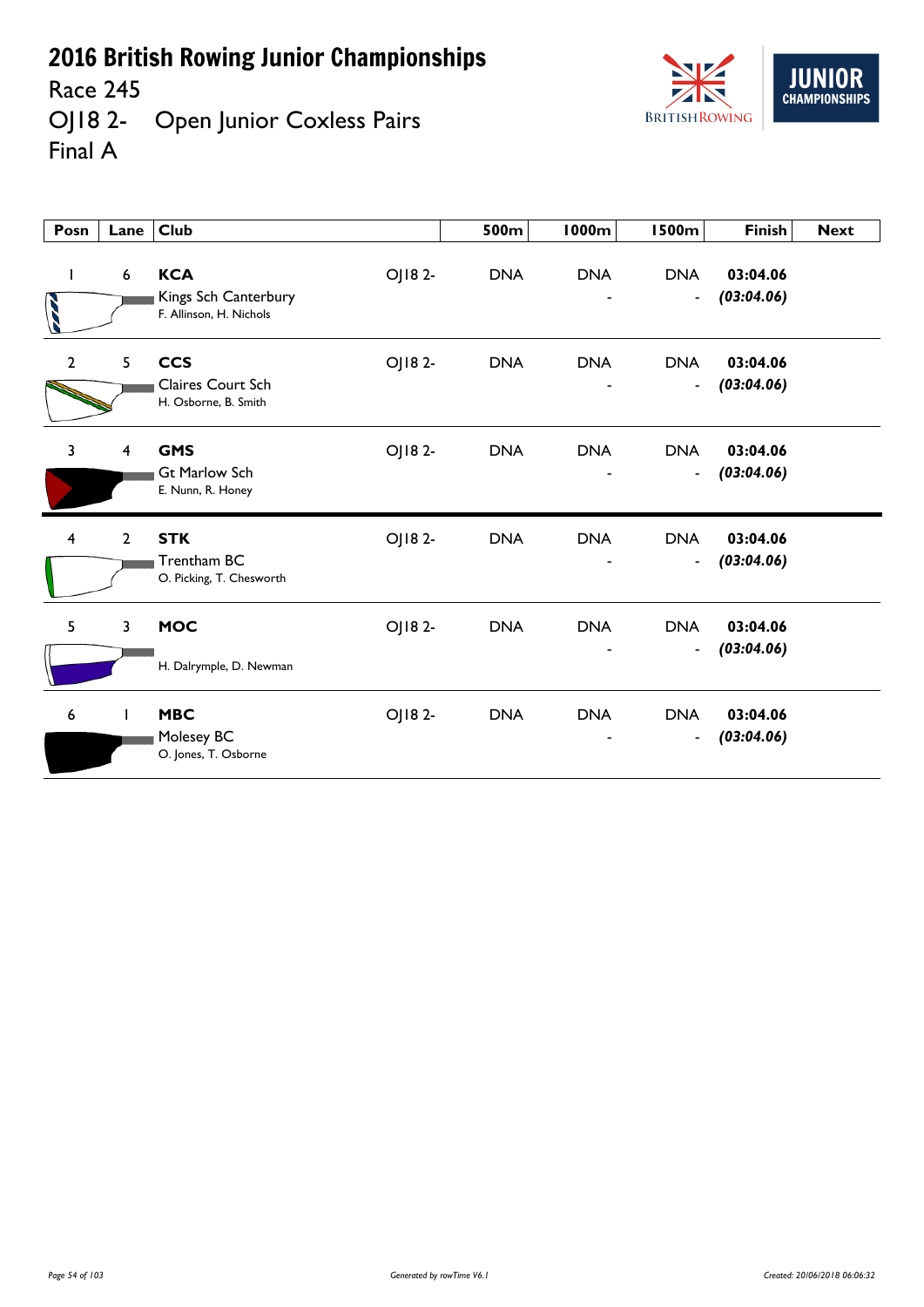Race 245

**IIIN CHAMPIONSHIPS BRITISH ROWING** 

OJ18 2- Open Junior Coxless Pairs Final A

| Posn           | Lane                    | <b>Club</b>                                                              | 500m       | <b>1000m</b> | <b>1500m</b>                           | <b>Finish</b>          | <b>Next</b> |
|----------------|-------------------------|--------------------------------------------------------------------------|------------|--------------|----------------------------------------|------------------------|-------------|
| $\mathbf{I}$   | 6                       | <b>KCA</b><br>OJ182-<br>Kings Sch Canterbury<br>F. Allinson, H. Nichols  | <b>DNA</b> | <b>DNA</b>   | <b>DNA</b><br>$\blacksquare$           | 03:04.06<br>(03:04.06) |             |
| $\mathbf{2}$   | 5                       | <b>CCS</b><br>OJ182-<br><b>Claires Court Sch</b><br>H. Osborne, B. Smith | <b>DNA</b> | <b>DNA</b>   | <b>DNA</b><br>$\blacksquare$           | 03:04.06<br>(03:04.06) |             |
| $\overline{3}$ | $\overline{\mathbf{4}}$ | <b>GMS</b><br>OJ18 2-<br><b>Gt Marlow Sch</b><br>E. Nunn, R. Honey       | <b>DNA</b> | <b>DNA</b>   | <b>DNA</b><br>$\overline{\phantom{a}}$ | 03:04.06<br>(03:04.06) |             |
| 4              | $\overline{2}$          | <b>STK</b><br>OJ182-<br>Trentham BC<br>O. Picking, T. Chesworth          | <b>DNA</b> | <b>DNA</b>   | <b>DNA</b><br>$\overline{\phantom{a}}$ | 03:04.06<br>(03:04.06) |             |
| 5              | 3                       | <b>MOC</b><br>OJ182-<br>H. Dalrymple, D. Newman                          | <b>DNA</b> | <b>DNA</b>   | <b>DNA</b><br>$\blacksquare$           | 03:04.06<br>(03:04.06) |             |
| 6              |                         | <b>MBC</b><br>OJ18 2-<br>Molesey BC<br>O. Jones, T. Osborne              | <b>DNA</b> | <b>DNA</b>   | <b>DNA</b><br>$\blacksquare$           | 03:04.06<br>(03:04.06) |             |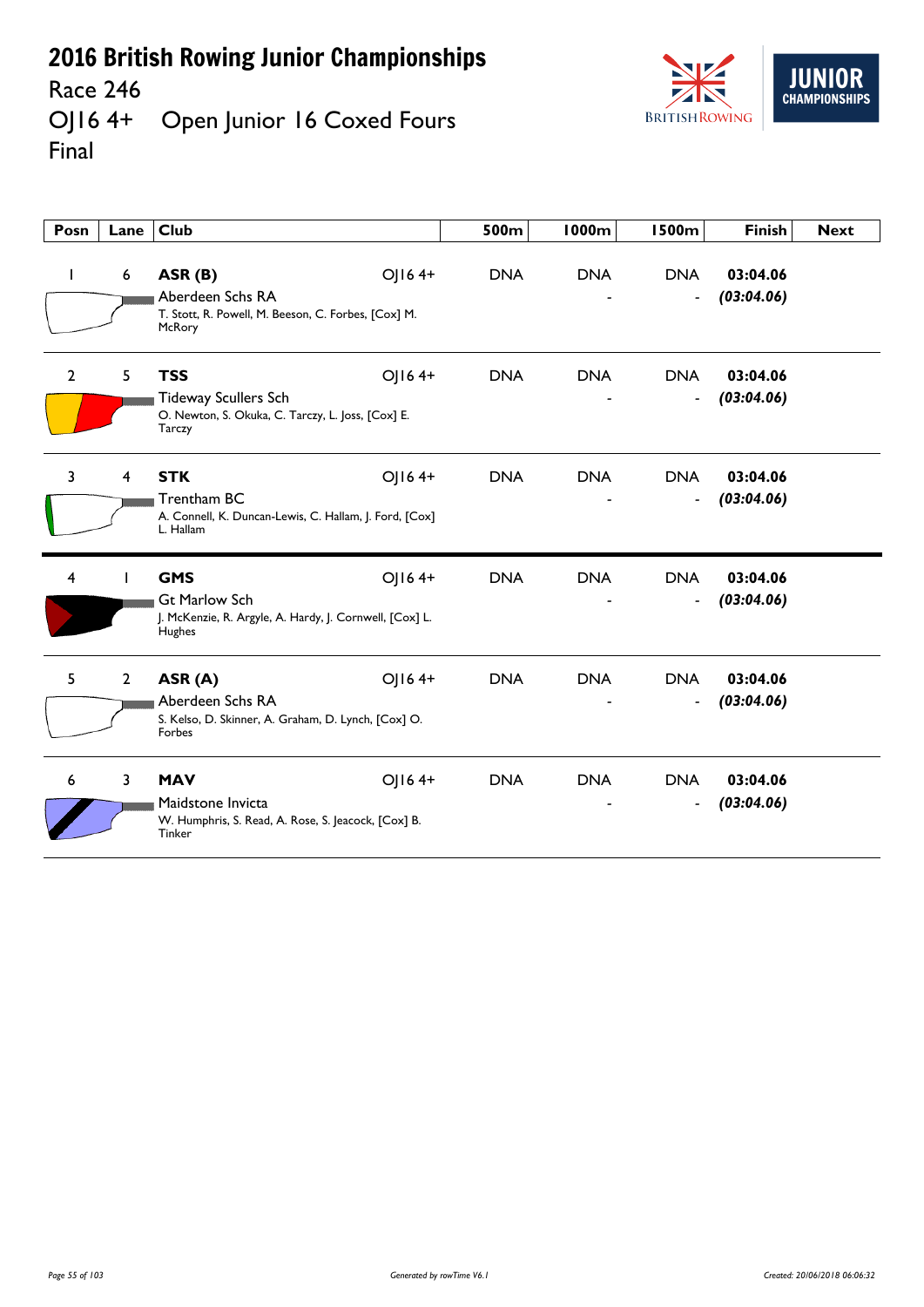Race 246<br>OJ16 4+ Open Junior 16 Coxed Fours Final



| Posn           | Lane           | <b>Club</b>                                                                                                        | 500m       | 1000m      | <b>1500m</b>                               | <b>Finish</b>          | <b>Next</b> |
|----------------|----------------|--------------------------------------------------------------------------------------------------------------------|------------|------------|--------------------------------------------|------------------------|-------------|
| L              | 6              | ASR (B)<br>OJ164+<br>Aberdeen Schs RA<br>T. Stott, R. Powell, M. Beeson, C. Forbes, [Cox] M.<br>McRory             | <b>DNA</b> | <b>DNA</b> | <b>DNA</b><br>$\overline{\phantom{a}}$     | 03:04.06<br>(03:04.06) |             |
| $\overline{2}$ | 5 <sup>1</sup> | <b>TSS</b><br>OJ164+<br><b>Tideway Scullers Sch</b><br>O. Newton, S. Okuka, C. Tarczy, L. Joss, [Cox] E.<br>Tarczy | <b>DNA</b> | <b>DNA</b> | <b>DNA</b><br>$\qquad \qquad \blacksquare$ | 03:04.06<br>(03:04.06) |             |
| 3              | 4              | <b>STK</b><br>OJ164+<br><b>Trentham BC</b><br>A. Connell, K. Duncan-Lewis, C. Hallam, J. Ford, [Cox]<br>L. Hallam  | <b>DNA</b> | <b>DNA</b> | <b>DNA</b><br>$\overline{\phantom{a}}$     | 03:04.06<br>(03:04.06) |             |
| 4              |                | <b>GMS</b><br>OJ164+<br><b>Gt Marlow Sch</b><br>J. McKenzie, R. Argyle, A. Hardy, J. Cornwell, [Cox] L.<br>Hughes  | <b>DNA</b> | <b>DNA</b> | <b>DNA</b><br>$\qquad \qquad \blacksquare$ | 03:04.06<br>(03:04.06) |             |
| 5.             | $2^{\circ}$    | ASR (A)<br>OJ164+<br>Aberdeen Schs RA<br>S. Kelso, D. Skinner, A. Graham, D. Lynch, [Cox] O.<br>Forbes             | <b>DNA</b> | <b>DNA</b> | <b>DNA</b><br>$\overline{\phantom{a}}$     | 03:04.06<br>(03:04.06) |             |
| 6              | $\overline{3}$ | <b>MAV</b><br>OJ164+<br>Maidstone Invicta<br>W. Humphris, S. Read, A. Rose, S. Jeacock, [Cox] B.<br>Tinker         | <b>DNA</b> | <b>DNA</b> | <b>DNA</b><br>$\overline{\phantom{a}}$     | 03:04.06<br>(03:04.06) |             |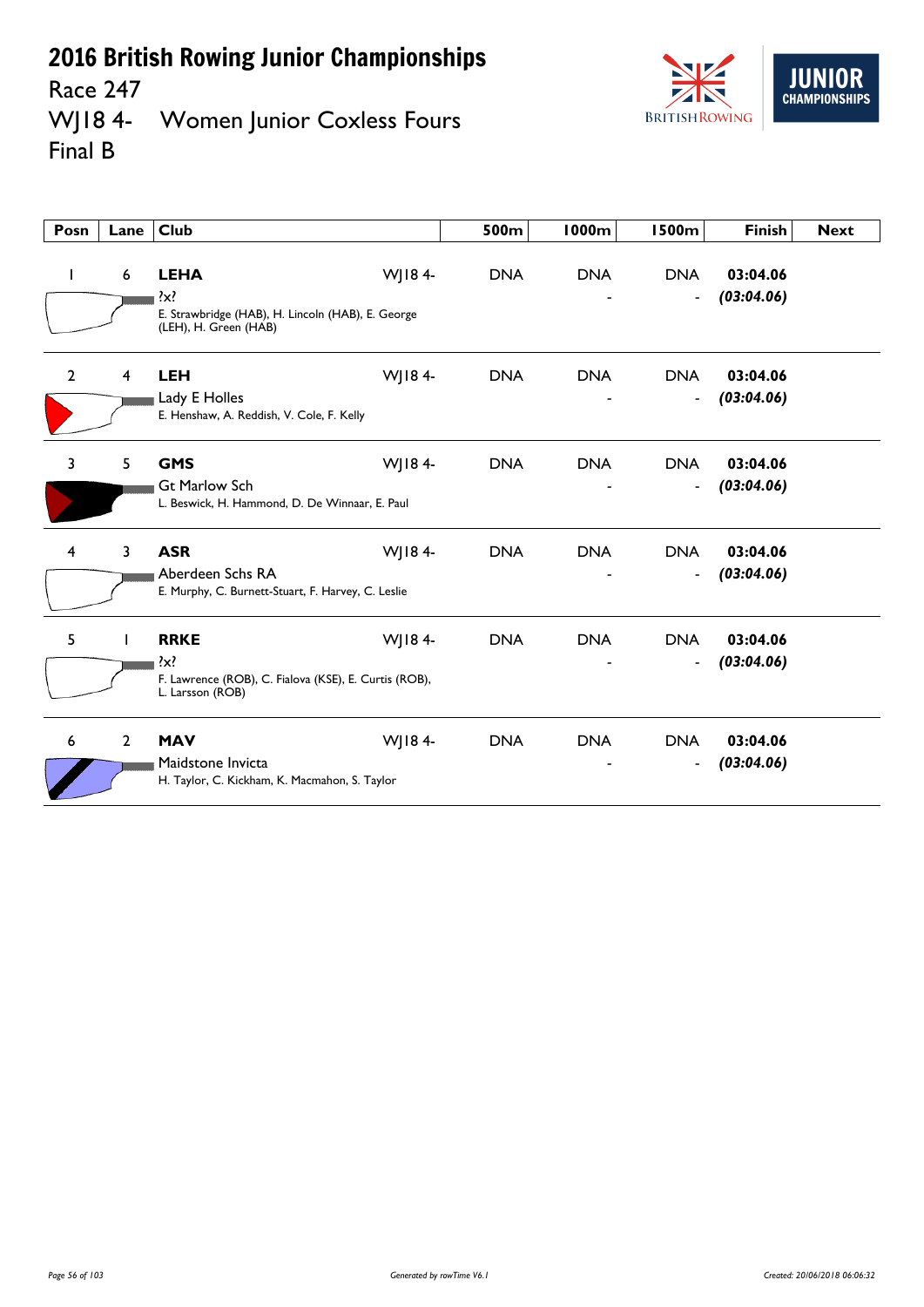Race 247<br>WJ18 4-Women Junior Coxless Fours Final B



| Posn           | Lane           | <b>Club</b>                                                                                                    | 500m       | <b>1000m</b> | <b>1500m</b>                           | <b>Finish</b>          | <b>Next</b> |
|----------------|----------------|----------------------------------------------------------------------------------------------------------------|------------|--------------|----------------------------------------|------------------------|-------------|
|                | 6              | <b>LEHA</b><br>WJ184-<br>$\{x\}$<br>E. Strawbridge (HAB), H. Lincoln (HAB), E. George<br>(LEH), H. Green (HAB) | <b>DNA</b> | <b>DNA</b>   | <b>DNA</b><br>$\overline{\phantom{a}}$ | 03:04.06<br>(03:04.06) |             |
| $\overline{2}$ | 4              | WJ184-<br><b>LEH</b><br>Lady E Holles<br>E. Henshaw, A. Reddish, V. Cole, F. Kelly                             | <b>DNA</b> | <b>DNA</b>   | <b>DNA</b><br>$\overline{\phantom{a}}$ | 03:04.06<br>(03:04.06) |             |
| 3              | 5              | WJ184-<br><b>GMS</b><br><b>Gt Marlow Sch</b><br>L. Beswick, H. Hammond, D. De Winnaar, E. Paul                 | <b>DNA</b> | <b>DNA</b>   | <b>DNA</b><br>$\blacksquare$           | 03:04.06<br>(03:04.06) |             |
| 4              | 3              | <b>ASR</b><br>WJ184-<br>Aberdeen Schs RA<br>E. Murphy, C. Burnett-Stuart, F. Harvey, C. Leslie                 | <b>DNA</b> | <b>DNA</b>   | <b>DNA</b><br>$\overline{\phantom{a}}$ | 03:04.06<br>(03:04.06) |             |
| 5              | L              | WJ184-<br><b>RRKE</b><br>$\{x\}$<br>F. Lawrence (ROB), C. Fialova (KSE), E. Curtis (ROB),<br>L. Larsson (ROB)  | <b>DNA</b> | <b>DNA</b>   | <b>DNA</b><br>$\blacksquare$           | 03:04.06<br>(03:04.06) |             |
| 6              | $\overline{2}$ | <b>MAV</b><br>WJ184-<br>Maidstone Invicta<br>H. Taylor, C. Kickham, K. Macmahon, S. Taylor                     | <b>DNA</b> | <b>DNA</b>   | <b>DNA</b><br>$\overline{\phantom{a}}$ | 03:04.06<br>(03:04.06) |             |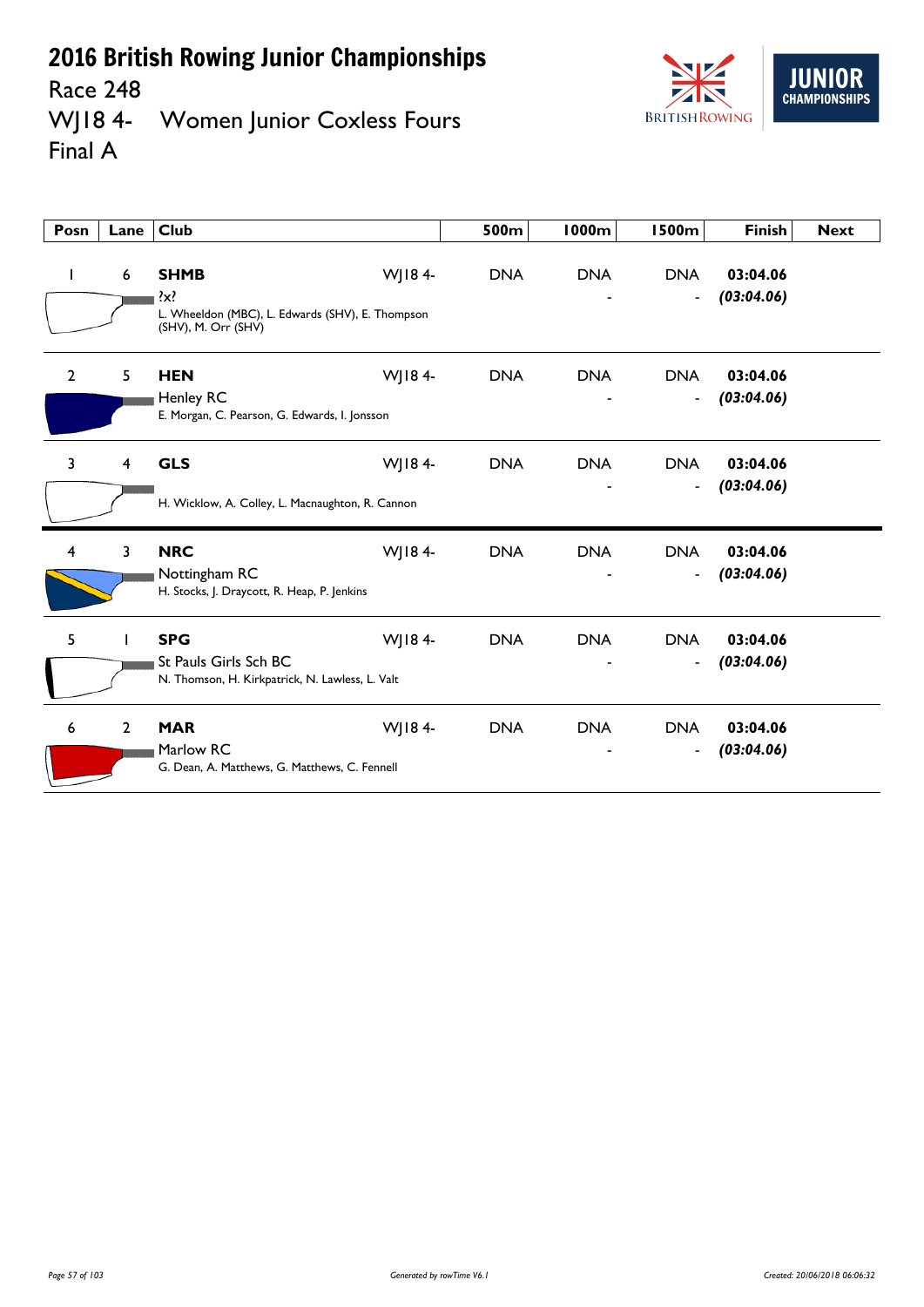Race 248<br>WJ18 4-Women Junior Coxless Fours Final A



| Posn           | Lane           | <b>Club</b>                                                                                   |        | 500m       | 1000m      | <b>1500m</b>                               | <b>Finish</b>          | <b>Next</b> |
|----------------|----------------|-----------------------------------------------------------------------------------------------|--------|------------|------------|--------------------------------------------|------------------------|-------------|
| ı              | 6              | <b>SHMB</b><br>?x?<br>L. Wheeldon (MBC), L. Edwards (SHV), E. Thompson<br>(SHV), M. Orr (SHV) | WJ184- | <b>DNA</b> | <b>DNA</b> | <b>DNA</b><br>$\qquad \qquad \blacksquare$ | 03:04.06<br>(03:04.06) |             |
| $\overline{2}$ | 5              | <b>HEN</b><br>Henley RC<br>E. Morgan, C. Pearson, G. Edwards, I. Jonsson                      | WJ184- | <b>DNA</b> | <b>DNA</b> | <b>DNA</b><br>$\blacksquare$               | 03:04.06<br>(03:04.06) |             |
| 3              | $\overline{4}$ | <b>GLS</b><br>H. Wicklow, A. Colley, L. Macnaughton, R. Cannon                                | WJ184- | <b>DNA</b> | <b>DNA</b> | <b>DNA</b><br>$\qquad \qquad \blacksquare$ | 03:04.06<br>(03:04.06) |             |
| $\overline{4}$ | 3              | <b>NRC</b><br>Nottingham RC<br>H. Stocks, J. Draycott, R. Heap, P. Jenkins                    | WJ184- | <b>DNA</b> | <b>DNA</b> | <b>DNA</b><br>$\overline{\phantom{a}}$     | 03:04.06<br>(03:04.06) |             |
| 5              |                | <b>SPG</b><br>St Pauls Girls Sch BC<br>N. Thomson, H. Kirkpatrick, N. Lawless, L. Valt        | WJ184- | <b>DNA</b> | <b>DNA</b> | <b>DNA</b><br>$\overline{\phantom{a}}$     | 03:04.06<br>(03:04.06) |             |
| 6              | $\overline{2}$ | <b>MAR</b><br>Marlow RC<br>G. Dean, A. Matthews, G. Matthews, C. Fennell                      | WJ184- | <b>DNA</b> | <b>DNA</b> | <b>DNA</b><br>$\blacksquare$               | 03:04.06<br>(03:04.06) |             |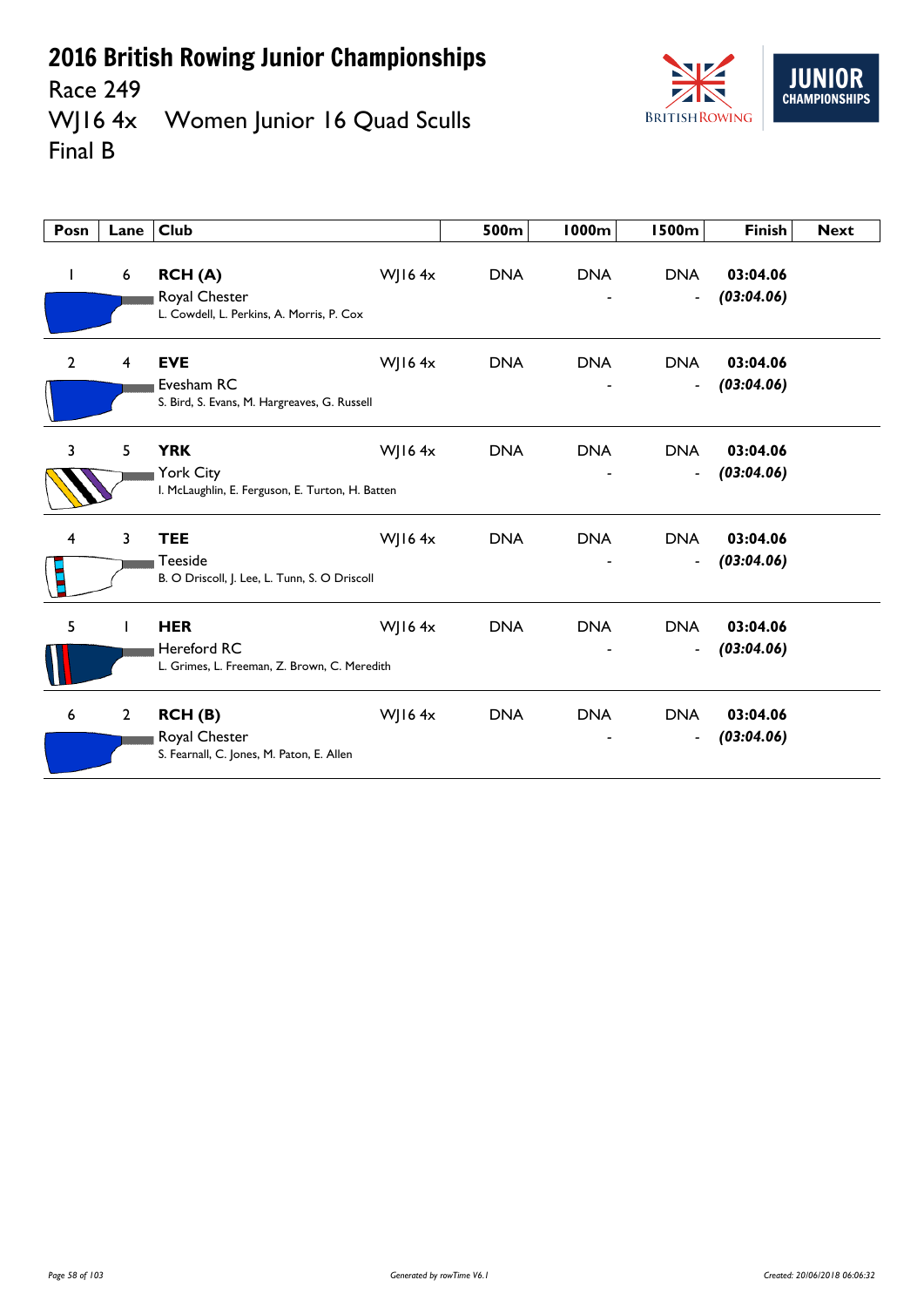

Race 249<br>WJ16 4x Women Junior 16 Quad Sculls Final B

| Posn           | Lane        | <b>Club</b>                                                                 |               | 500m       | <b>1000m</b> | <b>1500m</b>                           | <b>Finish</b>          | <b>Next</b> |
|----------------|-------------|-----------------------------------------------------------------------------|---------------|------------|--------------|----------------------------------------|------------------------|-------------|
| L              | 6           | RCH(A)<br>Royal Chester<br>L. Cowdell, L. Perkins, A. Morris, P. Cox        | WJ16 $4x$     | <b>DNA</b> | <b>DNA</b>   | <b>DNA</b><br>$\overline{\phantom{a}}$ | 03:04.06<br>(03:04.06) |             |
| $\overline{2}$ | 4           | <b>EVE</b><br>Evesham RC<br>S. Bird, S. Evans, M. Hargreaves, G. Russell    | <b>WJ164x</b> | <b>DNA</b> | <b>DNA</b>   | <b>DNA</b><br>$\blacksquare$           | 03:04.06<br>(03:04.06) |             |
| 3              | 5           | <b>YRK</b><br>York City<br>I. McLaughlin, E. Ferguson, E. Turton, H. Batten | <b>WJ164x</b> | <b>DNA</b> | <b>DNA</b>   | <b>DNA</b><br>$\blacksquare$           | 03:04.06<br>(03:04.06) |             |
| 4              | 3           | <b>TEE</b><br>Teeside<br>B. O Driscoll, J. Lee, L. Tunn, S. O Driscoll      | WJ16 $4x$     | <b>DNA</b> | <b>DNA</b>   | <b>DNA</b><br>$\overline{\phantom{a}}$ | 03:04.06<br>(03:04.06) |             |
| 5              |             | <b>HER</b><br>Hereford RC<br>L. Grimes, L. Freeman, Z. Brown, C. Meredith   | <b>WJ164x</b> | <b>DNA</b> | <b>DNA</b>   | <b>DNA</b><br>$\overline{\phantom{a}}$ | 03:04.06<br>(03:04.06) |             |
| 6              | $2^{\circ}$ | RCH(B)<br>Royal Chester<br>S. Fearnall, C. Jones, M. Paton, E. Allen        | WJ16 $4x$     | <b>DNA</b> | <b>DNA</b>   | <b>DNA</b><br>$\blacksquare$           | 03:04.06<br>(03:04.06) |             |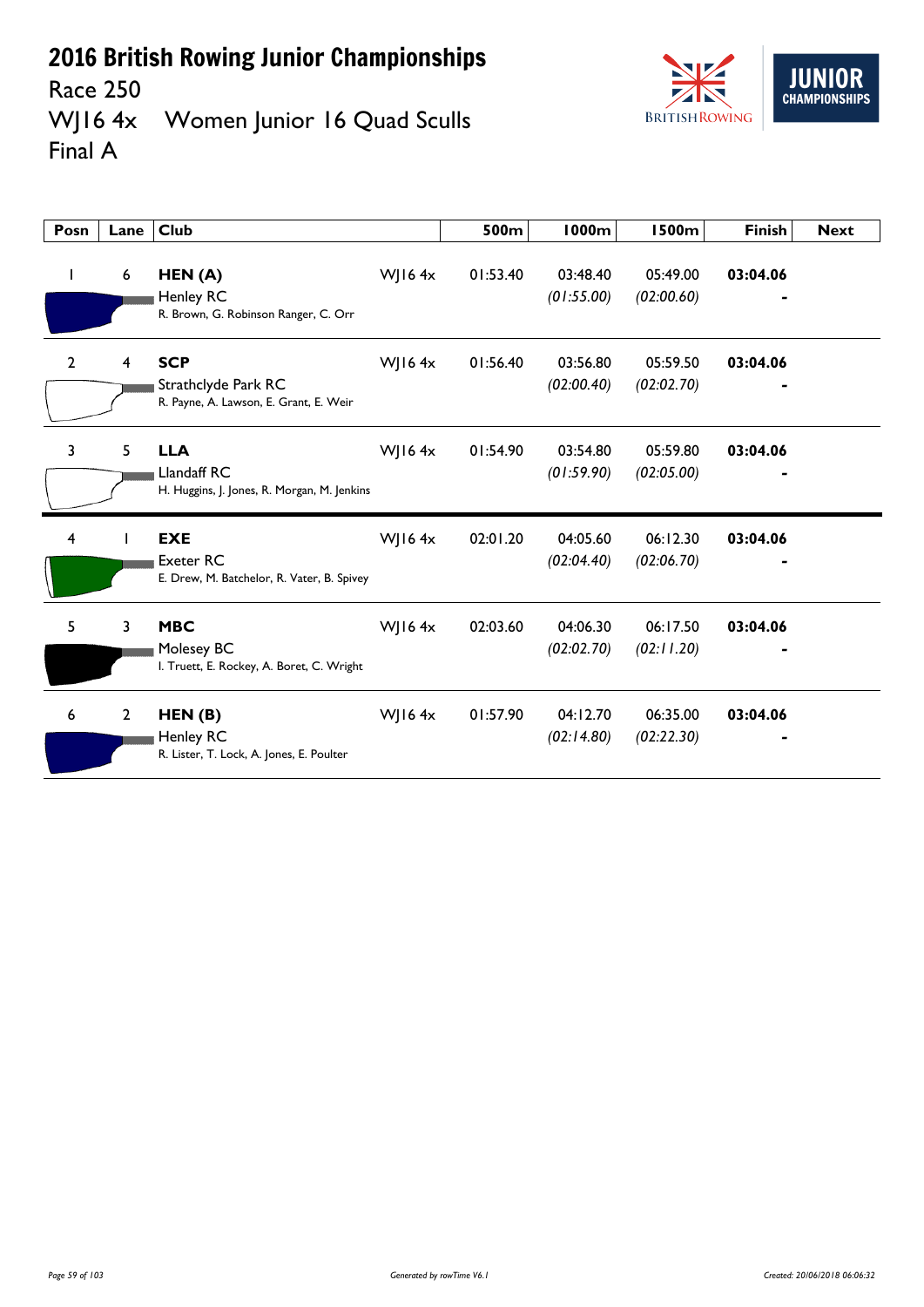

Race 250<br>WJ16 4x Women Junior 16 Quad Sculls Final A

| Posn           | Lane           | <b>Club</b>                                                                 |               | 500m     | <b>1000m</b>           | <b>1500m</b>           | <b>Finish</b> | <b>Next</b> |
|----------------|----------------|-----------------------------------------------------------------------------|---------------|----------|------------------------|------------------------|---------------|-------------|
| $\mathbf{I}$   | 6              | HEN(A)<br>Henley RC<br>R. Brown, G. Robinson Ranger, C. Orr                 | WJ16 $4x$     | 01:53.40 | 03:48.40<br>(01:55.00) | 05:49.00<br>(02:00.60) | 03:04.06      |             |
| $\overline{2}$ | 4              | <b>SCP</b><br>Strathclyde Park RC<br>R. Payne, A. Lawson, E. Grant, E. Weir | <b>WJ164x</b> | 01:56.40 | 03:56.80<br>(02:00.40) | 05:59.50<br>(02:02.70) | 03:04.06      |             |
| 3              | 5              | <b>LLA</b><br>Llandaff RC<br>H. Huggins, J. Jones, R. Morgan, M. Jenkins    | WJ16 $4x$     | 01:54.90 | 03:54.80<br>(01:59.90) | 05:59.80<br>(02:05.00) | 03:04.06      |             |
| 4              |                | <b>EXE</b><br>Exeter RC<br>E. Drew, M. Batchelor, R. Vater, B. Spivey       | WJ16 $4x$     | 02:01.20 | 04:05.60<br>(02:04.40) | 06:12.30<br>(02:06.70) | 03:04.06      |             |
| 5.             | 3              | <b>MBC</b><br>Molesey BC<br>I. Truett, E. Rockey, A. Boret, C. Wright       | WJ16 $4x$     | 02:03.60 | 04:06.30<br>(02:02.70) | 06:17.50<br>(02:11.20) | 03:04.06      |             |
| 6              | $\overline{2}$ | HEN(B)<br>Henley RC<br>R. Lister, T. Lock, A. Jones, E. Poulter             | WJ16 $4x$     | 01:57.90 | 04:12.70<br>(02:14.80) | 06:35.00<br>(02:22.30) | 03:04.06      |             |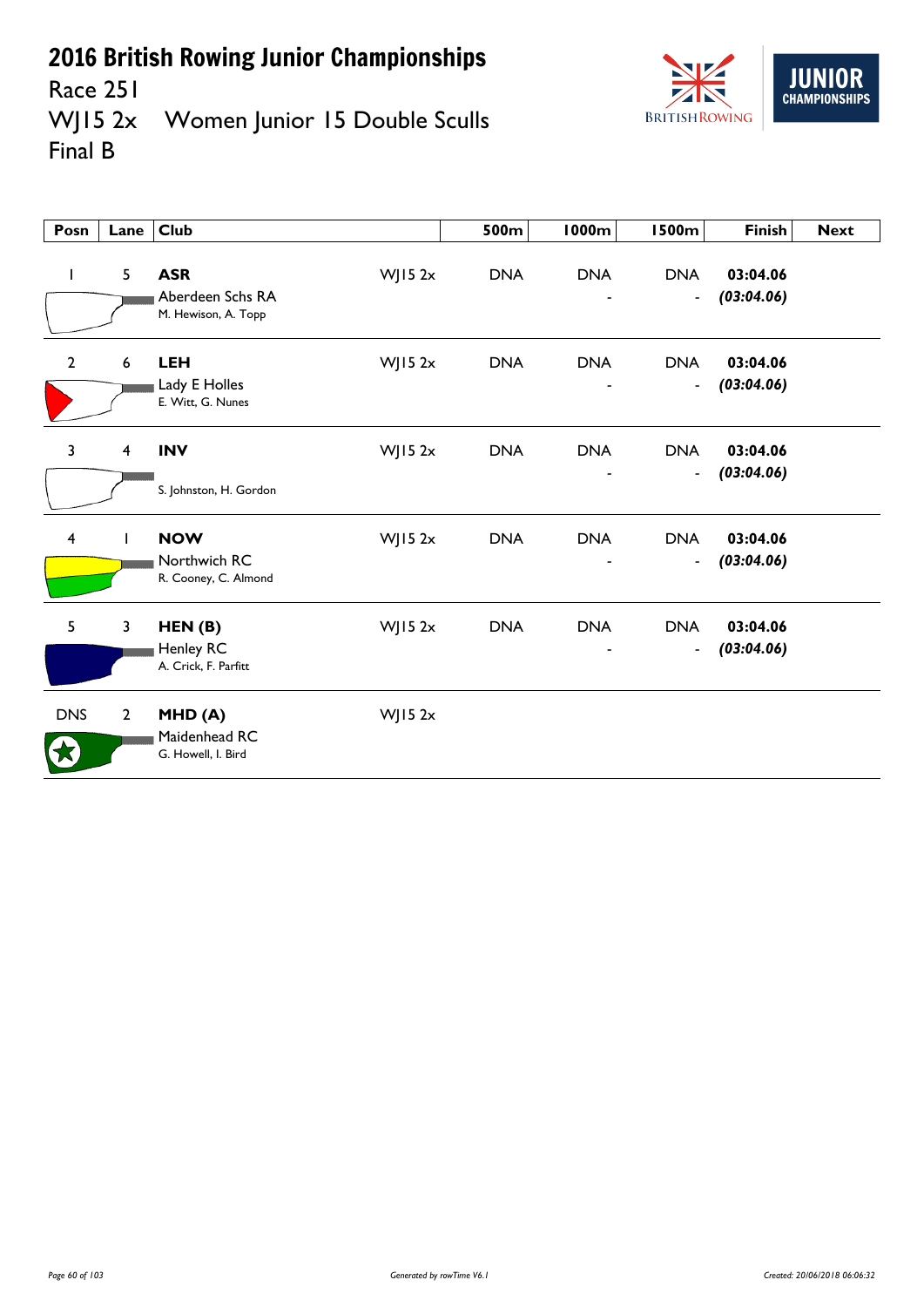

Race 251<br>WJ15 2x Women Junior 15 Double Sculls Final B

| Posn           | Lane                    | Club                                                  |            | 500m       | 1000m      | <b>1500m</b>                           | <b>Finish</b>          | <b>Next</b> |
|----------------|-------------------------|-------------------------------------------------------|------------|------------|------------|----------------------------------------|------------------------|-------------|
| $\mathbf{I}$   | $5\phantom{.}$          | <b>ASR</b><br>Aberdeen Schs RA<br>M. Hewison, A. Topp | $W$ JI5 2x | <b>DNA</b> | <b>DNA</b> | <b>DNA</b><br>$\blacksquare$           | 03:04.06<br>(03:04.06) |             |
| $\mathbf{2}$   | $\boldsymbol{6}$        | <b>LEH</b><br>Lady E Holles<br>E. Witt, G. Nunes      | $W$ JI5 2x | <b>DNA</b> | <b>DNA</b> | <b>DNA</b><br>$\overline{\phantom{a}}$ | 03:04.06<br>(03:04.06) |             |
| $\overline{3}$ | $\overline{4}$          | <b>INV</b><br>S. Johnston, H. Gordon                  | $W$ JI5 2x | <b>DNA</b> | <b>DNA</b> | <b>DNA</b><br>$\overline{\phantom{a}}$ | 03:04.06<br>(03:04.06) |             |
| 4              | L                       | <b>NOW</b><br>Northwich RC<br>R. Cooney, C. Almond    | $W$ JI5 2x | <b>DNA</b> | <b>DNA</b> | <b>DNA</b><br>$\overline{\phantom{a}}$ | 03:04.06<br>(03:04.06) |             |
| 5              | $\overline{\mathbf{3}}$ | HEN(B)<br>Henley RC<br>A. Crick, F. Parfitt           | $W$ JI5 2x | <b>DNA</b> | <b>DNA</b> | <b>DNA</b><br>$\overline{\phantom{a}}$ | 03:04.06<br>(03:04.06) |             |
| <b>DNS</b>     | $\overline{2}$          | MHD(A)<br>Maidenhead RC<br>G. Howell, I. Bird         | $W$ JI5 2x |            |            |                                        |                        |             |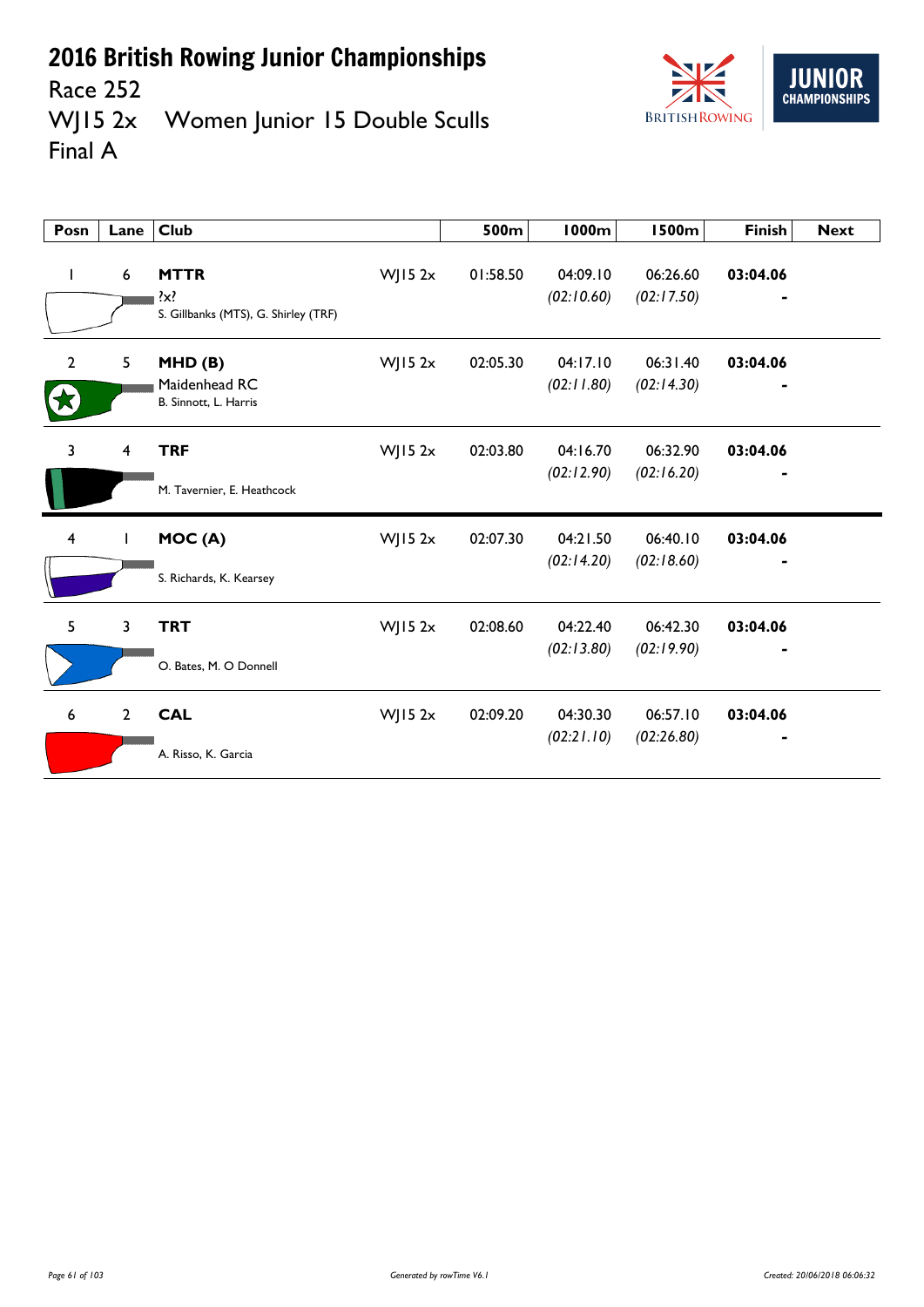

Race 252<br>WJ15 2x Women Junior 15 Double Sculls Final A

| Posn                    | Lane            | <b>Club</b>                                                    |            | 500m     | <b>1000m</b>           | <b>1500m</b>           | <b>Finish</b> | <b>Next</b> |
|-------------------------|-----------------|----------------------------------------------------------------|------------|----------|------------------------|------------------------|---------------|-------------|
| $\mathbf{I}$            | $6\phantom{1}6$ | <b>MTTR</b><br>$\{x\}$<br>S. Gillbanks (MTS), G. Shirley (TRF) | $W$ JI5 2x | 01:58.50 | 04:09.10<br>(02:10.60) | 06:26.60<br>(02:17.50) | 03:04.06      |             |
| $\overline{2}$          | 5               | MHD(B)<br>Maidenhead RC<br>B. Sinnott, L. Harris               | $W$ JI5 2x | 02:05.30 | 04:17.10<br>(02:11.80) | 06:31.40<br>(02:14.30) | 03:04.06      |             |
| 3                       | $\overline{4}$  | <b>TRF</b>                                                     | WJ15 $2x$  | 02:03.80 | 04:16.70               | 06:32.90               | 03:04.06      |             |
|                         |                 | M. Tavernier, E. Heathcock                                     |            |          | (02:12.90)             | (02:16.20)             |               |             |
| $\overline{\mathbf{4}}$ | I               | MOC(A)                                                         | WJ15 $2x$  | 02:07.30 | 04:21.50               | 06:40.10               | 03:04.06      |             |
|                         |                 | S. Richards, K. Kearsey                                        |            |          | (02:14.20)             | (02:18.60)             |               |             |
| 5                       | 3               | <b>TRT</b>                                                     | WJ15 $2x$  | 02:08.60 | 04:22.40               | 06:42.30               | 03:04.06      |             |
|                         |                 | O. Bates, M. O Donnell                                         |            |          | (02:13.80)             | (02:19.90)             |               |             |
| 6                       | $\overline{2}$  | <b>CAL</b>                                                     | $W$ JI5 2x | 02:09.20 | 04:30.30               | 06:57.10               | 03:04.06      |             |
|                         |                 | A. Risso, K. Garcia                                            |            |          | (02:21.10)             | (02:26.80)             |               |             |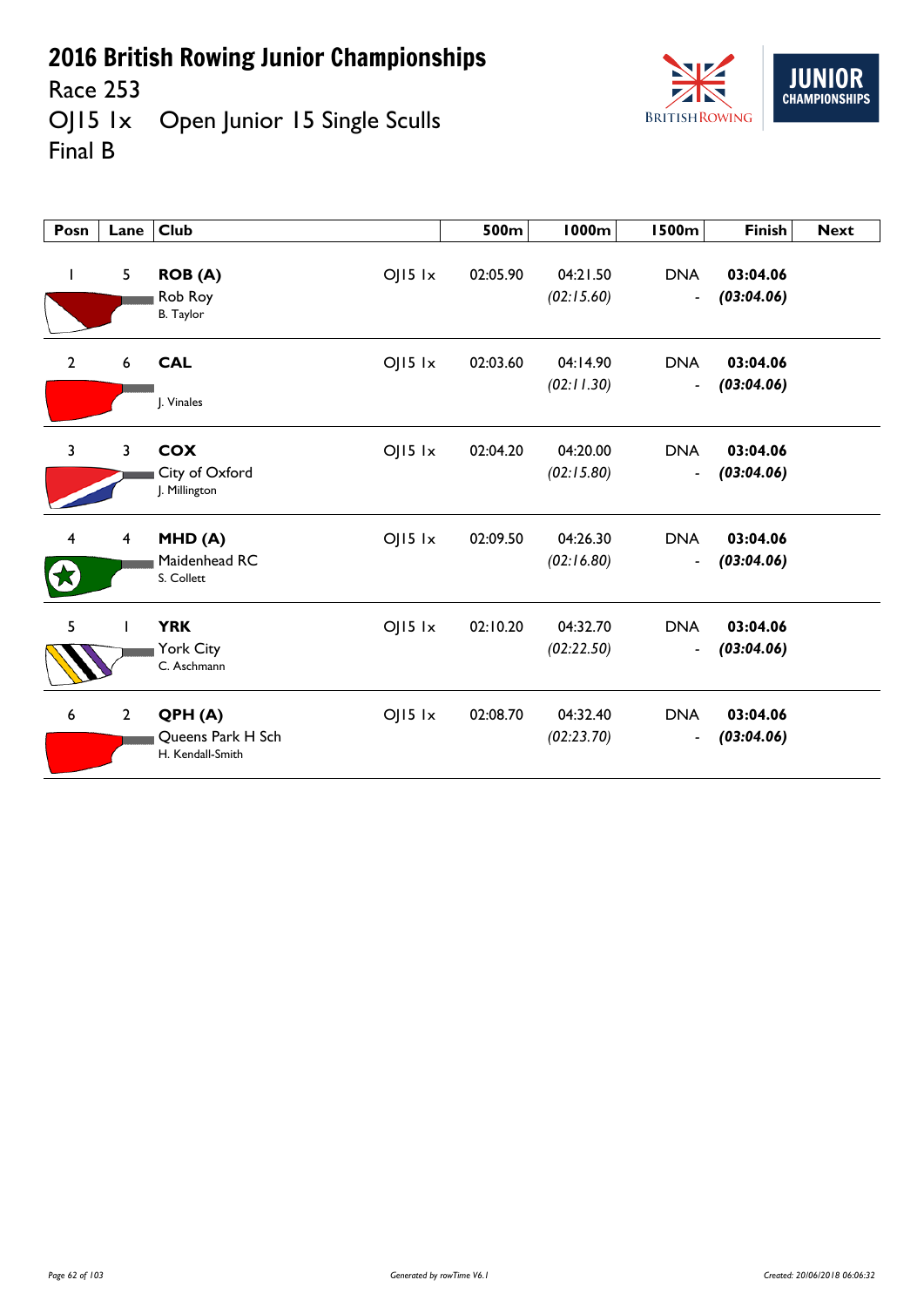

Race 253<br>OJ15 1x Open Junior 15 Single Sculls Final B



| Posn                    | Lane                    | <b>Club</b>                                                    | 500m     | <b>1000m</b>           | <b>1500m</b>                               | <b>Finish</b>          | <b>Next</b> |
|-------------------------|-------------------------|----------------------------------------------------------------|----------|------------------------|--------------------------------------------|------------------------|-------------|
|                         | $5\phantom{.}$          | $OJI5$ $1x$<br><b>ROB</b> (A)<br>Rob Roy<br><b>B.</b> Taylor   | 02:05.90 | 04:21.50<br>(02:15.60) | <b>DNA</b><br>$\overline{\phantom{a}}$     | 03:04.06<br>(03:04.06) |             |
| 2                       | 6                       | <b>CAL</b><br>$O$   15 $1x$<br>J. Vinales                      | 02:03.60 | 04:14.90<br>(02:11.30) | <b>DNA</b><br>$\blacksquare$               | 03:04.06<br>(03:04.06) |             |
| $\overline{\mathbf{3}}$ | $\overline{3}$          | <b>COX</b><br>$O$   15 $1x$<br>City of Oxford<br>J. Millington | 02:04.20 | 04:20.00<br>(02:15.80) | <b>DNA</b><br>$\qquad \qquad \blacksquare$ | 03:04.06<br>(03:04.06) |             |
| 4                       | $\overline{\mathbf{4}}$ | $O$   15 $1x$<br>MHD(A)<br>Maidenhead RC<br>S. Collett         | 02:09.50 | 04:26.30<br>(02:16.80) | <b>DNA</b><br>$\overline{\phantom{a}}$     | 03:04.06<br>(03:04.06) |             |
| 5                       |                         | <b>YRK</b><br>$O$   15 $1x$<br>York City<br>C. Aschmann        | 02:10.20 | 04:32.70<br>(02:22.50) | <b>DNA</b><br>$\blacksquare$               | 03:04.06<br>(03:04.06) |             |
| 6                       | $\overline{2}$          | $OJI5$ $1x$<br>QPH(A)<br>Queens Park H Sch<br>H. Kendall-Smith | 02:08.70 | 04:32.40<br>(02:23.70) | <b>DNA</b><br>$\overline{\phantom{a}}$     | 03:04.06<br>(03:04.06) |             |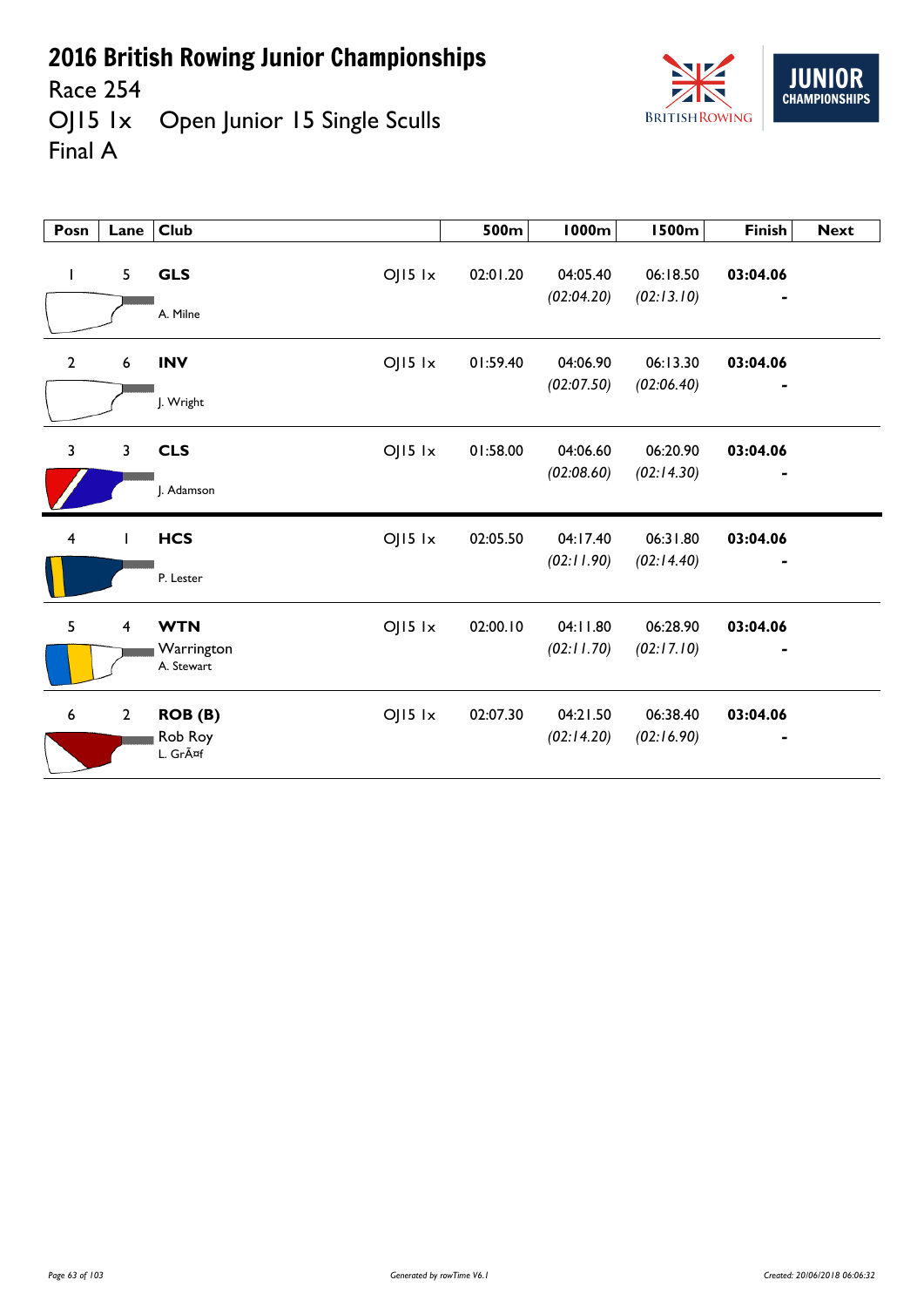

Race 254 OJ15 1x Open Junior 15 Single Sculls Final A

| Posn                    | Lane             | <b>Club</b>                                           | 500m     | <b>1000m</b>           | <b>1500m</b>           | <b>Finish</b>                            | <b>Next</b> |
|-------------------------|------------------|-------------------------------------------------------|----------|------------------------|------------------------|------------------------------------------|-------------|
| T                       | 5                | <b>GLS</b><br>$OJI5$ $1x$<br>A. Milne                 | 02:01.20 | 04:05.40<br>(02:04.20) | 06:18.50<br>(02:13.10) | 03:04.06                                 |             |
| $\mathbf{2}$            | $\boldsymbol{6}$ | $OJI5$ $1x$<br><b>INV</b><br>J. Wright                | 01:59.40 | 04:06.90<br>(02:07.50) | 06:13.30<br>(02:06.40) | 03:04.06<br>٠                            |             |
| $\overline{3}$          | 3                | <b>CLS</b><br>$OJI5$ $1x$<br>J. Adamson               | 01:58.00 | 04:06.60<br>(02:08.60) | 06:20.90<br>(02:14.30) | 03:04.06<br>$\qquad \qquad \blacksquare$ |             |
| $\overline{\mathbf{4}}$ |                  | $OJI5$ $1x$<br><b>HCS</b><br>P. Lester                | 02:05.50 | 04:17.40<br>(02:11.90) | 06:31.80<br>(02:14.40) | 03:04.06                                 |             |
| 5                       | $\overline{4}$   | <b>WTN</b><br>$OJ15$ $1x$<br>Warrington<br>A. Stewart | 02:00.10 | 04:11.80<br>(02:11.70) | 06:28.90<br>(02:17.10) | 03:04.06                                 |             |
| 6                       | $\overline{2}$   | $OJI5$ $1x$<br>ROB (B)<br>Rob Roy<br>L. Gräf          | 02:07.30 | 04:21.50<br>(02:14.20) | 06:38.40<br>(02:16.90) | 03:04.06                                 |             |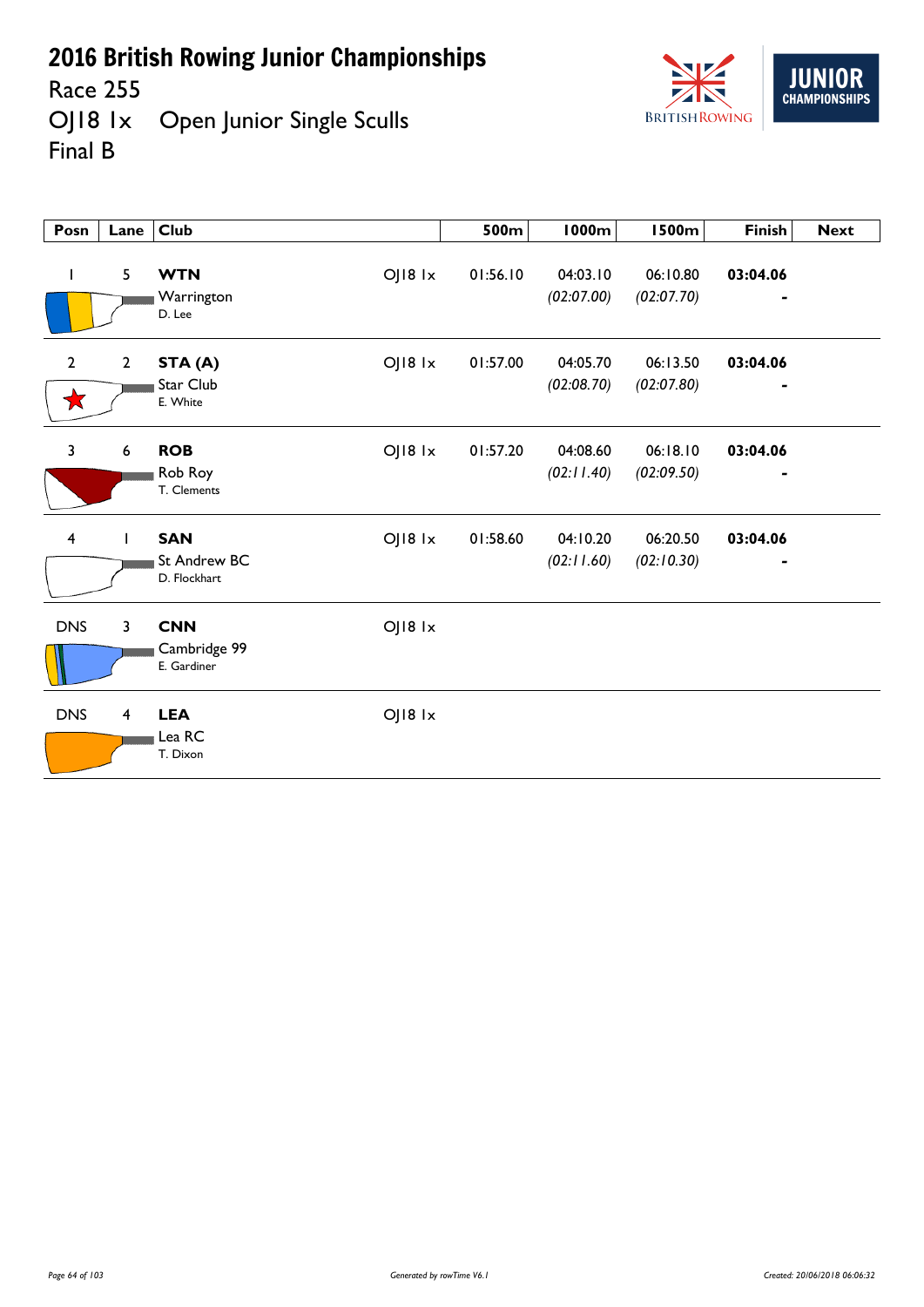Race 255<br>OJ18 1x Open Junior Single Sculls Final B



| Posn                    | Lane           | <b>Club</b>                                           | 500m     | 1000m                  | <b>1500m</b>           | <b>Finish</b>                            | <b>Next</b> |
|-------------------------|----------------|-------------------------------------------------------|----------|------------------------|------------------------|------------------------------------------|-------------|
| L                       | 5              | OJ18 1x<br><b>WTN</b><br>Warrington<br>D. Lee         | 01:56.10 | 04:03.10<br>(02:07.00) | 06:10.80<br>(02:07.70) | 03:04.06<br>$\blacksquare$               |             |
| $\overline{2}$<br>Х     | $\overline{2}$ | OJ18 1x<br>STA (A)<br>Star Club<br>E. White           | 01:57.00 | 04:05.70<br>(02:08.70) | 06:13.50<br>(02:07.80) | 03:04.06<br>$\qquad \qquad \blacksquare$ |             |
| $\mathbf{3}$            | 6              | OJ18 1x<br><b>ROB</b><br>Rob Roy<br>T. Clements       | 01:57.20 | 04:08.60<br>(02:11.40) | 06:18.10<br>(02:09.50) | 03:04.06                                 |             |
| $\overline{\mathbf{4}}$ |                | <b>SAN</b><br>OJ18 1x<br>St Andrew BC<br>D. Flockhart | 01:58.60 | 04:10.20<br>(02:11.60) | 06:20.50<br>(02:10.30) | 03:04.06                                 |             |
| <b>DNS</b>              | $\mathbf{3}$   | <b>CNN</b><br>OJ18 1x<br>Cambridge 99<br>E. Gardiner  |          |                        |                        |                                          |             |
| <b>DNS</b>              | $\overline{4}$ | <b>LEA</b><br>OJ18 1x<br>Lea RC<br>T. Dixon           |          |                        |                        |                                          |             |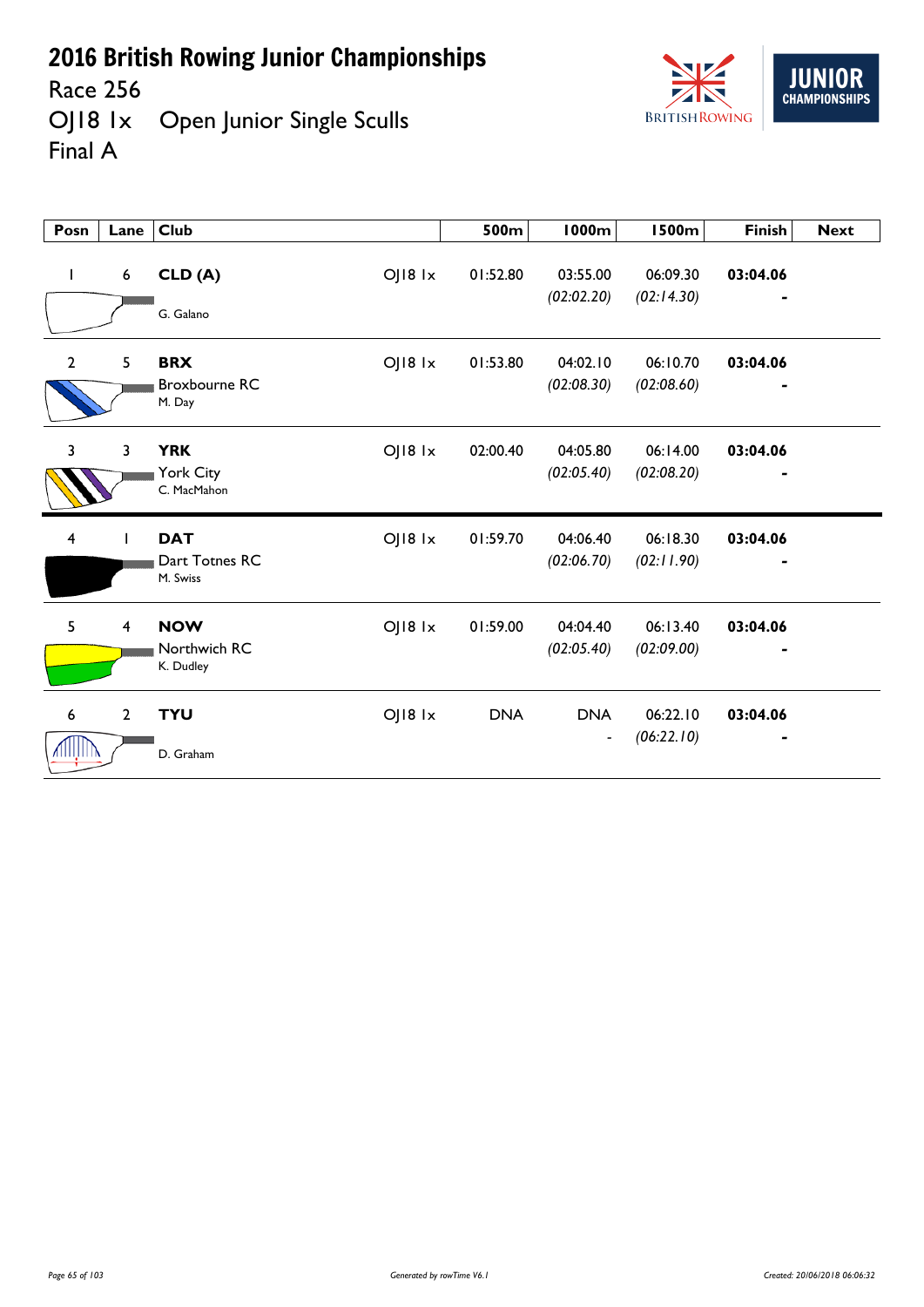

Race 256<br>OJ18 1x Open Junior Single Sculls Final A



| Posn                    | Lane            | Club                                                            | 500m       | <b>1000m</b>                               | <b>1500m</b>           | <b>Finish</b> | <b>Next</b> |
|-------------------------|-----------------|-----------------------------------------------------------------|------------|--------------------------------------------|------------------------|---------------|-------------|
| $\mathbf{I}$            | $6\phantom{.}6$ | CLD (A)<br>OJ18 1x<br>G. Galano                                 | 01:52.80   | 03:55.00<br>(02:02.20)                     | 06:09.30<br>(02:14.30) | 03:04.06      |             |
| 2                       | 5               | $O$   $18$ $1x$<br><b>BRX</b><br><b>Broxbourne RC</b><br>M. Day | 01:53.80   | 04:02.10<br>(02:08.30)                     | 06:10.70<br>(02:08.60) | 03:04.06      |             |
| $\overline{3}$          | 3               | <b>YRK</b><br>OJ18 1x<br>York City<br>C. MacMahon               | 02:00.40   | 04:05.80<br>(02:05.40)                     | 06:14.00<br>(02:08.20) | 03:04.06      |             |
| $\overline{\mathbf{4}}$ |                 | <b>DAT</b><br>OJ18 1x<br>Dart Totnes RC<br>M. Swiss             | 01:59.70   | 04:06.40<br>(02:06.70)                     | 06:18.30<br>(02:11.90) | 03:04.06      |             |
| 5                       | $\overline{4}$  | <b>NOW</b><br>$O$   $18$ $1x$<br>Northwich RC<br>K. Dudley      | 01:59.00   | 04:04.40<br>(02:05.40)                     | 06:13.40<br>(02:09.00) | 03:04.06      |             |
| $\boldsymbol{6}$        | $\overline{2}$  | <b>TYU</b><br>OJ18 1x<br>D. Graham                              | <b>DNA</b> | <b>DNA</b><br>$\qquad \qquad \blacksquare$ | 06:22.10<br>(06:22.10) | 03:04.06      |             |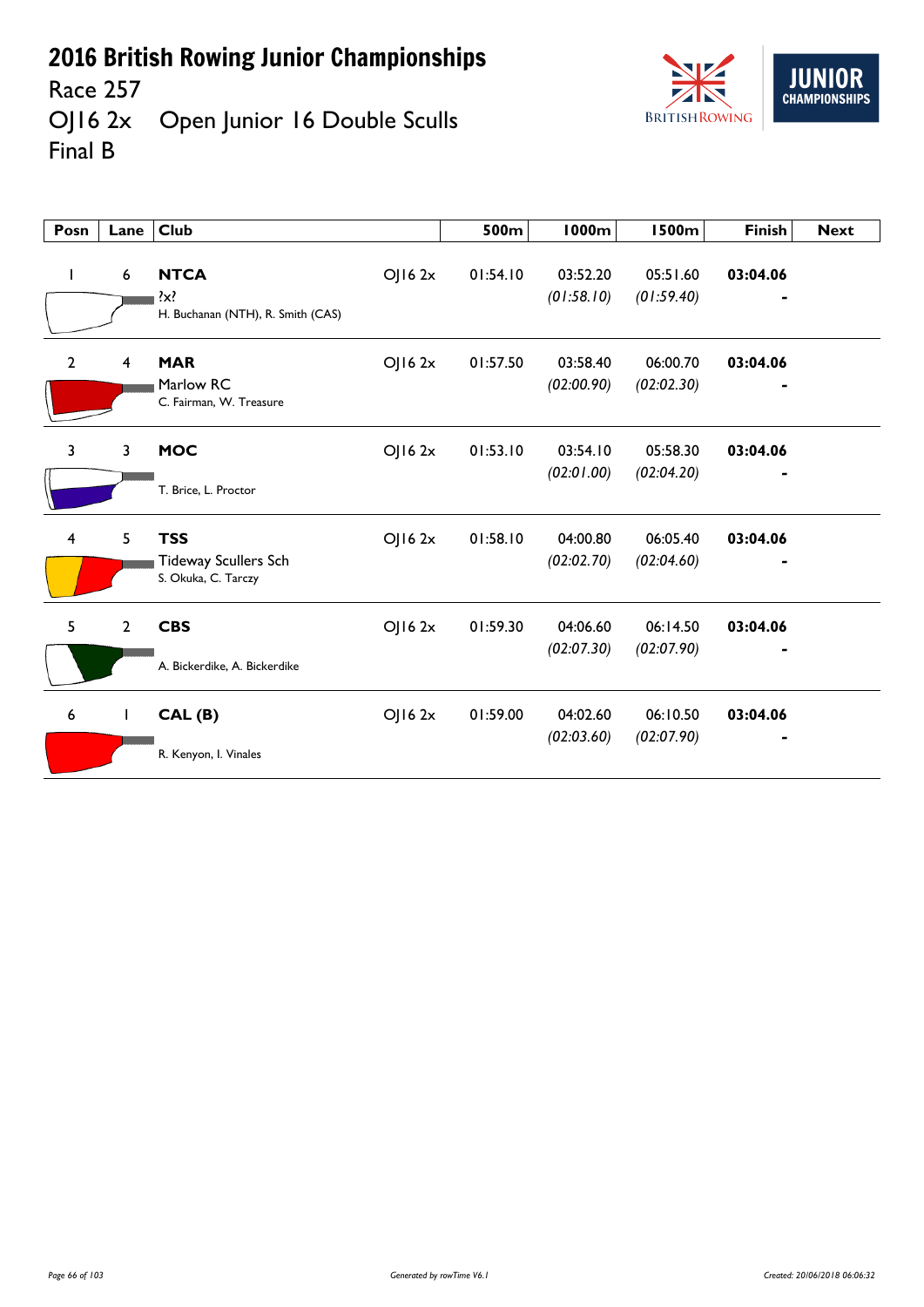

Race 257<br>OJ16 2x Open Junior 16 Double Sculls Final B

| Posn           | Lane           | <b>Club</b>                                                      |        | 500m     | <b>1000m</b>           | <b>1500m</b>           | <b>Finish</b> | <b>Next</b> |
|----------------|----------------|------------------------------------------------------------------|--------|----------|------------------------|------------------------|---------------|-------------|
| ı              | 6              | <b>NTCA</b><br>$\{x\}$<br>H. Buchanan (NTH), R. Smith (CAS)      | OJ162x | 01:54.10 | 03:52.20<br>(01:58.10) | 05:51.60<br>(01:59.40) | 03:04.06      |             |
| $\overline{2}$ | 4              | <b>MAR</b><br>Marlow RC<br>C. Fairman, W. Treasure               | OJ162x | 01:57.50 | 03:58.40<br>(02:00.90) | 06:00.70<br>(02:02.30) | 03:04.06      |             |
| 3              | 3              | <b>MOC</b><br>T. Brice, L. Proctor                               | OJ162x | 01:53.10 | 03:54.10<br>(02:01.00) | 05:58.30<br>(02:04.20) | 03:04.06      |             |
| $\overline{4}$ | 5              | <b>TSS</b><br><b>Tideway Scullers Sch</b><br>S. Okuka, C. Tarczy | OJ162x | 01:58.10 | 04:00.80<br>(02:02.70) | 06:05.40<br>(02:04.60) | 03:04.06      |             |
| 5              | $\overline{2}$ | <b>CBS</b><br>A. Bickerdike, A. Bickerdike                       | OJ162x | 01:59.30 | 04:06.60<br>(02:07.30) | 06:14.50<br>(02:07.90) | 03:04.06      |             |
| 6              | $\mathbf{I}$   | CAL(B)<br>R. Kenyon, I. Vinales                                  | OJ162x | 01:59.00 | 04:02.60<br>(02:03.60) | 06:10.50<br>(02:07.90) | 03:04.06      |             |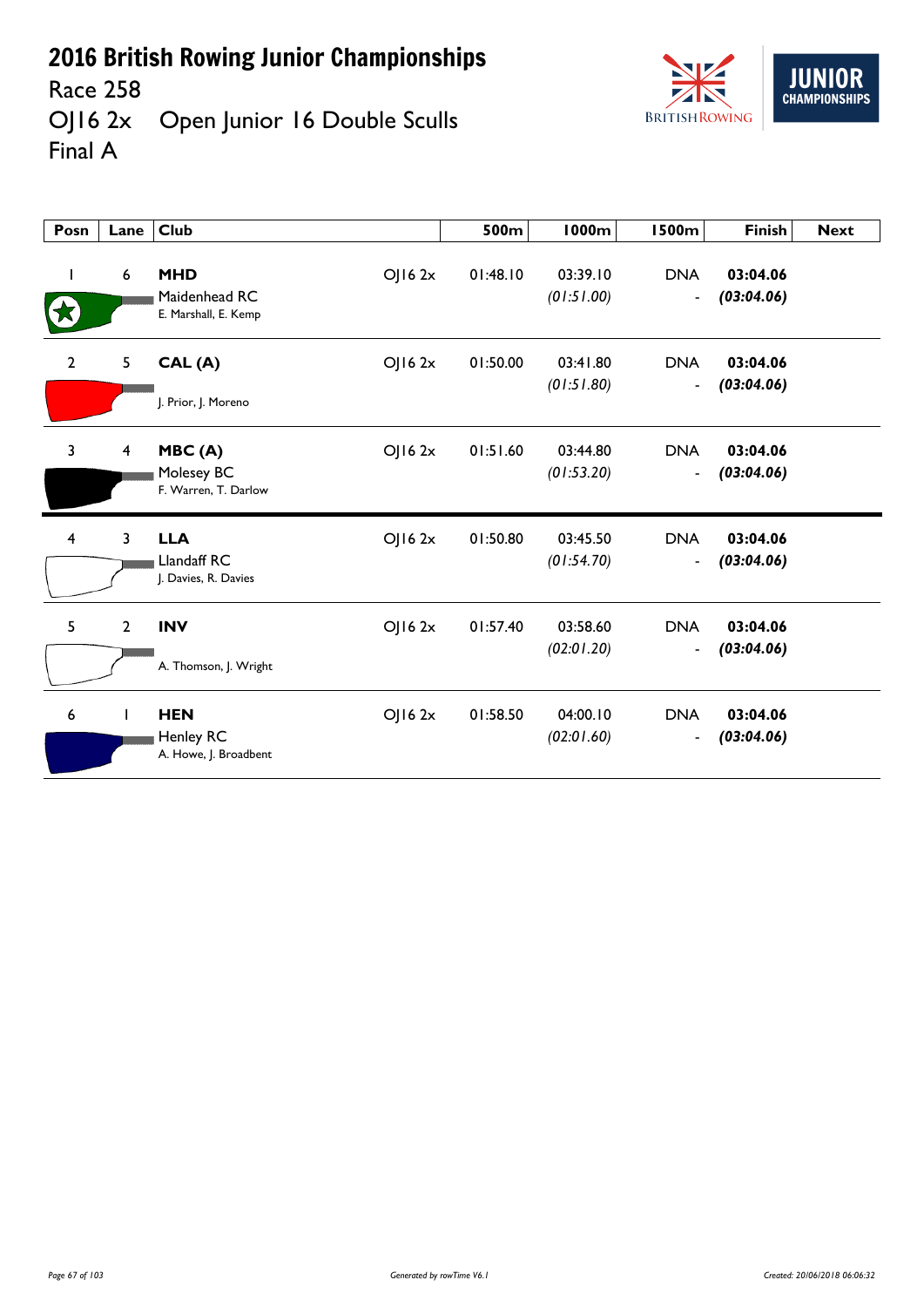Race 258<br>OJ16 2x Open Junior 16 Double Sculls Final A



| Posn           | Lane                    | <b>Club</b>                                                   | 500m     | 1000m                  | <b>1500m</b>                           | <b>Finish</b>          | <b>Next</b> |
|----------------|-------------------------|---------------------------------------------------------------|----------|------------------------|----------------------------------------|------------------------|-------------|
| I              | 6                       | <b>MHD</b><br>OJ162x<br>Maidenhead RC<br>E. Marshall, E. Kemp | 01:48.10 | 03:39.10<br>(01:51.00) | <b>DNA</b><br>$\overline{\phantom{a}}$ | 03:04.06<br>(03:04.06) |             |
| $\overline{2}$ | 5                       | OJ162x<br>CAL(A)<br>J. Prior, J. Moreno                       | 01:50.00 | 03:41.80<br>(01:51.80) | <b>DNA</b><br>$\overline{\phantom{a}}$ | 03:04.06<br>(03:04.06) |             |
| $\overline{3}$ | $\overline{\mathbf{4}}$ | MBC(A)<br>OJ162x<br>Molesey BC<br>F. Warren, T. Darlow        | 01:51.60 | 03:44.80<br>(01:53.20) | <b>DNA</b><br>$\blacksquare$           | 03:04.06<br>(03:04.06) |             |
| $\overline{4}$ | 3                       | <b>LLA</b><br>OJ162x<br>Llandaff RC<br>J. Davies, R. Davies   | 01:50.80 | 03:45.50<br>(01:54.70) | <b>DNA</b><br>$\overline{\phantom{m}}$ | 03:04.06<br>(03:04.06) |             |
| 5              | $\mathbf{2}$            | <b>INV</b><br>OJ162x<br>A. Thomson, J. Wright                 | 01:57.40 | 03:58.60<br>(02:01.20) | <b>DNA</b><br>$\blacksquare$           | 03:04.06<br>(03:04.06) |             |
| 6              |                         | <b>HEN</b><br>OJ162x<br>Henley RC<br>A. Howe, J. Broadbent    | 01:58.50 | 04:00.10<br>(02:01.60) | <b>DNA</b><br>$\blacksquare$           | 03:04.06<br>(03:04.06) |             |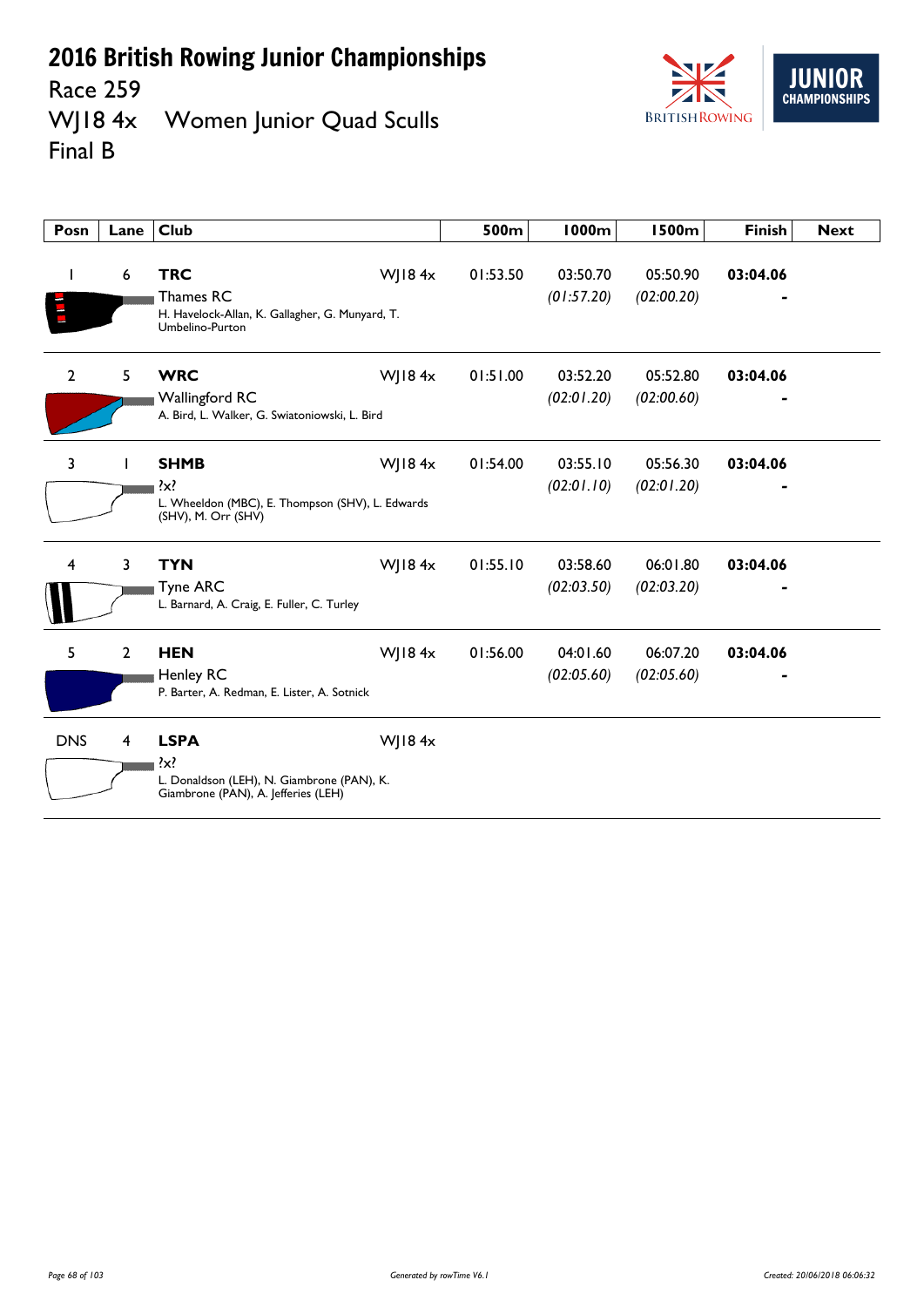Race 259<br>WJ18 4x Women Junior Quad Sculls Final B



| Posn           | Lane           | <b>Club</b>                                                                                                 |           | 500m     | 1000m                  | <b>1500m</b>           | <b>Finish</b> | <b>Next</b> |
|----------------|----------------|-------------------------------------------------------------------------------------------------------------|-----------|----------|------------------------|------------------------|---------------|-------------|
|                | 6              | <b>TRC</b><br>Thames RC<br>H. Havelock-Allan, K. Gallagher, G. Munyard, T.<br>Umbelino-Purton               | WJ18 $4x$ | 01:53.50 | 03:50.70<br>(01:57.20) | 05:50.90<br>(02:00.20) | 03:04.06      |             |
| $\overline{2}$ | 5              | <b>WRC</b><br><b>Wallingford RC</b><br>A. Bird, L. Walker, G. Swiatoniowski, L. Bird                        | WJ18 $4x$ | 01:51.00 | 03:52.20<br>(02:01.20) | 05:52.80<br>(02:00.60) | 03:04.06      |             |
| 3              | $\mathbf{I}$   | <b>SHMB</b><br>?x?<br>L. Wheeldon (MBC), E. Thompson (SHV), L. Edwards<br>(SHV), M. Orr (SHV)               | WJ18 $4x$ | 01:54.00 | 03:55.10<br>(02:01.10) | 05:56.30<br>(02:01.20) | 03:04.06      |             |
| 4              | 3              | <b>TYN</b><br><b>Tyne ARC</b><br>L. Barnard, A. Craig, E. Fuller, C. Turley                                 | WJ184x    | 01:55.10 | 03:58.60<br>(02:03.50) | 06:01.80<br>(02:03.20) | 03:04.06      |             |
| 5              | $\overline{2}$ | <b>HEN</b><br>Henley RC<br>P. Barter, A. Redman, E. Lister, A. Sotnick                                      | WJ184x    | 01:56.00 | 04:01.60<br>(02:05.60) | 06:07.20<br>(02:05.60) | 03:04.06      |             |
| <b>DNS</b>     | 4              | <b>LSPA</b><br>$\{x\}$<br>L. Donaldson (LEH), N. Giambrone (PAN), K.<br>Giambrone (PAN), A. Jefferies (LEH) | WJ184x    |          |                        |                        |               |             |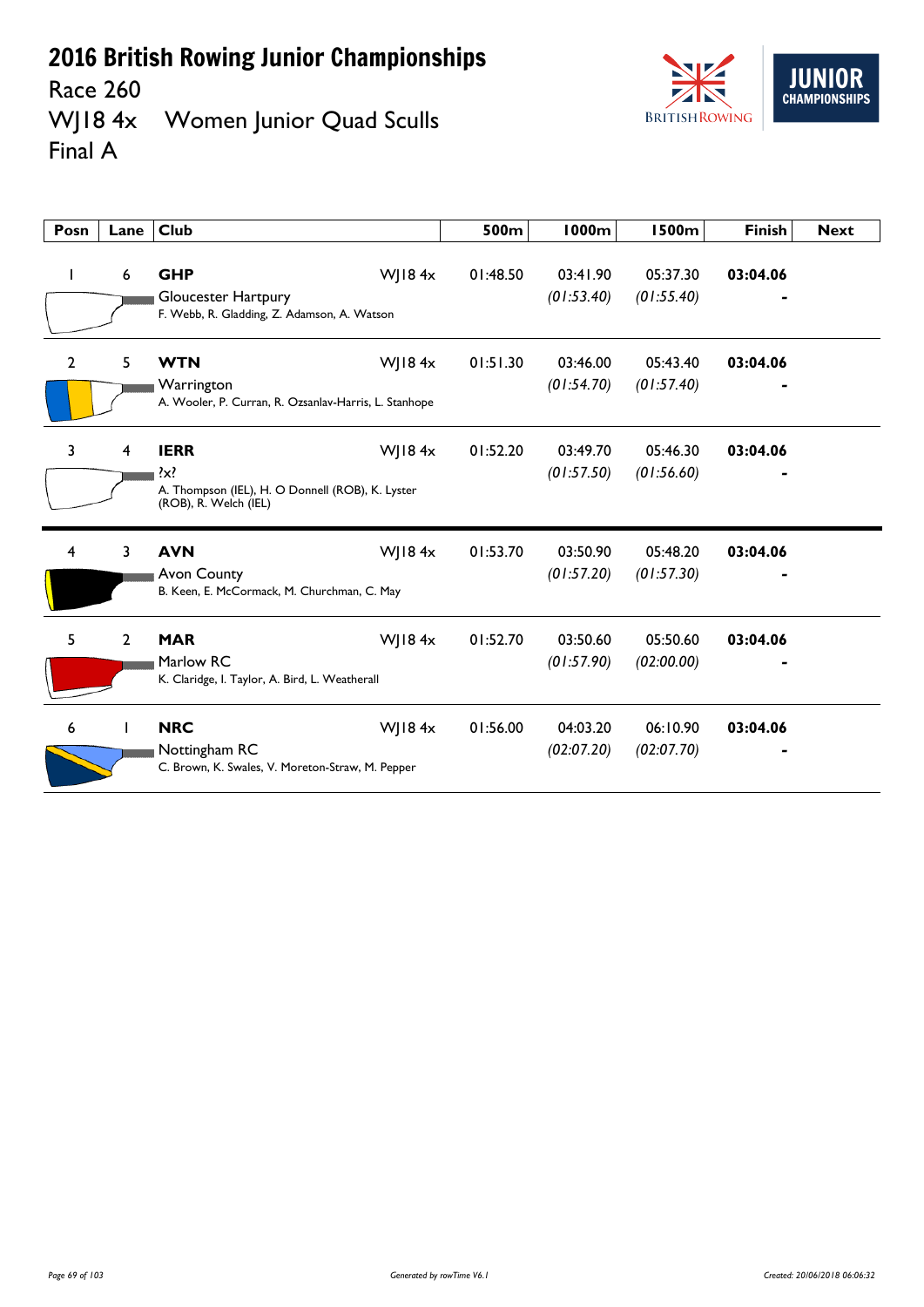

Race 260<br>WJ18 4x Women Junior Quad Sculls Final A

| Posn           | Lane           | <b>Club</b>                                                                                                      | 500m     | <b>1000m</b>           | 1500m                  | <b>Finish</b> | <b>Next</b> |
|----------------|----------------|------------------------------------------------------------------------------------------------------------------|----------|------------------------|------------------------|---------------|-------------|
| ı              | 6              | <b>GHP</b><br>W  $184x$<br>Gloucester Hartpury<br>F. Webb, R. Gladding, Z. Adamson, A. Watson                    | 01:48.50 | 03:41.90<br>(01:53.40) | 05:37.30<br>(01:55.40) | 03:04.06      |             |
| $\overline{2}$ | 5              | WJ18 $4x$<br><b>WTN</b><br>Warrington<br>A. Wooler, P. Curran, R. Ozsanlav-Harris, L. Stanhope                   | 01:51.30 | 03:46.00<br>(01:54.70) | 05:43.40<br>(01:57.40) | 03:04.06      |             |
| 3              | 4              | <b>IERR</b><br>WJ18 $4x$<br>$\{x\}$<br>A. Thompson (IEL), H. O Donnell (ROB), K. Lyster<br>(ROB), R. Welch (IEL) | 01:52.20 | 03:49.70<br>(01:57.50) | 05:46.30<br>(01:56.60) | 03:04.06      |             |
| 4              | 3              | WJ184x<br><b>AVN</b><br><b>Avon County</b><br>B. Keen, E. McCormack, M. Churchman, C. May                        | 01:53.70 | 03:50.90<br>(01:57.20) | 05:48.20<br>(01:57.30) | 03:04.06      |             |
| 5              | $\overline{2}$ | <b>MAR</b><br>WJ18 $4x$<br>Marlow RC<br>K. Claridge, I. Taylor, A. Bird, L. Weatherall                           | 01:52.70 | 03:50.60<br>(01:57.90) | 05:50.60<br>(02:00.00) | 03:04.06      |             |
| 6              |                | <b>NRC</b><br>WJ18 $4x$<br>Nottingham RC<br>C. Brown, K. Swales, V. Moreton-Straw, M. Pepper                     | 01:56.00 | 04:03.20<br>(02:07.20) | 06:10.90<br>(02:07.70) | 03:04.06      |             |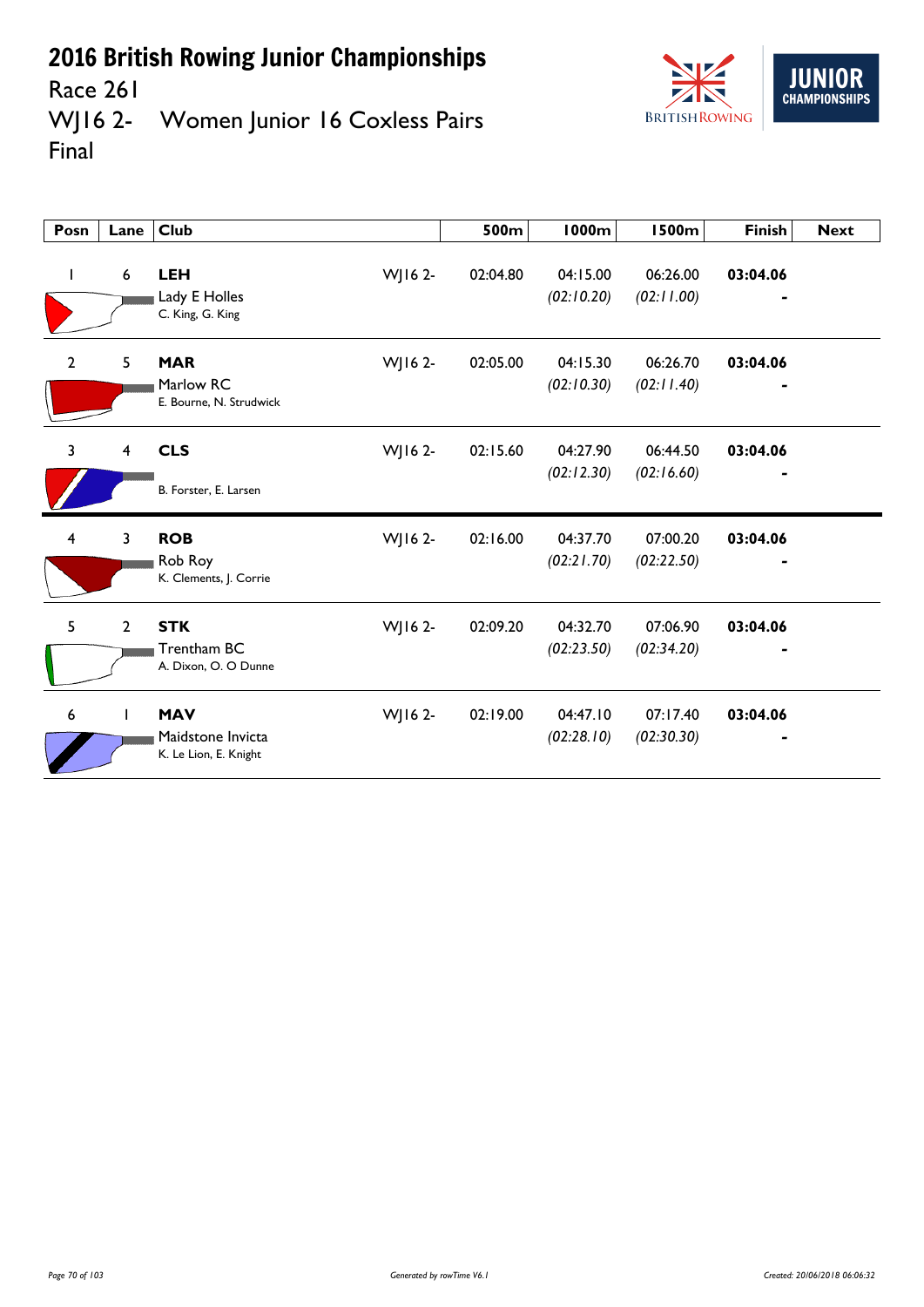

Race 261<br>WJ16 2-Women Junior 16 Coxless Pairs Final

| Posn                    | Lane           | <b>Club</b>                                                         | 500m     | 1000m                  | <b>1500m</b>           | <b>Finish</b> | <b>Next</b> |
|-------------------------|----------------|---------------------------------------------------------------------|----------|------------------------|------------------------|---------------|-------------|
| L                       | 6              | WJ16 2-<br><b>LEH</b><br>Lady E Holles<br>C. King, G. King          | 02:04.80 | 04:15.00<br>(02:10.20) | 06:26.00<br>(02:11.00) | 03:04.06      |             |
| $\overline{2}$          | 5              | <b>MAR</b><br>WJ16 2-<br>Marlow RC<br>E. Bourne, N. Strudwick       | 02:05.00 | 04:15.30<br>(02:10.30) | 06:26.70<br>(02:11.40) | 03:04.06      |             |
| 3                       | 4              | <b>CLS</b><br>WJ16 2-<br>B. Forster, E. Larsen                      | 02:15.60 | 04:27.90<br>(02:12.30) | 06:44.50<br>(02:16.60) | 03:04.06      |             |
| $\overline{\mathbf{4}}$ | 3              | <b>ROB</b><br>WJ16 2-<br>Rob Roy<br>K. Clements, J. Corrie          | 02:16.00 | 04:37.70<br>(02:21.70) | 07:00.20<br>(02:22.50) | 03:04.06      |             |
| 5                       | $\overline{2}$ | <b>STK</b><br>WJ16 2-<br>Trentham BC<br>A. Dixon, O. O Dunne        | 02:09.20 | 04:32.70<br>(02:23.50) | 07:06.90<br>(02:34.20) | 03:04.06      |             |
| 6                       | $\mathbf{I}$   | <b>MAV</b><br>WJ16 2-<br>Maidstone Invicta<br>K. Le Lion, E. Knight | 02:19.00 | 04:47.10<br>(02:28.10) | 07:17.40<br>(02:30.30) | 03:04.06      |             |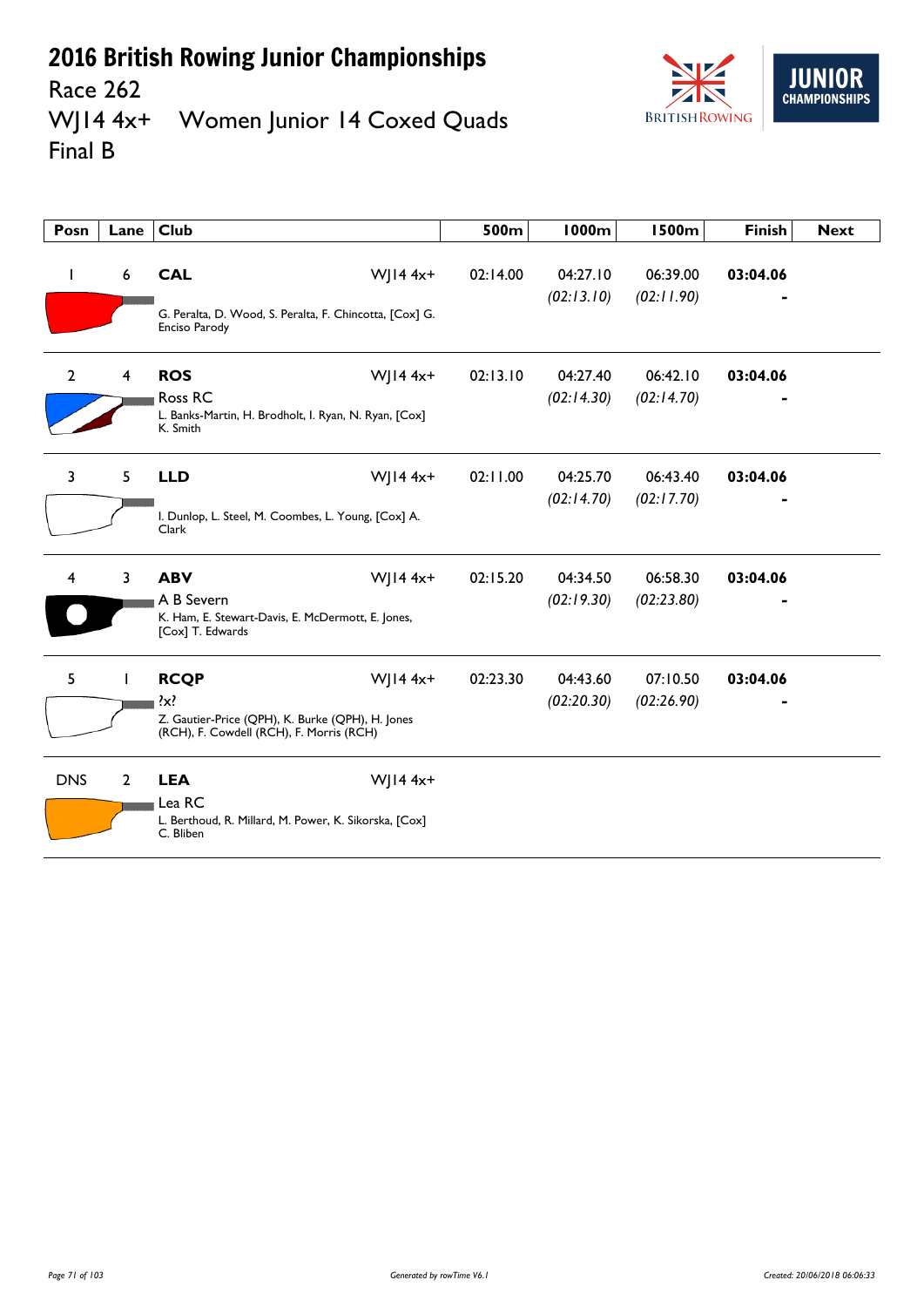

Race 262 WJ14 4x+ Women Junior 14 Coxed Quads Final B

| Posn           | Lane           | <b>Club</b>                                                                                                            |              | 500m     | <b>1000m</b>           | <b>1500m</b>           | <b>Finish</b> | <b>Next</b> |
|----------------|----------------|------------------------------------------------------------------------------------------------------------------------|--------------|----------|------------------------|------------------------|---------------|-------------|
| L              | 6              | <b>CAL</b><br>G. Peralta, D. Wood, S. Peralta, F. Chincotta, [Cox] G.<br>Enciso Parody                                 | WJ14 $4x+$   | 02:14.00 | 04:27.10<br>(02:13.10) | 06:39.00<br>(02:11.90) | 03:04.06      |             |
| $\overline{2}$ | 4              | <b>ROS</b><br>Ross RC<br>L. Banks-Martin, H. Brodholt, I. Ryan, N. Ryan, [Cox]<br>K. Smith                             | WJ14 $4x+$   | 02:13.10 | 04:27.40<br>(02:14.30) | 06:42.10<br>(02:14.70) | 03:04.06      |             |
| 3              | 5              | <b>LLD</b><br>I. Dunlop, L. Steel, M. Coombes, L. Young, [Cox] A.<br>Clark                                             | WJ14 $4x+$   | 02:11.00 | 04:25.70<br>(02:14.70) | 06:43.40<br>(02:17.70) | 03:04.06      |             |
| 4              | 3              | <b>ABV</b><br>A B Severn<br>K. Ham, E. Stewart-Davis, E. McDermott, E. Jones,<br>[Cox] T. Edwards                      | WJ14 $4x+$   | 02:15.20 | 04:34.50<br>(02:19.30) | 06:58.30<br>(02:23.80) | 03:04.06      |             |
| 5              | Ι.             | <b>RCQP</b><br>$\{x\}$<br>Z. Gautier-Price (QPH), K. Burke (QPH), H. Jones<br>(RCH), F. Cowdell (RCH), F. Morris (RCH) | WJ14 $4x+$   | 02:23.30 | 04:43.60<br>(02:20.30) | 07:10.50<br>(02:26.90) | 03:04.06      |             |
| <b>DNS</b>     | $\overline{2}$ | <b>LEA</b><br>Lea RC<br>L. Berthoud, R. Millard, M. Power, K. Sikorska, [Cox]<br>C. Bliben                             | $W$   14 4x+ |          |                        |                        |               |             |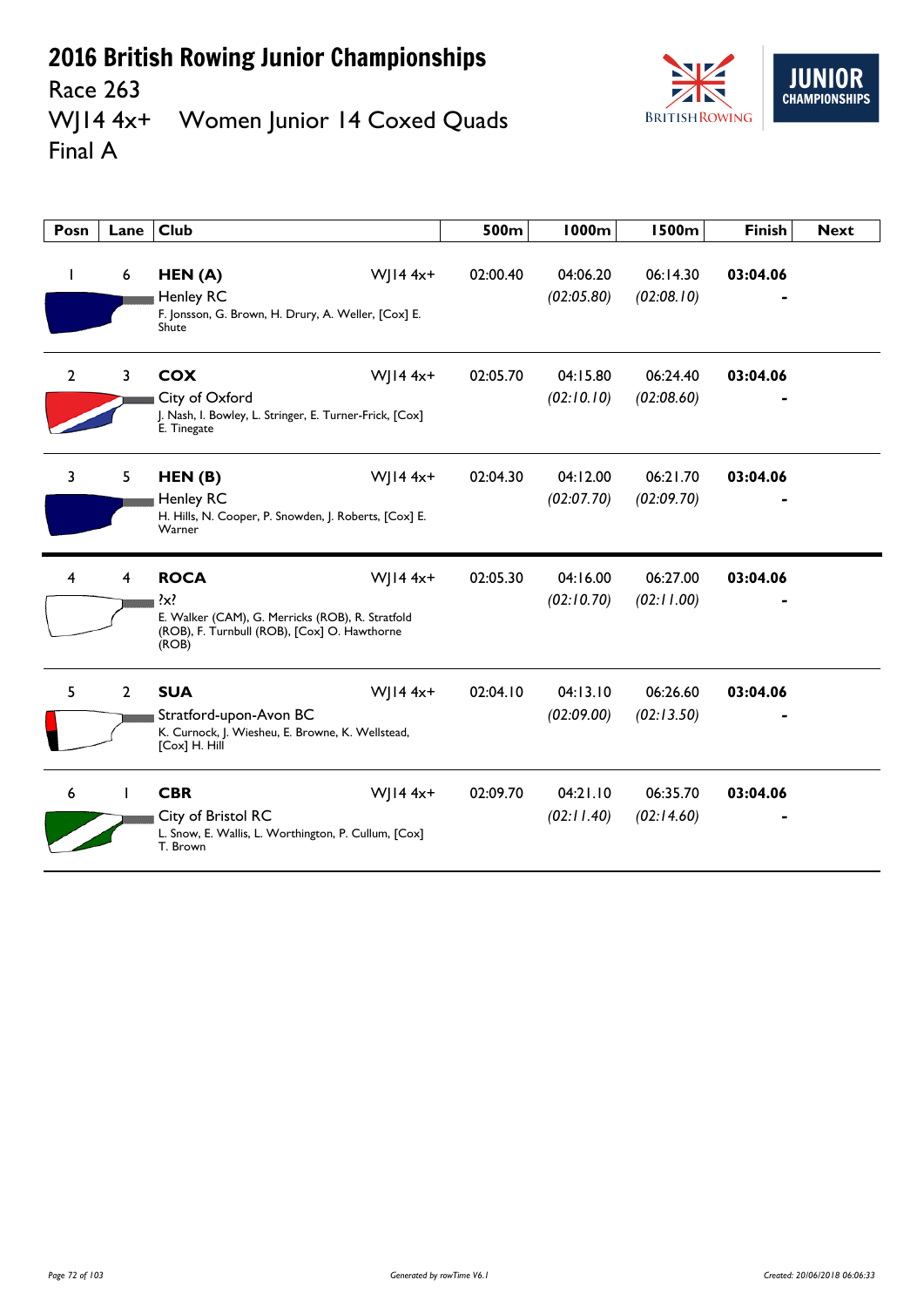

Race 263 WJ14 4x+ Women Junior 14 Coxed Quads Final A

| Posn           | Lane         | <b>Club</b>                                                                                                                                         | 500m     | 1000m                  | <b>1500m</b>           | <b>Finish</b> | <b>Next</b> |
|----------------|--------------|-----------------------------------------------------------------------------------------------------------------------------------------------------|----------|------------------------|------------------------|---------------|-------------|
| $\mathbf{I}$   | 6            | W  $14 4x+$<br>HEN(A)<br><b>Henley RC</b><br>F. Jonsson, G. Brown, H. Drury, A. Weller, [Cox] E.<br>Shute                                           | 02:00.40 | 04:06.20<br>(02:05.80) | 06:14.30<br>(02:08.10) | 03:04.06      |             |
| $\overline{2}$ | 3            | <b>COX</b><br>$W$   14 4x+<br>City of Oxford<br>J. Nash, I. Bowley, L. Stringer, E. Turner-Frick, [Cox]<br>E. Tinegate                              | 02:05.70 | 04:15.80<br>(02:10.10) | 06:24.40<br>(02:08.60) | 03:04.06      |             |
| 3              | 5            | $W$   14 4x+<br>HEN(B)<br>Henley RC<br>H. Hills, N. Cooper, P. Snowden, J. Roberts, [Cox] E.<br>Warner                                              | 02:04.30 | 04:12.00<br>(02:07.70) | 06:21.70<br>(02:09.70) | 03:04.06      |             |
| 4              | 4            | <b>ROCA</b><br>$W$   14 4x+<br>$\{x\}$<br>E. Walker (CAM), G. Merricks (ROB), R. Stratfold<br>(ROB), F. Turnbull (ROB), [Cox] O. Hawthorne<br>(ROB) | 02:05.30 | 04:16.00<br>(02:10.70) | 06:27.00<br>(02:11.00) | 03:04.06      |             |
| 5              | $\mathbf{2}$ | <b>SUA</b><br>$W$   14 4x+<br>Stratford-upon-Avon BC<br>K. Curnock, J. Wiesheu, E. Browne, K. Wellstead,<br>[Cox] H. Hill                           | 02:04.10 | 04:13.10<br>(02:09.00) | 06:26.60<br>(02:13.50) | 03:04.06      |             |
| 6              |              | <b>CBR</b><br>$W$   14 4x+<br>City of Bristol RC<br>L. Snow, E. Wallis, L. Worthington, P. Cullum, [Cox]<br>T. Brown                                | 02:09.70 | 04:21.10<br>(02:11.40) | 06:35.70<br>(02:14.60) | 03:04.06      |             |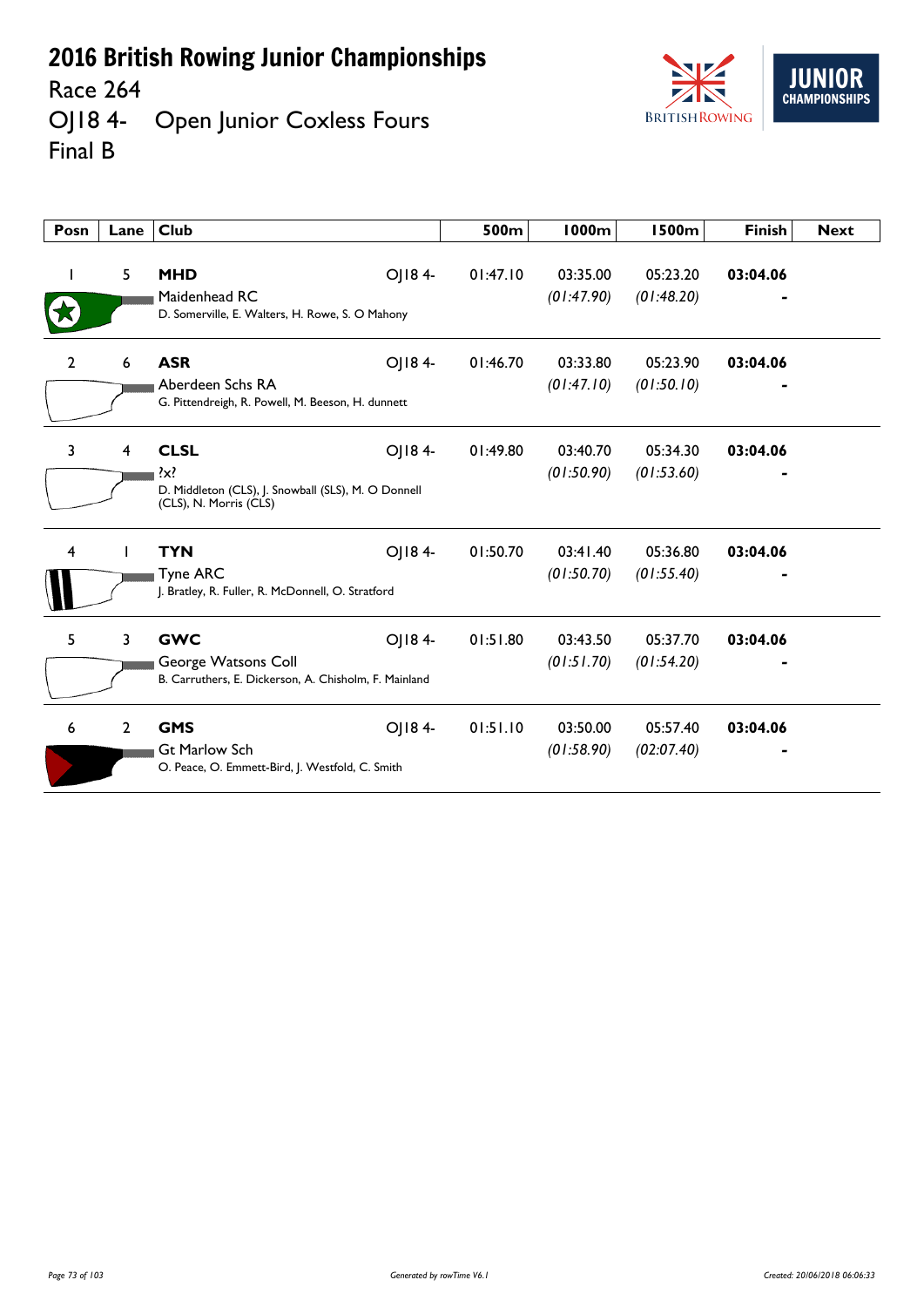Race 264

OJ18 4- Open Junior Coxless Fours Final B



| Posn         | Lane           | <b>Club</b>                                                                                                       | 500m     | <b>1000m</b>           | <b>1500m</b>           | <b>Finish</b> | <b>Next</b> |
|--------------|----------------|-------------------------------------------------------------------------------------------------------------------|----------|------------------------|------------------------|---------------|-------------|
|              | 5              | OJ184-<br><b>MHD</b><br>Maidenhead RC<br>D. Somerville, E. Walters, H. Rowe, S. O Mahony                          | 01:47.10 | 03:35.00<br>(01:47.90) | 05:23.20<br>(01:48.20) | 03:04.06      |             |
| $\mathbf{2}$ | 6              | <b>ASR</b><br>OJ184-<br>Aberdeen Schs RA<br>G. Pittendreigh, R. Powell, M. Beeson, H. dunnett                     | 01:46.70 | 03:33.80<br>(01:47.10) | 05:23.90<br>(01:50.10) | 03:04.06      |             |
| 3            | 4              | <b>CLSL</b><br>OJ184-<br>$\{x\}$<br>D. Middleton (CLS), J. Snowball (SLS), M. O Donnell<br>(CLS), N. Morris (CLS) | 01:49.80 | 03:40.70<br>(01:50.90) | 05:34.30<br>(01:53.60) | 03:04.06      |             |
| 4            |                | <b>TYN</b><br>OJ184-<br><b>Tyne ARC</b><br>J. Bratley, R. Fuller, R. McDonnell, O. Stratford                      | 01:50.70 | 03:41.40<br>(01:50.70) | 05:36.80<br>(01:55.40) | 03:04.06      |             |
| 5            | 3              | <b>GWC</b><br>OJ184-<br>George Watsons Coll<br>B. Carruthers, E. Dickerson, A. Chisholm, F. Mainland              | 01:51.80 | 03:43.50<br>(01:51.70) | 05:37.70<br>(01:54.20) | 03:04.06      |             |
| 6            | $\overline{2}$ | <b>GMS</b><br>OJ184-<br><b>Gt Marlow Sch</b><br>O. Peace, O. Emmett-Bird, J. Westfold, C. Smith                   | 01:51.10 | 03:50.00<br>(01:58.90) | 05:57.40<br>(02:07.40) | 03:04.06      |             |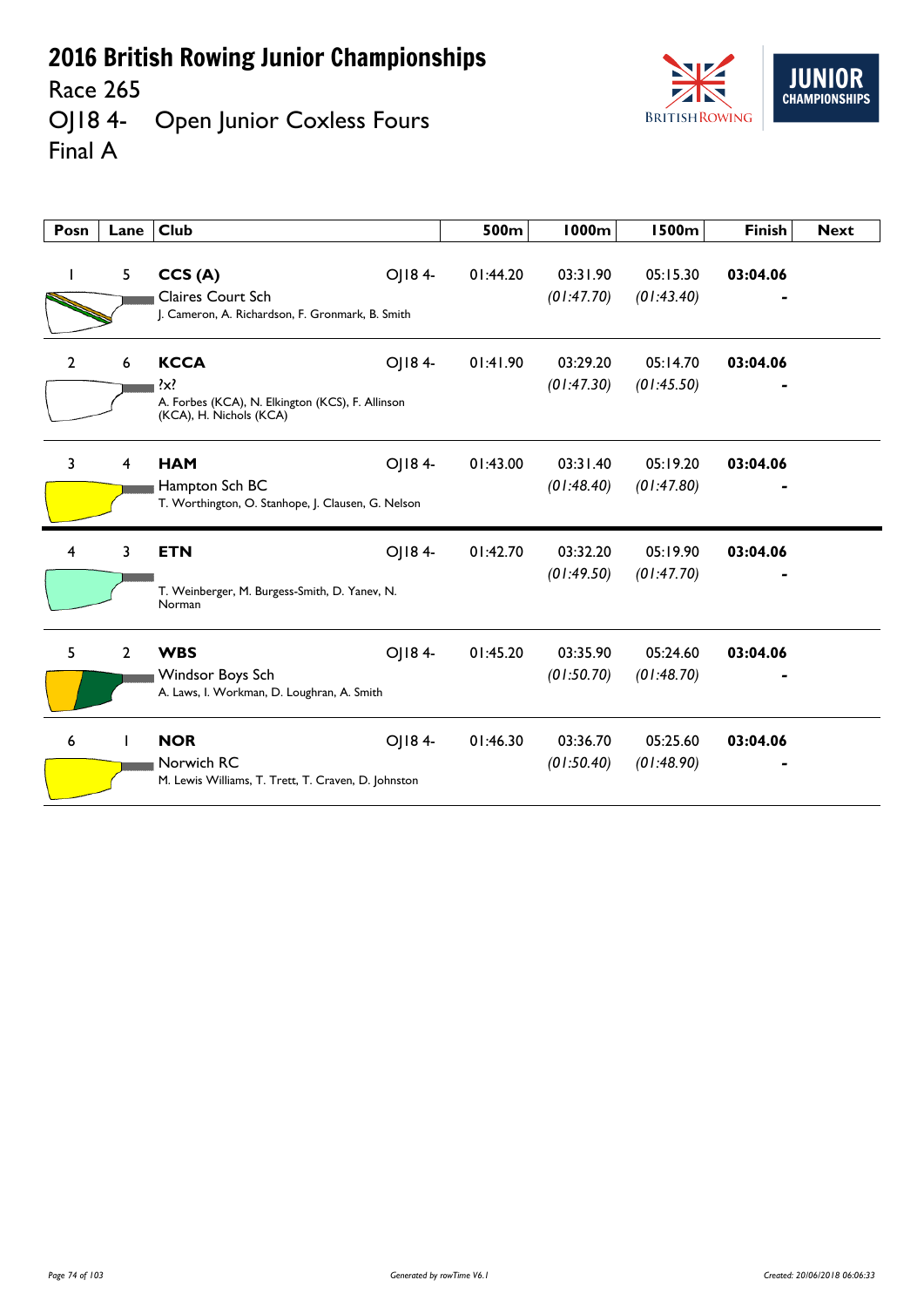Race 265

OJ18 4- Open Junior Coxless Fours Final A



| Posn           | Lane           | <b>Club</b>                                                                                                     | 500m     | <b>1000m</b>           | <b>1500m</b>           | <b>Finish</b> | <b>Next</b> |
|----------------|----------------|-----------------------------------------------------------------------------------------------------------------|----------|------------------------|------------------------|---------------|-------------|
|                | 5              | CCS(A)<br>OJ184-<br>Claires Court Sch<br>J. Cameron, A. Richardson, F. Gronmark, B. Smith                       | 01:44.20 | 03:31.90<br>(01:47.70) | 05:15.30<br>(01:43.40) | 03:04.06      |             |
| $\overline{2}$ | 6              | <b>KCCA</b><br>OJ184-<br>$\{x\}$<br>A. Forbes (KCA), N. Elkington (KCS), F. Allinson<br>(KCA), H. Nichols (KCA) | 01:41.90 | 03:29.20<br>(01:47.30) | 05:14.70<br>(01:45.50) | 03:04.06      |             |
| 3              | 4              | <b>HAM</b><br>OJ184-<br>Hampton Sch BC<br>T. Worthington, O. Stanhope, J. Clausen, G. Nelson                    | 01:43.00 | 03:31.40<br>(01:48.40) | 05:19.20<br>(01:47.80) | 03:04.06      |             |
| 4              | 3              | OJ184-<br><b>ETN</b><br>T. Weinberger, M. Burgess-Smith, D. Yanev, N.<br>Norman                                 | 01:42.70 | 03:32.20<br>(01:49.50) | 05:19.90<br>(01:47.70) | 03:04.06      |             |
| 5              | $\overline{2}$ | OJ184-<br><b>WBS</b><br>Windsor Boys Sch<br>A. Laws, I. Workman, D. Loughran, A. Smith                          | 01:45.20 | 03:35.90<br>(01:50.70) | 05:24.60<br>(01:48.70) | 03:04.06      |             |
| 6              |                | <b>NOR</b><br>OJ184-<br>Norwich RC<br>M. Lewis Williams, T. Trett, T. Craven, D. Johnston                       | 01:46.30 | 03:36.70<br>(01:50.40) | 05:25.60<br>(01:48.90) | 03:04.06      |             |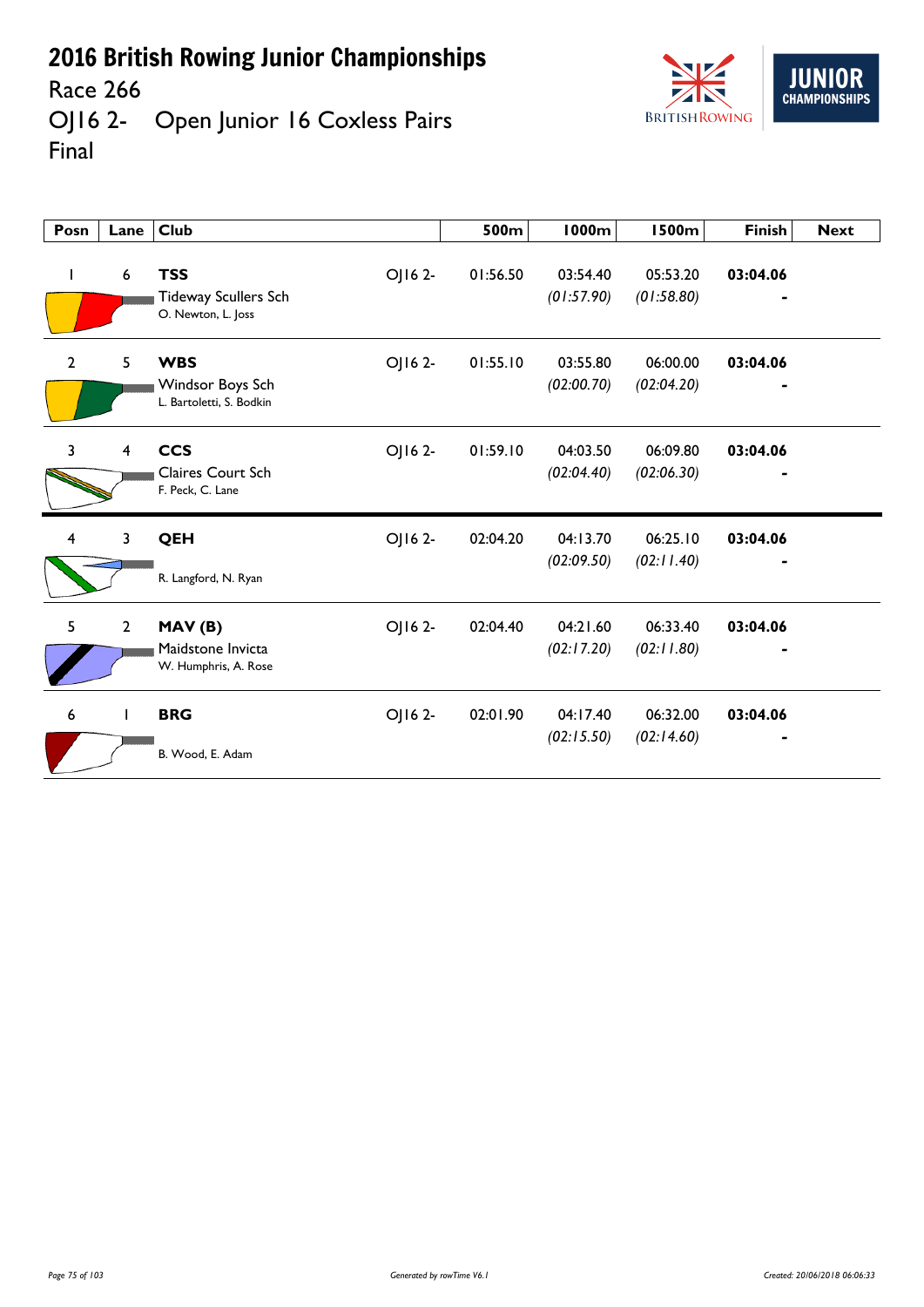



OJ16 2- Open Junior 16 Coxless Pairs Final

| Posn                    | Lane           | <b>Club</b>                                                                | 500m     | 1000m                  | <b>1500m</b>           | <b>Finish</b> | <b>Next</b> |
|-------------------------|----------------|----------------------------------------------------------------------------|----------|------------------------|------------------------|---------------|-------------|
| L                       | 6              | <b>TSS</b><br>OJ16 2-<br><b>Tideway Scullers Sch</b><br>O. Newton, L. Joss | 01:56.50 | 03:54.40<br>(01:57.90) | 05:53.20<br>(01:58.80) | 03:04.06      |             |
| $\overline{2}$          | 5              | <b>WBS</b><br>OJ16 2-<br>Windsor Boys Sch<br>L. Bartoletti, S. Bodkin      | 01:55.10 | 03:55.80<br>(02:00.70) | 06:00.00<br>(02:04.20) | 03:04.06      |             |
| 3                       | $\overline{4}$ | <b>CCS</b><br>OJ16 2-<br>Claires Court Sch<br>F. Peck, C. Lane             | 01:59.10 | 04:03.50<br>(02:04.40) | 06:09.80<br>(02:06.30) | 03:04.06      |             |
| $\overline{\mathbf{4}}$ | 3              | OJ16 2-<br>QEH<br>R. Langford, N. Ryan                                     | 02:04.20 | 04:13.70<br>(02:09.50) | 06:25.10<br>(02:11.40) | 03:04.06      |             |
| 5                       | $\overline{2}$ | MAV(B)<br>OJ16 2-<br>Maidstone Invicta<br>W. Humphris, A. Rose             | 02:04.40 | 04:21.60<br>(02:17.20) | 06:33.40<br>(02:11.80) | 03:04.06      |             |
| 6                       | $\mathbf{I}$   | <b>BRG</b><br>OJ16 2-<br>B. Wood, E. Adam                                  | 02:01.90 | 04:17.40<br>(02:15.50) | 06:32.00<br>(02:14.60) | 03:04.06      |             |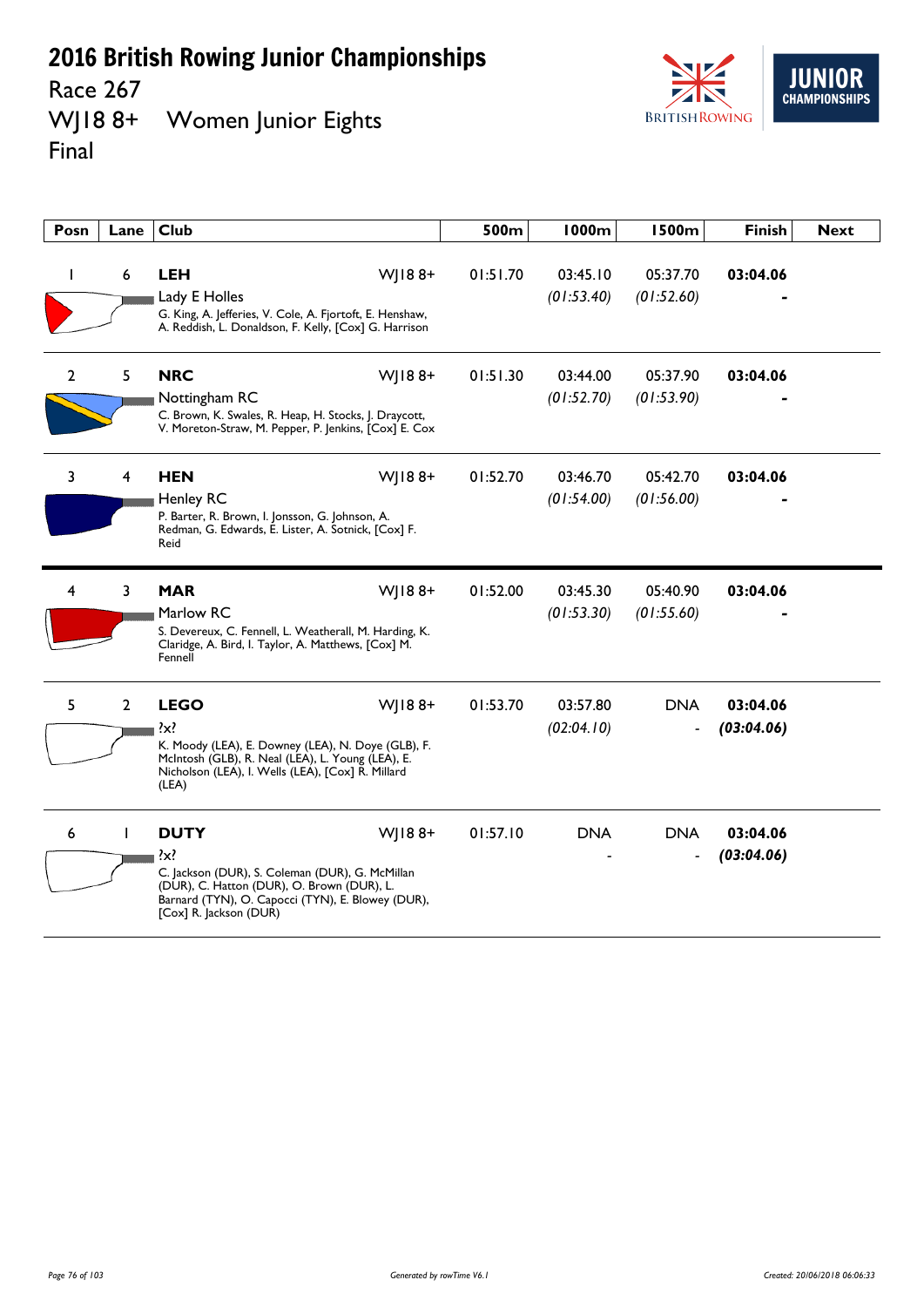Race 267<br>WJ18 8+ Women Junior Eights Final



| Posn           | Lane           | <b>Club</b>                                                                                                                                                                                                          | 500m     | 1000m                  | <b>1500m</b>           | <b>Finish</b>          | <b>Next</b> |
|----------------|----------------|----------------------------------------------------------------------------------------------------------------------------------------------------------------------------------------------------------------------|----------|------------------------|------------------------|------------------------|-------------|
|                | 6              | <b>LEH</b><br>$W$   188+<br>Lady E Holles<br>G. King, A. Jefferies, V. Cole, A. Fjortoft, E. Henshaw,<br>A. Reddish, L. Donaldson, F. Kelly, [Cox] G. Harrison                                                       | 01:51.70 | 03:45.10<br>(01:53.40) | 05:37.70<br>(01:52.60) | 03:04.06               |             |
| $\overline{2}$ | 5              | <b>NRC</b><br>$W$ JI88+<br>Nottingham RC<br>C. Brown, K. Swales, R. Heap, H. Stocks, J. Draycott,<br>V. Moreton-Straw, M. Pepper, P. Jenkins, [Cox] E. Cox                                                           | 01:51.30 | 03:44.00<br>(01:52.70) | 05:37.90<br>(01:53.90) | 03:04.06               |             |
| 3              | 4              | <b>HEN</b><br>$W$   188+<br><b>Henley RC</b><br>P. Barter, R. Brown, I. Jonsson, G. Johnson, A.<br>Redman, G. Edwards, E. Lister, A. Sotnick, [Cox] F.<br>Reid                                                       | 01:52.70 | 03:46.70<br>(01:54.00) | 05:42.70<br>(01:56.00) | 03:04.06               |             |
| 4              | 3              | <b>MAR</b><br>WJ188+<br>Marlow RC<br>S. Devereux, C. Fennell, L. Weatherall, M. Harding, K.<br>Claridge, A. Bird, I. Taylor, A. Matthews, [Cox] M.<br>Fennell                                                        | 01:52.00 | 03:45.30<br>(01:53.30) | 05:40.90<br>(01:55.60) | 03:04.06               |             |
| 5              | $\overline{2}$ | <b>LEGO</b><br>$W$   188+<br>$\{x\}$<br>K. Moody (LEA), E. Downey (LEA), N. Doye (GLB), F.<br>McIntosh (GLB), R. Neal (LEA), L. Young (LEA), E.<br>Nicholson (LEA), I. Wells (LEA), [Cox] R. Millard<br>(LEA)        | 01:53.70 | 03:57.80<br>(02:04.10) | <b>DNA</b>             | 03:04.06<br>(03:04.06) |             |
| 6              | $\mathbf{I}$   | <b>DUTY</b><br>$W$   188+<br>$\{x\}$<br>C. Jackson (DUR), S. Coleman (DUR), G. McMillan<br>(DUR), C. Hatton (DUR), O. Brown (DUR), L.<br>Barnard (TYN), O. Capocci (TYN), E. Blowey (DUR),<br>[Cox] R. Jackson (DUR) | 01:57.10 | <b>DNA</b>             | <b>DNA</b>             | 03:04.06<br>(03:04.06) |             |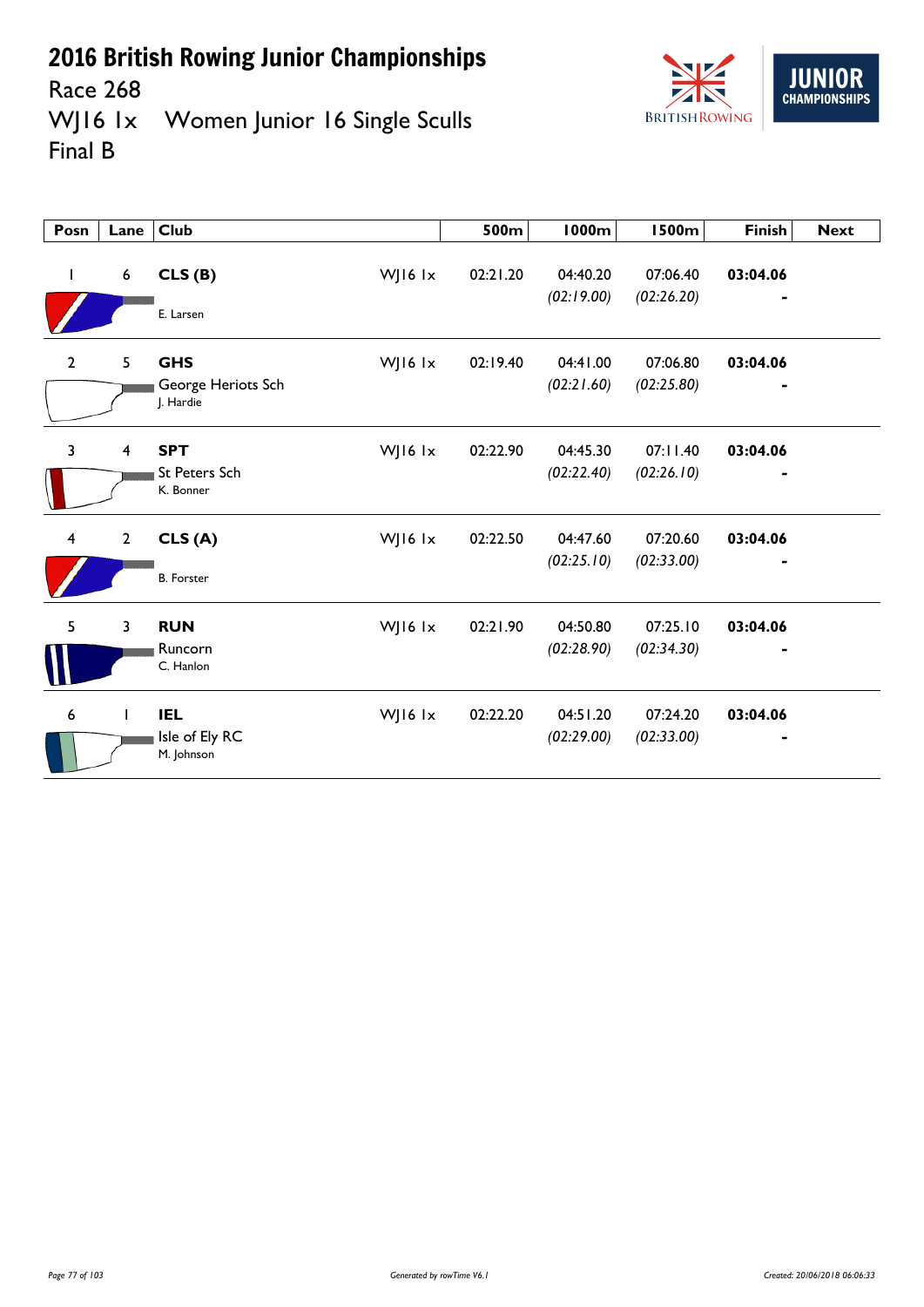

Race 268<br>WJ16 1x Women Junior 16 Single Sculls Final B

| Posn                    | Lane                    | <b>Club</b>                                                  | 500m     | 1000m                  | <b>1500m</b>           | <b>Finish</b> | <b>Next</b> |
|-------------------------|-------------------------|--------------------------------------------------------------|----------|------------------------|------------------------|---------------|-------------|
| $\mathbf{I}$            | $\boldsymbol{6}$        | CLS(B)<br>WJ16 lx<br>E. Larsen                               | 02:21.20 | 04:40.20<br>(02:19.00) | 07:06.40<br>(02:26.20) | 03:04.06      |             |
| $\overline{2}$          | 5                       | <b>GHS</b><br>WJ16 lx<br>George Heriots Sch<br>J. Hardie     | 02:19.40 | 04:41.00<br>(02:21.60) | 07:06.80<br>(02:25.80) | 03:04.06      |             |
| $\overline{3}$          | $\overline{\mathbf{4}}$ | <b>SPT</b><br>WJ16 $1x$<br><b>St Peters Sch</b><br>K. Bonner | 02:22.90 | 04:45.30<br>(02:22.40) | 07:11.40<br>(02:26.10) | 03:04.06<br>٠ |             |
| $\overline{\mathbf{4}}$ | $\overline{2}$          | CLS(A)<br>WJ16 lx<br><b>B.</b> Forster                       | 02:22.50 | 04:47.60<br>(02:25.10) | 07:20.60<br>(02:33.00) | 03:04.06      |             |
| 5                       | 3                       | <b>RUN</b><br>WJ16 lx<br>Runcorn<br>C. Hanlon                | 02:21.90 | 04:50.80<br>(02:28.90) | 07:25.10<br>(02:34.30) | 03:04.06      |             |
| 6                       | T                       | <b>IEL</b><br>WJ16 $1x$<br>Isle of Ely RC<br>M. Johnson      | 02:22.20 | 04:51.20<br>(02:29.00) | 07:24.20<br>(02:33.00) | 03:04.06      |             |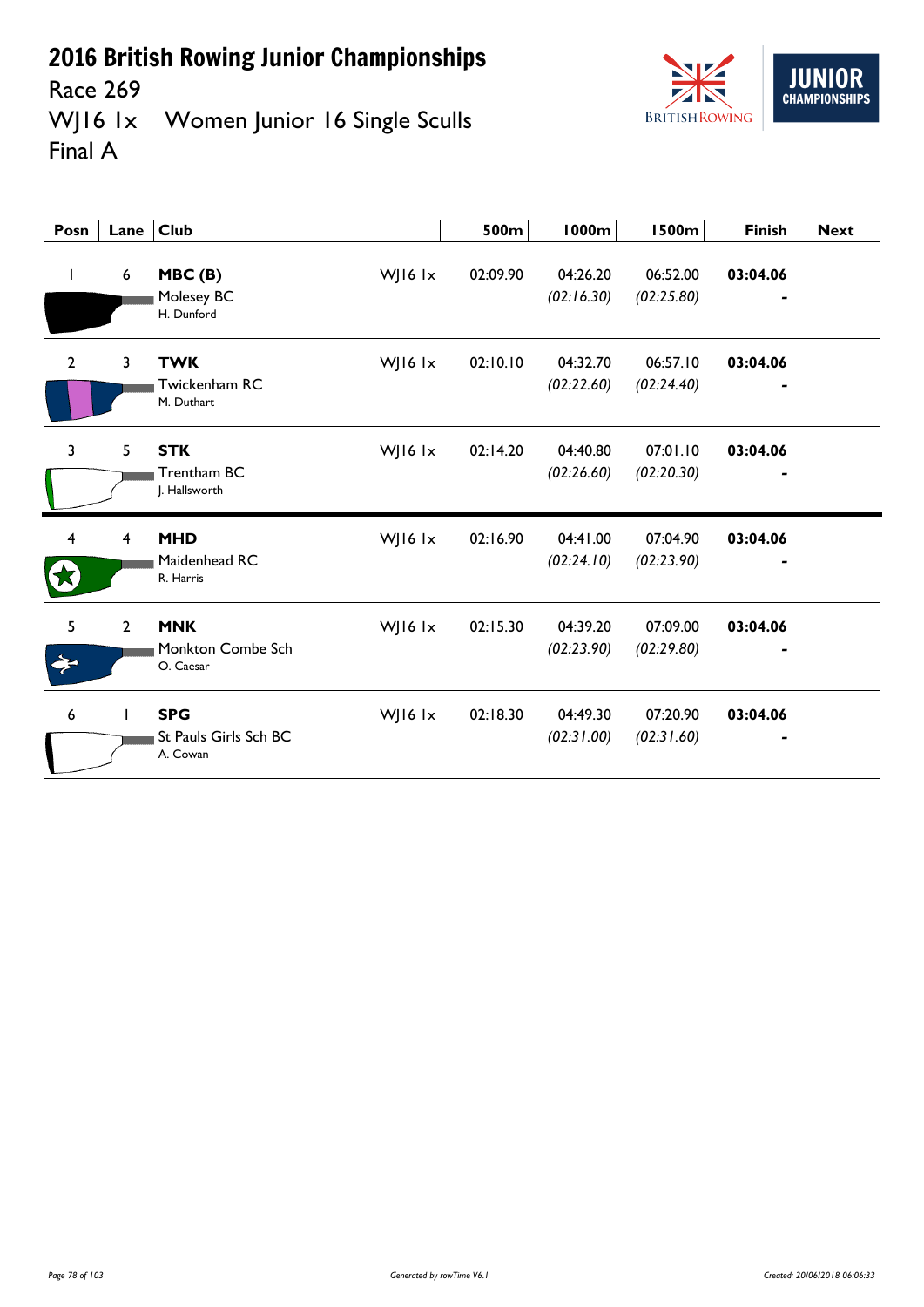

Race 269<br>WJ16 1x Women Junior 16 Single Sculls Final A

| Posn           | Lane           | <b>Club</b>                                                  | 500m     | <b>1000m</b>           | <b>1500m</b>           | <b>Finish</b> | <b>Next</b> |
|----------------|----------------|--------------------------------------------------------------|----------|------------------------|------------------------|---------------|-------------|
| $\mathbf{I}$   | 6              | MBC(B)<br>WJ16 lx<br>Molesey BC<br>H. Dunford                | 02:09.90 | 04:26.20<br>(02:16.30) | 06:52.00<br>(02:25.80) | 03:04.06      |             |
| $\overline{2}$ | 3              | WJ16 lx<br><b>TWK</b><br>Twickenham RC<br>M. Duthart         | 02:10.10 | 04:32.70<br>(02:22.60) | 06:57.10<br>(02:24.40) | 03:04.06      |             |
| 3              | 5              | <b>STK</b><br>WJ16 lx<br>Trentham BC<br>J. Hallsworth        | 02:14.20 | 04:40.80<br>(02:26.60) | 07:01.10<br>(02:20.30) | 03:04.06      |             |
| 4              | 4              | <b>MHD</b><br>WJ16 lx<br>Maidenhead RC<br>R. Harris          | 02:16.90 | 04:41.00<br>(02:24.10) | 07:04.90<br>(02:23.90) | 03:04.06      |             |
| 5<br>ᆃ         | $\overline{2}$ | <b>MNK</b><br>WJ16 $1x$<br>Monkton Combe Sch<br>O. Caesar    | 02:15.30 | 04:39.20<br>(02:23.90) | 07:09.00<br>(02:29.80) | 03:04.06      |             |
| 6              | $\mathbf{I}$   | <b>SPG</b><br>WJ16 $1x$<br>St Pauls Girls Sch BC<br>A. Cowan | 02:18.30 | 04:49.30<br>(02:31.00) | 07:20.90<br>(02:31.60) | 03:04.06      |             |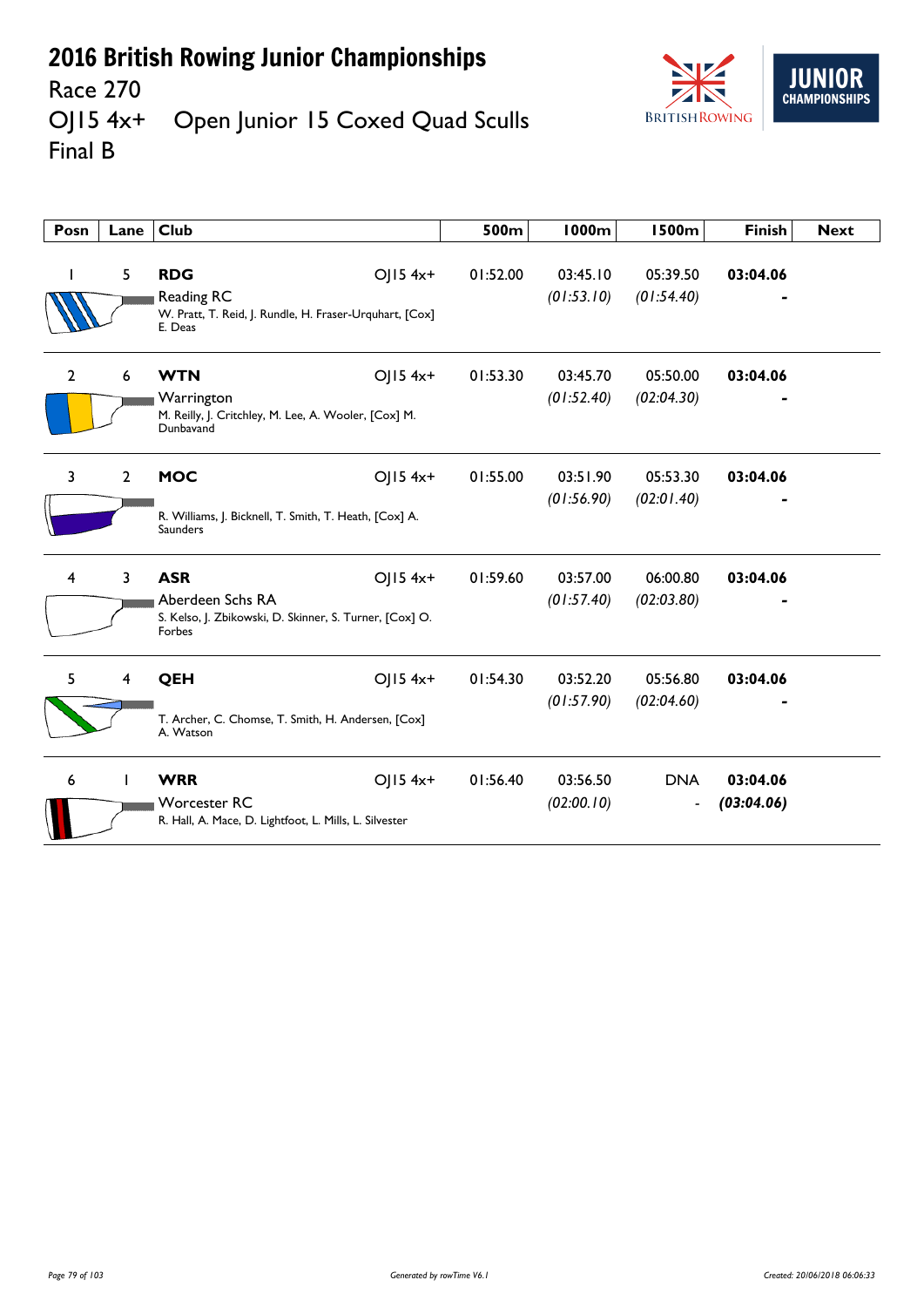

#### Race 270<br>OJ15 4x+ Open Junior 15 Coxed Quad Sculls Final B

| Posn           | Lane                    | <b>Club</b>                                                                                         |            | 500m     | <b>1000m</b>           | <b>1500m</b>                 | <b>Finish</b>          | <b>Next</b> |
|----------------|-------------------------|-----------------------------------------------------------------------------------------------------|------------|----------|------------------------|------------------------------|------------------------|-------------|
|                | 5                       | <b>RDG</b><br>Reading RC<br>W. Pratt, T. Reid, J. Rundle, H. Fraser-Urquhart, [Cox]<br>E. Deas      | $OJ15$ 4x+ | 01:52.00 | 03:45.10<br>(01:53.10) | 05:39.50<br>(01:54.40)       | 03:04.06               |             |
| $\overline{2}$ | 6                       | <b>WTN</b><br>Warrington<br>M. Reilly, J. Critchley, M. Lee, A. Wooler, [Cox] M.<br>Dunbavand       | $OJ15$ 4x+ | 01:53.30 | 03:45.70<br>(01:52.40) | 05:50.00<br>(02:04.30)       | 03:04.06               |             |
| 3              | $\overline{2}$          | <b>MOC</b><br>R. Williams, J. Bicknell, T. Smith, T. Heath, [Cox] A.<br><b>Saunders</b>             | $OJ15$ 4x+ | 01:55.00 | 03:51.90<br>(01:56.90) | 05:53.30<br>(02:01.40)       | 03:04.06               |             |
| 4              | 3                       | <b>ASR</b><br>Aberdeen Schs RA<br>S. Kelso, J. Zbikowski, D. Skinner, S. Turner, [Cox] O.<br>Forbes | $O  5 4x+$ | 01:59.60 | 03:57.00<br>(01:57.40) | 06:00.80<br>(02:03.80)       | 03:04.06               |             |
| 5.             | $\overline{\mathbf{4}}$ | QEH<br>T. Archer, C. Chomse, T. Smith, H. Andersen, [Cox]<br>A. Watson                              | $O  5 4x+$ | 01:54.30 | 03:52.20<br>(01:57.90) | 05:56.80<br>(02:04.60)       | 03:04.06               |             |
| 6              |                         | <b>WRR</b><br><b>Worcester RC</b><br>R. Hall, A. Mace, D. Lightfoot, L. Mills, L. Silvester         | $OJ15$ 4x+ | 01:56.40 | 03:56.50<br>(02:00.10) | <b>DNA</b><br>$\blacksquare$ | 03:04.06<br>(03:04.06) |             |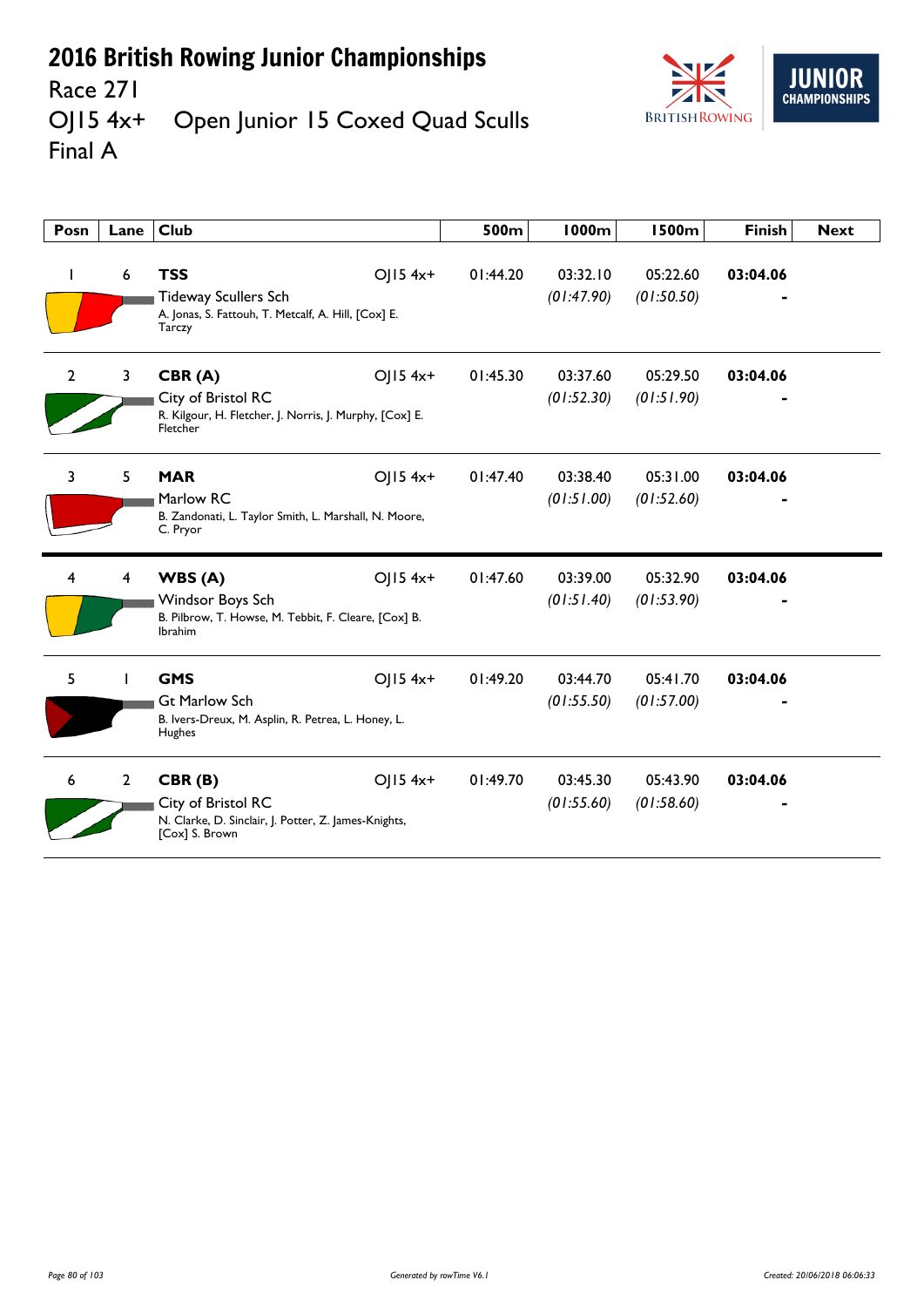

#### Race 271<br>OJ15 4x+ Open Junior 15 Coxed Quad Sculls Final A

| Posn           | Lane           | <b>Club</b>                                                                                                       |              | 500m     | <b>1000m</b>           | <b>1500m</b>           | <b>Finish</b> | <b>Next</b> |
|----------------|----------------|-------------------------------------------------------------------------------------------------------------------|--------------|----------|------------------------|------------------------|---------------|-------------|
|                | 6              | <b>TSS</b><br><b>Tideway Scullers Sch</b><br>A. Jonas, S. Fattouh, T. Metcalf, A. Hill, [Cox] E.<br><b>Tarczy</b> | $OJ15$ 4x+   | 01:44.20 | 03:32.10<br>(01:47.90) | 05:22.60<br>(01:50.50) | 03:04.06      |             |
| $\overline{2}$ | $\mathbf{3}$   | CBR(A)<br>City of Bristol RC<br>R. Kilgour, H. Fletcher, J. Norris, J. Murphy, [Cox] E.<br>Fletcher               | OJ15 4x+     | 01:45.30 | 03:37.60<br>(01:52.30) | 05:29.50<br>(01:51.90) | 03:04.06      |             |
| 3              | 5              | <b>MAR</b><br>Marlow RC<br>B. Zandonati, L. Taylor Smith, L. Marshall, N. Moore,<br>C. Pryor                      | $O$   15 4x+ | 01:47.40 | 03:38.40<br>(01:51.00) | 05:31.00<br>(01:52.60) | 03:04.06      |             |
|                | 4              | WBS(A)<br>Windsor Boys Sch<br>B. Pilbrow, T. Howse, M. Tebbit, F. Cleare, [Cox] B.<br><b>Ibrahim</b>              | $O$   15 4x+ | 01:47.60 | 03:39.00<br>(01:51.40) | 05:32.90<br>(01:53.90) | 03:04.06      |             |
| 5              |                | <b>GMS</b><br><b>Gt Marlow Sch</b><br>B. Ivers-Dreux, M. Asplin, R. Petrea, L. Honey, L.<br>Hughes                | $O$   15 4x+ | 01:49.20 | 03:44.70<br>(01:55.50) | 05:41.70<br>(01:57.00) | 03:04.06      |             |
| 6              | $\overline{2}$ | CBR(B)<br>City of Bristol RC<br>N. Clarke, D. Sinclair, J. Potter, Z. James-Knights,<br>[Cox] S. Brown            | OJ15 4x+     | 01:49.70 | 03:45.30<br>(01:55.60) | 05:43.90<br>(01:58.60) | 03:04.06      |             |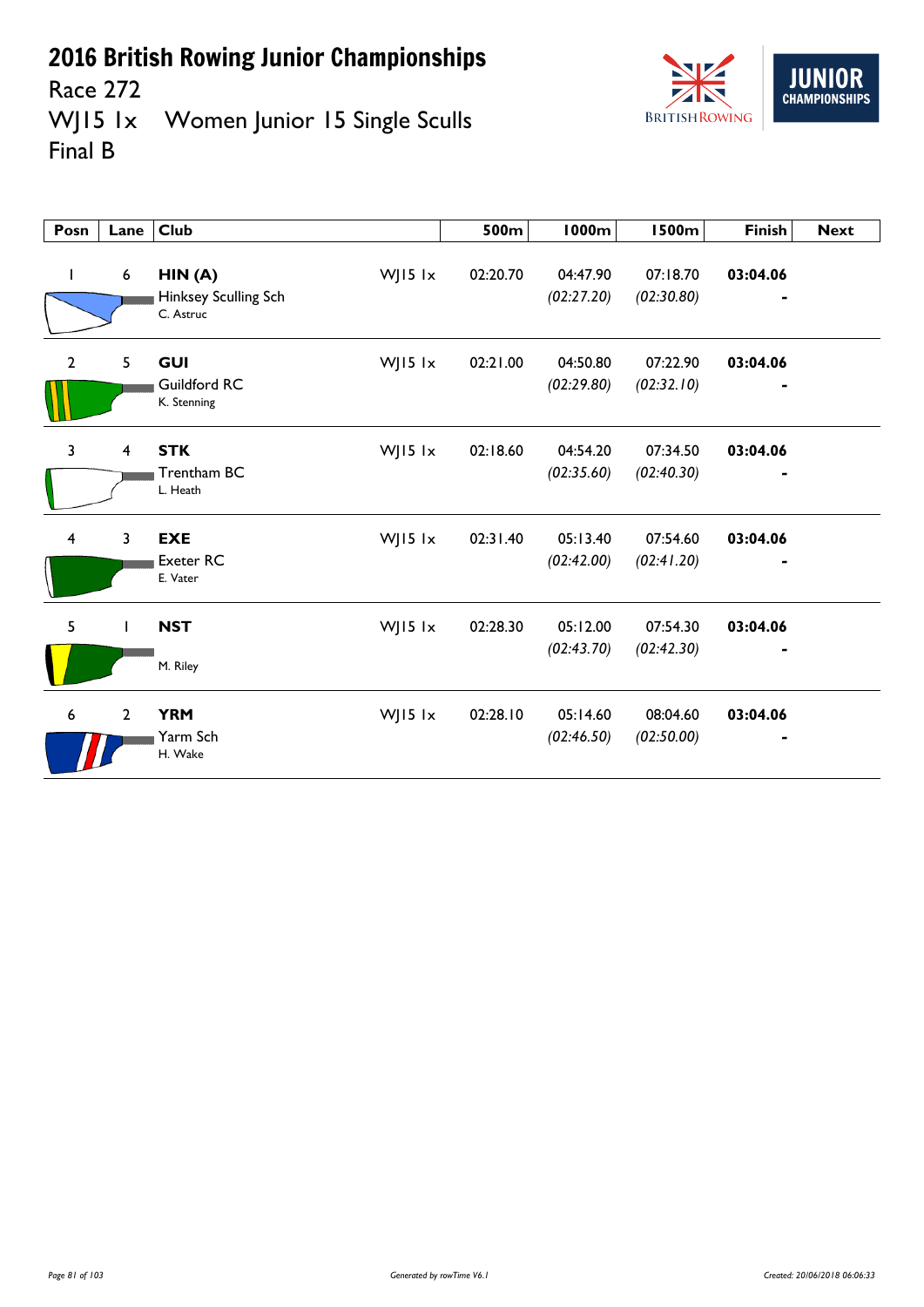

Race 272<br>WJ15 1x Women Junior 15 Single Sculls Final B

| Posn                    | Lane           | <b>Club</b>                                 |         | 500m     | 1000m                  | <b>1500m</b>           | <b>Finish</b> | <b>Next</b> |
|-------------------------|----------------|---------------------------------------------|---------|----------|------------------------|------------------------|---------------|-------------|
| L                       | 6              | HIN(A)<br>Hinksey Sculling Sch<br>C. Astruc | WJ15 lx | 02:20.70 | 04:47.90<br>(02:27.20) | 07:18.70<br>(02:30.80) | 03:04.06      |             |
| $\overline{2}$          | 5              | <b>GUI</b><br>Guildford RC<br>K. Stenning   | WJ15 lx | 02:21.00 | 04:50.80<br>(02:29.80) | 07:22.90<br>(02:32.10) | 03:04.06      |             |
| 3                       | $\overline{4}$ | <b>STK</b><br>Trentham BC<br>L. Heath       | WJ15 lx | 02:18.60 | 04:54.20<br>(02:35.60) | 07:34.50<br>(02:40.30) | 03:04.06      |             |
| $\overline{\mathbf{4}}$ | $\mathbf{3}$   | <b>EXE</b><br><b>Exeter RC</b><br>E. Vater  | WJ15 lx | 02:31.40 | 05:13.40<br>(02:42.00) | 07:54.60<br>(02:41.20) | 03:04.06      |             |
| 5                       | $\mathbf{I}$   | <b>NST</b><br>M. Riley                      | WJ15 lx | 02:28.30 | 05:12.00<br>(02:43.70) | 07:54.30<br>(02:42.30) | 03:04.06      |             |
| $6\phantom{1}6$         | $\overline{2}$ | <b>YRM</b><br>Yarm Sch<br>H. Wake           | WJ15 lx | 02:28.10 | 05:14.60<br>(02:46.50) | 08:04.60<br>(02:50.00) | 03:04.06      |             |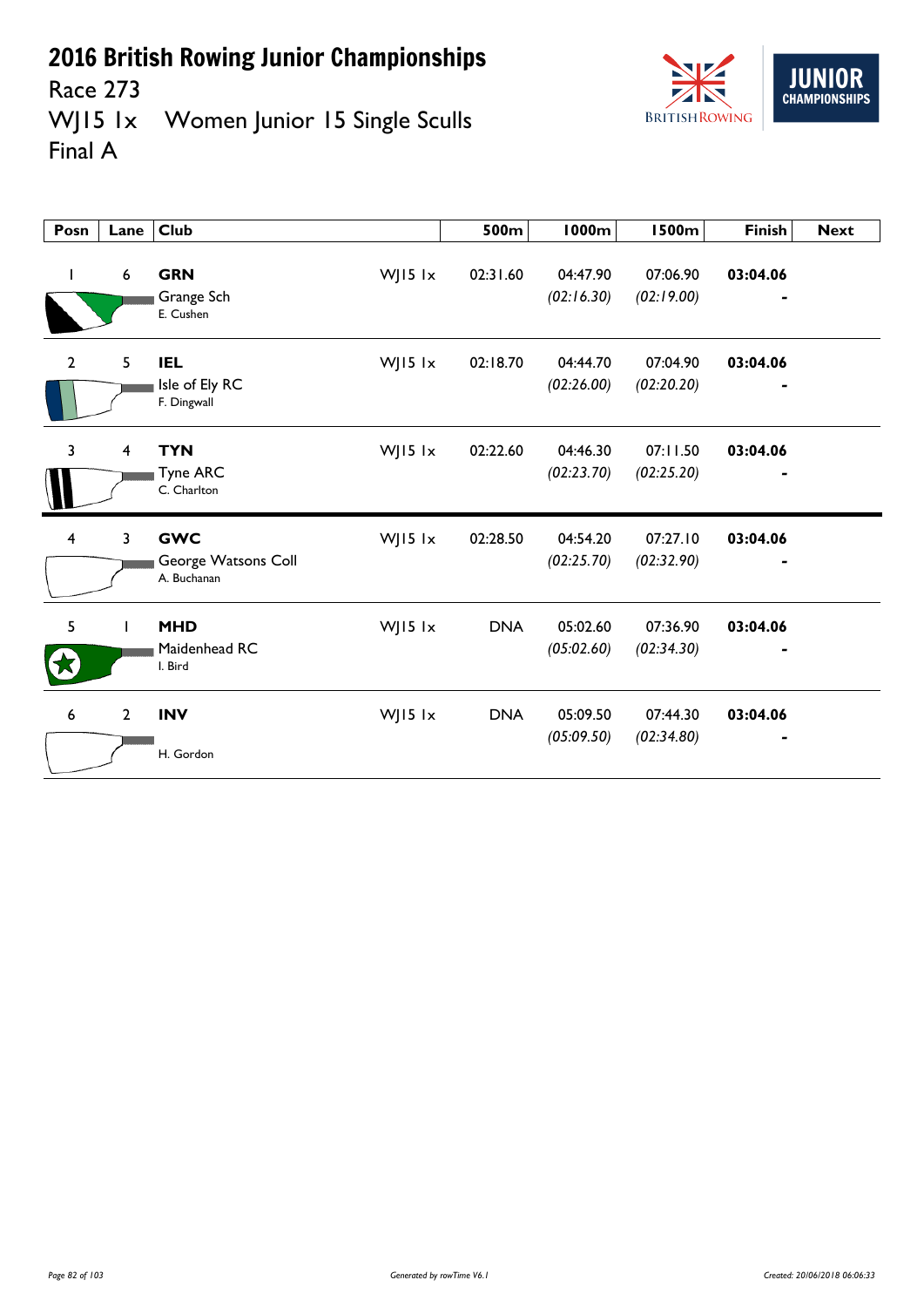

Race 273<br>WJ15 1x Women Junior 15 Single Sculls Final A

| Posn                    | Lane                    | <b>Club</b>                                                 | 500m       | 1000m                  | <b>1500m</b>           | <b>Finish</b> | <b>Next</b> |
|-------------------------|-------------------------|-------------------------------------------------------------|------------|------------------------|------------------------|---------------|-------------|
| Ι.                      | $\boldsymbol{6}$        | <b>GRN</b><br>WJ15 lx<br>Grange Sch<br>E. Cushen            | 02:31.60   | 04:47.90<br>(02:16.30) | 07:06.90<br>(02:19.00) | 03:04.06      |             |
| $\overline{2}$          | 5                       | WJ15 lx<br><b>IEL</b><br>Isle of Ely RC<br>F. Dingwall      | 02:18.70   | 04:44.70<br>(02:26.00) | 07:04.90<br>(02:20.20) | 03:04.06      |             |
| 3                       | $\overline{\mathbf{4}}$ | <b>TYN</b><br>WJ15 lx<br><b>Tyne ARC</b><br>C. Charlton     | 02:22.60   | 04:46.30<br>(02:23.70) | 07:11.50<br>(02:25.20) | 03:04.06      |             |
| $\overline{\mathbf{4}}$ | 3                       | <b>GWC</b><br>WJ15 lx<br>George Watsons Coll<br>A. Buchanan | 02:28.50   | 04:54.20<br>(02:25.70) | 07:27.10<br>(02:32.90) | 03:04.06      |             |
| 5                       | T                       | <b>MHD</b><br>WJ15 lx<br>Maidenhead RC<br>I. Bird           | <b>DNA</b> | 05:02.60<br>(05:02.60) | 07:36.90<br>(02:34.30) | 03:04.06      |             |
| 6                       | $\overline{2}$          | WJ15 lx<br><b>INV</b><br>H. Gordon                          | <b>DNA</b> | 05:09.50<br>(05:09.50) | 07:44.30<br>(02:34.80) | 03:04.06      |             |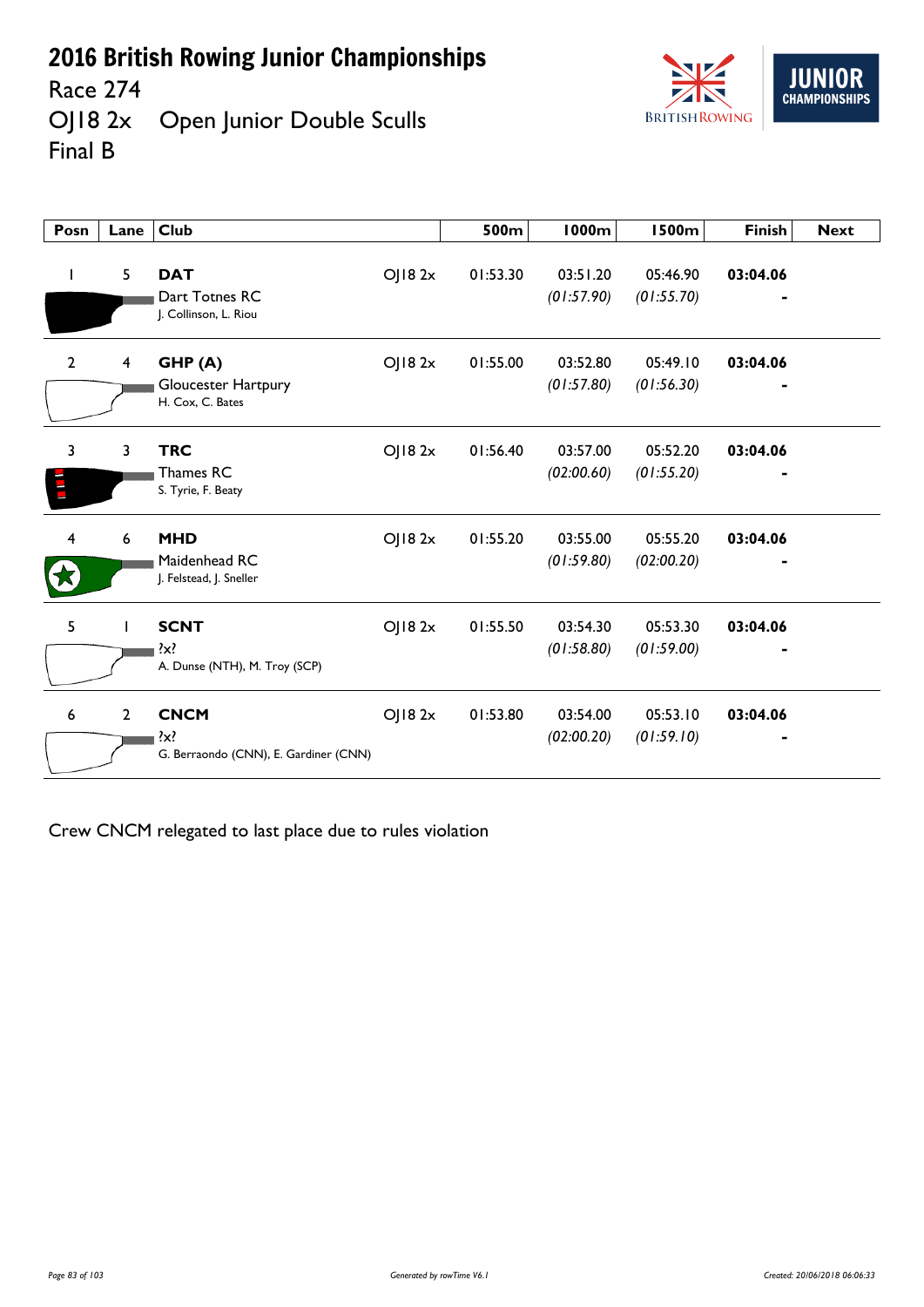Race 274<br>OJ18 2x Open Junior Double Sculls Final B



| Posn           | Lane                    | <b>Club</b>                                            |        | 500m     | <b>1000m</b>           | <b>1500m</b>           | <b>Finish</b> | <b>Next</b> |
|----------------|-------------------------|--------------------------------------------------------|--------|----------|------------------------|------------------------|---------------|-------------|
| $\mathbf{I}$   | 5                       | <b>DAT</b><br>Dart Totnes RC<br>J. Collinson, L. Riou  | OJ182x | 01:53.30 | 03:51.20<br>(01:57.90) | 05:46.90<br>(01:55.70) | 03:04.06      |             |
| $\overline{2}$ | $\overline{\mathbf{4}}$ | GHP (A)<br>Gloucester Hartpury<br>H. Cox, C. Bates     | OJ182x | 01:55.00 | 03:52.80<br>(01:57.80) | 05:49.10<br>(01:56.30) | 03:04.06      |             |
| 3              | 3                       | <b>TRC</b><br>Thames RC<br>S. Tyrie, F. Beaty          | OJ182x | 01:56.40 | 03:57.00<br>(02:00.60) | 05:52.20<br>(01:55.20) | 03:04.06      |             |
| 4              | 6                       | <b>MHD</b><br>Maidenhead RC<br>J. Felstead, J. Sneller | OJ182x | 01:55.20 | 03:55.00<br>(01:59.80) | 05:55.20<br>(02:00.20) | 03:04.06      |             |
| 5              |                         | <b>SCNT</b><br>A. Dunse (NTH), M. Troy (SCP)           | OJ182x | 01:55.50 | 03:54.30<br>(01:58.80) | 05:53.30<br>(01:59.00) | 03:04.06      |             |
| 6              | $\overline{2}$          | <b>CNCM</b><br>G. Berraondo (CNN), E. Gardiner (CNN)   | OJ182x | 01:53.80 | 03:54.00<br>(02:00.20) | 05:53.10<br>(01:59.10) | 03:04.06      |             |

Crew CNCM relegated to last place due to rules violation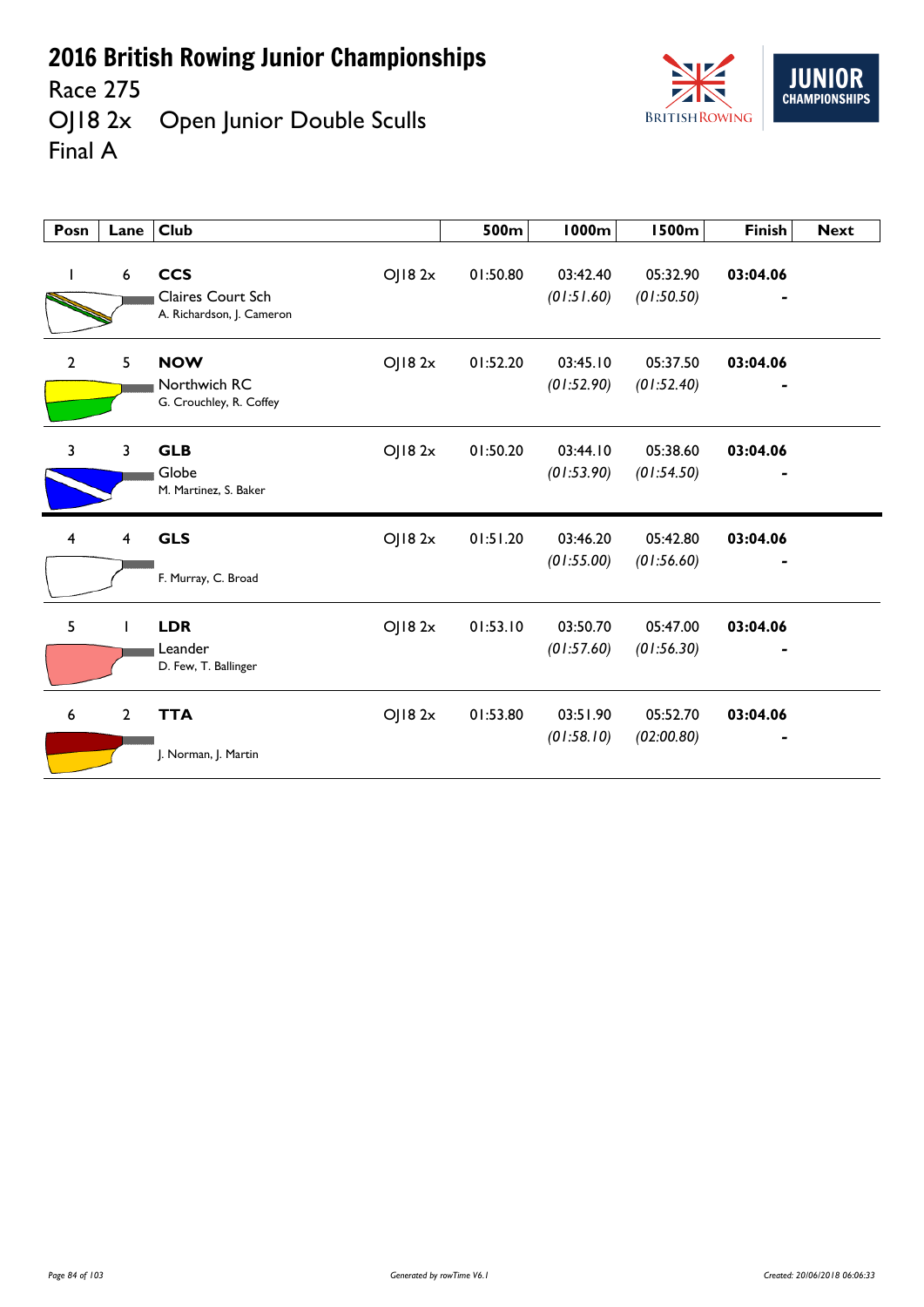

Race 275<br>OJ18 2x Open Junior Double Sculls Final A



| Posn                    | Lane                    | <b>Club</b>                                                  |         | 500m     | <b>1000m</b>           | <b>1500m</b>           | <b>Finish</b> | <b>Next</b> |
|-------------------------|-------------------------|--------------------------------------------------------------|---------|----------|------------------------|------------------------|---------------|-------------|
|                         | 6                       | <b>CCS</b><br>Claires Court Sch<br>A. Richardson, J. Cameron | OJ182x  | 01:50.80 | 03:42.40<br>(01:51.60) | 05:32.90<br>(01:50.50) | 03:04.06      |             |
| $\overline{2}$          | 5                       | <b>NOW</b><br>Northwich RC<br>G. Crouchley, R. Coffey        | OJ182x  | 01:52.20 | 03:45.10<br>(01:52.90) | 05:37.50<br>(01:52.40) | 03:04.06      |             |
| $\overline{\mathbf{3}}$ | $\overline{3}$          | <b>GLB</b><br>Globe<br>M. Martinez, S. Baker                 | OJ18 2x | 01:50.20 | 03:44.10<br>(01:53.90) | 05:38.60<br>(01:54.50) | 03:04.06      |             |
| $\overline{4}$          | $\overline{\mathbf{4}}$ | <b>GLS</b><br>F. Murray, C. Broad                            | OJ182x  | 01:51.20 | 03:46.20<br>(01:55.00) | 05:42.80<br>(01:56.60) | 03:04.06      |             |
| 5                       |                         | <b>LDR</b><br>Leander<br>D. Few, T. Ballinger                | OJ182x  | 01:53.10 | 03:50.70<br>(01:57.60) | 05:47.00<br>(01:56.30) | 03:04.06      |             |
| 6                       | $\overline{2}$          | <b>TTA</b><br>J. Norman, J. Martin                           | OJ182x  | 01:53.80 | 03:51.90<br>(01:58.10) | 05:52.70<br>(02:00.80) | 03:04.06      |             |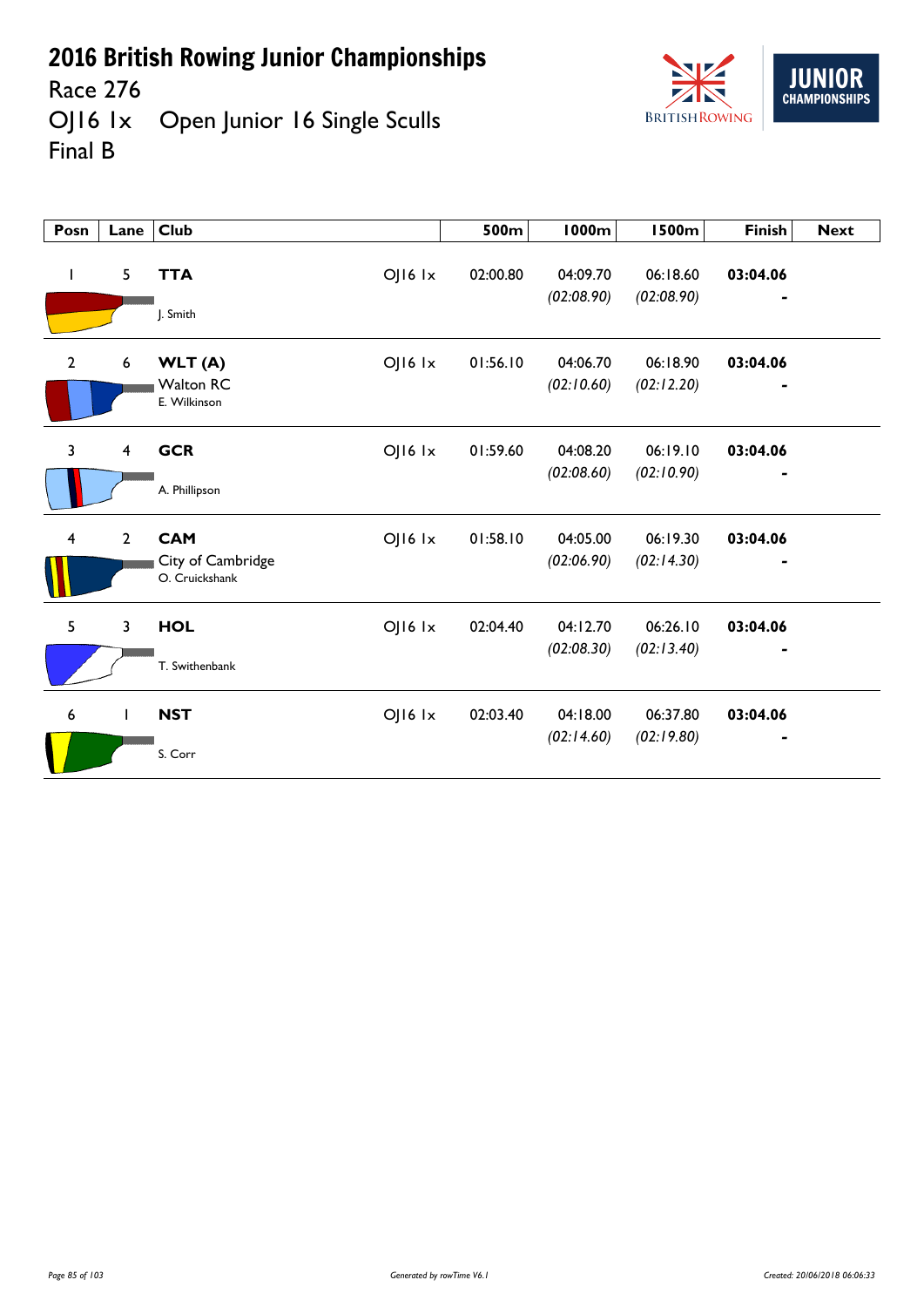

Race 276<br>OJ16 1x Open Junior 16 Single Sculls Final B

| Posn           | Lane                    | <b>Club</b>                                |                 | 500m     | <b>1000m</b>           | <b>1500m</b>           | <b>Finish</b>              | <b>Next</b> |
|----------------|-------------------------|--------------------------------------------|-----------------|----------|------------------------|------------------------|----------------------------|-------------|
| $\mathbf{I}$   | 5                       | <b>TTA</b><br>J. Smith                     | OJ16 1x         | 02:00.80 | 04:09.70<br>(02:08.90) | 06:18.60<br>(02:08.90) | 03:04.06                   |             |
| $\overline{2}$ | 6                       | WLT(A)<br><b>Walton RC</b><br>E. Wilkinson | OJ16 1x         | 01:56.10 | 04:06.70<br>(02:10.60) | 06:18.90<br>(02:12.20) | 03:04.06<br>$\blacksquare$ |             |
| $\overline{3}$ | $\overline{\mathbf{4}}$ | <b>GCR</b>                                 | OJ16 1x         | 01:59.60 | 04:08.20<br>(02:08.60) | 06:19.10<br>(02:10.90) | 03:04.06                   |             |
|                |                         | A. Phillipson                              |                 |          |                        |                        |                            |             |
| 4              | $\overline{2}$          | <b>CAM</b>                                 | $O$   $16$ $1x$ | 01:58.10 | 04:05.00               | 06:19.30               | 03:04.06                   |             |
|                |                         | City of Cambridge<br>O. Cruickshank        |                 |          | (02:06.90)             | (02:14.30)             |                            |             |
| 5              | 3                       | <b>HOL</b>                                 | $O$   $16$ $1x$ | 02:04.40 | 04:12.70               | 06:26.10               | 03:04.06                   |             |
|                |                         | T. Swithenbank                             |                 |          | (02:08.30)             | (02:13.40)             |                            |             |
| 6              | $\mathbf{I}$            | <b>NST</b>                                 | OJ16 1x         | 02:03.40 | 04:18.00               | 06:37.80               | 03:04.06                   |             |
|                |                         | S. Corr                                    |                 |          | (02:14.60)             | (02:19.80)             |                            |             |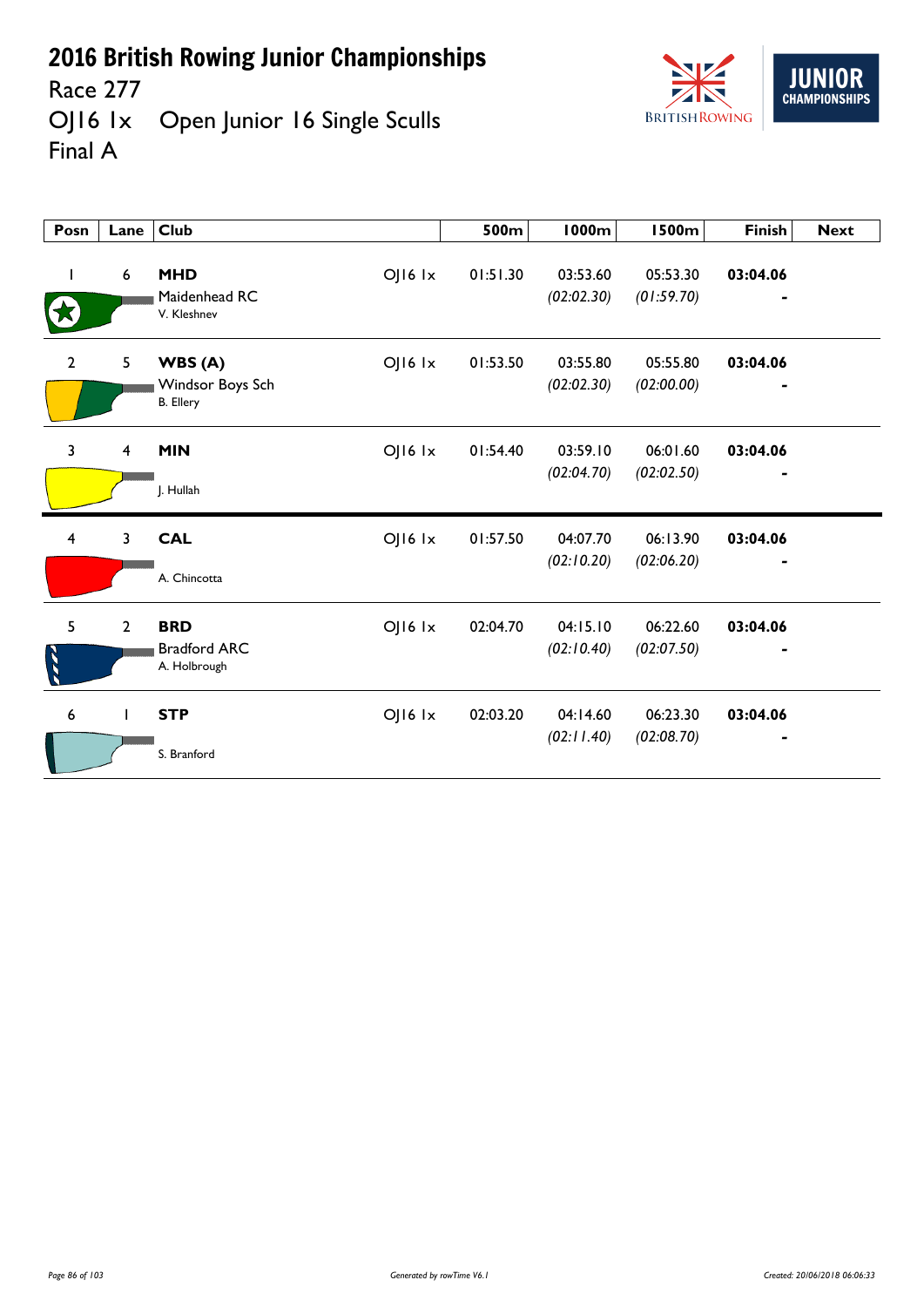

Race 277<br>OJ16 1x Open Junior 16 Single Sculls Final A

| Posn                    | Lane                    | <b>Club</b>                                                   | 500m     | <b>1000m</b>           | <b>1500m</b>           | <b>Finish</b> | <b>Next</b> |
|-------------------------|-------------------------|---------------------------------------------------------------|----------|------------------------|------------------------|---------------|-------------|
|                         | $\boldsymbol{6}$        | <b>MHD</b><br>$O$   $16$ $1x$<br>Maidenhead RC<br>V. Kleshnev | 01:51.30 | 03:53.60<br>(02:02.30) | 05:53.30<br>(01:59.70) | 03:04.06      |             |
| $\overline{2}$          | 5                       | OJ16 Ix<br>WBS(A)<br>Windsor Boys Sch<br><b>B.</b> Ellery     | 01:53.50 | 03:55.80<br>(02:02.30) | 05:55.80<br>(02:00.00) | 03:04.06      |             |
| $\overline{3}$          | $\overline{\mathbf{4}}$ | <b>MIN</b><br>$O$   $16$ $1x$<br>J. Hullah                    | 01:54.40 | 03:59.10<br>(02:04.70) | 06:01.60<br>(02:02.50) | 03:04.06<br>٠ |             |
| $\overline{\mathbf{4}}$ | 3                       | <b>CAL</b><br>$O$   $16$ $1x$<br>A. Chincotta                 | 01:57.50 | 04:07.70<br>(02:10.20) | 06:13.90<br>(02:06.20) | 03:04.06      |             |
| 5                       | $\overline{2}$          | <b>BRD</b><br>OJ16 Ix<br><b>Bradford ARC</b><br>A. Holbrough  | 02:04.70 | 04:15.10<br>(02:10.40) | 06:22.60<br>(02:07.50) | 03:04.06      |             |
| 6                       | T                       | <b>STP</b><br>$O$   $16$ $1x$<br>S. Branford                  | 02:03.20 | 04:14.60<br>(02:11.40) | 06:23.30<br>(02:08.70) | 03:04.06      |             |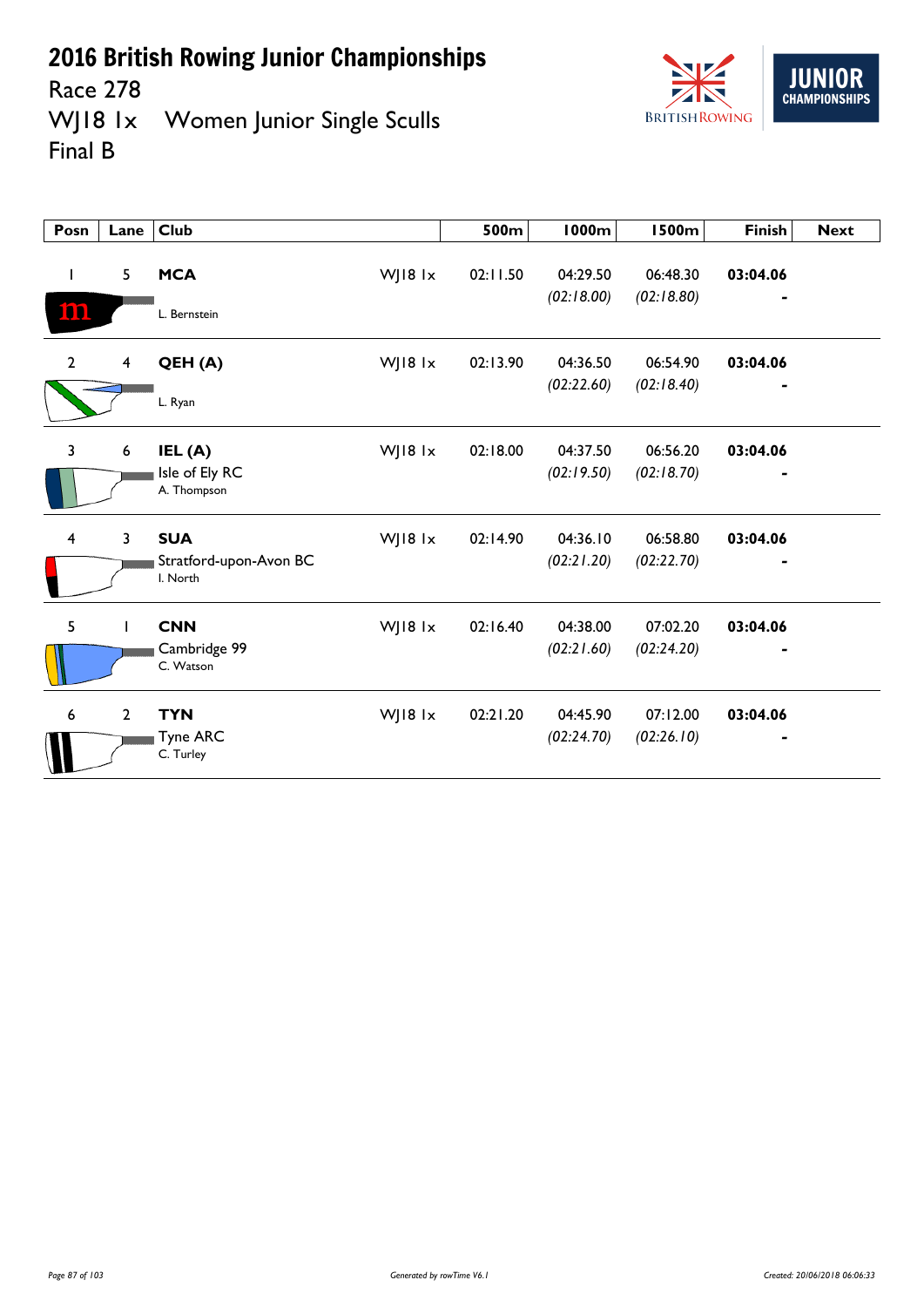

Race 278<br>WJ18 1x Women Junior Single Sculls Final B

| Posn         | Lane           | <b>Club</b>                                                 | 500m     | <b>1000m</b>           | <b>1500m</b>           | <b>Finish</b>              | <b>Next</b> |
|--------------|----------------|-------------------------------------------------------------|----------|------------------------|------------------------|----------------------------|-------------|
| I<br>ion     | 5              | <b>MCA</b><br>WJ18 1x<br>L. Bernstein                       | 02:11.50 | 04:29.50<br>(02:18.00) | 06:48.30<br>(02:18.80) | 03:04.06                   |             |
| $\mathbf{2}$ | $\overline{4}$ | WJ18 1x<br>QEH (A)<br>L. Ryan                               | 02:13.90 | 04:36.50<br>(02:22.60) | 06:54.90<br>(02:18.40) | 03:04.06<br>$\blacksquare$ |             |
| 3            | 6              | IEL (A)<br>WJ18 $1x$<br>Isle of Ely RC<br>A. Thompson       | 02:18.00 | 04:37.50<br>(02:19.50) | 06:56.20<br>(02:18.70) | 03:04.06                   |             |
| 4            | $\overline{3}$ | <b>SUA</b><br>WJ18 1x<br>Stratford-upon-Avon BC<br>I. North | 02:14.90 | 04:36.10<br>(02:21.20) | 06:58.80<br>(02:22.70) | 03:04.06                   |             |
| 5            |                | <b>CNN</b><br>WJ18 lx<br>Cambridge 99<br>C. Watson          | 02:16.40 | 04:38.00<br>(02:21.60) | 07:02.20<br>(02:24.20) | 03:04.06                   |             |
| 6            | $\mathbf{2}$   | <b>TYN</b><br>WJ18 1x<br>Tyne ARC<br>C. Turley              | 02:21.20 | 04:45.90<br>(02:24.70) | 07:12.00<br>(02:26.10) | 03:04.06                   |             |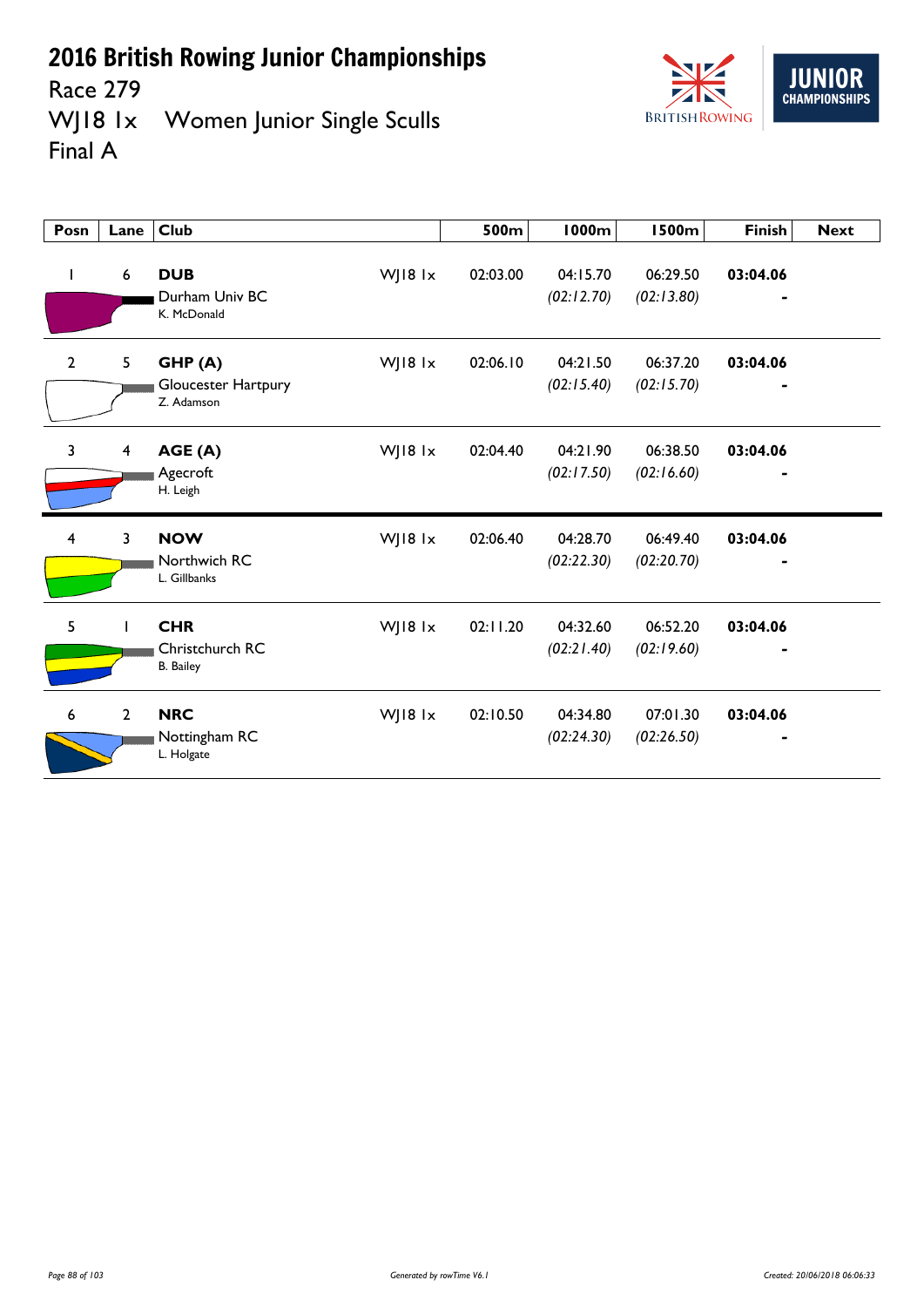

Race 279<br>WJ18 1x Women Junior Single Sculls Final A



| Posn           | Lane                    | <b>Club</b>                                                  | 500m     | 1000m                  | <b>1500m</b>           | <b>Finish</b> | <b>Next</b> |
|----------------|-------------------------|--------------------------------------------------------------|----------|------------------------|------------------------|---------------|-------------|
| L              | 6                       | WJ18 1x<br><b>DUB</b><br>Durham Univ BC<br>K. McDonald       | 02:03.00 | 04:15.70<br>(02:12.70) | 06:29.50<br>(02:13.80) | 03:04.06      |             |
| $\overline{2}$ | 5                       | WJ18 1x<br>GHP(A)<br>Gloucester Hartpury<br>Z. Adamson       | 02:06.10 | 04:21.50<br>(02:15.40) | 06:37.20<br>(02:15.70) | 03:04.06      |             |
| 3              | $\overline{\mathbf{4}}$ | WJ18 1x<br>AGE (A)<br>Agecroft<br>H. Leigh                   | 02:04.40 | 04:21.90<br>(02:17.50) | 06:38.50<br>(02:16.60) | 03:04.06      |             |
| 4              | 3                       | <b>NOW</b><br>WJ18 1x<br>Northwich RC<br>L. Gillbanks        | 02:06.40 | 04:28.70<br>(02:22.30) | 06:49.40<br>(02:20.70) | 03:04.06      |             |
| 5              |                         | <b>CHR</b><br>WJ18 1x<br>Christchurch RC<br><b>B.</b> Bailey | 02:11.20 | 04:32.60<br>(02:21.40) | 06:52.20<br>(02:19.60) | 03:04.06      |             |
| 6              | $\overline{2}$          | <b>NRC</b><br>WJ18 1x<br>Nottingham RC<br>L. Holgate         | 02:10.50 | 04:34.80<br>(02:24.30) | 07:01.30<br>(02:26.50) | 03:04.06      |             |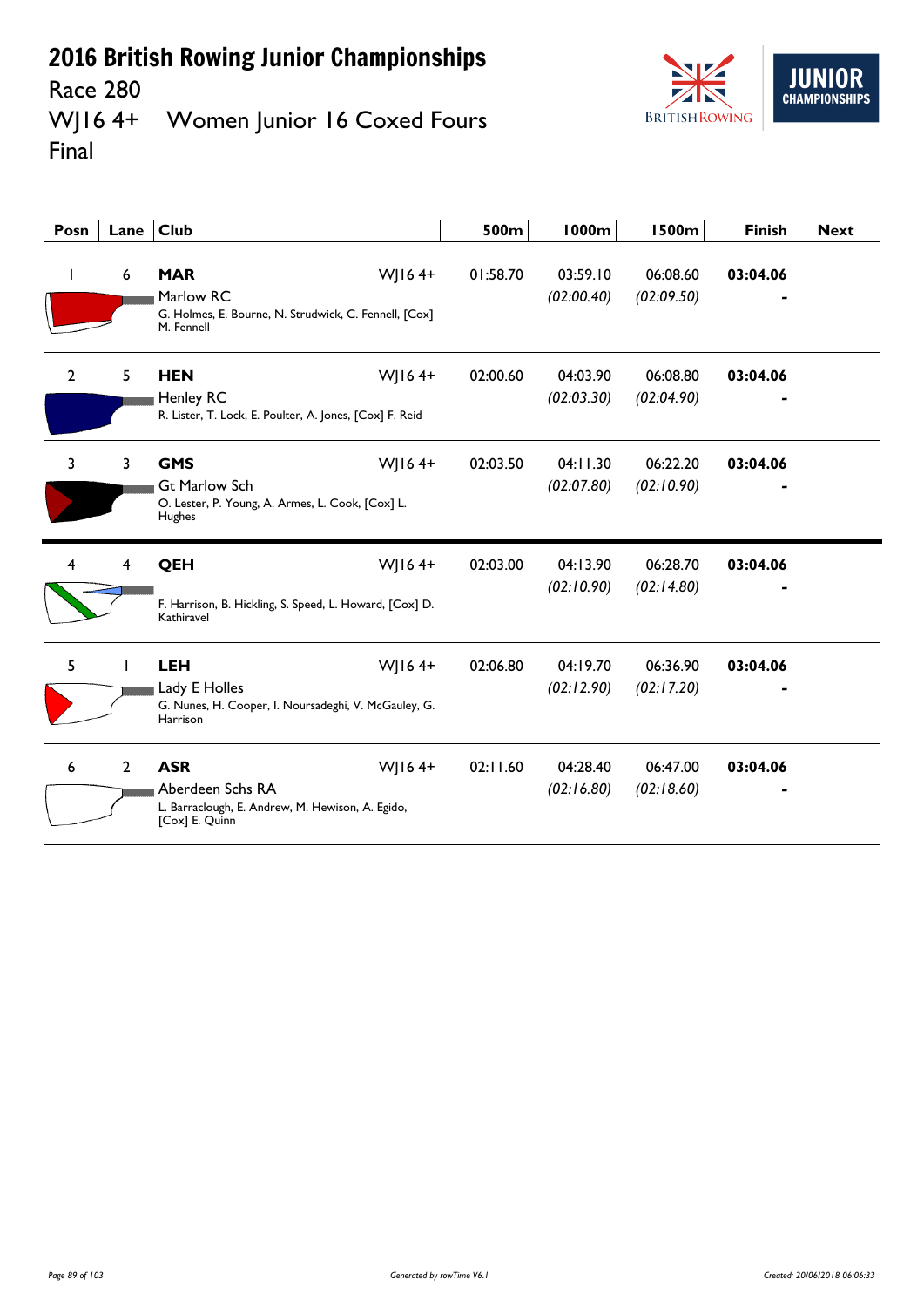#### Race 280<br>WJ16 4+ Women Junior 16 Coxed Fours Final



| Posn           | Lane         | <b>Club</b>                                                                                                        | 500m     | <b>1000m</b>           | 1500m                  | <b>Finish</b> | <b>Next</b> |
|----------------|--------------|--------------------------------------------------------------------------------------------------------------------|----------|------------------------|------------------------|---------------|-------------|
|                | 6            | <b>MAR</b><br>$W$   164+<br>Marlow RC<br>G. Holmes, E. Bourne, N. Strudwick, C. Fennell, [Cox]<br>M. Fennell       | 01:58.70 | 03:59.10<br>(02:00.40) | 06:08.60<br>(02:09.50) | 03:04.06      |             |
| $\overline{2}$ | 5.           | <b>HEN</b><br>$W$   164+<br>Henley RC<br>R. Lister, T. Lock, E. Poulter, A. Jones, [Cox] F. Reid                   | 02:00.60 | 04:03.90<br>(02:03.30) | 06:08.80<br>(02:04.90) | 03:04.06      |             |
| $\overline{3}$ | 3            | <b>GMS</b><br>$W$   164+<br><b>Gt Marlow Sch</b><br>O. Lester, P. Young, A. Armes, L. Cook, [Cox] L.<br>Hughes     | 02:03.50 | 04:11.30<br>(02:07.80) | 06:22.20<br>(02:10.90) | 03:04.06      |             |
| 4              | 4            | QEH<br>$W$   164+<br>F. Harrison, B. Hickling, S. Speed, L. Howard, [Cox] D.<br>Kathiravel                         | 02:03.00 | 04:13.90<br>(02:10.90) | 06:28.70<br>(02:14.80) | 03:04.06      |             |
| 5              |              | WJ164+<br><b>LEH</b><br>Lady E Holles<br>G. Nunes, H. Cooper, I. Noursadeghi, V. McGauley, G.<br>Harrison          | 02:06.80 | 04:19.70<br>(02:12.90) | 06:36.90<br>(02:17.20) | 03:04.06      |             |
| 6              | $\mathbf{2}$ | <b>ASR</b><br>$W$   164+<br>Aberdeen Schs RA<br>L. Barraclough, E. Andrew, M. Hewison, A. Egido,<br>[Cox] E. Quinn | 02:11.60 | 04:28.40<br>(02:16.80) | 06:47.00<br>(02:18.60) | 03:04.06      |             |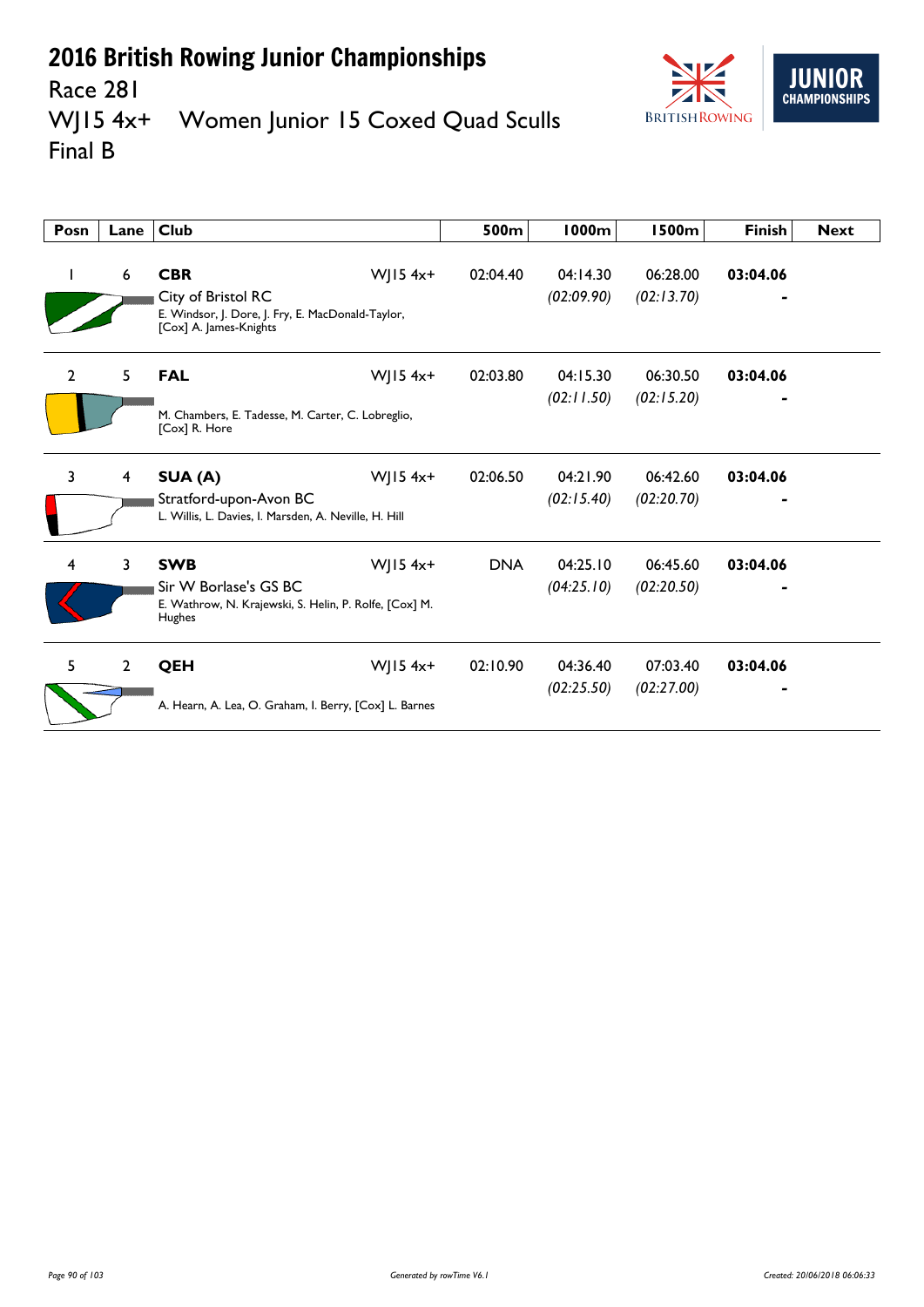

#### Race 281<br>WJ15 4x+ Women Junior 15 Coxed Quad Sculls Final B

| Posn           | Lane           | Club                                                                                                            |            | 500m       | 1000m                  | 1500m                  | <b>Finish</b> | <b>Next</b> |
|----------------|----------------|-----------------------------------------------------------------------------------------------------------------|------------|------------|------------------------|------------------------|---------------|-------------|
| L              | 6              | <b>CBR</b><br>City of Bristol RC<br>E. Windsor, J. Dore, J. Fry, E. MacDonald-Taylor,<br>[Cox] A. James-Knights | WJ15 $4x+$ | 02:04.40   | 04:14.30<br>(02:09.90) | 06:28.00<br>(02:13.70) | 03:04.06      |             |
| $\overline{2}$ | 5              | <b>FAL</b><br>M. Chambers, E. Tadesse, M. Carter, C. Lobreglio,<br>[Cox] R. Hore                                | WJ15 $4x+$ | 02:03.80   | 04:15.30<br>(02:11.50) | 06:30.50<br>(02:15.20) | 03:04.06      |             |
| 3              | 4              | SUA (A)<br>Stratford-upon-Avon BC<br>L. Willis, L. Davies, I. Marsden, A. Neville, H. Hill                      | WJ15 $4x+$ | 02:06.50   | 04:21.90<br>(02:15.40) | 06:42.60<br>(02:20.70) | 03:04.06      |             |
| 4              | 3              | <b>SWB</b><br>Sir W Borlase's GS BC<br>E. Wathrow, N. Krajewski, S. Helin, P. Rolfe, [Cox] M.<br>Hughes         | $W$ JI54x+ | <b>DNA</b> | 04:25.10<br>(04:25.10) | 06:45.60<br>(02:20.50) | 03:04.06      |             |
| 5.             | $\overline{2}$ | <b>QEH</b><br>A. Hearn, A. Lea, O. Graham, I. Berry, [Cox] L. Barnes                                            | WJ15 $4x+$ | 02:10.90   | 04:36.40<br>(02:25.50) | 07:03.40<br>(02:27.00) | 03:04.06      |             |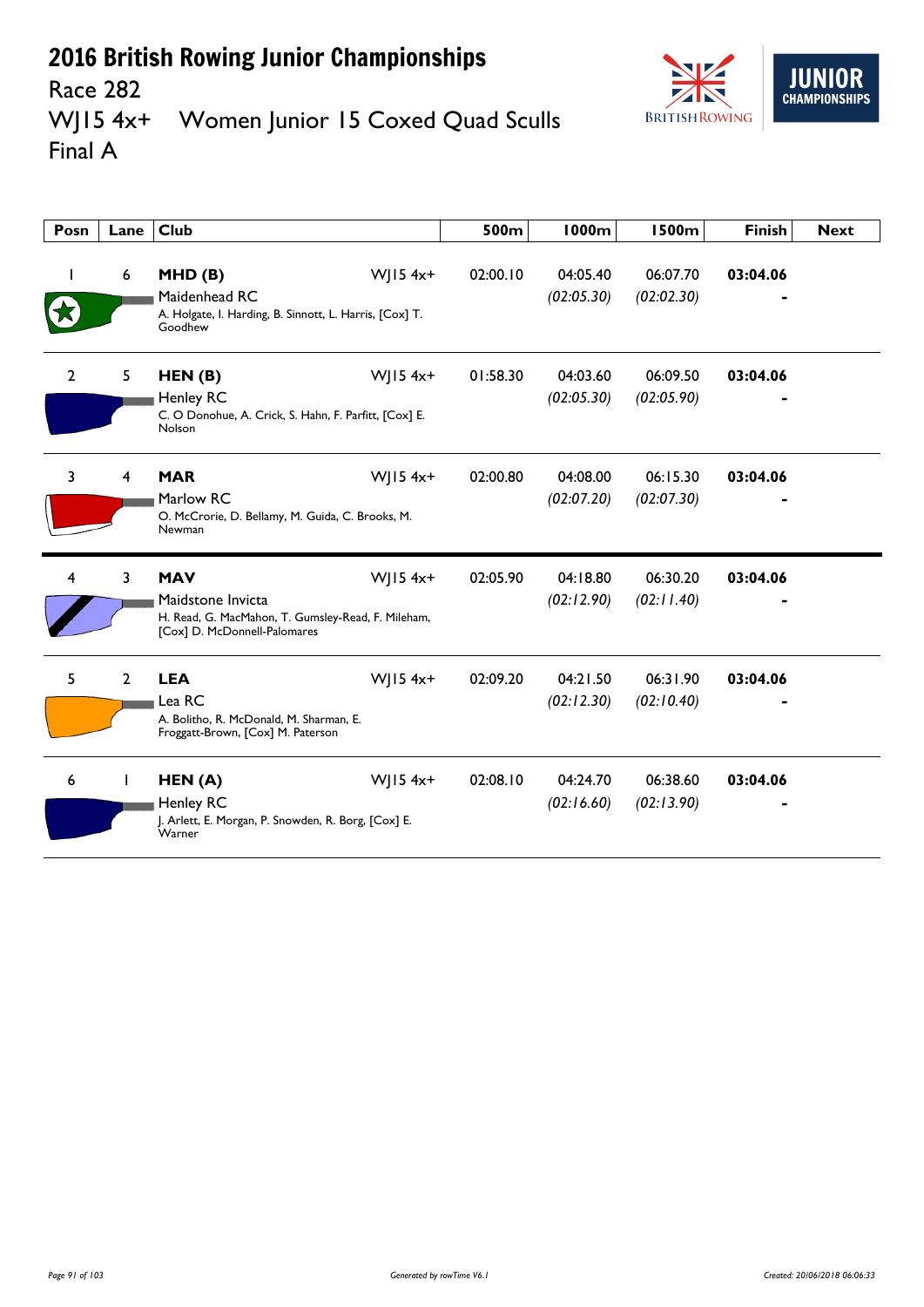

#### Race 282<br>WJ15 4x+ Women Junior 15 Coxed Quad Sculls Final A

| Posn           | Lane           | Club                                                                                                                  |              | 500m     | 1000m                  | <b>1500m</b>           | <b>Finish</b> | <b>Next</b> |
|----------------|----------------|-----------------------------------------------------------------------------------------------------------------------|--------------|----------|------------------------|------------------------|---------------|-------------|
|                | 6              | MHD(B)<br>Maidenhead RC<br>A. Holgate, I. Harding, B. Sinnott, L. Harris, [Cox] T.<br>Goodhew                         | $W$ JI54x+   | 02:00.10 | 04:05.40<br>(02:05.30) | 06:07.70<br>(02:02.30) | 03:04.06      |             |
| $\overline{2}$ | 5              | HEN(B)<br>Henley RC<br>C. O Donohue, A. Crick, S. Hahn, F. Parfitt, [Cox] E.<br>Nolson                                | $W$   15 4x+ | 01:58.30 | 04:03.60<br>(02:05.30) | 06:09.50<br>(02:05.90) | 03:04.06      |             |
| 3              | 4              | <b>MAR</b><br>Marlow RC<br>O. McCrorie, D. Bellamy, M. Guida, C. Brooks, M.<br>Newman                                 | WJ15 4x+     | 02:00.80 | 04:08.00<br>(02:07.20) | 06:15.30<br>(02:07.30) | 03:04.06      |             |
| 4              | 3              | <b>MAV</b><br>Maidstone Invicta<br>H. Read, G. MacMahon, T. Gumsley-Read, F. Mileham,<br>[Cox] D. McDonnell-Palomares | WJ15 4x+     | 02:05.90 | 04:18.80<br>(02:12.90) | 06:30.20<br>(02:11.40) | 03:04.06      |             |
| 5              | $\overline{2}$ | <b>LEA</b><br>Lea RC<br>A. Bolitho, R. McDonald, M. Sharman, E.<br>Froggatt-Brown, [Cox] M. Paterson                  | $W$   15 4x+ | 02:09.20 | 04:21.50<br>(02:12.30) | 06:31.90<br>(02:10.40) | 03:04.06      |             |
| 6              | I.             | HEN(A)<br>Henley RC<br>J. Arlett, E. Morgan, P. Snowden, R. Borg, [Cox] E.<br>Warner                                  | $W$   15 4x+ | 02:08.10 | 04:24.70<br>(02:16.60) | 06:38.60<br>(02:13.90) | 03:04.06      |             |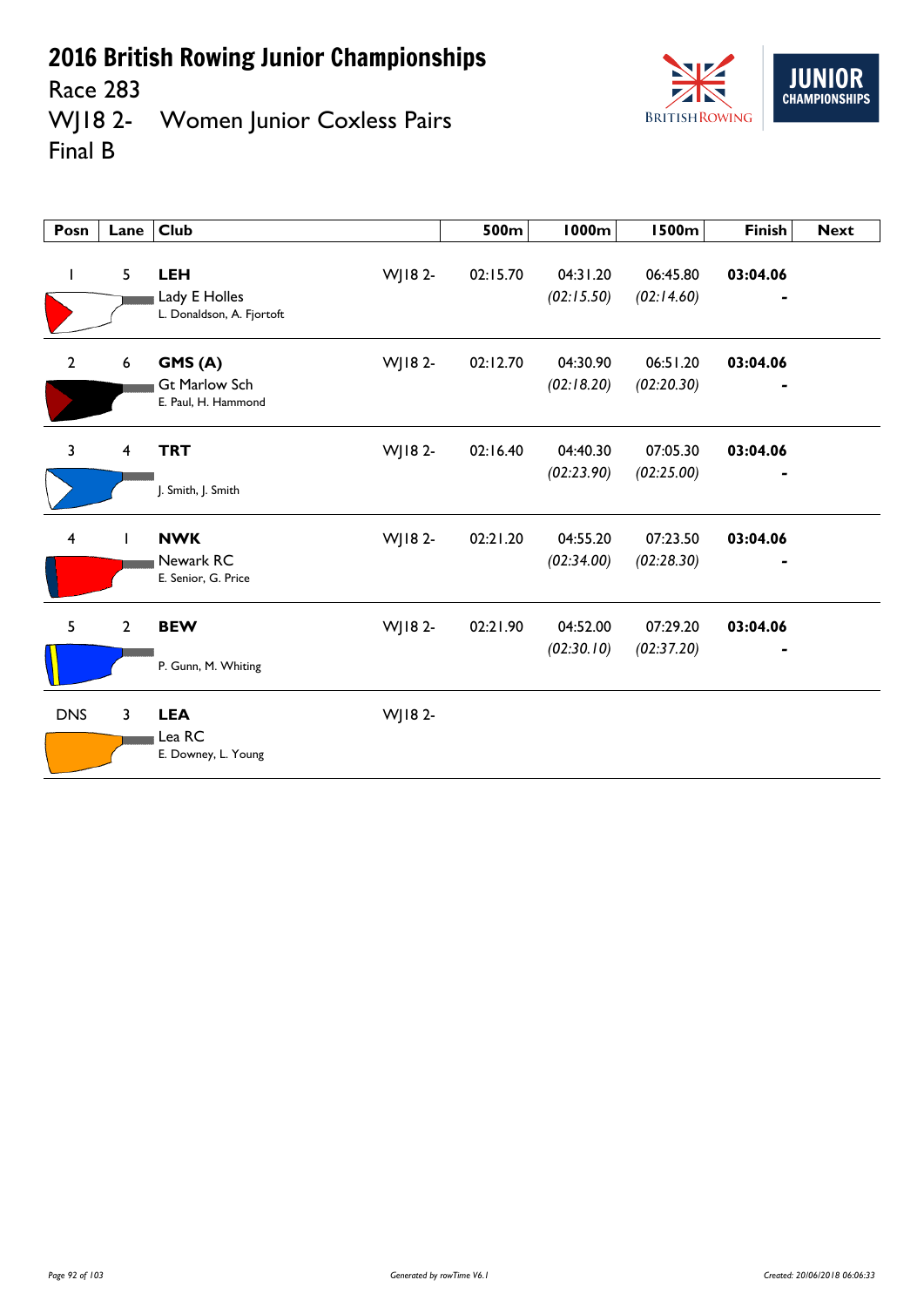Race 283<br>WJ18 2-Women Junior Coxless Pairs Final B



| Posn           | Lane             | <b>Club</b>                                              |         | 500m     | 1000m                  | <b>1500m</b>           | <b>Finish</b> | <b>Next</b> |
|----------------|------------------|----------------------------------------------------------|---------|----------|------------------------|------------------------|---------------|-------------|
|                | 5                | <b>LEH</b><br>Lady E Holles<br>L. Donaldson, A. Fjortoft | WJ18 2- | 02:15.70 | 04:31.20<br>(02:15.50) | 06:45.80<br>(02:14.60) | 03:04.06      |             |
| $\mathbf{2}$   | $\boldsymbol{6}$ | GMS(A)<br><b>Gt Marlow Sch</b><br>E. Paul, H. Hammond    | WJ18 2- | 02:12.70 | 04:30.90<br>(02:18.20) | 06:51.20<br>(02:20.30) | 03:04.06      |             |
| $\overline{3}$ | 4                | <b>TRT</b><br>J. Smith, J. Smith                         | WJ18 2- | 02:16.40 | 04:40.30<br>(02:23.90) | 07:05.30<br>(02:25.00) | 03:04.06      |             |
| $\overline{4}$ | $\mathbf{I}$     | <b>NWK</b><br>Newark RC<br>E. Senior, G. Price           | WJ18 2- | 02:21.20 | 04:55.20<br>(02:34.00) | 07:23.50<br>(02:28.30) | 03:04.06      |             |
| 5              | $\overline{2}$   | <b>BEW</b><br>P. Gunn, M. Whiting                        | WJ18 2- | 02:21.90 | 04:52.00<br>(02:30.10) | 07:29.20<br>(02:37.20) | 03:04.06      |             |
| <b>DNS</b>     | 3                | <b>LEA</b><br>Lea RC<br>E. Downey, L. Young              | WJ18 2- |          |                        |                        |               |             |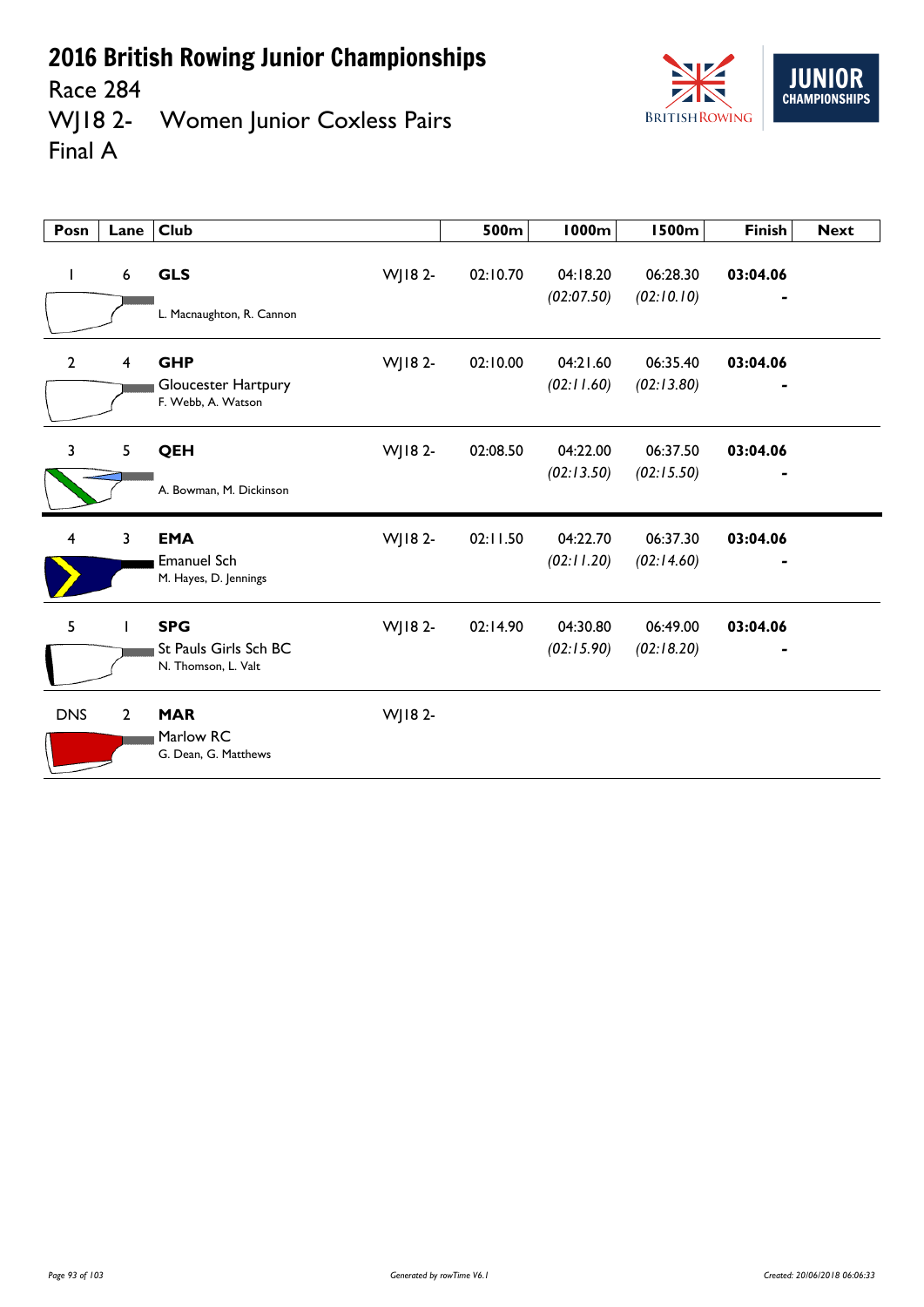Race 284



WJ18 2- Women Junior Coxless Pairs Final A

| Posn                    | Lane           | <b>Club</b>                                                           | 500m     | <b>1000m</b>           | <b>1500m</b>           | <b>Finish</b>              | <b>Next</b> |
|-------------------------|----------------|-----------------------------------------------------------------------|----------|------------------------|------------------------|----------------------------|-------------|
| L                       | 6              | <b>GLS</b><br>WJ18 2-<br>L. Macnaughton, R. Cannon                    | 02:10.70 | 04:18.20<br>(02:07.50) | 06:28.30<br>(02:10.10) | 03:04.06                   |             |
| $\overline{2}$          | $\overline{4}$ | WJ18 2-<br><b>GHP</b><br>Gloucester Hartpury<br>F. Webb, A. Watson    | 02:10.00 | 04:21.60<br>(02:11.60) | 06:35.40<br>(02:13.80) | 03:04.06<br>$\blacksquare$ |             |
| $\overline{\mathbf{3}}$ | 5              | WJ18 2-<br>QEH                                                        | 02:08.50 | 04:22.00<br>(02:13.50) | 06:37.50<br>(02:15.50) | 03:04.06                   |             |
|                         |                | A. Bowman, M. Dickinson                                               |          |                        |                        |                            |             |
| $\overline{4}$          | 3              | <b>EMA</b><br>WJ18 2-<br><b>Emanuel Sch</b><br>M. Hayes, D. Jennings  | 02:11.50 | 04:22.70<br>(02:11.20) | 06:37.30<br>(02:14.60) | 03:04.06                   |             |
| 5                       |                | WJ18 2-<br><b>SPG</b><br>St Pauls Girls Sch BC<br>N. Thomson, L. Valt | 02:14.90 | 04:30.80<br>(02:15.90) | 06:49.00<br>(02:18.20) | 03:04.06                   |             |
| <b>DNS</b>              | $\overline{2}$ | <b>MAR</b><br>WJ18 2-<br>Marlow RC<br>G. Dean, G. Matthews            |          |                        |                        |                            |             |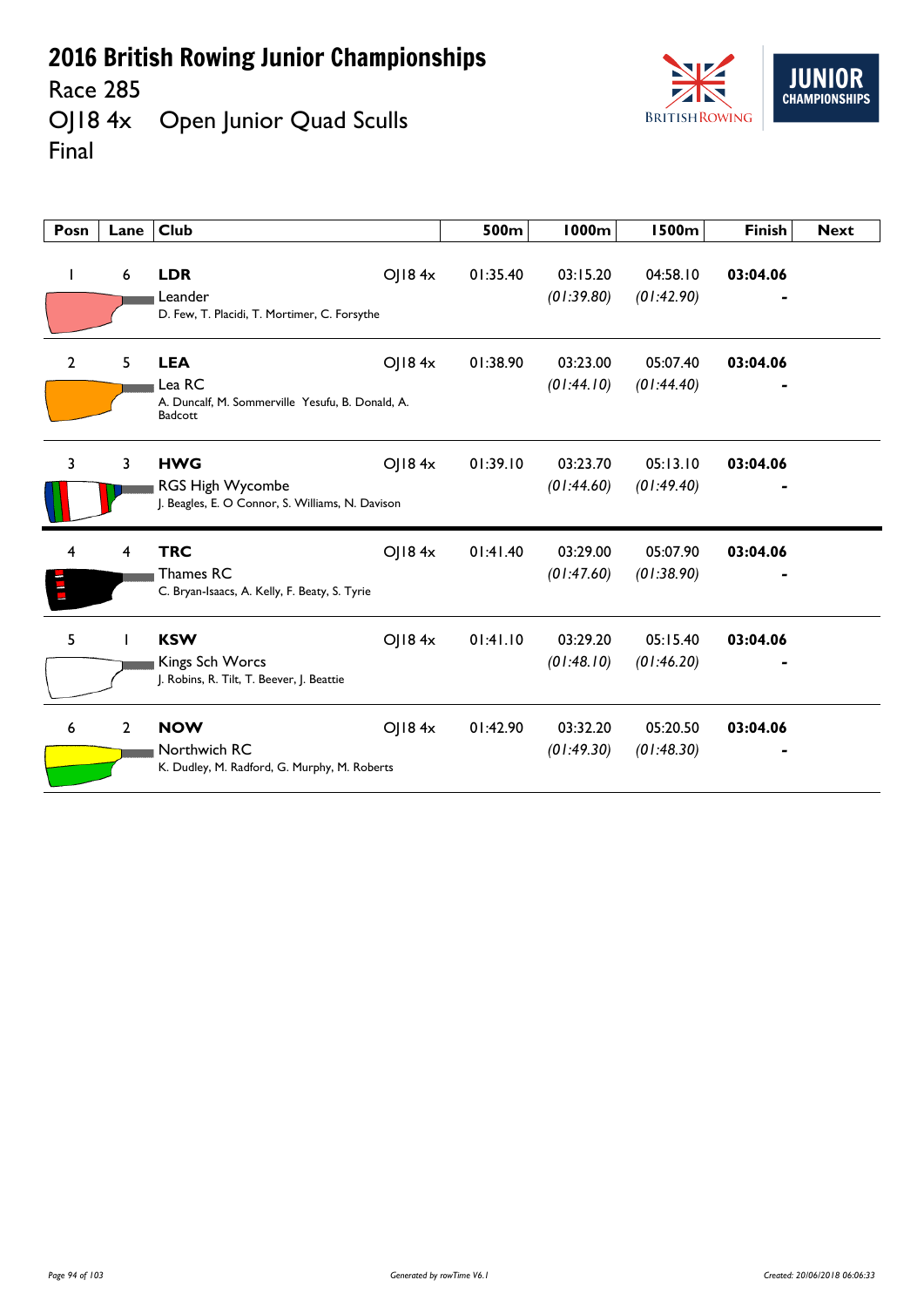Race 285<br>OJ18 4x Open Junior Quad Sculls Final



| Posn           | Lane           | <b>Club</b>                                                                         |        | 500m     | 1000m                  | <b>1500m</b>           | <b>Finish</b> | <b>Next</b> |
|----------------|----------------|-------------------------------------------------------------------------------------|--------|----------|------------------------|------------------------|---------------|-------------|
|                | 6              | <b>LDR</b><br>Leander<br>D. Few, T. Placidi, T. Mortimer, C. Forsythe               | OJ184x | 01:35.40 | 03:15.20<br>(01:39.80) | 04:58.10<br>(01:42.90) | 03:04.06      |             |
| $\overline{2}$ | 5              | <b>LEA</b><br>Lea RC<br>A. Duncalf, M. Sommerville Yesufu, B. Donald, A.<br>Badcott | OJ184x | 01:38.90 | 03:23.00<br>(01:44.10) | 05:07.40<br>(01:44.40) | 03:04.06      |             |
| 3              | 3              | <b>HWG</b><br>RGS High Wycombe<br>J. Beagles, E. O Connor, S. Williams, N. Davison  | OJ184x | 01:39.10 | 03:23.70<br>(01:44.60) | 05:13.10<br>(01:49.40) | 03:04.06      |             |
| 4              | 4              | <b>TRC</b><br>Thames RC<br>C. Bryan-Isaacs, A. Kelly, F. Beaty, S. Tyrie            | OJ184x | 01:41.40 | 03:29.00<br>(01:47.60) | 05:07.90<br>(01:38.90) | 03:04.06      |             |
| 5              |                | <b>KSW</b><br>Kings Sch Worcs<br>J. Robins, R. Tilt, T. Beever, J. Beattie          | O 184x | 01:41.10 | 03:29.20<br>(01:48.10) | 05:15.40<br>(01:46.20) | 03:04.06      |             |
| 6              | $\overline{2}$ | <b>NOW</b><br>Northwich RC<br>K. Dudley, M. Radford, G. Murphy, M. Roberts          | OJ184x | 01:42.90 | 03:32.20<br>(01:49.30) | 05:20.50<br>(01:48.30) | 03:04.06      |             |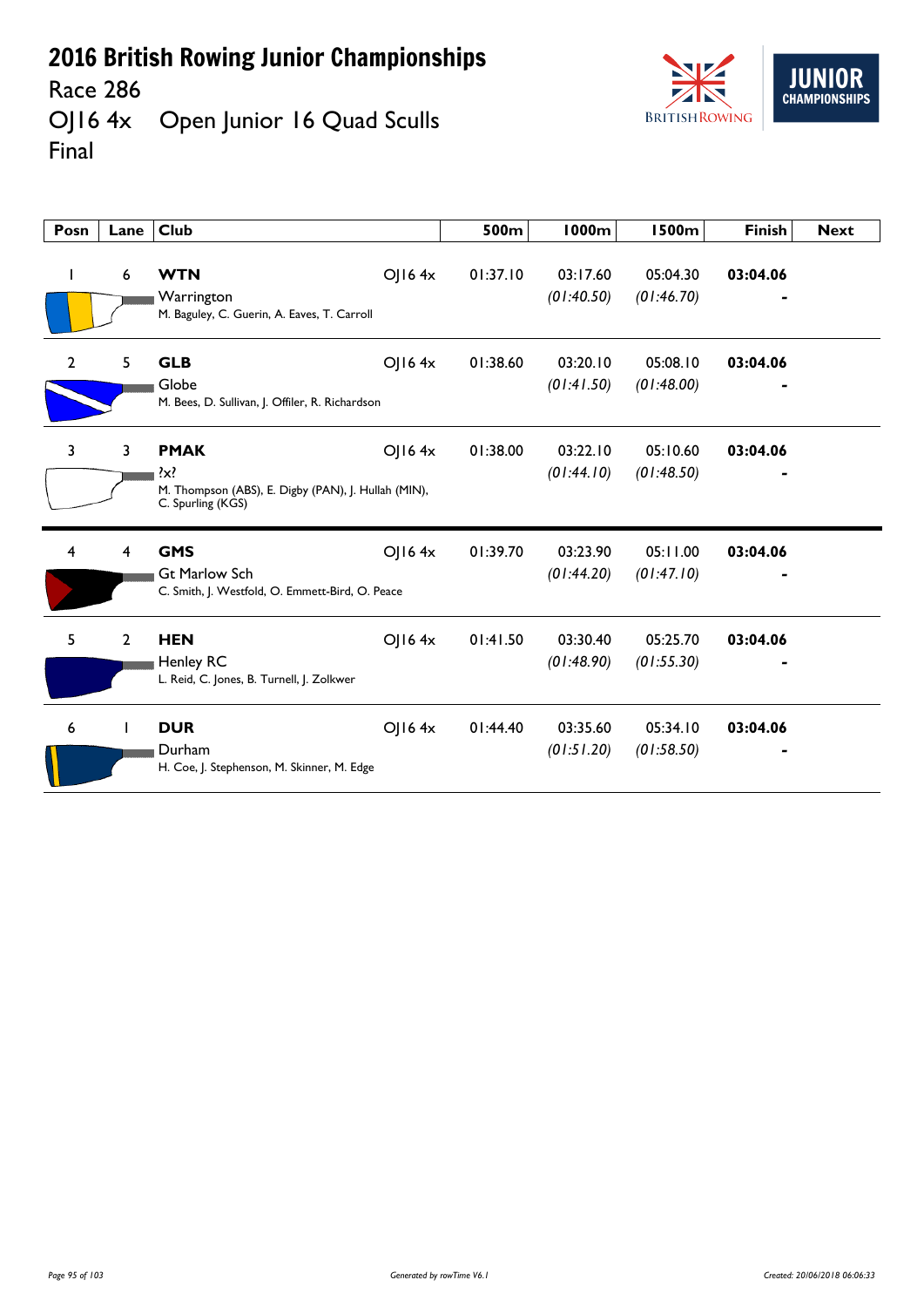Race 286



OJ16 4x Open Junior 16 Quad Sculls Final

| Posn           | Lane           | <b>Club</b>                                                                                              |        | 500m     | <b>1000m</b>           | <b>1500m</b>           | <b>Finish</b> | <b>Next</b> |
|----------------|----------------|----------------------------------------------------------------------------------------------------------|--------|----------|------------------------|------------------------|---------------|-------------|
| $\mathbf{I}$   | 6              | <b>WTN</b><br>Warrington<br>M. Baguley, C. Guerin, A. Eaves, T. Carroll                                  | OJ164x | 01:37.10 | 03:17.60<br>(01:40.50) | 05:04.30<br>(01:46.70) | 03:04.06      |             |
| $\overline{2}$ | 5              | <b>GLB</b><br>Globe<br>M. Bees, D. Sullivan, J. Offiler, R. Richardson                                   | O 164x | 01:38.60 | 03:20.10<br>(01:41.50) | 05:08.10<br>(01:48.00) | 03:04.06      |             |
| 3              | 3              | <b>PMAK</b><br>$\mathcal{X}$<br>M. Thompson (ABS), E. Digby (PAN), J. Hullah (MIN),<br>C. Spurling (KGS) | O 164x | 01:38.00 | 03:22.10<br>(01:44.10) | 05:10.60<br>(01:48.50) | 03:04.06      |             |
| 4              | 4              | <b>GMS</b><br><b>Gt Marlow Sch</b><br>C. Smith, J. Westfold, O. Emmett-Bird, O. Peace                    | OJ164x | 01:39.70 | 03:23.90<br>(01:44.20) | 05:11.00<br>(01:47.10) | 03:04.06      |             |
| 5              | $\overline{2}$ | <b>HEN</b><br>Henley RC<br>L. Reid, C. Jones, B. Turnell, J. Zolkwer                                     | O 164x | 01:41.50 | 03:30.40<br>(01:48.90) | 05:25.70<br>(01:55.30) | 03:04.06      |             |
| 6              |                | <b>DUR</b><br>Durham<br>H. Coe, J. Stephenson, M. Skinner, M. Edge                                       | O 164x | 01:44.40 | 03:35.60<br>(01:51.20) | 05:34.10<br>(01:58.50) | 03:04.06      |             |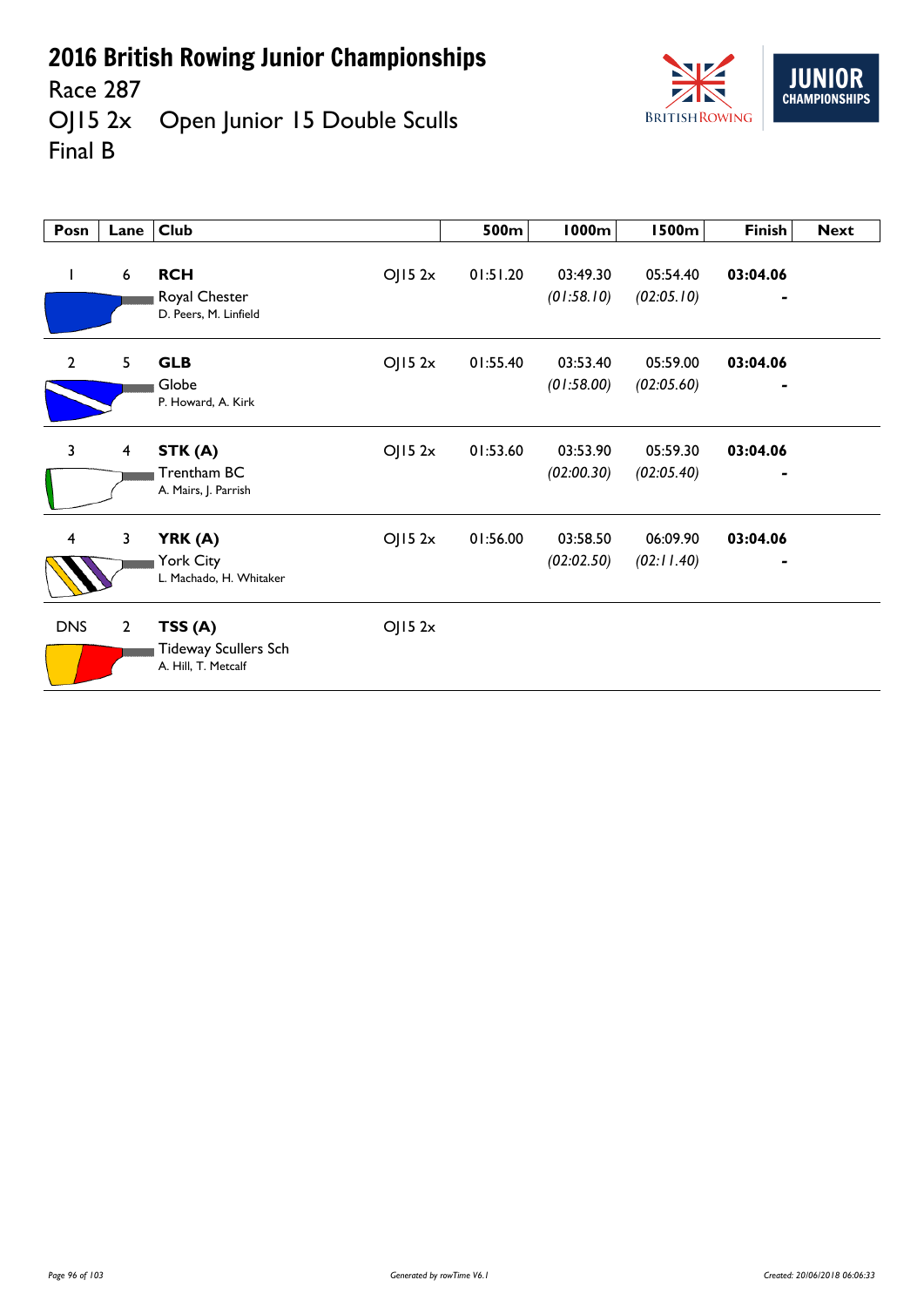**IIIN CHAMPIONSHIPS BRITISH ROWING** 

#### Race 287<br>OJ15 2x Open Junior 15 Double Sculls Final B

| Posn           | Lane                    | <b>Club</b>                                                  |        | 500m     | 1000m                  | <b>1500m</b>           | Finish                     | <b>Next</b> |
|----------------|-------------------------|--------------------------------------------------------------|--------|----------|------------------------|------------------------|----------------------------|-------------|
| L              | 6                       | <b>RCH</b><br>Royal Chester<br>D. Peers, M. Linfield         | OJ152x | 01:51.20 | 03:49.30<br>(01:58.10) | 05:54.40<br>(02:05.10) | 03:04.06                   |             |
| $\overline{2}$ | 5                       | <b>GLB</b><br>Globe<br>P. Howard, A. Kirk                    | OJ152x | 01:55.40 | 03:53.40<br>(01:58.00) | 05:59.00<br>(02:05.60) | 03:04.06<br>$\blacksquare$ |             |
| 3              | $\overline{\mathbf{4}}$ | STK(A)<br>Trentham BC<br>A. Mairs, J. Parrish                | OJ152x | 01:53.60 | 03:53.90<br>(02:00.30) | 05:59.30<br>(02:05.40) | 03:04.06<br>$\blacksquare$ |             |
| 4              | 3                       | YRK (A)<br>York City<br>L. Machado, H. Whitaker              | OJ152x | 01:56.00 | 03:58.50<br>(02:02.50) | 06:09.90<br>(02:11.40) | 03:04.06<br>$\blacksquare$ |             |
| <b>DNS</b>     | $\overline{2}$          | TSS(A)<br><b>Tideway Scullers Sch</b><br>A. Hill, T. Metcalf | OJ152x |          |                        |                        |                            |             |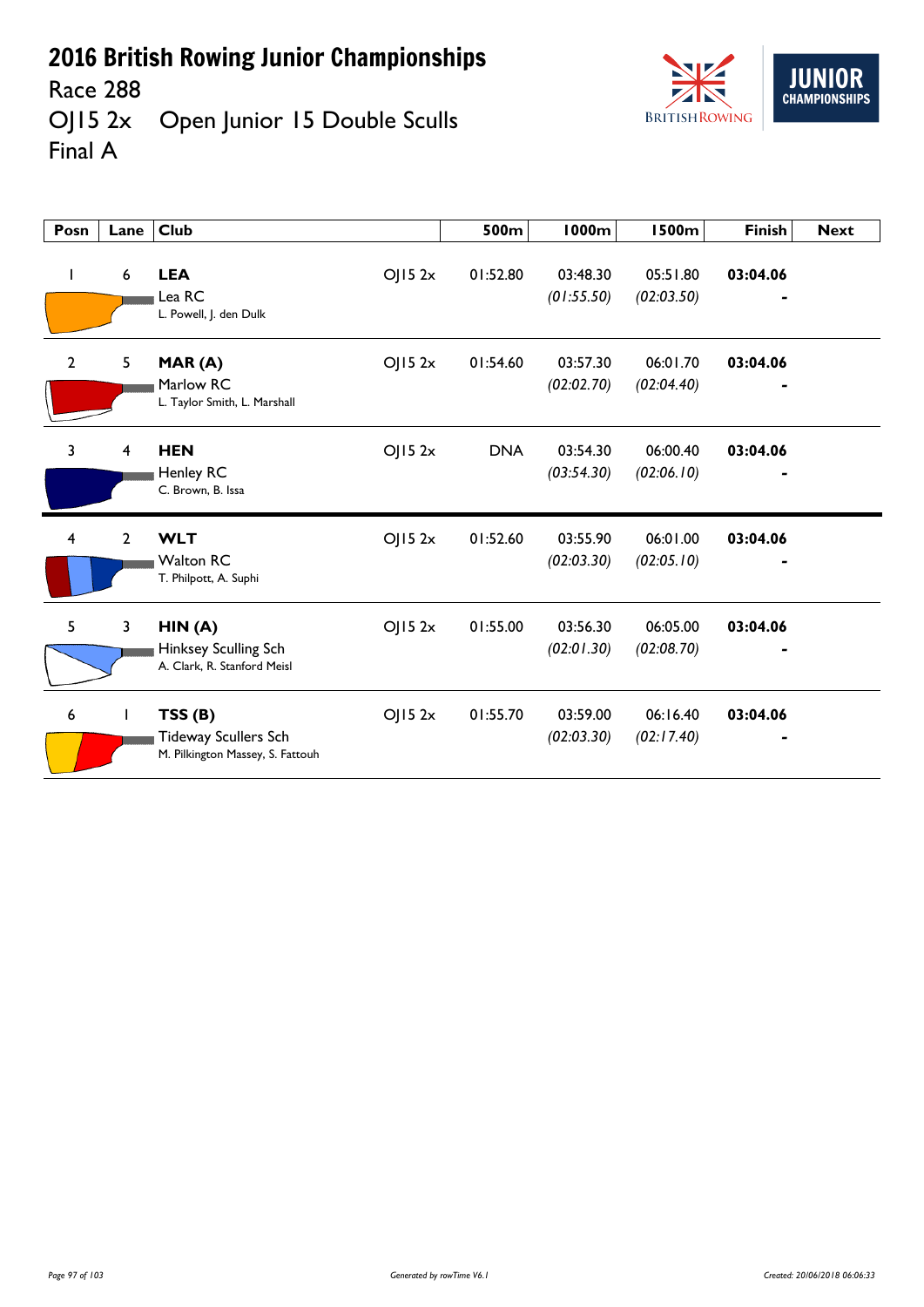Race 288<br>OJ15 2x Open Junior 15 Double Sculls Final A



| Posn | Lane                    | <b>Club</b>                                                                         | 500m       | <b>1000m</b>           | <b>1500m</b>           | <b>Finish</b> | <b>Next</b> |
|------|-------------------------|-------------------------------------------------------------------------------------|------------|------------------------|------------------------|---------------|-------------|
|      | 6                       | OJ152x<br><b>LEA</b><br>Lea RC<br>L. Powell, J. den Dulk                            | 01:52.80   | 03:48.30<br>(01:55.50) | 05:51.80<br>(02:03.50) | 03:04.06      |             |
| 2    | 5                       | OJ152x<br>MAR(A)<br>Marlow RC<br>L. Taylor Smith, L. Marshall                       | 01:54.60   | 03:57.30<br>(02:02.70) | 06:01.70<br>(02:04.40) | 03:04.06      |             |
| 3    | $\overline{\mathbf{4}}$ | <b>HEN</b><br>OJ152x<br>Henley RC<br>C. Brown, B. Issa                              | <b>DNA</b> | 03:54.30<br>(03:54.30) | 06:00.40<br>(02:06.10) | 03:04.06      |             |
| 4    | $\overline{2}$          | <b>WLT</b><br>OJ152x<br><b>Walton RC</b><br>T. Philpott, A. Suphi                   | 01:52.60   | 03:55.90<br>(02:03.30) | 06:01.00<br>(02:05.10) | 03:04.06      |             |
| 5    | 3                       | HIN(A)<br>OJ152x<br>Hinksey Sculling Sch<br>A. Clark, R. Stanford Meisl             | 01:55.00   | 03:56.30<br>(02:01.30) | 06:05.00<br>(02:08.70) | 03:04.06      |             |
| 6    | $\mathbf{I}$            | OJ152x<br>TSS(B)<br><b>Tideway Scullers Sch</b><br>M. Pilkington Massey, S. Fattouh | 01:55.70   | 03:59.00<br>(02:03.30) | 06:16.40<br>(02:17.40) | 03:04.06      |             |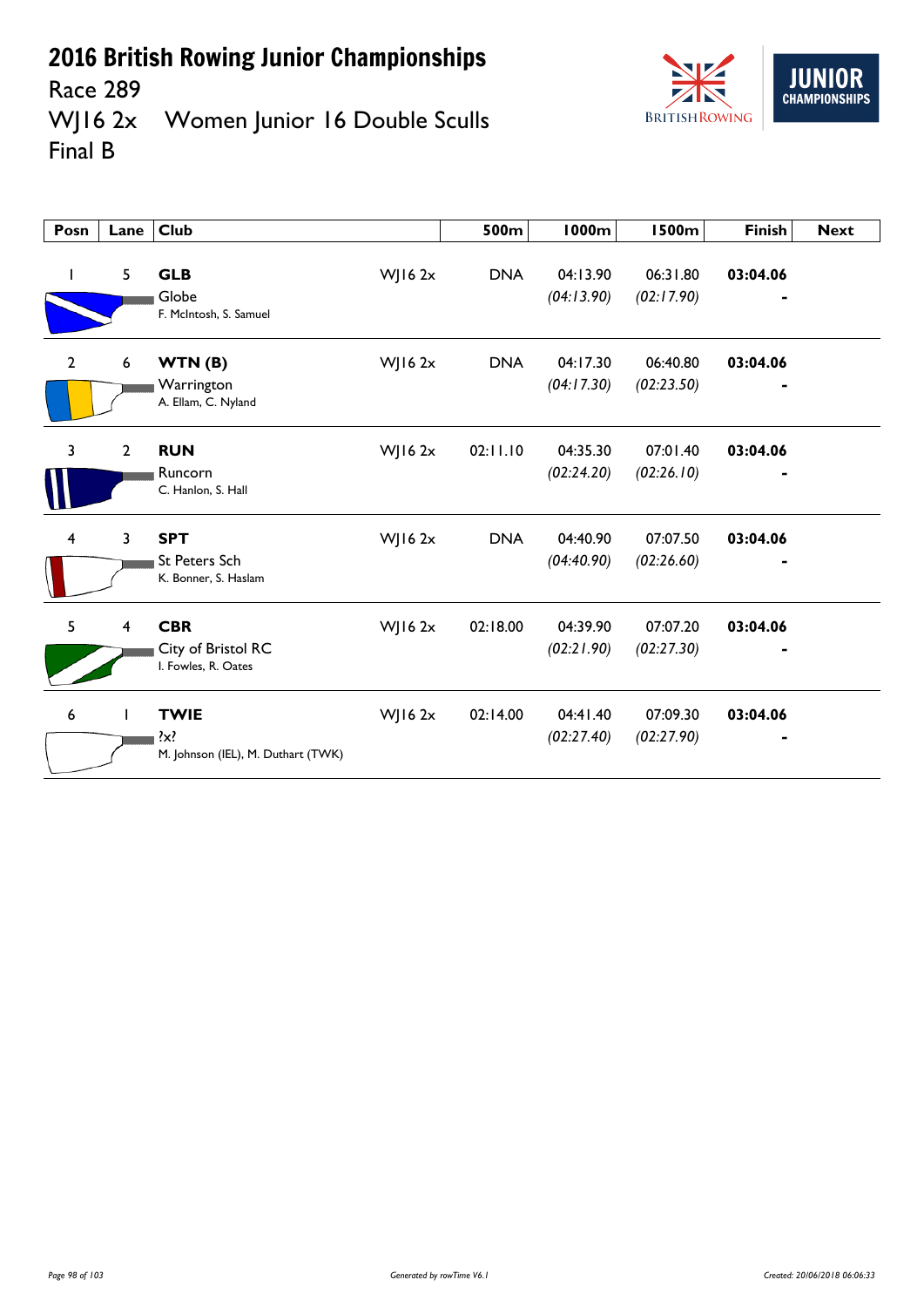



Race 289<br>WJ16 2x Women Junior 16 Double Sculls Final B

| Posn                    | Lane           | <b>Club</b>                                                  |              | 500m       | <b>1000m</b>           | <b>1500m</b>           | <b>Finish</b>              | <b>Next</b> |
|-------------------------|----------------|--------------------------------------------------------------|--------------|------------|------------------------|------------------------|----------------------------|-------------|
| $\mathbf{I}$            | 5              | <b>GLB</b><br>Globe<br>F. McIntosh, S. Samuel                | WJ16 2x      | <b>DNA</b> | 04:13.90<br>(04:13.90) | 06:31.80<br>(02:17.90) | 03:04.06                   |             |
| $\mathbf{2}$            | 6              | WTN(B)<br>Warrington<br>A. Ellam, C. Nyland                  | $W$ JI6 $2x$ | <b>DNA</b> | 04:17.30<br>(04:17.30) | 06:40.80<br>(02:23.50) | 03:04.06<br>$\blacksquare$ |             |
| 3                       | $\mathbf{2}$   | <b>RUN</b><br>Runcorn<br>C. Hanlon, S. Hall                  | WJ16 $2x$    | 02:11.10   | 04:35.30<br>(02:24.20) | 07:01.40<br>(02:26.10) | 03:04.06                   |             |
| $\overline{\mathbf{4}}$ | 3              | <b>SPT</b><br><b>St Peters Sch</b><br>K. Bonner, S. Haslam   | $W$ JI6 $2x$ | <b>DNA</b> | 04:40.90<br>(04:40.90) | 07:07.50<br>(02:26.60) | 03:04.06                   |             |
| 5                       | $\overline{4}$ | <b>CBR</b><br>City of Bristol RC<br>I. Fowles, R. Oates      | $W$ JI6 $2x$ | 02:18.00   | 04:39.90<br>(02:21.90) | 07:07.20<br>(02:27.30) | 03:04.06                   |             |
| 6                       | $\mathbf{I}$   | <b>TWIE</b><br>$\{x\}$<br>M. Johnson (IEL), M. Duthart (TWK) | $W$ JI6 $2x$ | 02:14.00   | 04:41.40<br>(02:27.40) | 07:09.30<br>(02:27.90) | 03:04.06                   |             |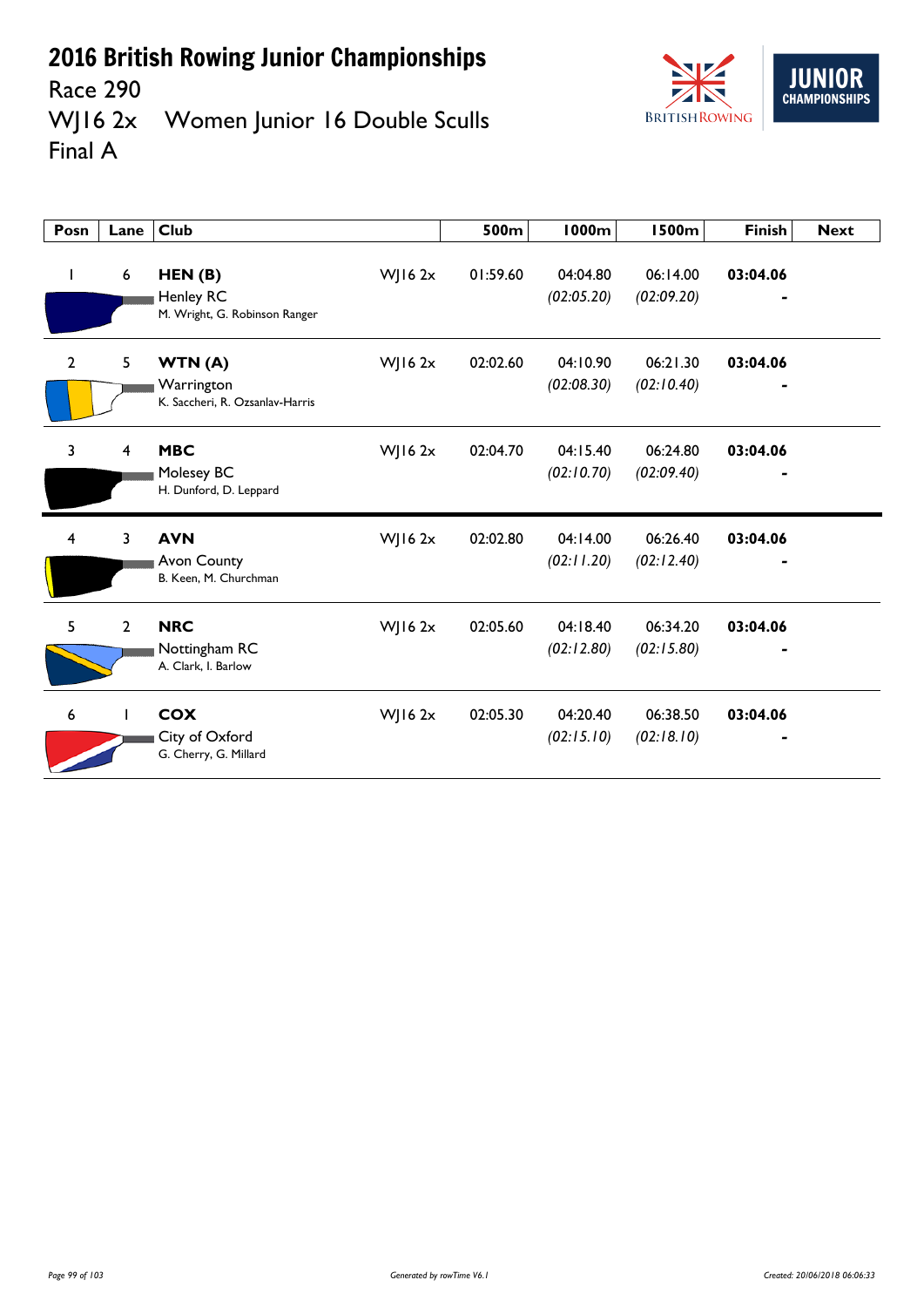

Race 290<br>WJ16 2x Women Junior 16 Double Sculls Final A

| Posn           | Lane           | <b>Club</b>                                             |             | 500m     | 1000m                  | <b>1500m</b>           | <b>Finish</b> | <b>Next</b> |
|----------------|----------------|---------------------------------------------------------|-------------|----------|------------------------|------------------------|---------------|-------------|
| $\mathbf{I}$   | 6              | HEN(B)<br>Henley RC<br>M. Wright, G. Robinson Ranger    | WJ16 2x     | 01:59.60 | 04:04.80<br>(02:05.20) | 06:14.00<br>(02:09.20) | 03:04.06      |             |
| $\overline{2}$ | 5              | WTN(A)<br>Warrington<br>K. Saccheri, R. Ozsanlav-Harris | $W$ ] 16 2x | 02:02.60 | 04:10.90<br>(02:08.30) | 06:21.30<br>(02:10.40) | 03:04.06      |             |
| 3              | 4              | <b>MBC</b><br>Molesey BC<br>H. Dunford, D. Leppard      | WJ16 $2x$   | 02:04.70 | 04:15.40<br>(02:10.70) | 06:24.80<br>(02:09.40) | 03:04.06      |             |
| $\overline{4}$ | 3              | <b>AVN</b><br>Avon County<br>B. Keen, M. Churchman      | $W$ JI6 2x  | 02:02.80 | 04:14.00<br>(02:11.20) | 06:26.40<br>(02:12.40) | 03:04.06      |             |
| 5              | $\overline{2}$ | <b>NRC</b><br>Nottingham RC<br>A. Clark, I. Barlow      | $W$   16 2x | 02:05.60 | 04:18.40<br>(02:12.80) | 06:34.20<br>(02:15.80) | 03:04.06      |             |
| 6              |                | <b>COX</b><br>City of Oxford<br>G. Cherry, G. Millard   | $W$   16 2x | 02:05.30 | 04:20.40<br>(02:15.10) | 06:38.50<br>(02:18.10) | 03:04.06      |             |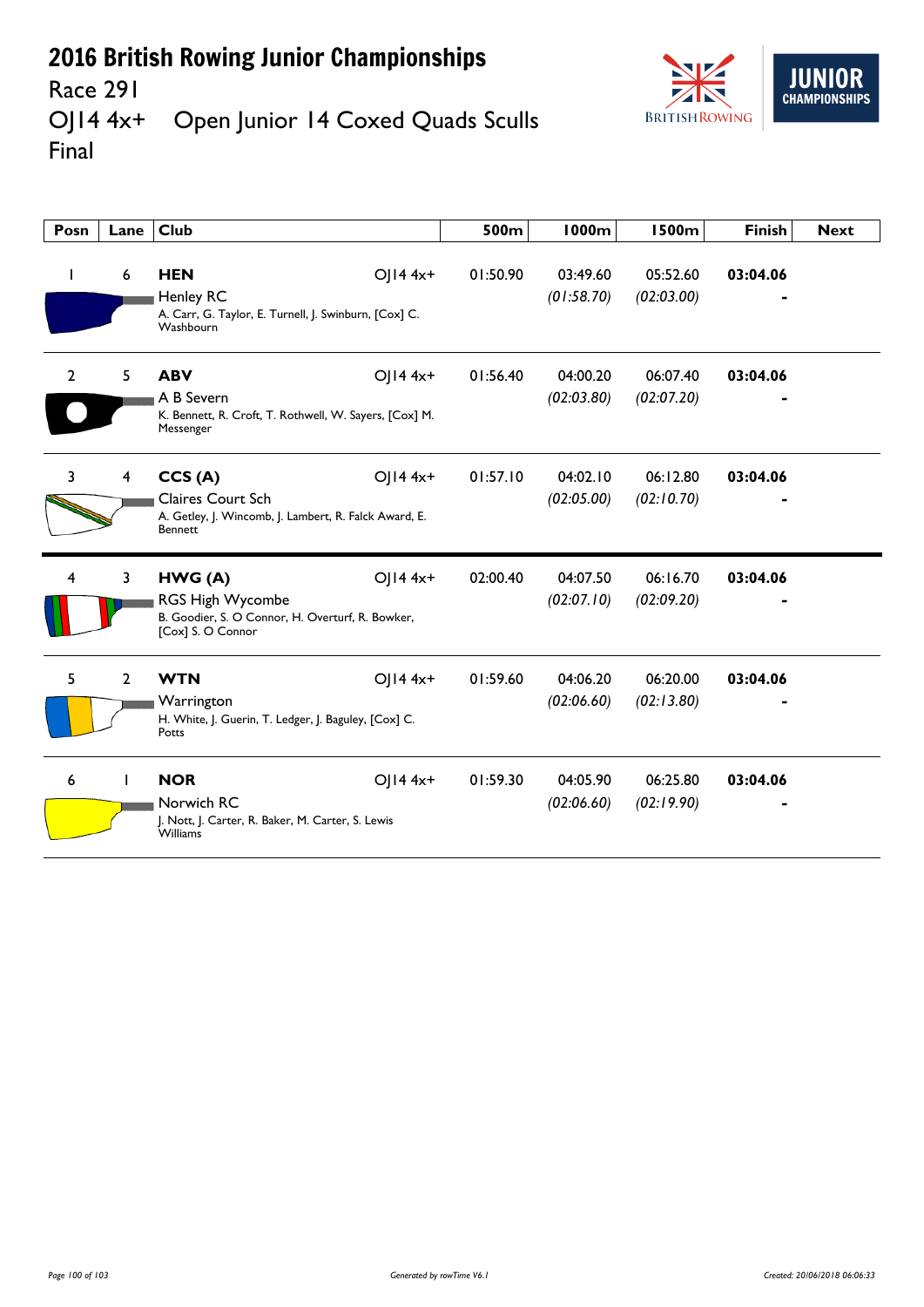

#### Race 291<br>OJ14 4x+ Open Junior 14 Coxed Quads Sculls Final

| Posn           | Lane                    | <b>Club</b>                                                                                                                 | 500m     | 1000m                  | <b>1500m</b>           | <b>Finish</b> | <b>Next</b> |
|----------------|-------------------------|-----------------------------------------------------------------------------------------------------------------------------|----------|------------------------|------------------------|---------------|-------------|
|                | 6                       | <b>HEN</b><br>$O  4 4x+$<br><b>Henley RC</b><br>A. Carr, G. Taylor, E. Turnell, J. Swinburn, [Cox] C.<br>Washbourn          | 01:50.90 | 03:49.60<br>(01:58.70) | 05:52.60<br>(02:03.00) | 03:04.06      |             |
| $\overline{2}$ | 5                       | <b>ABV</b><br>OJ14 4x+<br>A B Severn<br>K. Bennett, R. Croft, T. Rothwell, W. Sayers, [Cox] M.<br>Messenger                 | 01:56.40 | 04:00.20<br>(02:03.80) | 06:07.40<br>(02:07.20) | 03:04.06      |             |
| 3              | $\overline{\mathbf{4}}$ | CCS(A)<br>$O  4 4x+$<br><b>Claires Court Sch</b><br>A. Getley, J. Wincomb, J. Lambert, R. Falck Award, E.<br><b>Bennett</b> | 01:57.10 | 04:02.10<br>(02:05.00) | 06:12.80<br>(02:10.70) | 03:04.06      |             |
| 4              | $\mathbf{3}$            | $O  4 4x+$<br>HWG(A)<br><b>RGS High Wycombe</b><br>B. Goodier, S. O Connor, H. Overturf, R. Bowker,<br>[Cox] S. O Connor    | 02:00.40 | 04:07.50<br>(02:07.10) | 06:16.70<br>(02:09.20) | 03:04.06      |             |
| 5.             | $\overline{2}$          | $O  4 4x+$<br><b>WTN</b><br>Warrington<br>H. White, J. Guerin, T. Ledger, J. Baguley, [Cox] C.<br>Potts                     | 01:59.60 | 04:06.20<br>(02:06.60) | 06:20.00<br>(02:13.80) | 03:04.06      |             |
| 6              |                         | <b>NOR</b><br>OJ14 4x+<br>Norwich RC<br>J. Nott, J. Carter, R. Baker, M. Carter, S. Lewis<br><b>Williams</b>                | 01:59.30 | 04:05.90<br>(02:06.60) | 06:25.80<br>(02:19.90) | 03:04.06      |             |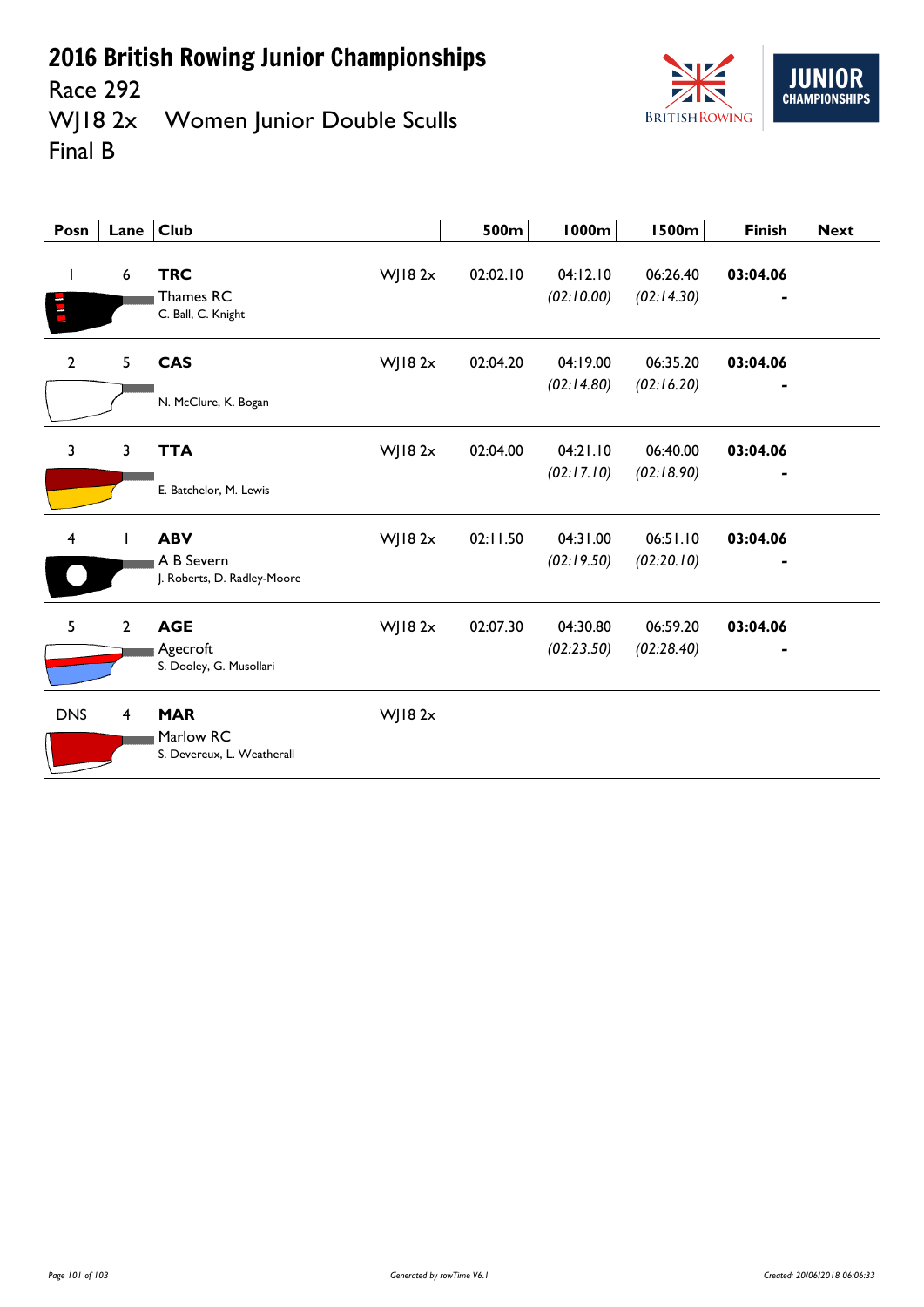

Race 292<br>WJ18 2x Women Junior Double Sculls Final B

| Posn         | Lane            | <b>Club</b>                                             |         | 500m     | <b>1000m</b>           | <b>1500m</b>           | <b>Finish</b> | <b>Next</b> |
|--------------|-----------------|---------------------------------------------------------|---------|----------|------------------------|------------------------|---------------|-------------|
| L            | $6\phantom{1}6$ | <b>TRC</b><br>Thames RC<br>C. Ball, C. Knight           | WJ18 2x | 02:02.10 | 04:12.10<br>(02:10.00) | 06:26.40<br>(02:14.30) | 03:04.06      |             |
| $\mathbf{2}$ | 5               | <b>CAS</b><br>N. McClure, K. Bogan                      | WJ18 2x | 02:04.20 | 04:19.00<br>(02:14.80) | 06:35.20<br>(02:16.20) | 03:04.06      |             |
| $\mathbf{3}$ | $\overline{3}$  | <b>TTA</b><br>E. Batchelor, M. Lewis                    | WJ18 2x | 02:04.00 | 04:21.10<br>(02:17.10) | 06:40.00<br>(02:18.90) | 03:04.06      |             |
| 4            | L               | <b>ABV</b><br>A B Severn<br>J. Roberts, D. Radley-Moore | WJ18 2x | 02:11.50 | 04:31.00<br>(02:19.50) | 06:51.10<br>(02:20.10) | 03:04.06      |             |
| 5            | $\overline{2}$  | <b>AGE</b><br>Agecroft<br>S. Dooley, G. Musollari       | WJ18 2x | 02:07.30 | 04:30.80<br>(02:23.50) | 06:59.20<br>(02:28.40) | 03:04.06      |             |
| <b>DNS</b>   | 4               | <b>MAR</b><br>Marlow RC<br>S. Devereux, L. Weatherall   | WJ18 2x |          |                        |                        |               |             |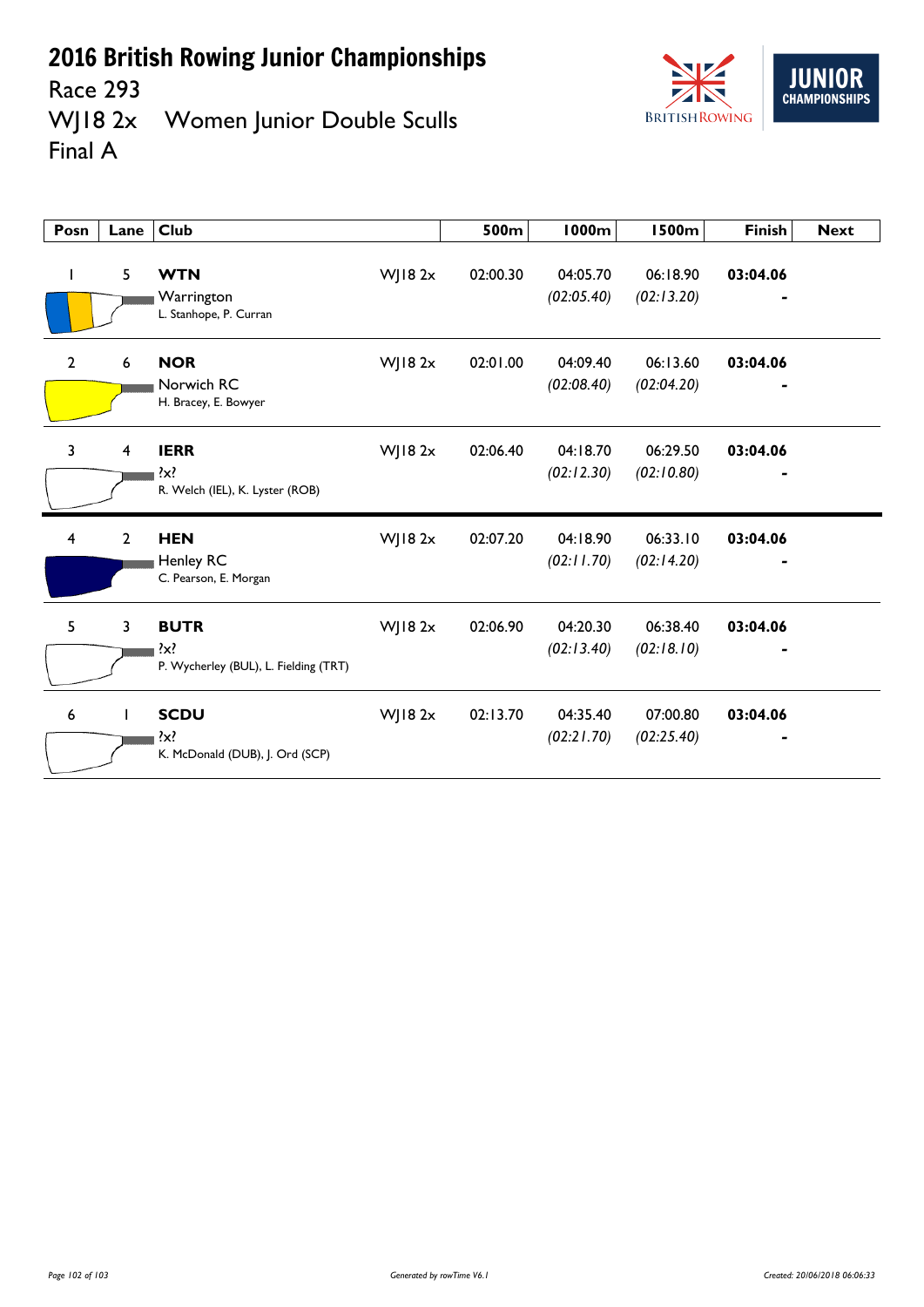



| Posn | Lane                    | <b>Club</b>                                                 |                | 500m     | 1000m                  | <b>1500m</b>           | <b>Finish</b> | <b>Next</b> |
|------|-------------------------|-------------------------------------------------------------|----------------|----------|------------------------|------------------------|---------------|-------------|
|      | 5                       | <b>WTN</b><br>Warrington<br>L. Stanhope, P. Curran          | WJ18 2x        | 02:00.30 | 04:05.70<br>(02:05.40) | 06:18.90<br>(02:13.20) | 03:04.06      |             |
| 2    | 6                       | <b>NOR</b><br>Norwich RC<br>H. Bracey, E. Bowyer            | $W$ ] 18 2 $x$ | 02:01.00 | 04:09.40<br>(02:08.40) | 06:13.60<br>(02:04.20) | 03:04.06<br>٠ |             |
| 3    | $\overline{\mathbf{4}}$ | <b>IERR</b><br>?x?<br>R. Welch (IEL), K. Lyster (ROB)       | WJ18 2x        | 02:06.40 | 04:18.70<br>(02:12.30) | 06:29.50<br>(02:10.80) | 03:04.06      |             |
| 4    | $\overline{2}$          | <b>HEN</b><br><b>Henley RC</b><br>C. Pearson, E. Morgan     | WJ182x         | 02:07.20 | 04:18.90<br>(02:11.70) | 06:33.10<br>(02:14.20) | 03:04.06      |             |
| 5    | $\overline{3}$          | <b>BUTR</b><br>?x?<br>P. Wycherley (BUL), L. Fielding (TRT) | WJ18 2x        | 02:06.90 | 04:20.30<br>(02:13.40) | 06:38.40<br>(02:18.10) | 03:04.06      |             |
| 6    | L                       | <b>SCDU</b><br>?x?<br>K. McDonald (DUB), J. Ord (SCP)       | $W$ JI8 2x     | 02:13.70 | 04:35.40<br>(02:21.70) | 07:00.80<br>(02:25.40) | 03:04.06      |             |